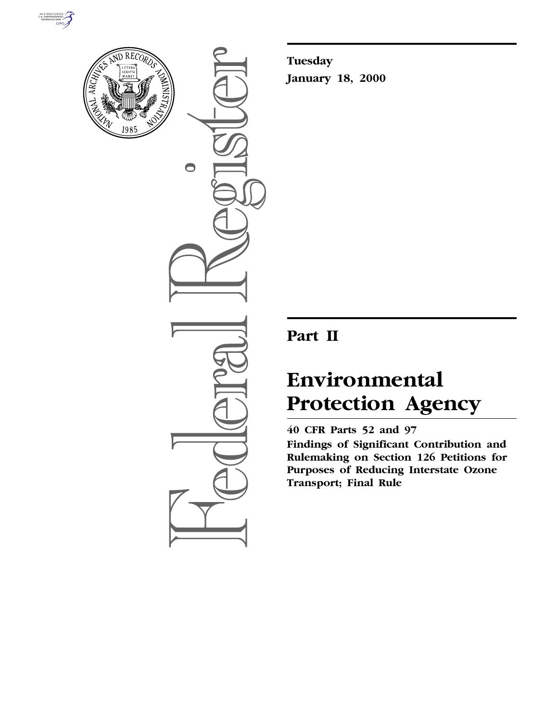



 $\bigcirc$ 

**Tuesday January 18, 2000**

## **Part II**

# **Environmental Protection Agency**

**40 CFR Parts 52 and 97**

**Findings of Significant Contribution and Rulemaking on Section 126 Petitions for Purposes of Reducing Interstate Ozone Transport; Final Rule**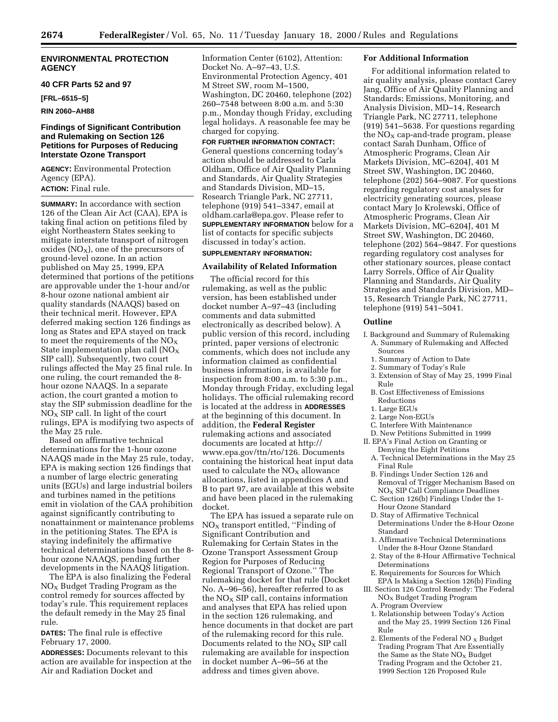#### **ENVIRONMENTAL PROTECTION AGENCY**

#### **40 CFR Parts 52 and 97**

**[FRL–6515–5]**

#### **RIN 2060–AH88**

#### **Findings of Significant Contribution and Rulemaking on Section 126 Petitions for Purposes of Reducing Interstate Ozone Transport**

**AGENCY:** Environmental Protection Agency (EPA). **ACTION:** Final rule.

**SUMMARY:** In accordance with section 126 of the Clean Air Act (CAA), EPA is taking final action on petitions filed by eight Northeastern States seeking to mitigate interstate transport of nitrogen oxides  $(NO<sub>X</sub>)$ , one of the precursors of ground-level ozone. In an action published on May 25, 1999, EPA determined that portions of the petitions are approvable under the 1-hour and/or 8-hour ozone national ambient air quality standards (NAAQS) based on their technical merit. However, EPA deferred making section 126 findings as long as States and EPA stayed on track to meet the requirements of the  $NO_X$ State implementation plan call  $NO<sub>x</sub>$ SIP call). Subsequently, two court rulings affected the May 25 final rule. In one ruling, the court remanded the 8 hour ozone NAAQS. In a separate action, the court granted a motion to stay the SIP submission deadline for the  $NO<sub>X</sub>$  SIP call. In light of the court rulings, EPA is modifying two aspects of the May 25 rule.

Based on affirmative technical determinations for the 1-hour ozone NAAQS made in the May 25 rule, today, EPA is making section 126 findings that a number of large electric generating units (EGUs) and large industrial boilers and turbines named in the petitions emit in violation of the CAA prohibition against significantly contributing to nonattainment or maintenance problems in the petitioning States. The EPA is staying indefinitely the affirmative technical determinations based on the 8 hour ozone NAAQS, pending further developments in the NAAQS litigation.

The EPA is also finalizing the Federal  $NO<sub>x</sub>$  Budget Trading Program as the control remedy for sources affected by today's rule. This requirement replaces the default remedy in the May 25 final rule.

**DATES:** The final rule is effective February 17, 2000.

**ADDRESSES:** Documents relevant to this action are available for inspection at the Air and Radiation Docket and

Information Center (6102), Attention: Docket No. A–97–43, U.S. Environmental Protection Agency, 401 M Street SW, room M–1500, Washington, DC 20460, telephone (202) 260–7548 between 8:00 a.m. and 5:30 p.m., Monday though Friday, excluding legal holidays. A reasonable fee may be charged for copying.

**FOR FURTHER INFORMATION CONTACT:** General questions concerning today's action should be addressed to Carla Oldham, Office of Air Quality Planning and Standards, Air Quality Strategies and Standards Division, MD–15, Research Triangle Park, NC 27711, telephone (919) 541–3347, email at oldham.carla@epa.gov. Please refer to **SUPPLEMENTARY INFORMATION** below for a list of contacts for specific subjects discussed in today's action.

### **SUPPLEMENTARY INFORMATION:**

#### **Availability of Related Information**

The official record for this rulemaking, as well as the public version, has been established under docket number A–97–43 (including comments and data submitted electronically as described below). A public version of this record, including printed, paper versions of electronic comments, which does not include any information claimed as confidential business information, is available for inspection from 8:00 a.m. to 5:30 p.m., Monday through Friday, excluding legal holidays. The official rulemaking record is located at the address in **ADDRESSES** at the beginning of this document. In addition, the **Federal Register** rulemaking actions and associated documents are located at http:// www.epa.gov/ttn/rto/126. Documents containing the historical heat input data used to calculate the  $NO<sub>X</sub>$  allowance allocations, listed in appendices A and B to part 97, are available at this website and have been placed in the rulemaking docket.

The EPA has issued a separate rule on NO<sub>X</sub> transport entitled, "Finding of Significant Contribution and Rulemaking for Certain States in the Ozone Transport Assessment Group Region for Purposes of Reducing Regional Transport of Ozone.'' The rulemaking docket for that rule (Docket No. A–96–56), hereafter referred to as the  $NO<sub>x</sub>$  SIP call, contains information and analyses that EPA has relied upon in the section 126 rulemaking, and hence documents in that docket are part of the rulemaking record for this rule. Documents related to the  $NO<sub>X</sub>$  SIP call rulemaking are available for inspection in docket number A–96–56 at the address and times given above.

#### **For Additional Information**

For additional information related to air quality analysis, please contact Carey Jang, Office of Air Quality Planning and Standards; Emissions, Monitoring, and Analysis Division, MD–14, Research Triangle Park, NC 27711, telephone (919) 541–5638. For questions regarding the  $NO<sub>x</sub>$  cap-and-trade program, please contact Sarah Dunham, Office of Atmospheric Programs, Clean Air Markets Division, MC–6204J, 401 M Street SW, Washington, DC 20460, telephone (202) 564–9087. For questions regarding regulatory cost analyses for electricity generating sources, please contact Mary Jo Krolewski, Office of Atmospheric Programs, Clean Air Markets Division, MC–6204J, 401 M Street SW, Washington, DC 20460, telephone (202) 564–9847. For questions regarding regulatory cost analyses for other stationary sources, please contact Larry Sorrels, Office of Air Quality Planning and Standards, Air Quality Strategies and Standards Division, MD– 15, Research Triangle Park, NC 27711, telephone (919) 541–5041.

#### **Outline**

- I. Background and Summary of Rulemaking A. Summary of Rulemaking and Affected Sources
	- 1. Summary of Action to Date
	- 2. Summary of Today's Rule
	- 3. Extension of Stay of May 25, 1999 Final Rule
	- B. Cost Effectiveness of Emissions Reductions
	- 1. Large EGUs
	- 2. Large Non-EGUs
	- C. Interfere With Maintenance
- D. New Petitions Submitted in 1999
- II. EPA's Final Action on Granting or Denying the Eight Petitions
	- A. Technical Determinations in the May 25 Final Rule
	- B. Findings Under Section 126 and Removal of Trigger Mechanism Based on NOX SIP Call Compliance Deadlines
	- C. Section 126(b) Findings Under the 1- Hour Ozone Standard
	- D. Stay of Affirmative Technical Determinations Under the 8-Hour Ozone Standard
	- 1. Affirmative Technical Determinations Under the 8-Hour Ozone Standard
	- 2. Stay of the 8-Hour Affirmative Technical Determinations
- E. Requirements for Sources for Which EPA Is Making a Section 126(b) Finding

#### III. Section 126 Control Remedy: The Federal NOX Budget Trading Program

- A. Program Overview
- 1. Relationship between Today's Action and the May 25, 1999 Section 126 Final Rule
- 2. Elements of the Federal NO  $_X$  Budget Trading Program That Are Essentially the Same as the State  $NO<sub>x</sub>$  Budget Trading Program and the October 21, 1999 Section 126 Proposed Rule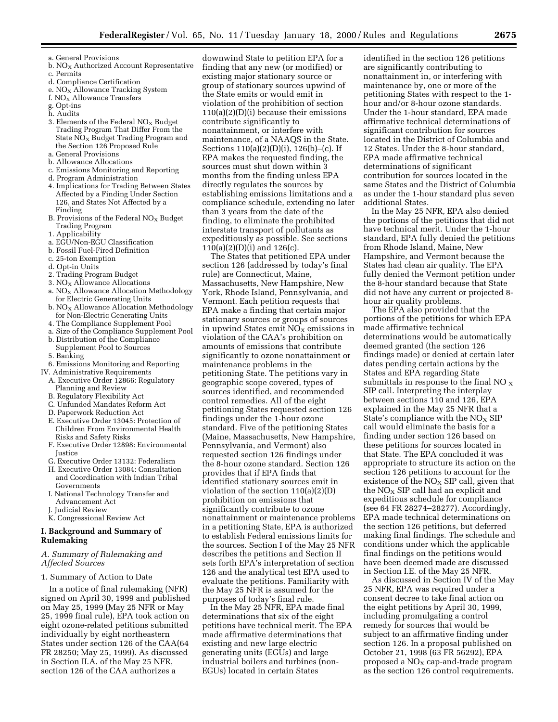- a. General Provisions
- b.  $NO<sub>x</sub>$  Authorized Account Representative
- c. Permits
- d. Compliance Certification
- e. NO<sub>X</sub> Allowance Tracking System
- f.  $NO<sub>x</sub>$  Allowance Transfers
- g. Opt-ins h. Audits
- 3. Elements of the Federal  $NO<sub>X</sub>$  Budget Trading Program That Differ From the State NO<sub>X</sub> Budget Trading Program and the Section 126 Proposed Rule
- a. General Provisions
- b. Allowance Allocations
- c. Emissions Monitoring and Reporting
- d. Program Administration
- 4. Implications for Trading Between States Affected by a Finding Under Section 126, and States Not Affected by a Finding
- B. Provisions of the Federal  $NO<sub>x</sub>$  Budget Trading Program
- 1. Applicability
- a. EGU/Non-EGU Classification
- b. Fossil Fuel-Fired Definition
- c. 25-ton Exemption
- d. Opt-in Units
- 2. Trading Program Budget
- 3.  $NO<sub>x</sub>$  Allowance Allocations
- a. NO<sub>X</sub> Allowance Allocation Methodology for Electric Generating Units
- $b. NO<sub>X</sub>$  Allowance Allocation Methodology for Non-Electric Generating Units
- 4. The Compliance Supplement Pool
- a. Size of the Compliance Supplement Pool
- b. Distribution of the Compliance
- Supplement Pool to Sources
- 5. Banking
- 6. Emissions Monitoring and Reporting
- IV. Administrative Requirements
	- A. Executive Order 12866: Regulatory Planning and Review
	- B. Regulatory Flexibility Act
	- C. Unfunded Mandates Reform Act
	- D. Paperwork Reduction Act
	- E. Executive Order 13045: Protection of Children From Environmental Health Risks and Safety Risks
	- F. Executive Order 12898: Environmental Justice
	- G. Executive Order 13132: Federalism
	- H. Executive Order 13084: Consultation and Coordination with Indian Tribal Governments
	- I. National Technology Transfer and Advancement Act
	- J. Judicial Review
	- K. Congressional Review Act

#### **I. Background and Summary of Rulemaking**

#### *A. Summary of Rulemaking and Affected Sources*

#### 1. Summary of Action to Date

In a notice of final rulemaking (NFR) signed on April 30, 1999 and published on May 25, 1999 (May 25 NFR or May 25, 1999 final rule), EPA took action on eight ozone-related petitions submitted individually by eight northeastern States under section 126 of the CAA(64 FR 28250; May 25, 1999). As discussed in Section II.A. of the May 25 NFR, section 126 of the CAA authorizes a

downwind State to petition EPA for a finding that any new (or modified) or existing major stationary source or group of stationary sources upwind of the State emits or would emit in violation of the prohibition of section 110(a)(2)(D)(i) because their emissions contribute significantly to nonattainment, or interfere with maintenance, of a NAAQS in the State. Sections 110(a)(2)(D)(i), 126(b)–(c). If EPA makes the requested finding, the sources must shut down within 3 months from the finding unless EPA directly regulates the sources by establishing emissions limitations and a compliance schedule, extending no later than 3 years from the date of the finding, to eliminate the prohibited interstate transport of pollutants as expeditiously as possible. See sections 110(a)(2)(D)(i) and 126(c).

The States that petitioned EPA under section 126 (addressed by today's final rule) are Connecticut, Maine, Massachusetts, New Hampshire, New York, Rhode Island, Pennsylvania, and Vermont. Each petition requests that EPA make a finding that certain major stationary sources or groups of sources in upwind States emit  $NO<sub>X</sub>$  emissions in violation of the CAA's prohibition on amounts of emissions that contribute significantly to ozone nonattainment or maintenance problems in the petitioning State. The petitions vary in geographic scope covered, types of sources identified, and recommended control remedies. All of the eight petitioning States requested section 126 findings under the 1-hour ozone standard. Five of the petitioning States (Maine, Massachusetts, New Hampshire, Pennsylvania, and Vermont) also requested section 126 findings under the 8-hour ozone standard. Section 126 provides that if EPA finds that identified stationary sources emit in violation of the section 110(a)(2)(D) prohibition on emissions that significantly contribute to ozone nonattainment or maintenance problems in a petitioning State, EPA is authorized to establish Federal emissions limits for the sources. Section I of the May 25 NFR describes the petitions and Section II sets forth EPA's interpretation of section 126 and the analytical test EPA used to evaluate the petitions. Familiarity with the May 25 NFR is assumed for the purposes of today's final rule.

In the May 25 NFR, EPA made final determinations that six of the eight petitions have technical merit. The EPA made affirmative determinations that existing and new large electric generating units (EGUs) and large industrial boilers and turbines (non-EGUs) located in certain States

identified in the section 126 petitions are significantly contributing to nonattainment in, or interfering with maintenance by, one or more of the petitioning States with respect to the 1 hour and/or 8-hour ozone standards. Under the 1-hour standard, EPA made affirmative technical determinations of significant contribution for sources located in the District of Columbia and 12 States. Under the 8-hour standard, EPA made affirmative technical determinations of significant contribution for sources located in the same States and the District of Columbia as under the 1-hour standard plus seven additional States.

In the May 25 NFR, EPA also denied the portions of the petitions that did not have technical merit. Under the 1-hour standard, EPA fully denied the petitions from Rhode Island, Maine, New Hampshire, and Vermont because the States had clean air quality. The EPA fully denied the Vermont petition under the 8-hour standard because that State did not have any current or projected 8 hour air quality problems.

The EPA also provided that the portions of the petitions for which EPA made affirmative technical determinations would be automatically deemed granted (the section 126 findings made) or denied at certain later dates pending certain actions by the States and EPA regarding State submittals in response to the final NO  $_{\rm X}$ SIP call. Interpreting the interplay between sections 110 and 126, EPA explained in the May 25 NFR that a State's compliance with the  $NO<sub>x</sub>$  SIP call would eliminate the basis for a finding under section 126 based on these petitions for sources located in that State. The EPA concluded it was appropriate to structure its action on the section 126 petitions to account for the existence of the  $NO<sub>x</sub>$  SIP call, given that the  $NO<sub>x</sub>$  SIP call had an explicit and expeditious schedule for compliance (see 64 FR 28274–28277). Accordingly, EPA made technical determinations on the section 126 petitions, but deferred making final findings. The schedule and conditions under which the applicable final findings on the petitions would have been deemed made are discussed in Section I.E. of the May 25 NFR.

As discussed in Section IV of the May 25 NFR, EPA was required under a consent decree to take final action on the eight petitions by April 30, 1999, including promulgating a control remedy for sources that would be subject to an affirmative finding under section 126. In a proposal published on October 21, 1998 (63 FR 56292), EPA proposed a  $NO<sub>X</sub>$  cap-and-trade program as the section 126 control requirements.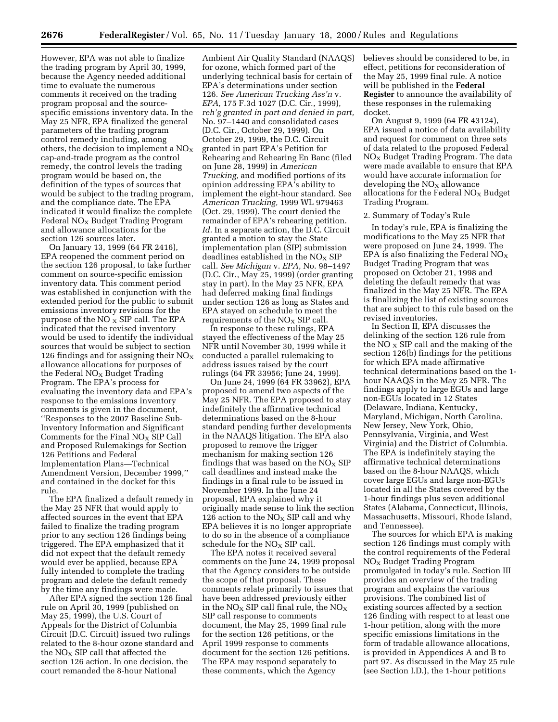However, EPA was not able to finalize the trading program by April 30, 1999, because the Agency needed additional time to evaluate the numerous comments it received on the trading program proposal and the sourcespecific emissions inventory data. In the May 25 NFR, EPA finalized the general parameters of the trading program control remedy including, among others, the decision to implement a  $NO<sub>x</sub>$ cap-and-trade program as the control remedy, the control levels the trading program would be based on, the definition of the types of sources that would be subject to the trading program, and the compliance date. The EPA indicated it would finalize the complete Federal  $NO<sub>x</sub>$  Budget Trading Program and allowance allocations for the section 126 sources later.

On January 13, 1999 (64 FR 2416), EPA reopened the comment period on the section 126 proposal, to take further comment on source-specific emission inventory data. This comment period was established in conjunction with the extended period for the public to submit emissions inventory revisions for the purpose of the  $NO<sub>x</sub>$  SIP call. The EPA indicated that the revised inventory would be used to identify the individual sources that would be subject to section 126 findings and for assigning their  $NO<sub>X</sub>$ allowance allocations for purposes of the Federal  $NO<sub>X</sub>$  Budget Trading Program. The EPA's process for evaluating the inventory data and EPA's response to the emissions inventory comments is given in the document, ''Responses to the 2007 Baseline Sub-Inventory Information and Significant Comments for the Final  $NO<sub>x</sub>$  SIP Call and Proposed Rulemakings for Section 126 Petitions and Federal Implementation Plans—Technical Amendment Version, December 1999,'' and contained in the docket for this rule.

The EPA finalized a default remedy in the May 25 NFR that would apply to affected sources in the event that EPA failed to finalize the trading program prior to any section 126 findings being triggered. The EPA emphasized that it did not expect that the default remedy would ever be applied, because EPA fully intended to complete the trading program and delete the default remedy by the time any findings were made.

After EPA signed the section 126 final rule on April 30, 1999 (published on May 25, 1999), the U.S. Court of Appeals for the District of Columbia Circuit (D.C. Circuit) issued two rulings related to the 8-hour ozone standard and the  $NO<sub>X</sub>$  SIP call that affected the section 126 action. In one decision, the court remanded the 8-hour National

Ambient Air Quality Standard (NAAQS) for ozone, which formed part of the underlying technical basis for certain of EPA's determinations under section 126. *See American Trucking Ass'n* v. *EPA,* 175 F.3d 1027 (D.C. Cir., 1999), *reh'g granted in part and denied in part,* No. 97–1440 and consolidated cases (D.C. Cir., October 29, 1999). On October 29, 1999, the D.C. Circuit granted in part EPA's Petition for Rehearing and Rehearing En Banc (filed on June 28, 1999) in *American Trucking,* and modified portions of its opinion addressing EPA's ability to implement the eight-hour standard. See *American Trucking,* 1999 WL 979463 (Oct. 29, 1999). The court denied the remainder of EPA's rehearing petition. *Id.* In a separate action, the D.C. Circuit granted a motion to stay the State implementation plan (SIP) submission deadlines established in the  $NO<sub>X</sub>$  SIP call. *See Michigan* v. *EPA,* No. 98–1497 (D.C. Cir., May 25, 1999) (order granting stay in part). In the May 25 NFR, EPA had deferred making final findings under section 126 as long as States and EPA stayed on schedule to meet the requirements of the  $NO<sub>x</sub>$  SIP call.

In response to these rulings, EPA stayed the effectiveness of the May 25 NFR until November 30, 1999 while it conducted a parallel rulemaking to address issues raised by the court rulings (64 FR 33956; June 24, 1999).

On June 24, 1999 (64 FR 33962), EPA proposed to amend two aspects of the May 25 NFR. The EPA proposed to stay indefinitely the affirmative technical determinations based on the 8-hour standard pending further developments in the NAAQS litigation. The EPA also proposed to remove the trigger mechanism for making section 126 findings that was based on the  $NO<sub>X</sub>$  SIP call deadlines and instead make the findings in a final rule to be issued in November 1999. In the June 24 proposal, EPA explained why it originally made sense to link the section 126 action to the  $NO<sub>X</sub>$  SIP call and why EPA believes it is no longer appropriate to do so in the absence of a compliance schedule for the NO<sub>X</sub> SIP call.

The EPA notes it received several comments on the June 24, 1999 proposal that the Agency considers to be outside the scope of that proposal. These comments relate primarily to issues that have been addressed previously either in the  $NO_X$  SIP call final rule, the  $NO_X$ SIP call response to comments document, the May 25, 1999 final rule for the section 126 petitions, or the April 1999 response to comments document for the section 126 petitions. The EPA may respond separately to these comments, which the Agency

believes should be considered to be, in effect, petitions for reconsideration of the May 25, 1999 final rule. A notice will be published in the **Federal Register** to announce the availability of these responses in the rulemaking docket.

On August 9, 1999 (64 FR 43124), EPA issued a notice of data availability and request for comment on three sets of data related to the proposed Federal  $NO<sub>x</sub>$  Budget Trading Program. The data were made available to ensure that EPA would have accurate information for developing the  $NO<sub>x</sub>$  allowance allocations for the Federal  $NO<sub>X</sub>$  Budget Trading Program.

#### 2. Summary of Today's Rule

In today's rule, EPA is finalizing the modifications to the May 25 NFR that were proposed on June 24, 1999. The EPA is also finalizing the Federal  $NO<sub>X</sub>$ Budget Trading Program that was proposed on October 21, 1998 and deleting the default remedy that was finalized in the May 25 NFR. The EPA is finalizing the list of existing sources that are subject to this rule based on the revised inventories.

In Section II, EPA discusses the delinking of the section 126 rule from the NO  $\overline{x}$  SIP call and the making of the section 126(b) findings for the petitions for which EPA made affirmative technical determinations based on the 1 hour NAAQS in the May 25 NFR. The findings apply to large EGUs and large non-EGUs located in 12 States (Delaware, Indiana, Kentucky, Maryland, Michigan, North Carolina, New Jersey, New York, Ohio, Pennsylvania, Virginia, and West Virginia) and the District of Columbia. The EPA is indefinitely staying the affirmative technical determinations based on the 8-hour NAAQS, which cover large EGUs and large non-EGUs located in all the States covered by the 1-hour findings plus seven additional States (Alabama, Connecticut, Illinois, Massachusetts, Missouri, Rhode Island, and Tennessee).

The sources for which EPA is making section 126 findings must comply with the control requirements of the Federal NOX Budget Trading Program promulgated in today's rule. Section III provides an overview of the trading program and explains the various provisions. The combined list of existing sources affected by a section 126 finding with respect to at least one 1-hour petition, along with the more specific emissions limitations in the form of tradable allowance allocations, is provided in Appendices A and B to part 97. As discussed in the May 25 rule (see Section I.D.), the 1-hour petitions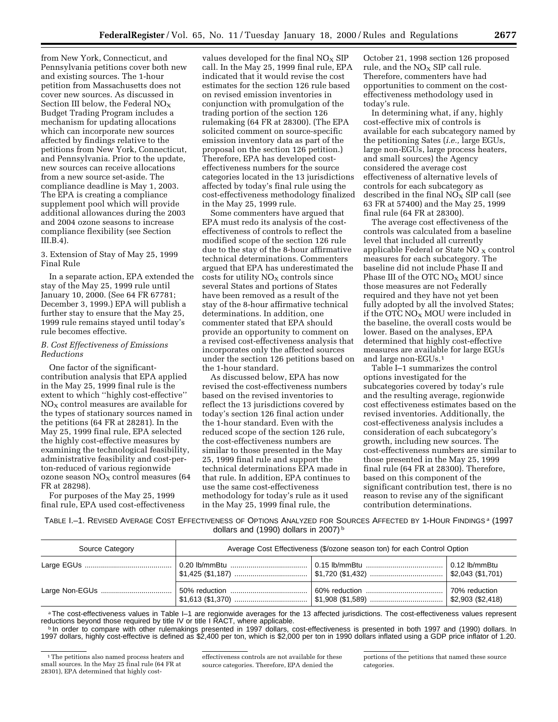from New York, Connecticut, and Pennsylvania petitions cover both new and existing sources. The 1-hour petition from Massachusetts does not cover new sources. As discussed in Section III below, the Federal  $NO_x$ Budget Trading Program includes a mechanism for updating allocations which can incorporate new sources affected by findings relative to the petitions from New York, Connecticut, and Pennsylvania. Prior to the update, new sources can receive allocations from a new source set-aside. The compliance deadline is May 1, 2003. The EPA is creating a compliance supplement pool which will provide additional allowances during the 2003 and 2004 ozone seasons to increase compliance flexibility (see Section III.B.4).

3. Extension of Stay of May 25, 1999 Final Rule

In a separate action, EPA extended the stay of the May 25, 1999 rule until January 10, 2000. (See 64 FR 67781; December 3, 1999.) EPA will publish a further stay to ensure that the May 25, 1999 rule remains stayed until today's rule becomes effective.

#### *B. Cost Effectiveness of Emissions Reductions*

One factor of the significantcontribution analysis that EPA applied in the May 25, 1999 final rule is the extent to which ''highly cost-effective''  $NO<sub>x</sub>$  control measures are available for the types of stationary sources named in the petitions (64 FR at 28281). In the May 25, 1999 final rule, EPA selected the highly cost-effective measures by examining the technological feasibility, administrative feasibility and cost-perton-reduced of various regionwide ozone season  $NO<sub>X</sub>$  control measures (64 FR at 28298).

For purposes of the May 25, 1999 final rule, EPA used cost-effectiveness values developed for the final  $NO<sub>x</sub>$  SIP call. In the May 25, 1999 final rule, EPA indicated that it would revise the cost estimates for the section 126 rule based on revised emission inventories in conjunction with promulgation of the trading portion of the section 126 rulemaking (64 FR at 28300). (The EPA solicited comment on source-specific emission inventory data as part of the proposal on the section 126 petition.) Therefore, EPA has developed costeffectiveness numbers for the source categories located in the 13 jurisdictions affected by today's final rule using the cost-effectiveness methodology finalized in the May 25, 1999 rule.

Some commenters have argued that EPA must redo its analysis of the costeffectiveness of controls to reflect the modified scope of the section 126 rule due to the stay of the 8-hour affirmative technical determinations. Commenters argued that EPA has underestimated the  $costs$  for utility  $NO<sub>x</sub>$  controls since several States and portions of States have been removed as a result of the stay of the 8-hour affirmative technical determinations. In addition, one commenter stated that EPA should provide an opportunity to comment on a revised cost-effectiveness analysis that incorporates only the affected sources under the section 126 petitions based on the 1-hour standard.

As discussed below, EPA has now revised the cost-effectiveness numbers based on the revised inventories to reflect the 13 jurisdictions covered by today's section 126 final action under the 1-hour standard. Even with the reduced scope of the section 126 rule, the cost-effectiveness numbers are similar to those presented in the May 25, 1999 final rule and support the technical determinations EPA made in that rule. In addition, EPA continues to use the same cost-effectiveness methodology for today's rule as it used in the May 25, 1999 final rule, the

October 21, 1998 section 126 proposed rule, and the  $NO<sub>X</sub>$  SIP call rule. Therefore, commenters have had opportunities to comment on the costeffectiveness methodology used in today's rule.

In determining what, if any, highly cost-effective mix of controls is available for each subcategory named by the petitioning Sates (*i.e.,* large EGUs, large non-EGUs, large process heaters, and small sources) the Agency considered the average cost effectiveness of alternative levels of controls for each subcategory as described in the final  $NO_X$  SIP call (see 63 FR at 57400) and the May 25, 1999 final rule (64 FR at 28300).

The average cost effectiveness of the controls was calculated from a baseline level that included all currently applicable Federal or State  $NO<sub>x</sub>$  control measures for each subcategory. The baseline did not include Phase II and Phase III of the OTC  $NO<sub>x</sub> MOU$  since those measures are not Federally required and they have not yet been fully adopted by all the involved States; if the OTC  $NO<sub>X</sub> MOU$  were included in the baseline, the overall costs would be lower. Based on the analyses, EPA determined that highly cost-effective measures are available for large EGUs and large non-EGUs.1

Table I–1 summarizes the control options investigated for the subcategories covered by today's rule and the resulting average, regionwide cost effectiveness estimates based on the revised inventories. Additionally, the cost-effectiveness analysis includes a consideration of each subcategory's growth, including new sources. The cost-effectiveness numbers are similar to those presented in the May 25, 1999 final rule (64 FR at 28300). Therefore, based on this component of the significant contribution test, there is no reason to revise any of the significant contribution determinations.

TABLE I.–1. REVISED AVERAGE COST EFFECTIVENESS OF OPTIONS ANALYZED FOR SOURCES AFFECTED BY 1-HOUR FINDINGS a (1997 dollars and (1990) dollars in 2007) b

| Source Category | Average Cost Effectiveness (\$/ozone season ton) for each Control Option |                                                                    |                                     |
|-----------------|--------------------------------------------------------------------------|--------------------------------------------------------------------|-------------------------------------|
|                 |                                                                          |                                                                    | 0.12 lb/mmBtu                       |
|                 |                                                                          | │ \$1,613 (\$1,370) ……………………………… │ \$1,908 (\$1,589) …………………………… │ | 70% reduction<br>$$2,903$ (\$2,418) |

aThe cost-effectiveness values in Table I–1 are regionwide averages for the 13 affected jurisdictions. The cost-effectiveness values represent reductions beyond those required by title IV or title I RACT, where applicable.

**b** In order to compare with other rulemakings presented in 1997 dollars, cost-effectiveness is presented in both 1997 and (1990) dollars. In 1997 dollars, highly cost-effective is defined as \$2,400 per ton, which is \$2,000 per ton in 1990 dollars inflated using a GDP price inflator of 1.20.

portions of the petitions that named these source categories.

<sup>1</sup>The petitions also named process heaters and small sources. In the May 25 final rule (64 FR at 28301), EPA determined that highly cost-

effectiveness controls are not available for these source categories. Therefore, EPA denied the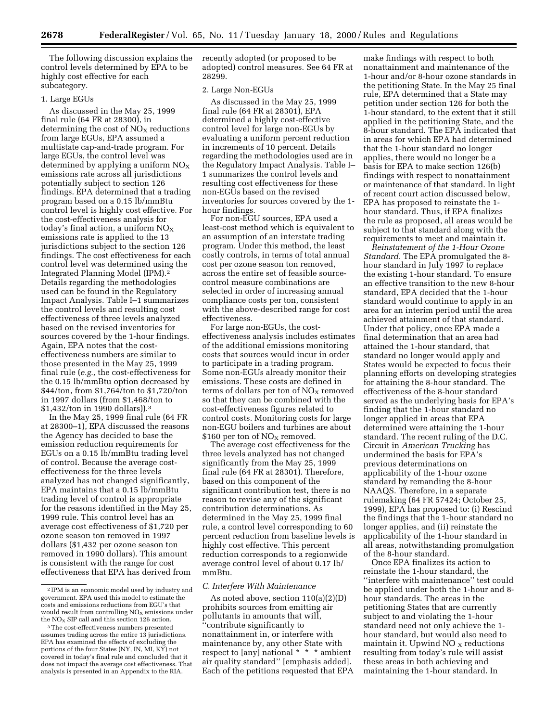The following discussion explains the control levels determined by EPA to be highly cost effective for each subcategory.

#### 1. Large EGUs

As discussed in the May 25, 1999 final rule (64 FR at 28300), in determining the cost of  $NO<sub>x</sub>$  reductions from large EGUs, EPA assumed a multistate cap-and-trade program. For large EGUs, the control level was determined by applying a uniform  $NO<sub>x</sub>$ emissions rate across all jurisdictions potentially subject to section 126 findings. EPA determined that a trading program based on a 0.15 lb/mmBtu control level is highly cost effective. For the cost-effectiveness analysis for today's final action, a uniform  $NO<sub>x</sub>$ emissions rate is applied to the 13 jurisdictions subject to the section 126 findings. The cost effectiveness for each control level was determined using the Integrated Planning Model (IPM).2 Details regarding the methodologies used can be found in the Regulatory Impact Analysis. Table I–1 summarizes the control levels and resulting cost effectiveness of three levels analyzed based on the revised inventories for sources covered by the 1-hour findings. Again, EPA notes that the costeffectiveness numbers are similar to those presented in the May 25, 1999 final rule (*e.g.,* the cost-effectiveness for the 0.15 lb/mmBtu option decreased by \$44/ton, from \$1,764/ton to \$1,720/ton in 1997 dollars (from \$1,468/ton to \$1,432/ton in 1990 dollars)).3

In the May 25, 1999 final rule (64 FR at 28300–1), EPA discussed the reasons the Agency has decided to base the emission reduction requirements for EGUs on a 0.15 lb/mmBtu trading level of control. Because the average costeffectiveness for the three levels analyzed has not changed significantly, EPA maintains that a 0.15 lb/mmBtu trading level of control is appropriate for the reasons identified in the May 25, 1999 rule. This control level has an average cost effectiveness of \$1,720 per ozone season ton removed in 1997 dollars (\$1,432 per ozone season ton removed in 1990 dollars). This amount is consistent with the range for cost effectiveness that EPA has derived from

recently adopted (or proposed to be adopted) control measures. See 64 FR at 28299.

#### 2. Large Non-EGUs

As discussed in the May 25, 1999 final rule (64 FR at 28301), EPA determined a highly cost-effective control level for large non-EGUs by evaluating a uniform percent reduction in increments of 10 percent. Details regarding the methodologies used are in the Regulatory Impact Analysis. Table I– 1 summarizes the control levels and resulting cost effectiveness for these non-EGUs based on the revised inventories for sources covered by the 1 hour findings.

For non-EGU sources, EPA used a least-cost method which is equivalent to an assumption of an interstate trading program. Under this method, the least costly controls, in terms of total annual cost per ozone season ton removed, across the entire set of feasible sourcecontrol measure combinations are selected in order of increasing annual compliance costs per ton, consistent with the above-described range for cost effectiveness.

For large non-EGUs, the costeffectiveness analysis includes estimates of the additional emissions monitoring costs that sources would incur in order to participate in a trading program. Some non-EGUs already monitor their emissions. These costs are defined in terms of dollars per ton of  $NO<sub>X</sub>$  removed so that they can be combined with the cost-effectiveness figures related to control costs. Monitoring costs for large non-EGU boilers and turbines are about \$160 per ton of NO<sub>X</sub> removed.

The average cost effectiveness for the three levels analyzed has not changed significantly from the May 25, 1999 final rule (64 FR at 28301). Therefore, based on this component of the significant contribution test, there is no reason to revise any of the significant contribution determinations. As determined in the May 25, 1999 final rule, a control level corresponding to 60 percent reduction from baseline levels is highly cost effective. This percent reduction corresponds to a regionwide average control level of about 0.17 lb/ mmBtu.

#### *C. Interfere With Maintenance*

As noted above, section 110(a)(2)(D) prohibits sources from emitting air pollutants in amounts that will, ''contribute significantly to nonattainment in, or interfere with maintenance by, any other State with respect to [any] national \* \* \* ambient air quality standard'' [emphasis added]. Each of the petitions requested that EPA

make findings with respect to both nonattainment and maintenance of the 1-hour and/or 8-hour ozone standards in the petitioning State. In the May 25 final rule, EPA determined that a State may petition under section 126 for both the 1-hour standard, to the extent that it still applied in the petitioning State, and the 8-hour standard. The EPA indicated that in areas for which EPA had determined that the 1-hour standard no longer applies, there would no longer be a basis for EPA to make section 126(b) findings with respect to nonattainment or maintenance of that standard. In light of recent court action discussed below, EPA has proposed to reinstate the 1 hour standard. Thus, if EPA finalizes the rule as proposed, all areas would be subject to that standard along with the requirements to meet and maintain it.

*Reinstatement of the 1-Hour Ozone Standard.* The EPA promulgated the 8 hour standard in July 1997 to replace the existing 1-hour standard. To ensure an effective transition to the new 8-hour standard, EPA decided that the 1-hour standard would continue to apply in an area for an interim period until the area achieved attainment of that standard. Under that policy, once EPA made a final determination that an area had attained the 1-hour standard, that standard no longer would apply and States would be expected to focus their planning efforts on developing strategies for attaining the 8-hour standard. The effectiveness of the 8-hour standard served as the underlying basis for EPA's finding that the 1-hour standard no longer applied in areas that EPA determined were attaining the 1-hour standard. The recent ruling of the D.C. Circuit in *American Trucking* has undermined the basis for EPA's previous determinations on applicability of the 1-hour ozone standard by remanding the 8-hour NAAQS. Therefore, in a separate rulemaking (64 FR 57424; October 25, 1999), EPA has proposed to: (i) Rescind the findings that the 1-hour standard no longer applies, and (ii) reinstate the applicability of the 1-hour standard in all areas, notwithstanding promulgation of the 8-hour standard.

Once EPA finalizes its action to reinstate the 1-hour standard, the ''interfere with maintenance'' test could be applied under both the 1-hour and 8 hour standards. The areas in the petitioning States that are currently subject to and violating the 1-hour standard need not only achieve the 1 hour standard, but would also need to maintain it. Upwind  $NO<sub>x</sub>$  reductions resulting from today's rule will assist these areas in both achieving and maintaining the 1-hour standard. In

<sup>2</sup> IPM is an economic model used by industry and government. EPA used this model to estimate the costs and emissions reductions from EGU's that would result from controlling  $\rm{NO_{X}}$  emissions under the  $NO<sub>x</sub>$  SIP call and this section 126 action.

<sup>3</sup>The cost-effectiveness numbers presented assumes trading across the entire 13 jurisdictions. EPA has examined the effects of excluding the portions of the four States (NY, IN, MI, KY) not covered in today's final rule and concluded that it does not impact the average cost effectiveness. That analysis is presented in an Appendix to the RIA.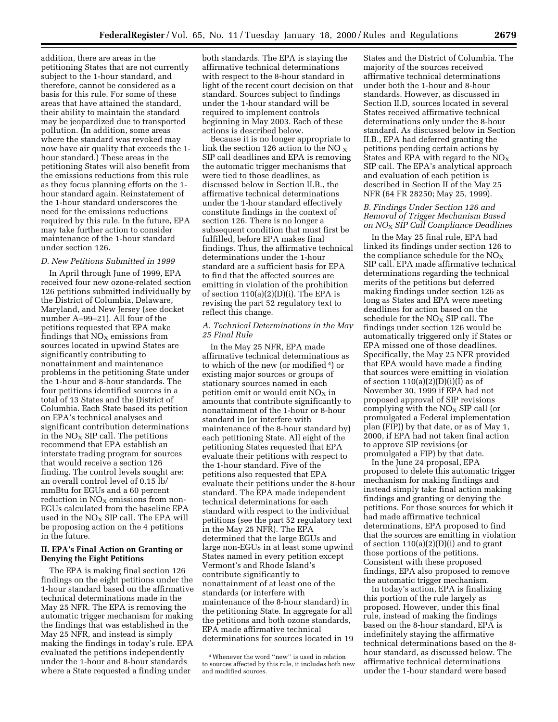addition, there are areas in the petitioning States that are not currently subject to the 1-hour standard, and therefore, cannot be considered as a basis for this rule. For some of these areas that have attained the standard, their ability to maintain the standard may be jeopardized due to transported pollution. (In addition, some areas where the standard was revoked may now have air quality that exceeds the 1 hour standard.) These areas in the petitioning States will also benefit from the emissions reductions from this rule as they focus planning efforts on the 1 hour standard again. Reinstatement of the 1-hour standard underscores the need for the emissions reductions required by this rule. In the future, EPA may take further action to consider maintenance of the 1-hour standard under section 126.

#### *D. New Petitions Submitted in 1999*

In April through June of 1999, EPA received four new ozone-related section 126 petitions submitted individually by the District of Columbia, Delaware, Maryland, and New Jersey (see docket number A–99–21). All four of the petitions requested that EPA make findings that  $NO<sub>x</sub>$  emissions from sources located in upwind States are significantly contributing to nonattainment and maintenance problems in the petitioning State under the 1-hour and 8-hour standards. The four petitions identified sources in a total of 13 States and the District of Columbia. Each State based its petition on EPA's technical analyses and significant contribution determinations in the  $NO<sub>X</sub>$  SIP call. The petitions recommend that EPA establish an interstate trading program for sources that would receive a section 126 finding. The control levels sought are: an overall control level of 0.15 lb/ mmBtu for EGUs and a 60 percent reduction in  $NO<sub>X</sub>$  emissions from non-EGUs calculated from the baseline EPA used in the  $NO<sub>x</sub>$  SIP call. The EPA will be proposing action on the 4 petitions in the future.

#### **II. EPA's Final Action on Granting or Denying the Eight Petitions**

The EPA is making final section 126 findings on the eight petitions under the 1-hour standard based on the affirmative technical determinations made in the May 25 NFR. The EPA is removing the automatic trigger mechanism for making the findings that was established in the May 25 NFR, and instead is simply making the findings in today's rule. EPA evaluated the petitions independently under the 1-hour and 8-hour standards where a State requested a finding under

both standards. The EPA is staying the affirmative technical determinations with respect to the 8-hour standard in light of the recent court decision on that standard. Sources subject to findings under the 1-hour standard will be required to implement controls beginning in May 2003. Each of these actions is described below.

Because it is no longer appropriate to link the section 126 action to the NO  $_{\rm X}$ SIP call deadlines and EPA is removing the automatic trigger mechanisms that were tied to those deadlines, as discussed below in Section II.B., the affirmative technical determinations under the 1-hour standard effectively constitute findings in the context of section 126. There is no longer a subsequent condition that must first be fulfilled, before EPA makes final findings. Thus, the affirmative technical determinations under the 1-hour standard are a sufficient basis for EPA to find that the affected sources are emitting in violation of the prohibition of section  $110(a)(2)(D)(i)$ . The EPA is revising the part 52 regulatory text to reflect this change.

#### *A. Technical Determinations in the May 25 Final Rule*

In the May 25 NFR, EPA made affirmative technical determinations as to which of the new (or modified 4) or existing major sources or groups of stationary sources named in each petition emit or would emit  $NO<sub>x</sub>$  in amounts that contribute significantly to nonattainment of the 1-hour or 8-hour standard in (or interfere with maintenance of the 8-hour standard by) each petitioning State. All eight of the petitioning States requested that EPA evaluate their petitions with respect to the 1-hour standard. Five of the petitions also requested that EPA evaluate their petitions under the 8-hour standard. The EPA made independent technical determinations for each standard with respect to the individual petitions (see the part 52 regulatory text in the May 25 NFR). The EPA determined that the large EGUs and large non-EGUs in at least some upwind States named in every petition except Vermont's and Rhode Island's contribute significantly to nonattainment of at least one of the standards (or interfere with maintenance of the 8-hour standard) in the petitioning State. In aggregate for all the petitions and both ozone standards, EPA made affirmative technical determinations for sources located in 19

States and the District of Columbia. The majority of the sources received affirmative technical determinations under both the 1-hour and 8-hour standards. However, as discussed in Section II.D, sources located in several States received affirmative technical determinations only under the 8-hour standard. As discussed below in Section II.B., EPA had deferred granting the petitions pending certain actions by States and EPA with regard to the  $NO<sub>X</sub>$ SIP call. The EPA's analytical approach and evaluation of each petition is described in Section II of the May 25 NFR (64 FR 28250; May 25, 1999).

#### *B. Findings Under Section 126 and Removal of Trigger Mechanism Based on NO*X *SIP Call Compliance Deadlines*

In the May 25 final rule, EPA had linked its findings under section 126 to the compliance schedule for the  $NO<sub>X</sub>$ SIP call. EPA made affirmative technical determinations regarding the technical merits of the petitions but deferred making findings under section 126 as long as States and EPA were meeting deadlines for action based on the schedule for the  $NO<sub>x</sub>$  SIP call. The findings under section 126 would be automatically triggered only if States or EPA missed one of those deadlines. Specifically, the May 25 NFR provided that EPA would have made a finding that sources were emitting in violation of section  $110(a)(2)(D)(i)(I)$  as of November 30, 1999 if EPA had not proposed approval of SIP revisions complying with the  $NO<sub>x</sub>$  SIP call (or promulgated a Federal implementation plan (FIP)) by that date, or as of May 1, 2000, if EPA had not taken final action to approve SIP revisions (or promulgated a FIP) by that date.

In the June 24 proposal, EPA proposed to delete this automatic trigger mechanism for making findings and instead simply take final action making findings and granting or denying the petitions. For those sources for which it had made affirmative technical determinations, EPA proposed to find that the sources are emitting in violation of section 110(a)(2)(D)(i) and to grant those portions of the petitions. Consistent with these proposed findings, EPA also proposed to remove the automatic trigger mechanism.

In today's action, EPA is finalizing this portion of the rule largely as proposed. However, under this final rule, instead of making the findings based on the 8-hour standard, EPA is indefinitely staying the affirmative technical determinations based on the 8 hour standard, as discussed below. The affirmative technical determinations under the 1-hour standard were based

<sup>4</sup>Whenever the word ''new'' is used in relation to sources affected by this rule, it includes both new and modified sources.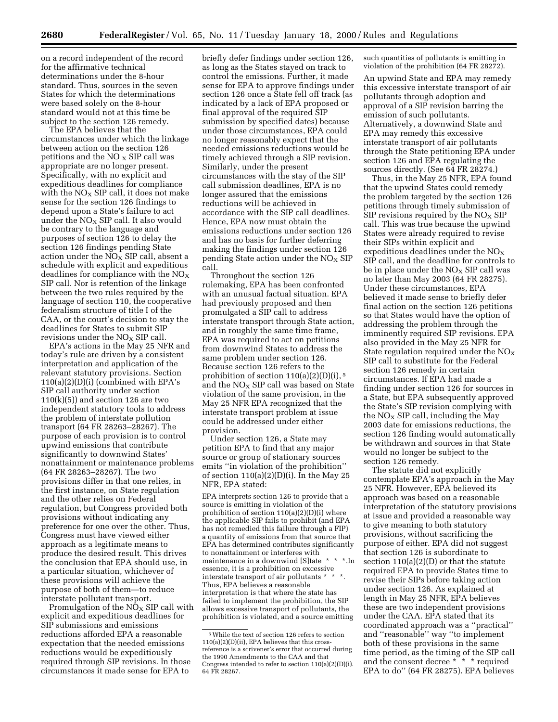on a record independent of the record for the affirmative technical determinations under the 8-hour standard. Thus, sources in the seven States for which the determinations were based solely on the 8-hour standard would not at this time be subject to the section 126 remedy.

The EPA believes that the circumstances under which the linkage between action on the section 126 petitions and the NO  $_{\rm X}$  SIP call was appropriate are no longer present. Specifically, with no explicit and expeditious deadlines for compliance with the  $NO<sub>X</sub>$  SIP call, it does not make sense for the section 126 findings to depend upon a State's failure to act under the  $NO<sub>X</sub>$  SIP call. It also would be contrary to the language and purposes of section 126 to delay the section 126 findings pending State action under the  $NO<sub>X</sub>$  SIP call, absent a schedule with explicit and expeditious deadlines for compliance with the  $NO<sub>x</sub>$ SIP call. Nor is retention of the linkage between the two rules required by the language of section 110, the cooperative federalism structure of title I of the CAA, or the court's decision to stay the deadlines for States to submit SIP revisions under the  $NO<sub>x</sub>$  SIP call.

EPA's actions in the May 25 NFR and today's rule are driven by a consistent interpretation and application of the relevant statutory provisions. Section  $110(a)(2)(D)(i)$  (combined with EPA's SIP call authority under section  $110(k)(5)$ ) and section 126 are two independent statutory tools to address the problem of interstate pollution transport (64 FR 28263–28267). The purpose of each provision is to control upwind emissions that contribute significantly to downwind States' nonattainment or maintenance problems (64 FR 28263–28267). The two provisions differ in that one relies, in the first instance, on State regulation and the other relies on Federal regulation, but Congress provided both provisions without indicating any preference for one over the other. Thus, Congress must have viewed either approach as a legitimate means to produce the desired result. This drives the conclusion that EPA should use, in a particular situation, whichever of these provisions will achieve the purpose of both of them—to reduce interstate pollutant transport.

Promulgation of the  $\rm N\ddot O_X$  SIP call with explicit and expeditious deadlines for SIP submissions and emissions reductions afforded EPA a reasonable expectation that the needed emissions reductions would be expeditiously required through SIP revisions. In those circumstances it made sense for EPA to

briefly defer findings under section 126, as long as the States stayed on track to control the emissions. Further, it made sense for EPA to approve findings under section 126 once a State fell off track (as indicated by a lack of EPA proposed or final approval of the required SIP submission by specified dates) because under those circumstances, EPA could no longer reasonably expect that the needed emissions reductions would be timely achieved through a SIP revision. Similarly, under the present circumstances with the stay of the SIP call submission deadlines, EPA is no longer assured that the emissions reductions will be achieved in accordance with the SIP call deadlines. Hence, EPA now must obtain the emissions reductions under section 126 and has no basis for further deferring making the findings under section 126 pending State action under the  $NO<sub>x</sub>$  SIP call.

Throughout the section 126 rulemaking, EPA has been confronted with an unusual factual situation. EPA had previously proposed and then promulgated a SIP call to address interstate transport through State action, and in roughly the same time frame, EPA was required to act on petitions from downwind States to address the same problem under section 126. Because section 126 refers to the prohibition of section  $110(a)(2)(D)(i)$ , <sup>5</sup> and the NO<sub>X</sub> SIP call was based on State violation of the same provision, in the May 25 NFR EPA recognized that the interstate transport problem at issue could be addressed under either provision.

Under section 126, a State may petition EPA to find that any major source or group of stationary sources emits ''in violation of the prohibition'' of section  $110(a)(2)(D)(i)$ . In the May 25 NFR, EPA stated:

EPA interprets section 126 to provide that a source is emitting in violation of the prohibition of section 110(a)(2)(D)(i) where the applicable SIP fails to prohibit (and EPA has not remedied this failure through a FIP) a quantity of emissions from that source that EPA has determined contributes significantly to nonattainment or interferes with maintenance in a downwind [S]tate \* \* \*.In essence, it is a prohibition on excessive interstate transport of air pollutants \* Thus, EPA believes a reasonable interpretation is that where the state has failed to implement the prohibition, the SIP allows excessive transport of pollutants, the prohibition is violated, and a source emitting

such quantities of pollutants is emitting in violation of the prohibition (64 FR 28272).

An upwind State and EPA may remedy this excessive interstate transport of air pollutants through adoption and approval of a SIP revision barring the emission of such pollutants. Alternatively, a downwind State and EPA may remedy this excessive interstate transport of air pollutants through the State petitioning EPA under section 126 and EPA regulating the sources directly. (See 64 FR 28274.)

Thus, in the May 25 NFR, EPA found that the upwind States could remedy the problem targeted by the section 126 petitions through timely submission of SIP revisions required by the  $NO<sub>x</sub>$  SIP call. This was true because the upwind States were already required to revise their SIPs within explicit and expeditious deadlines under the  $NO<sub>x</sub>$ SIP call, and the deadline for controls to be in place under the  $NO<sub>X</sub>$  SIP call was no later than May 2003 (64 FR 28275). Under these circumstances, EPA believed it made sense to briefly defer final action on the section 126 petitions so that States would have the option of addressing the problem through the imminently required SIP revisions. EPA also provided in the May 25 NFR for State regulation required under the  $NO<sub>x</sub>$ SIP call to substitute for the Federal section 126 remedy in certain circumstances. If EPA had made a finding under section 126 for sources in a State, but EPA subsequently approved the State's SIP revision complying with the  $NO<sub>X</sub>$  SIP call, including the May 2003 date for emissions reductions, the section 126 finding would automatically be withdrawn and sources in that State would no longer be subject to the section 126 remedy.

The statute did not explicitly contemplate EPA's approach in the May 25 NFR. However, EPA believed its approach was based on a reasonable interpretation of the statutory provisions at issue and provided a reasonable way to give meaning to both statutory provisions, without sacrificing the purpose of either. EPA did not suggest that section 126 is subordinate to section 110(a)(2)(D) or that the statute required EPA to provide States time to revise their SIPs before taking action under section 126. As explained at length in May 25 NFR, EPA believes these are two independent provisions under the CAA. EPA stated that its coordinated approach was a ''practical'' and ''reasonable'' way ''to implement both of these provisions in the same time period, as the timing of the SIP call and the consent decree \* \* \* required EPA to do'' (64 FR 28275). EPA believes

<sup>5</sup>While the text of section 126 refers to section 110(a)(2)(D)(ii), EPA believes that this crossreference is a scrivener's error that occurred during the 1990 Amendments to the CAA and that Congress intended to refer to section 110(a)(2)(D)(i). 64 FR 28267.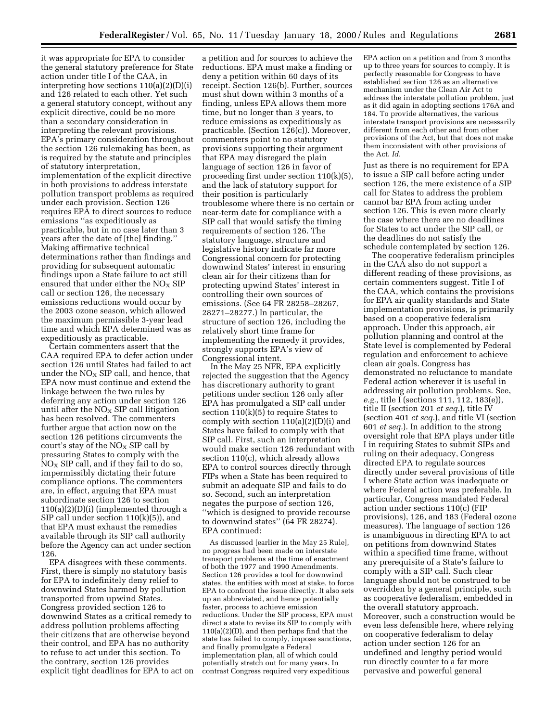it was appropriate for EPA to consider the general statutory preference for State action under title I of the CAA, in interpreting how sections 110(a)(2)(D)(i) and 126 related to each other. Yet such a general statutory concept, without any explicit directive, could be no more than a secondary consideration in interpreting the relevant provisions. EPA's primary consideration throughout the section 126 rulemaking has been, as is required by the statute and principles of statutory interpretation, implementation of the explicit directive in both provisions to address interstate pollution transport problems as required under each provision. Section 126 requires EPA to direct sources to reduce emissions ''as expeditiously as practicable, but in no case later than 3 years after the date of [the] finding.'' Making affirmative technical determinations rather than findings and providing for subsequent automatic findings upon a State failure to act still ensured that under either the  $NO<sub>x</sub>$  SIP call or section 126, the necessary emissions reductions would occur by the 2003 ozone season, which allowed the maximum permissible 3-year lead time and which EPA determined was as expeditiously as practicable.

Certain commenters assert that the CAA required EPA to defer action under section 126 until States had failed to act under the  $NO<sub>X</sub>$  SIP call, and hence, that EPA now must continue and extend the linkage between the two rules by deferring any action under section 126 until after the  $NO<sub>x</sub>$  SIP call litigation has been resolved. The commenters further argue that action now on the section 126 petitions circumvents the court's stay of the  $NO<sub>x</sub>$  SIP call by pressuring States to comply with the  $NO<sub>x</sub>$  SIP call, and if they fail to do so, impermissibly dictating their future compliance options. The commenters are, in effect, arguing that EPA must subordinate section 126 to section  $110(a)(2)(D)(i)$  (implemented through a SIP call under section 110(k)(5)), and that EPA must exhaust the remedies available through its SIP call authority before the Agency can act under section 126.

EPA disagrees with these comments. First, there is simply no statutory basis for EPA to indefinitely deny relief to downwind States harmed by pollution transported from upwind States. Congress provided section 126 to downwind States as a critical remedy to address pollution problems affecting their citizens that are otherwise beyond their control, and EPA has no authority to refuse to act under this section. To the contrary, section 126 provides explicit tight deadlines for EPA to act on

a petition and for sources to achieve the reductions. EPA must make a finding or deny a petition within 60 days of its receipt. Section 126(b). Further, sources must shut down within 3 months of a finding, unless EPA allows them more time, but no longer than 3 years, to reduce emissions as expeditiously as practicable. (Section 126(c)). Moreover, commenters point to no statutory provisions supporting their argument that EPA may disregard the plain language of section 126 in favor of proceeding first under section 110(k)(5), and the lack of statutory support for their position is particularly troublesome where there is no certain or near-term date for compliance with a SIP call that would satisfy the timing requirements of section 126. The statutory language, structure and legislative history indicate far more Congressional concern for protecting downwind States' interest in ensuring clean air for their citizens than for protecting upwind States' interest in controlling their own sources of emissions. (See 64 FR 28258–28267, 28271–28277.) In particular, the structure of section 126, including the relatively short time frame for implementing the remedy it provides, strongly supports EPA's view of Congressional intent.

In the May 25 NFR, EPA explicitly rejected the suggestion that the Agency has discretionary authority to grant petitions under section 126 only after EPA has promulgated a SIP call under section 110(k)(5) to require States to comply with section 110(a)(2)(D)(i) and States have failed to comply with that SIP call. First, such an interpretation would make section 126 redundant with section 110(c), which already allows EPA to control sources directly through FIPs when a State has been required to submit an adequate SIP and fails to do so. Second, such an interpretation negates the purpose of section 126, ''which is designed to provide recourse to downwind states'' (64 FR 28274). EPA continued:

As discussed [earlier in the May 25 Rule], no progress had been made on interstate transport problems at the time of enactment of both the 1977 and 1990 Amendments. Section 126 provides a tool for downwind states, the entities with most at stake, to force EPA to confront the issue directly. It also sets up an abbreviated, and hence potentially faster, process to achieve emission reductions. Under the SIP process, EPA must direct a state to revise its SIP to comply with 110(a)(2)(D), and then perhaps find that the state has failed to comply, impose sanctions, and finally promulgate a Federal implementation plan, all of which could potentially stretch out for many years. In contrast Congress required very expeditious

EPA action on a petition and from 3 months up to three years for sources to comply. It is perfectly reasonable for Congress to have established section 126 as an alternative mechanism under the Clean Air Act to address the interstate pollution problem, just as it did again in adopting sections 176A and 184. To provide alternatives, the various interstate transport provisions are necessarily different from each other and from other provisions of the Act, but that does not make them inconsistent with other provisions of the Act. *Id.*

Just as there is no requirement for EPA to issue a SIP call before acting under section 126, the mere existence of a SIP call for States to address the problem cannot bar EPA from acting under section 126. This is even more clearly the case where there are no deadlines for States to act under the SIP call, or the deadlines do not satisfy the schedule contemplated by section 126.

The cooperative federalism principles in the CAA also do not support a different reading of these provisions, as certain commenters suggest. Title I of the CAA, which contains the provisions for EPA air quality standards and State implementation provisions, is primarily based on a cooperative federalism approach. Under this approach, air pollution planning and control at the State level is complemented by Federal regulation and enforcement to achieve clean air goals. Congress has demonstrated no reluctance to mandate Federal action wherever it is useful in addressing air pollution problems. See, *e.g.,* title I (sections 111, 112, 183(e)), title II (section 201 *et seq.*), title IV (section 401 *et seq.*), and title VI (section 601 *et seq.*). In addition to the strong oversight role that EPA plays under title I in requiring States to submit SIPs and ruling on their adequacy, Congress directed EPA to regulate sources directly under several provisions of title I where State action was inadequate or where Federal action was preferable. In particular, Congress mandated Federal action under sections 110(c) (FIP provisions), 126, and 183 (Federal ozone measures). The language of section 126 is unambiguous in directing EPA to act on petitions from downwind States within a specified time frame, without any prerequisite of a State's failure to comply with a SIP call. Such clear language should not be construed to be overridden by a general principle, such as cooperative federalism, embedded in the overall statutory approach. Moreover, such a construction would be even less defensible here, where relying on cooperative federalism to delay action under section 126 for an undefined and lengthy period would run directly counter to a far more pervasive and powerful general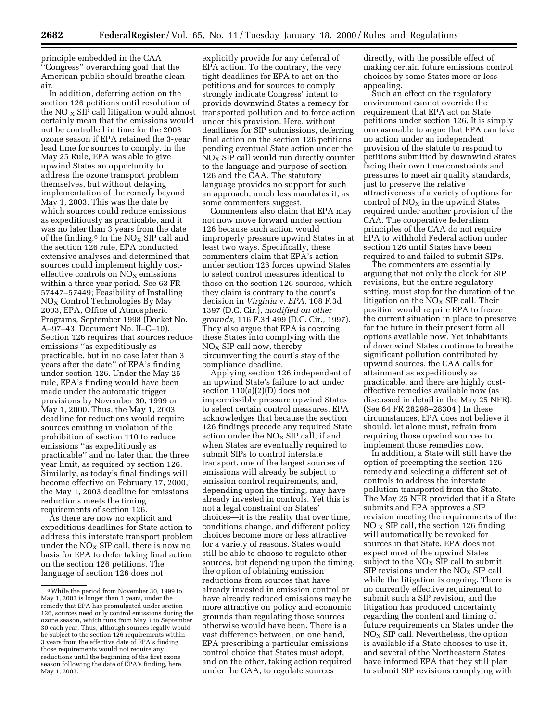principle embedded in the CAA ''Congress'' overarching goal that the American public should breathe clean air.

In addition, deferring action on the section 126 petitions until resolution of the NO  $_X$  SIP call litigation would almost certainly mean that the emissions would not be controlled in time for the 2003 ozone season if EPA retained the 3-year lead time for sources to comply. In the May 25 Rule, EPA was able to give upwind States an opportunity to address the ozone transport problem themselves, but without delaying implementation of the remedy beyond May 1, 2003. This was the date by which sources could reduce emissions as expeditiously as practicable, and it was no later than 3 years from the date of the finding. $6$  In the NO<sub>x</sub> SIP call and the section 126 rule, EPA conducted extensive analyses and determined that sources could implement highly costeffective controls on  $NO<sub>x</sub>$  emissions within a three year period. See 63 FR 57447–57449; Feasibility of Installing NOX Control Technologies By May 2003, EPA, Office of Atmospheric Programs, September 1998 (Docket No. A–97–43, Document No. II–C–10). Section 126 requires that sources reduce emissions ''as expeditiously as practicable, but in no case later than 3 years after the date'' of EPA's finding under section 126. Under the May 25 rule, EPA's finding would have been made under the automatic trigger provisions by November 30, 1999 or May 1, 2000. Thus, the May 1, 2003 deadline for reductions would require sources emitting in violation of the prohibition of section 110 to reduce emissions ''as expeditiously as practicable'' and no later than the three year limit, as required by section 126. Similarly, as today's final findings will become effective on February 17, 2000, the May 1, 2003 deadline for emissions reductions meets the timing requirements of section 126.

As there are now no explicit and expeditious deadlines for State action to address this interstate transport problem under the  $NO<sub>x</sub>$  SIP call, there is now no basis for EPA to defer taking final action on the section 126 petitions. The language of section 126 does not

explicitly provide for any deferral of EPA action. To the contrary, the very tight deadlines for EPA to act on the petitions and for sources to comply strongly indicate Congress' intent to provide downwind States a remedy for transported pollution and to force action under this provision. Here, without deadlines for SIP submissions, deferring final action on the section 126 petitions pending eventual State action under the  $N_{\rm X}$  SIP call would run directly counter to the language and purpose of section 126 and the CAA. The statutory language provides no support for such an approach, much less mandates it, as some commenters suggest.

Commenters also claim that EPA may not now move forward under section 126 because such action would improperly pressure upwind States in at least two ways. Specifically, these commenters claim that EPA's action under section 126 forces upwind States to select control measures identical to those on the section 126 sources, which they claim is contrary to the court's decision in *Virginia* v. *EPA.* 108 F.3d 1397 (D.C. Cir.), *modified on other grounds,* 116 F.3d 499 (D.C. Cir., 1997). They also argue that EPA is coercing these States into complying with the  $NO<sub>X</sub>$  SIP call now, thereby circumventing the court's stay of the compliance deadline.

Applying section 126 independent of an upwind State's failure to act under section 110(a)(2)(D) does not impermissibly pressure upwind States to select certain control measures. EPA acknowledges that because the section 126 findings precede any required State action under the  $NO<sub>x</sub>$  SIP call, if and when States are eventually required to submit SIPs to control interstate transport, one of the largest sources of emissions will already be subject to emission control requirements, and, depending upon the timing, may have already invested in controls. Yet this is not a legal constraint on States' choices—it is the reality that over time, conditions change, and different policy choices become more or less attractive for a variety of reasons. States would still be able to choose to regulate other sources, but depending upon the timing, the option of obtaining emission reductions from sources that have already invested in emission control or have already reduced emissions may be more attractive on policy and economic grounds than regulating those sources otherwise would have been. There is a vast difference between, on one hand, EPA prescribing a particular emissions control choice that States must adopt, and on the other, taking action required under the CAA, to regulate sources

directly, with the possible effect of making certain future emissions control choices by some States more or less appealing.

Such an effect on the regulatory environment cannot override the requirement that EPA act on State petitions under section 126. It is simply unreasonable to argue that EPA can take no action under an independent provision of the statute to respond to petitions submitted by downwind States facing their own time constraints and pressures to meet air quality standards, just to preserve the relative attractiveness of a variety of options for control of  $NO<sub>x</sub>$  in the upwind States required under another provision of the CAA. The cooperative federalism principles of the CAA do not require EPA to withhold Federal action under section 126 until States have been required to and failed to submit SIPs.

The commenters are essentially arguing that not only the clock for SIP revisions, but the entire regulatory setting, must stop for the duration of the litigation on the  $NO<sub>x</sub>$  SIP call. Their position would require EPA to freeze the current situation in place to preserve for the future in their present form all options available now. Yet inhabitants of downwind States continue to breathe significant pollution contributed by upwind sources, the CAA calls for attainment as expeditiously as practicable, and there are highly costeffective remedies available now (as discussed in detail in the May 25 NFR). (See 64 FR 28298–28304.) In these circumstances, EPA does not believe it should, let alone must, refrain from requiring those upwind sources to implement those remedies now.

In addition, a State will still have the option of preempting the section 126 remedy and selecting a different set of controls to address the interstate pollution transported from the State. The May 25 NFR provided that if a State submits and EPA approves a SIP revision meeting the requirements of the  $NO<sub>X</sub>$  SIP call, the section 126 finding will automatically be revoked for sources in that State. EPA does not expect most of the upwind States subject to the  $NO<sub>x</sub>$  SIP call to submit SIP revisions under the  $NO<sub>x</sub>$  SIP call while the litigation is ongoing. There is no currently effective requirement to submit such a SIP revision, and the litigation has produced uncertainty regarding the content and timing of future requirements on States under the  $NO<sub>x</sub>$  SIP call. Nevertheless, the option is available if a State chooses to use it, and several of the Northeastern States have informed EPA that they still plan to submit SIP revisions complying with

<sup>6</sup>While the period from November 30, 1999 to May 1, 2003 is longer than 3 years, under the remedy that EPA has promulgated under section 126, sources need only control emissions during the ozone season, which runs from May 1 to September 30 each year. Thus, although sources legally would be subject to the section 126 requirements within 3 years from the effective date of EPA's finding, those requirements would not require any reductions until the beginning of the first ozone season following the date of EPA's finding, here, May 1, 2003.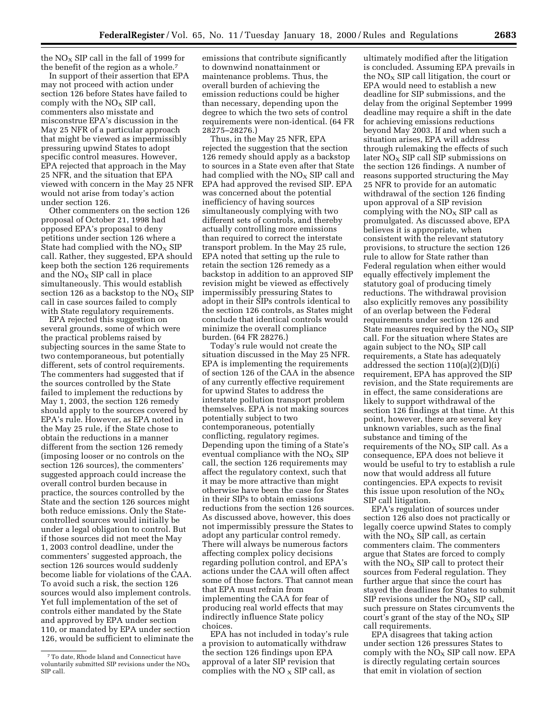the  $NO<sub>X</sub>$  SIP call in the fall of 1999 for the benefit of the region as a whole.7

In support of their assertion that EPA may not proceed with action under section 126 before States have failed to comply with the  $NO<sub>x</sub>$  SIP call, commenters also misstate and misconstrue EPA's discussion in the May 25 NFR of a particular approach that might be viewed as impermissibly pressuring upwind States to adopt specific control measures. However, EPA rejected that approach in the May 25 NFR, and the situation that EPA viewed with concern in the May 25 NFR would not arise from today's action under section 126.

Other commenters on the section 126 proposal of October 21, 1998 had opposed EPA's proposal to deny petitions under section 126 where a State had complied with the  $NO<sub>X</sub>$  SIP call. Rather, they suggested, EPA should keep both the section 126 requirements and the  $NO<sub>X</sub>$  SIP call in place simultaneously. This would establish section 126 as a backstop to the  $NO<sub>X</sub>$  SIP call in case sources failed to comply with State regulatory requirements.

EPA rejected this suggestion on several grounds, some of which were the practical problems raised by subjecting sources in the same State to two contemporaneous, but potentially different, sets of control requirements. The commenters had suggested that if the sources controlled by the State failed to implement the reductions by May 1, 2003, the section 126 remedy should apply to the sources covered by EPA's rule. However, as EPA noted in the May 25 rule, if the State chose to obtain the reductions in a manner different from the section 126 remedy (imposing looser or no controls on the section 126 sources), the commenters' suggested approach could increase the overall control burden because in practice, the sources controlled by the State and the section 126 sources might both reduce emissions. Only the Statecontrolled sources would initially be under a legal obligation to control. But if those sources did not meet the May 1, 2003 control deadline, under the commenters' suggested approach, the section 126 sources would suddenly become liable for violations of the CAA. To avoid such a risk, the section 126 sources would also implement controls. Yet full implementation of the set of controls either mandated by the State and approved by EPA under section 110, or mandated by EPA under section 126, would be sufficient to eliminate the

emissions that contribute significantly to downwind nonattainment or maintenance problems. Thus, the overall burden of achieving the emission reductions could be higher than necessary, depending upon the degree to which the two sets of control requirements were non-identical. (64 FR 28275–28276.)

Thus, in the May 25 NFR, EPA rejected the suggestion that the section 126 remedy should apply as a backstop to sources in a State even after that State had complied with the  $NO<sub>x</sub>$  SIP call and EPA had approved the revised SIP. EPA was concerned about the potential inefficiency of having sources simultaneously complying with two different sets of controls, and thereby actually controlling more emissions than required to correct the interstate transport problem. In the May 25 rule, EPA noted that setting up the rule to retain the section 126 remedy as a backstop in addition to an approved SIP revision might be viewed as effectively impermissibly pressuring States to adopt in their SIPs controls identical to the section 126 controls, as States might conclude that identical controls would minimize the overall compliance burden. (64 FR 28276.)

Today's rule would not create the situation discussed in the May 25 NFR. EPA is implementing the requirements of section 126 of the CAA in the absence of any currently effective requirement for upwind States to address the interstate pollution transport problem themselves. EPA is not making sources potentially subject to two contemporaneous, potentially conflicting, regulatory regimes. Depending upon the timing of a State's eventual compliance with the  $NO<sub>X</sub>$  SIP call, the section 126 requirements may affect the regulatory context, such that it may be more attractive than might otherwise have been the case for States in their SIPs to obtain emissions reductions from the section 126 sources. As discussed above, however, this does not impermissibly pressure the States to adopt any particular control remedy. There will always be numerous factors affecting complex policy decisions regarding pollution control, and EPA's actions under the CAA will often affect some of those factors. That cannot mean that EPA must refrain from implementing the CAA for fear of producing real world effects that may indirectly influence State policy choices.

EPA has not included in today's rule a provision to automatically withdraw the section 126 findings upon EPA approval of a later SIP revision that complies with the NO  $_X$  SIP call, as

ultimately modified after the litigation is concluded. Assuming EPA prevails in the  $NO<sub>x</sub>$  SIP call litigation, the court or EPA would need to establish a new deadline for SIP submissions, and the delay from the original September 1999 deadline may require a shift in the date for achieving emissions reductions beyond May 2003. If and when such a situation arises, EPA will address through rulemaking the effects of such later  $NO<sub>x</sub>$  SIP call SIP submissions on the section 126 findings. A number of reasons supported structuring the May 25 NFR to provide for an automatic withdrawal of the section 126 finding upon approval of a SIP revision complying with the  $NO<sub>x</sub>$  SIP call as promulgated. As discussed above, EPA believes it is appropriate, when consistent with the relevant statutory provisions, to structure the section 126 rule to allow for State rather than Federal regulation when either would equally effectively implement the statutory goal of producing timely reductions. The withdrawal provision also explicitly removes any possibility of an overlap between the Federal requirements under section 126 and State measures required by the  $NO<sub>x</sub>$  SIP call. For the situation where States are again subject to the NO<sub>X</sub> SIP call requirements, a State has adequately addressed the section 110(a)(2)(D)(i) requirement, EPA has approved the SIP revision, and the State requirements are in effect, the same considerations are likely to support withdrawal of the section 126 findings at that time. At this point, however, there are several key unknown variables, such as the final substance and timing of the requirements of the  $NO<sub>x</sub>$  SIP call. As a consequence, EPA does not believe it would be useful to try to establish a rule now that would address all future contingencies. EPA expects to revisit this issue upon resolution of the  $NO<sub>x</sub>$ SIP call litigation.

EPA's regulation of sources under section 126 also does not practically or legally coerce upwind States to comply with the  $NO<sub>x</sub>$  SIP call, as certain commenters claim. The commenters argue that States are forced to comply with the  $NO<sub>x</sub>$  SIP call to protect their sources from Federal regulation. They further argue that since the court has stayed the deadlines for States to submit SIP revisions under the  $NO<sub>x</sub>$  SIP call, such pressure on States circumvents the court's grant of the stay of the  $NO<sub>x</sub>$  SIP call requirements.

EPA disagrees that taking action under section 126 pressures States to comply with the  $NO<sub>x</sub>$  SIP call now. EPA is directly regulating certain sources that emit in violation of section

<sup>7</sup>To date, Rhode Island and Connecticut have voluntarily submitted SIP revisions under the  $NO<sub>x</sub>$ SIP call.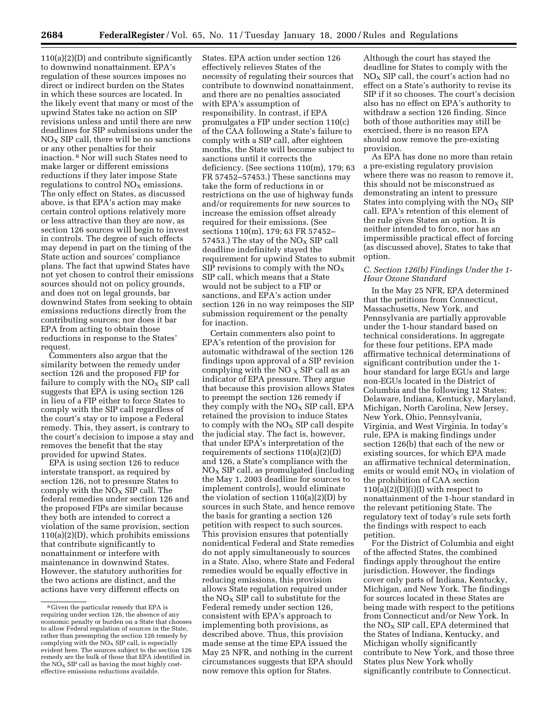110(a)(2)(D) and contribute significantly to downwind nonattainment. EPA's regulation of these sources imposes no direct or indirect burden on the States in which these sources are located. In the likely event that many or most of the upwind States take no action on SIP revisions unless and until there are new deadlines for SIP submissions under the  $NO<sub>x</sub>$  SIP call, there will be no sanctions or any other penalties for their inaction. 8 Nor will such States need to make larger or different emissions reductions if they later impose State regulations to control  $NO<sub>x</sub>$  emissions. The only effect on States, as discussed above, is that EPA's action may make certain control options relatively more or less attractive than they are now, as section 126 sources will begin to invest in controls. The degree of such effects may depend in part on the timing of the State action and sources' compliance plans. The fact that upwind States have not yet chosen to control their emissions sources should not on policy grounds, and does not on legal grounds, bar downwind States from seeking to obtain emissions reductions directly from the contributing sources; nor does it bar EPA from acting to obtain those reductions in response to the States' request.

Commenters also argue that the similarity between the remedy under section 126 and the proposed FIP for failure to comply with the  $NO<sub>x</sub>$  SIP call suggests that EPA is using section 126 in lieu of a FIP either to force States to comply with the SIP call regardless of the court's stay or to impose a Federal remedy. This, they assert, is contrary to the court's decision to impose a stay and removes the benefit that the stay provided for upwind States.

EPA is using section 126 to reduce interstate transport, as required by section 126, not to pressure States to comply with the  $NO<sub>X</sub>$  SIP call. The federal remedies under section 126 and the proposed FIPs are similar because they both are intended to correct a violation of the same provision, section 110(a)(2)(D), which prohibits emissions that contribute significantly to nonattainment or interfere with maintenance in downwind States. However, the statutory authorities for the two actions are distinct, and the actions have very different effects on

States. EPA action under section 126 effectively relieves States of the necessity of regulating their sources that contribute to downwind nonattainment, and there are no penalties associated with EPA's assumption of responsibility. In contrast, if EPA promulgates a FIP under section 110(c) of the CAA following a State's failure to comply with a SIP call, after eighteen months, the State will become subject to sanctions until it corrects the deficiency. (See sections 110(m), 179; 63 FR 57452–57453.) These sanctions may take the form of reductions in or restrictions on the use of highway funds and/or requirements for new sources to increase the emission offset already required for their emissions. (See sections 110(m), 179; 63 FR 57452– 57453.) The stay of the  $NO<sub>x</sub>$  SIP call deadline indefinitely stayed the requirement for upwind States to submit SIP revisions to comply with the  $NO<sub>x</sub>$ SIP call, which means that a State would not be subject to a FIP or sanctions, and EPA's action under section 126 in no way reimposes the SIP submission requirement or the penalty for inaction.

Certain commenters also point to EPA's retention of the provision for automatic withdrawal of the section 126 findings upon approval of a SIP revision complying with the  $NO<sub>x</sub>$  SIP call as an indicator of EPA pressure. They argue that because this provision allows States to preempt the section 126 remedy if they comply with the  $NO<sub>X</sub>$  SIP call, EPA retained the provision to induce States to comply with the  $NO<sub>x</sub>$  SIP call despite the judicial stay. The fact is, however, that under EPA's interpretation of the requirements of sections 110(a)(2)(D) and 126, a State's compliance with the  $NO<sub>x</sub>$  SIP call, as promulgated (including the May 1, 2003 deadline for sources to implement controls), would eliminate the violation of section  $110(a)(2)(D)$  by sources in such State, and hence remove the basis for granting a section 126 petition with respect to such sources. This provision ensures that potentially nonidentical Federal and State remedies do not apply simultaneously to sources in a State. Also, where State and Federal remedies would be equally effective in reducing emissions, this provision allows State regulation required under the  $N_{\text{O}_X}$  SIP call to substitute for the Federal remedy under section 126, consistent with EPA's approach to implementing both provisions, as described above. Thus, this provision made sense at the time EPA issued the May 25 NFR, and nothing in the current circumstances suggests that EPA should now remove this option for States.

Although the court has stayed the deadline for States to comply with the  $NO<sub>X</sub>$  SIP call, the court's action had no effect on a State's authority to revise its SIP if it so chooses. The court's decision also has no effect on EPA's authority to withdraw a section 126 finding. Since both of those authorities may still be exercised, there is no reason EPA should now remove the pre-existing provision.

As EPA has done no more than retain a pre-existing regulatory provision where there was no reason to remove it, this should not be misconstrued as demonstrating an intent to pressure States into complying with the  $NO<sub>X</sub>$  SIP call. EPA's retention of this element of the rule gives States an option. It is neither intended to force, nor has an impermissible practical effect of forcing (as discussed above), States to take that option.

#### *C. Section 126(b) Findings Under the 1- Hour Ozone Standard*

In the May 25 NFR, EPA determined that the petitions from Connecticut, Massachusetts, New York, and Pennsylvania are partially approvable under the 1-hour standard based on technical considerations. In aggregate for these four petitions, EPA made affirmative technical determinations of significant contribution under the 1 hour standard for large EGUs and large non-EGUs located in the District of Columbia and the following 12 States: Delaware, Indiana, Kentucky, Maryland, Michigan, North Carolina, New Jersey, New York, Ohio, Pennsylvania, Virginia, and West Virginia. In today's rule, EPA is making findings under section 126(b) that each of the new or existing sources, for which EPA made an affirmative technical determination, emits or would emit  $NO<sub>X</sub>$  in violation of the prohibition of CAA section  $110(a)(2)(D)(i)(I)$  with respect to nonattainment of the 1-hour standard in the relevant petitioning State. The regulatory text of today's rule sets forth the findings with respect to each petition.

For the District of Columbia and eight of the affected States, the combined findings apply throughout the entire jurisdiction. However, the findings cover only parts of Indiana, Kentucky, Michigan, and New York. The findings for sources located in these States are being made with respect to the petitions from Connecticut and/or New York. In the  $NO<sub>X</sub>$  SIP call, EPA determined that the States of Indiana, Kentucky, and Michigan wholly significantly contribute to New York, and those three States plus New York wholly significantly contribute to Connecticut.

<sup>8</sup> Given the particular remedy that EPA is requiring under section 126, the absence of any economic penalty or burden on a State that chooses to allow Federal regulation of sources in the State, rather than preempting the section 126 remedy by complying with the  $NO_X$  SIP call, is especially evident here. The sources subject to the section 126 remedy are the bulk of those that EPA identified in the  $N\ddot{O}_X$  SIP call as having the most highly costeffective emissions reductions available.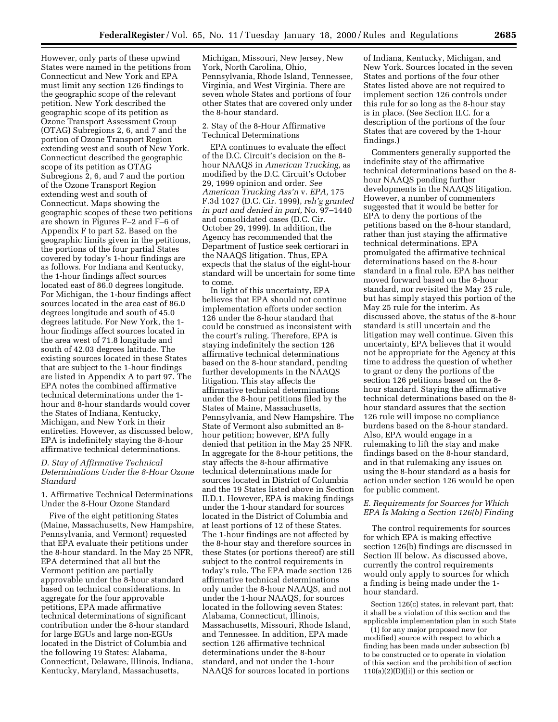However, only parts of these upwind States were named in the petitions from Connecticut and New York and EPA must limit any section 126 findings to the geographic scope of the relevant petition. New York described the geographic scope of its petition as Ozone Transport Assessment Group (OTAG) Subregions 2, 6, and 7 and the portion of Ozone Transport Region extending west and south of New York. Connecticut described the geographic scope of its petition as OTAG Subregions 2, 6, and 7 and the portion of the Ozone Transport Region extending west and south of Connecticut. Maps showing the geographic scopes of these two petitions are shown in Figures F–2 and F–6 of Appendix F to part 52. Based on the geographic limits given in the petitions, the portions of the four partial States covered by today's 1-hour findings are as follows. For Indiana and Kentucky, the 1-hour findings affect sources located east of 86.0 degrees longitude. For Michigan, the 1-hour findings affect sources located in the area east of 86.0 degrees longitude and south of 45.0 degrees latitude. For New York, the 1 hour findings affect sources located in the area west of 71.8 longitude and south of 42.03 degrees latitude. The existing sources located in these States that are subject to the 1-hour findings are listed in Appendix A to part 97. The EPA notes the combined affirmative technical determinations under the 1 hour and 8-hour standards would cover the States of Indiana, Kentucky, Michigan, and New York in their entireties. However, as discussed below, EPA is indefinitely staying the 8-hour affirmative technical determinations.

#### *D. Stay of Affirmative Technical Determinations Under the 8-Hour Ozone Standard*

1. Affirmative Technical Determinations Under the 8-Hour Ozone Standard

Five of the eight petitioning States (Maine, Massachusetts, New Hampshire, Pennsylvania, and Vermont) requested that EPA evaluate their petitions under the 8-hour standard. In the May 25 NFR, EPA determined that all but the Vermont petition are partially approvable under the 8-hour standard based on technical considerations. In aggregate for the four approvable petitions, EPA made affirmative technical determinations of significant contribution under the 8-hour standard for large EGUs and large non-EGUs located in the District of Columbia and the following 19 States: Alabama, Connecticut, Delaware, Illinois, Indiana, Kentucky, Maryland, Massachusetts,

Michigan, Missouri, New Jersey, New York, North Carolina, Ohio, Pennsylvania, Rhode Island, Tennessee, Virginia, and West Virginia. There are seven whole States and portions of four other States that are covered only under the 8-hour standard.

#### 2. Stay of the 8-Hour Affirmative Technical Determinations

EPA continues to evaluate the effect of the D.C. Circuit's decision on the 8 hour NAAQS in *American Trucking,* as modified by the D.C. Circuit's October 29, 1999 opinion and order. *See American Trucking Ass'n* v. *EPA,* 175 F.3d 1027 (D.C. Cir. 1999), *reh'g granted in part and denied in part,* No. 97–1440 and consolidated cases (D.C. Cir. October 29, 1999). In addition, the Agency has recommended that the Department of Justice seek certiorari in the NAAQS litigation. Thus, EPA expects that the status of the eight-hour standard will be uncertain for some time to come.

In light of this uncertainty, EPA believes that EPA should not continue implementation efforts under section 126 under the 8-hour standard that could be construed as inconsistent with the court's ruling. Therefore, EPA is staying indefinitely the section 126 affirmative technical determinations based on the 8-hour standard, pending further developments in the NAAQS litigation. This stay affects the affirmative technical determinations under the 8-hour petitions filed by the States of Maine, Massachusetts, Pennsylvania, and New Hampshire. The State of Vermont also submitted an 8 hour petition; however, EPA fully denied that petition in the May 25 NFR. In aggregate for the 8-hour petitions, the stay affects the 8-hour affirmative technical determinations made for sources located in District of Columbia and the 19 States listed above in Section II.D.1. However, EPA is making findings under the 1-hour standard for sources located in the District of Columbia and at least portions of 12 of these States. The 1-hour findings are not affected by the 8-hour stay and therefore sources in these States (or portions thereof) are still subject to the control requirements in today's rule. The EPA made section 126 affirmative technical determinations only under the 8-hour NAAQS, and not under the 1-hour NAAQS, for sources located in the following seven States: Alabama, Connecticut, Illinois, Massachusetts, Missouri, Rhode Island, and Tennessee. In addition, EPA made section 126 affirmative technical determinations under the 8-hour standard, and not under the 1-hour NAAQS for sources located in portions

of Indiana, Kentucky, Michigan, and New York. Sources located in the seven States and portions of the four other States listed above are not required to implement section 126 controls under this rule for so long as the 8-hour stay is in place. (See Section II.C. for a description of the portions of the four States that are covered by the 1-hour findings.)

Commenters generally supported the indefinite stay of the affirmative technical determinations based on the 8 hour NAAQS pending further developments in the NAAQS litigation. However, a number of commenters suggested that it would be better for EPA to deny the portions of the petitions based on the 8-hour standard, rather than just staying the affirmative technical determinations. EPA promulgated the affirmative technical determinations based on the 8-hour standard in a final rule. EPA has neither moved forward based on the 8-hour standard, nor revisited the May 25 rule, but has simply stayed this portion of the May 25 rule for the interim. As discussed above, the status of the 8-hour standard is still uncertain and the litigation may well continue. Given this uncertainty, EPA believes that it would not be appropriate for the Agency at this time to address the question of whether to grant or deny the portions of the section 126 petitions based on the 8 hour standard. Staying the affirmative technical determinations based on the 8 hour standard assures that the section 126 rule will impose no compliance burdens based on the 8-hour standard. Also, EPA would engage in a rulemaking to lift the stay and make findings based on the 8-hour standard, and in that rulemaking any issues on using the 8-hour standard as a basis for action under section 126 would be open for public comment.

#### *E. Requirements for Sources for Which EPA Is Making a Section 126(b) Finding*

The control requirements for sources for which EPA is making effective section 126(b) findings are discussed in Section III below. As discussed above, currently the control requirements would only apply to sources for which a finding is being made under the 1 hour standard.

Section 126(c) states, in relevant part, that: it shall be a violation of this section and the applicable implementation plan in such State

(1) for any major proposed new (or modified) source with respect to which a finding has been made under subsection (b) to be constructed or to operate in violation of this section and the prohibition of section  $110(a)(2)(D)([i])$  or this section or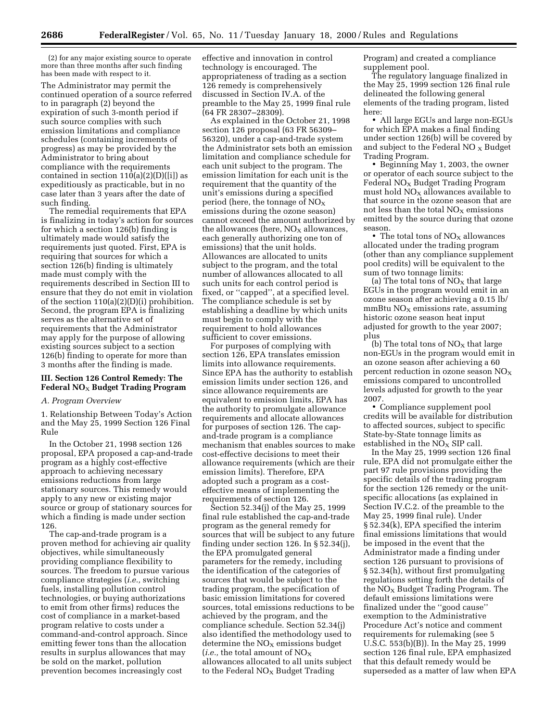(2) for any major existing source to operate more than three months after such finding has been made with respect to it.

The Administrator may permit the continued operation of a source referred to in paragraph (2) beyond the expiration of such 3-month period if such source complies with such emission limitations and compliance schedules (containing increments of progress) as may be provided by the Administrator to bring about compliance with the requirements contained in section  $110(a)(2)(D)(i)$  as expeditiously as practicable, but in no case later than 3 years after the date of such finding.

The remedial requirements that EPA is finalizing in today's action for sources for which a section 126(b) finding is ultimately made would satisfy the requirements just quoted. First, EPA is requiring that sources for which a section 126(b) finding is ultimately made must comply with the requirements described in Section III to ensure that they do not emit in violation of the section 110(a)(2)(D)(i) prohibition. Second, the program EPA is finalizing serves as the alternative set of requirements that the Administrator may apply for the purpose of allowing existing sources subject to a section 126(b) finding to operate for more than 3 months after the finding is made.

#### **III. Section 126 Control Remedy: The Federal NO**X **Budget Trading Program**

#### *A. Program Overview*

1. Relationship Between Today's Action and the May 25, 1999 Section 126 Final Rule

In the October 21, 1998 section 126 proposal, EPA proposed a cap-and-trade program as a highly cost-effective approach to achieving necessary emissions reductions from large stationary sources. This remedy would apply to any new or existing major source or group of stationary sources for which a finding is made under section 126.

The cap-and-trade program is a proven method for achieving air quality objectives, while simultaneously providing compliance flexibility to sources. The freedom to pursue various compliance strategies (*i.e.,* switching fuels, installing pollution control technologies, or buying authorizations to emit from other firms) reduces the cost of compliance in a market-based program relative to costs under a command-and-control approach. Since emitting fewer tons than the allocation results in surplus allowances that may be sold on the market, pollution prevention becomes increasingly cost

effective and innovation in control technology is encouraged. The appropriateness of trading as a section 126 remedy is comprehensively discussed in Section IV.A. of the preamble to the May 25, 1999 final rule (64 FR 28307–28309).

As explained in the October 21, 1998 section 126 proposal (63 FR 56309– 56320), under a cap-and-trade system the Administrator sets both an emission limitation and compliance schedule for each unit subject to the program. The emission limitation for each unit is the requirement that the quantity of the unit's emissions during a specified period (here, the tonnage of  $NO<sub>x</sub>$ emissions during the ozone season) cannot exceed the amount authorized by the allowances (here,  $NO<sub>x</sub>$  allowances, each generally authorizing one ton of emissions) that the unit holds. Allowances are allocated to units subject to the program, and the total number of allowances allocated to all such units for each control period is fixed, or ''capped'', at a specified level. The compliance schedule is set by establishing a deadline by which units must begin to comply with the requirement to hold allowances sufficient to cover emissions.

For purposes of complying with section 126, EPA translates emission limits into allowance requirements. Since EPA has the authority to establish emission limits under section 126, and since allowance requirements are equivalent to emission limits, EPA has the authority to promulgate allowance requirements and allocate allowances for purposes of section 126. The capand-trade program is a compliance mechanism that enables sources to make cost-effective decisions to meet their allowance requirements (which are their emission limits). Therefore, EPA adopted such a program as a costeffective means of implementing the requirements of section 126.

Section 52.34(j) of the May 25, 1999 final rule established the cap-and-trade program as the general remedy for sources that will be subject to any future finding under section 126. In § 52.34(j), the EPA promulgated general parameters for the remedy, including the identification of the categories of sources that would be subject to the trading program, the specification of basic emission limitations for covered sources, total emissions reductions to be achieved by the program, and the compliance schedule. Section 52.34(j) also identified the methodology used to determine the  $NO<sub>x</sub>$  emissions budget (*i.e.*, the total amount of  $NO_X$ allowances allocated to all units subject to the Federal  $NO<sub>X</sub>$  Budget Trading

Program) and created a compliance supplement pool.

The regulatory language finalized in the May 25, 1999 section 126 final rule delineated the following general elements of the trading program, listed here:

• All large EGUs and large non-EGUs for which EPA makes a final finding under section 126(b) will be covered by and subject to the Federal NO  $_X$  Budget Trading Program.

• Beginning May 1, 2003, the owner or operator of each source subject to the  $Federal NO<sub>x</sub> Budget Trading Program$ must hold  $NO<sub>X</sub>$  allowances available to that source in the ozone season that are not less than the total  $NO<sub>x</sub>$  emissions emitted by the source during that ozone season.

• The total tons of  $NO<sub>X</sub>$  allowances allocated under the trading program (other than any compliance supplement pool credits) will be equivalent to the sum of two tonnage limits:

(a) The total tons of  $NO<sub>x</sub>$  that large EGUs in the program would emit in an ozone season after achieving a 0.15 lb/  $mmBtu NO<sub>X</sub>$  emissions rate, assuming historic ozone season heat input adjusted for growth to the year 2007; plus

(b) The total tons of  $NO<sub>x</sub>$  that large non-EGUs in the program would emit in an ozone season after achieving a 60 percent reduction in ozone season  $NO<sub>X</sub>$ emissions compared to uncontrolled levels adjusted for growth to the year 2007.

• Compliance supplement pool credits will be available for distribution to affected sources, subject to specific State-by-State tonnage limits as established in the  $NO<sub>x</sub>$  SIP call.

In the May 25, 1999 section 126 final rule, EPA did not promulgate either the part 97 rule provisions providing the specific details of the trading program for the section 126 remedy or the unitspecific allocations (as explained in Section IV.C.2. of the preamble to the May 25, 1999 final rule). Under § 52.34(k), EPA specified the interim final emissions limitations that would be imposed in the event that the Administrator made a finding under section 126 pursuant to provisions of § 52.34(h), without first promulgating regulations setting forth the details of the  $NO<sub>X</sub>$  Budget Trading Program. The default emissions limitations were finalized under the ''good cause'' exemption to the Administrative Procedure Act's notice and comment requirements for rulemaking (see 5 U.S.C. 553(b)(B)). In the May 25, 1999 section 126 final rule, EPA emphasized that this default remedy would be superseded as a matter of law when EPA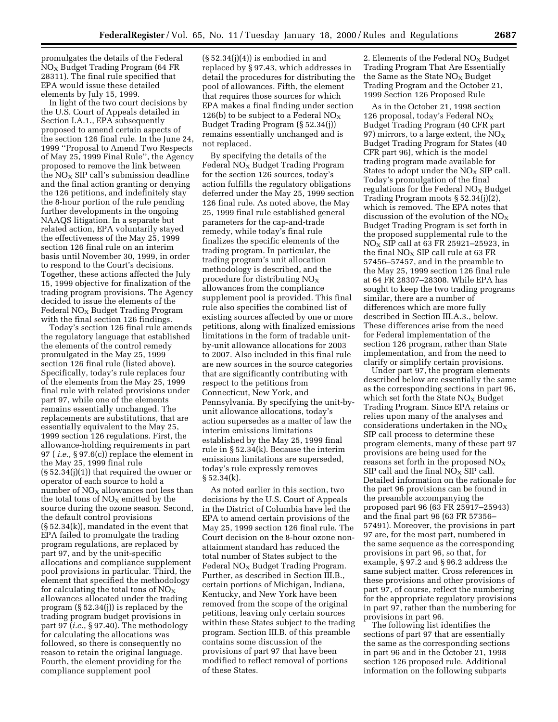promulgates the details of the Federal  $NO<sub>x</sub>$  Budget Trading Program (64 FR 28311). The final rule specified that EPA would issue these detailed elements by July 15, 1999.

In light of the two court decisions by the U.S. Court of Appeals detailed in Section I.A.1., EPA subsequently proposed to amend certain aspects of the section 126 final rule. In the June 24, 1999 ''Proposal to Amend Two Respects of May 25, 1999 Final Rule'', the Agency proposed to remove the link between the  $NO<sub>X</sub>$  SIP call's submission deadline and the final action granting or denying the 126 petitions, and indefinitely stay the 8-hour portion of the rule pending further developments in the ongoing NAAQS litigation. In a separate but related action, EPA voluntarily stayed the effectiveness of the May 25, 1999 section 126 final rule on an interim basis until November 30, 1999, in order to respond to the Court's decisions. Together, these actions affected the July 15, 1999 objective for finalization of the trading program provisions. The Agency decided to issue the elements of the Federal  $NO<sub>x</sub>$  Budget Trading Program with the final section 126 findings.

Today's section 126 final rule amends the regulatory language that established the elements of the control remedy promulgated in the May 25, 1999 section 126 final rule (listed above). Specifically, today's rule replaces four of the elements from the May 25, 1999 final rule with related provisions under part 97, while one of the elements remains essentially unchanged. The replacements are substitutions, that are essentially equivalent to the May 25, 1999 section 126 regulations. First, the allowance-holding requirements in part 97 ( *i.e.*, § 97.6(c)) replace the element in the May 25, 1999 final rule (§ 52.34(j)(1)) that required the owner or operator of each source to hold a number of  $NO<sub>X</sub>$  allowances not less than the total tons of  $NO<sub>X</sub>$  emitted by the source during the ozone season. Second, the default control provisions (§ 52.34(k)), mandated in the event that EPA failed to promulgate the trading program regulations, are replaced by part 97, and by the unit-specific allocations and compliance supplement pool provisions in particular. Third, the element that specified the methodology for calculating the total tons of  $NO<sub>x</sub>$ allowances allocated under the trading program (§ 52.34(j)) is replaced by the trading program budget provisions in part 97 (*i.e.*, § 97.40). The methodology for calculating the allocations was followed, so there is consequently no reason to retain the original language. Fourth, the element providing for the compliance supplement pool

 $(\S 52.34(i)(4))$  is embodied in and replaced by § 97.43, which addresses in detail the procedures for distributing the pool of allowances. Fifth, the element that requires those sources for which EPA makes a final finding under section 126(b) to be subject to a Federal  $NO<sub>X</sub>$ Budget Trading Program (§ 52.34(j)) remains essentially unchanged and is not replaced.

By specifying the details of the Federal  $NO<sub>x</sub>$  Budget Trading Program for the section 126 sources, today's action fulfills the regulatory obligations deferred under the May 25, 1999 section 126 final rule. As noted above, the May 25, 1999 final rule established general parameters for the cap-and-trade remedy, while today's final rule finalizes the specific elements of the trading program. In particular, the trading program's unit allocation methodology is described, and the procedure for distributing  $NO<sub>x</sub>$ allowances from the compliance supplement pool is provided. This final rule also specifies the combined list of existing sources affected by one or more petitions, along with finalized emissions limitations in the form of tradable unitby-unit allowance allocations for 2003 to 2007. Also included in this final rule are new sources in the source categories that are significantly contributing with respect to the petitions from Connecticut, New York, and Pennsylvania. By specifying the unit-byunit allowance allocations, today's action supersedes as a matter of law the interim emissions limitations established by the May 25, 1999 final rule in § 52.34(k). Because the interim emissions limitations are superseded, today's rule expressly removes  $§ 52.34(k).$ 

As noted earlier in this section, two decisions by the U.S. Court of Appeals in the District of Columbia have led the EPA to amend certain provisions of the May 25, 1999 section 126 final rule. The Court decision on the 8-hour ozone nonattainment standard has reduced the total number of States subject to the Federal  $NO<sub>x</sub>$  Budget Trading Program. Further, as described in Section III.B., certain portions of Michigan, Indiana, Kentucky, and New York have been removed from the scope of the original petitions, leaving only certain sources within these States subject to the trading program. Section III.B. of this preamble contains some discussion of the provisions of part 97 that have been modified to reflect removal of portions of these States.

2. Elements of the Federal  $NO<sub>x</sub>$  Budget Trading Program That Are Essentially the Same as the State  $NO<sub>x</sub>$  Budget Trading Program and the October 21, 1999 Section 126 Proposed Rule

As in the October 21, 1998 section 126 proposal, today's Federal  $NO<sub>x</sub>$ Budget Trading Program (40 CFR part 97) mirrors, to a large extent, the  $NO<sub>X</sub>$ Budget Trading Program for States (40 CFR part 96), which is the model trading program made available for States to adopt under the  $NO<sub>x</sub>$  SIP call. Today's promulgation of the final regulations for the Federal  $NO<sub>X</sub>$  Budget Trading Program moots § 52.34(j)(2), which is removed. The EPA notes that discussion of the evolution of the  $NO<sub>X</sub>$ Budget Trading Program is set forth in the proposed supplemental rule to the  $NO<sub>X</sub>$  SIP call at 63 FR 25921-25923, in the final  $NO<sub>X</sub>$  SIP call rule at 63 FR 57456–57457, and in the preamble to the May 25, 1999 section 126 final rule at 64 FR 28307–28308. While EPA has sought to keep the two trading programs similar, there are a number of differences which are more fully described in Section III.A.3., below. These differences arise from the need for Federal implementation of the section 126 program, rather than State implementation, and from the need to clarify or simplify certain provisions.

Under part 97, the program elements described below are essentially the same as the corresponding sections in part 96, which set forth the State  $NO<sub>x</sub>$  Budget Trading Program. Since EPA retains or relies upon many of the analyses and considerations undertaken in the  $NO<sub>X</sub>$ SIP call process to determine these program elements, many of these part 97 provisions are being used for the reasons set forth in the proposed  $NO<sub>X</sub>$ SIP call and the final  $NO<sub>x</sub>$  SIP call. Detailed information on the rationale for the part 96 provisions can be found in the preamble accompanying the proposed part 96 (63 FR 25917–25943) and the final part 96 (63 FR 57356– 57491). Moreover, the provisions in part 97 are, for the most part, numbered in the same sequence as the corresponding provisions in part 96, so that, for example, § 97.2 and § 96.2 address the same subject matter. Cross references in these provisions and other provisions of part 97, of course, reflect the numbering for the appropriate regulatory provisions in part 97, rather than the numbering for provisions in part 96.

The following list identifies the sections of part 97 that are essentially the same as the corresponding sections in part 96 and in the October 21, 1998 section 126 proposed rule. Additional information on the following subparts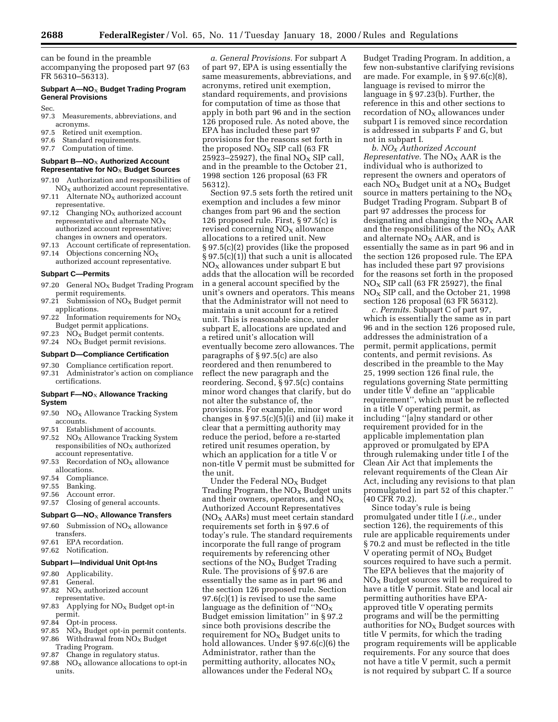can be found in the preamble accompanying the proposed part 97 (63 FR 56310–56313).

#### **Subpart A—NO**X **Budget Trading Program General Provisions**

Sec.

- 97.3 Measurements, abbreviations, and acronyms.
- 97.5 Retired unit exemption.
- 97.6 Standard requirements.
- 97.7 Computation of time.

#### **Subpart B—NO**X **Authorized Account Representative for NO**X **Budget Sources**

- 97.10 Authorization and responsibilities of  $NO<sub>x</sub>$  authorized account representative.
- 97.11 Alternate  $NO<sub>x</sub>$  authorized account representative.
- 97.12 Changing  $NO<sub>x</sub>$  authorized account representative and alternate  $NO<sub>x</sub>$ authorized account representative; changes in owners and operators.<br>97.13 Account certificate of represer
- Account certificate of representation.
- 97.14 Objections concerning  $NO<sub>x</sub>$ authorized account representative.

#### **Subpart C—Permits**

- 97.20 General  $NO<sub>x</sub>$  Budget Trading Program permit requirements.
- 97.21 Submission of  $NO<sub>x</sub>$  Budget permit applications.
- 97.22 Information requirements for  $NO<sub>x</sub>$ Budget permit applications.
- 97.23  $NO<sub>x</sub>$  Budget permit contents.
- 97.24 NO<sub>X</sub> Budget permit revisions.

#### **Subpart D—Compliance Certification**

- 97.30 Compliance certification report.
- 97.31 Administrator's action on compliance certifications.

#### **Subpart F-NO<sub>X</sub> Allowance Tracking System**

- 97.50  $NO<sub>x</sub>$  Allowance Tracking System accounts.
- 97.51 Establishment of accounts.
- 97.52  $NO<sub>x</sub>$  Allowance Tracking System  $responsibleities of NO<sub>x</sub> authorized$ account representative.
- 97.53 Recordation of  $NO<sub>x</sub>$  allowance allocations.
- 97.54 Compliance.
- 97.55 Banking.
- 97.56 Account error.
- 97.57 Closing of general accounts.

#### **Subpart G-NO<sub>X</sub> Allowance Transfers**

- 97.60 Submission of  $NO<sub>X</sub>$  allowance transfers.
- 97.61 EPA recordation.
- 97.62 Notification.

#### **Subpart I—Individual Unit Opt-Ins**

- 97.80 Applicability.
- 97.81 General.
- 97.82  $NO<sub>x</sub>$  authorized account representative.
- 97.83 Applying for  $NO<sub>x</sub>$  Budget opt-in
- permit.<br>97.84 Opt-Opt-in process.
- 97.85  $N\ddot{O}_X$  Budget opt-in permit contents. 97.86 Withdrawal from  $NO<sub>x</sub>$  Budget
- Trading Program.
- 97.87 Change in regulatory status.
- 97.88  $\overline{N}O_X$  allowance allocations to opt-in units.

*a. General Provisions.* For subpart A of part 97, EPA is using essentially the same measurements, abbreviations, and acronyms, retired unit exemption, standard requirements, and provisions for computation of time as those that apply in both part 96 and in the section 126 proposed rule. As noted above, the EPA has included these part 97 provisions for the reasons set forth in the proposed  $NO<sub>X</sub>$  SIP call (63 FR 25923–25927), the final  $NO_X$  SIP call, and in the preamble to the October 21, 1998 section 126 proposal (63 FR 56312).

Section 97.5 sets forth the retired unit exemption and includes a few minor changes from part 96 and the section 126 proposed rule. First, § 97.5(c) is revised concerning  $NO<sub>X</sub>$  allowance allocations to a retired unit. New § 97.5(c)(2) provides (like the proposed § 97.5(c)(1)) that such a unit is allocated  $NO<sub>X</sub>$  allowances under subpart E but adds that the allocation will be recorded in a general account specified by the unit's owners and operators. This means that the Administrator will not need to maintain a unit account for a retired unit. This is reasonable since, under subpart E, allocations are updated and a retired unit's allocation will eventually become zero allowances. The paragraphs of § 97.5(c) are also reordered and then renumbered to reflect the new paragraph and the reordering. Second, § 97.5(c) contains minor word changes that clarify, but do not alter the substance of, the provisions. For example, minor word changes in § 97.5(c)(5)(i) and (ii) make it clear that a permitting authority may reduce the period, before a re-started retired unit resumes operation, by which an application for a title V or non-title V permit must be submitted for the unit.

Under the Federal  $NO<sub>x</sub>$  Budget Trading Program, the  $NO<sub>x</sub>$  Budget units and their owners, operators, and  $NO<sub>X</sub>$ Authorized Account Representatives  $NO<sub>X</sub> AARs$ ) must meet certain standard requirements set forth in § 97.6 of today's rule. The standard requirements incorporate the full range of program requirements by referencing other sections of the  $NO<sub>x</sub>$  Budget Trading Rule. The provisions of § 97.6 are essentially the same as in part 96 and the section 126 proposed rule. Section 97.6(c)(1) is revised to use the same language as the definition of " $NO_X$ Budget emission limitation'' in § 97.2 since both provisions describe the requirement for  $NO_X$  Budget units to hold allowances. Under § 97.6(c)(6) the Administrator, rather than the permitting authority, allocates  $NO<sub>x</sub>$ allowances under the Federal  $NO<sub>x</sub>$ 

Budget Trading Program. In addition, a few non-substantive clarifying revisions are made. For example, in § 97.6(c)(8), language is revised to mirror the language in § 97.23(b). Further, the reference in this and other sections to recordation of  $NO<sub>X</sub>$  allowances under subpart I is removed since recordation is addressed in subparts F and G, but not in subpart I.

*b. NOX Authorized Account Representative.* The  $NO<sub>X</sub> AAR$  is the individual who is authorized to represent the owners and operators of each  $NO<sub>x</sub>$  Budget unit at a  $NO<sub>x</sub>$  Budget source in matters pertaining to the  $NO<sub>x</sub>$ Budget Trading Program. Subpart B of part 97 addresses the process for designating and changing the  $NO<sub>x</sub> AAR$ and the responsibilities of the  $NO<sub>X</sub> AAR$ and alternate NO<sub>X</sub> AAR, and is essentially the same as in part 96 and in the section 126 proposed rule. The EPA has included these part 97 provisions for the reasons set forth in the proposed  $NO<sub>X</sub>$  SIP call (63 FR 25927), the final  $NO<sub>X</sub>$  SIP call, and the October 21, 1998 section 126 proposal (63 FR 56312).

*c. Permits.* Subpart C of part 97, which is essentially the same as in part 96 and in the section 126 proposed rule, addresses the administration of a permit, permit applications, permit contents, and permit revisions. As described in the preamble to the May 25, 1999 section 126 final rule, the regulations governing State permitting under title V define an ''applicable requirement'', which must be reflected in a title V operating permit, as including ''[a]ny standard or other requirement provided for in the applicable implementation plan approved or promulgated by EPA through rulemaking under title I of the Clean Air Act that implements the relevant requirements of the Clean Air Act, including any revisions to that plan promulgated in part 52 of this chapter.'' (40 CFR 70.2).

Since today's rule is being promulgated under title I (*i.e.,* under section 126), the requirements of this rule are applicable requirements under § 70.2 and must be reflected in the title V operating permit of  $NO<sub>X</sub>$  Budget sources required to have such a permit. The EPA believes that the majority of  $NO<sub>x</sub>$  Budget sources will be required to have a title V permit. State and local air permitting authorities have EPAapproved title V operating permits programs and will be the permitting authorities for  $NO<sub>x</sub>$  Budget sources with title V permits, for which the trading program requirements will be applicable requirements. For any source that does not have a title V permit, such a permit is not required by subpart C. If a source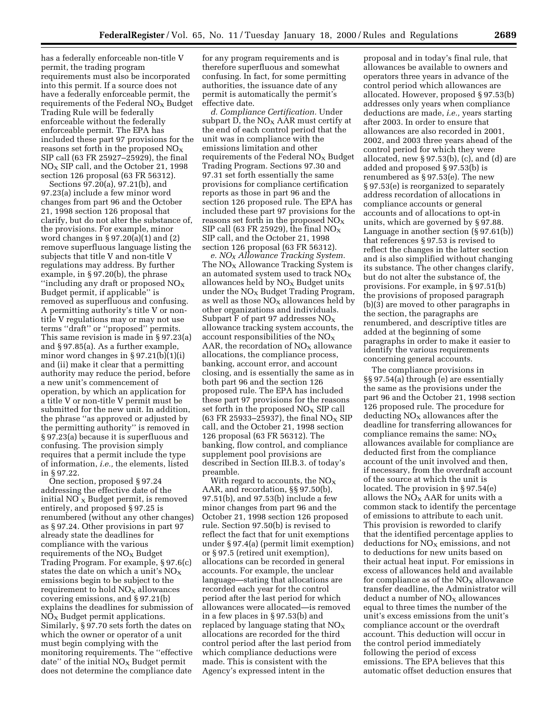has a federally enforceable non-title V permit, the trading program requirements must also be incorporated into this permit. If a source does not have a federally enforceable permit, the requirements of the Federal  $NO<sub>x</sub>$  Budget Trading Rule will be federally enforceable without the federally enforceable permit. The EPA has included these part 97 provisions for the reasons set forth in the proposed  $NO<sub>x</sub>$ SIP call (63 FR 25927–25929), the final  $NO<sub>X</sub>$  SIP call, and the October 21, 1998 section 126 proposal (63 FR 56312).

Sections 97.20(a), 97.21(b), and 97.23(a) include a few minor word changes from part 96 and the October 21, 1998 section 126 proposal that clarify, but do not alter the substance of, the provisions. For example, minor word changes in  $\S 97.20(a)(1)$  and  $(2)$ remove superfluous language listing the subjects that title V and non-title V regulations may address. By further example, in § 97.20(b), the phrase "including any draft or proposed  $NO<sub>x</sub>$ Budget permit, if applicable'' is removed as superfluous and confusing. A permitting authority's title V or nontitle V regulations may or may not use terms ''draft'' or ''proposed'' permits. This same revision is made in § 97.23(a) and § 97.85(a). As a further example, minor word changes in  $\S 97.21(b)(1)(i)$ and (ii) make it clear that a permitting authority may reduce the period, before a new unit's commencement of operation, by which an application for a title V or non-title V permit must be submitted for the new unit. In addition, the phrase ''as approved or adjusted by the permitting authority'' is removed in § 97.23(a) because it is superfluous and confusing. The provision simply requires that a permit include the type of information, *i.e.,* the elements, listed in § 97.22.

One section, proposed § 97.24 addressing the effective date of the initial  $NO<sub>x</sub>$  Budget permit, is removed entirely, and proposed § 97.25 is renumbered (without any other changes) as § 97.24. Other provisions in part 97 already state the deadlines for compliance with the various requirements of the  $NO<sub>x</sub>$  Budget Trading Program. For example, § 97.6(c) states the date on which a unit's  $NO<sub>x</sub>$ emissions begin to be subject to the requirement to hold  $NO<sub>x</sub>$  allowances covering emissions, and § 97.21(b) explains the deadlines for submission of  $NO<sub>x</sub>$  Budget permit applications. Similarly, § 97.70 sets forth the dates on which the owner or operator of a unit must begin complying with the monitoring requirements. The ''effective date" of the initial  $NO<sub>x</sub>$  Budget permit does not determine the compliance date

for any program requirements and is therefore superfluous and somewhat confusing. In fact, for some permitting authorities, the issuance date of any permit is automatically the permit's effective date.

*d. Compliance Certification.* Under subpart D, the  $NO<sub>X</sub>$  AAR must certify at the end of each control period that the unit was in compliance with the emissions limitation and other requirements of the Federal  $NO<sub>x</sub>$  Budget Trading Program. Sections 97.30 and 97.31 set forth essentially the same provisions for compliance certification reports as those in part 96 and the section 126 proposed rule. The EPA has included these part 97 provisions for the reasons set forth in the proposed  $NO<sub>x</sub>$ SIP call (63 FR 25929), the final  $NO<sub>x</sub>$ SIP call, and the October 21, 1998 section 126 proposal (63 FR 56312).

*e. NOX Allowance Tracking System.* The  $NO<sub>X</sub>$  Allowance Tracking System is an automated system used to track  $NO<sub>X</sub>$ allowances held by  $NO<sub>x</sub>$  Budget units under the  $NO<sub>x</sub>$  Budget Trading Program, as well as those  $NO<sub>x</sub>$  allowances held by other organizations and individuals. Subpart F of part 97 addresses  $NO<sub>X</sub>$ allowance tracking system accounts, the account responsibilities of the  $NO<sub>x</sub>$ AAR, the recordation of  $NO<sub>X</sub>$  allowance allocations, the compliance process, banking, account error, and account closing, and is essentially the same as in both part 96 and the section 126 proposed rule. The EPA has included these part 97 provisions for the reasons set forth in the proposed  $NO<sub>x</sub>$  SIP call (63 FR 25933-25937), the final  $NO<sub>X</sub>$  SIP call, and the October 21, 1998 section 126 proposal (63 FR 56312). The banking, flow control, and compliance supplement pool provisions are described in Section III.B.3. of today's preamble.

With regard to accounts, the  $NO<sub>x</sub>$ AAR, and recordation, §§ 97.50(b), 97.51(b), and 97.53(b) include a few minor changes from part 96 and the October 21, 1998 section 126 proposed rule. Section 97.50(b) is revised to reflect the fact that for unit exemptions under § 97.4(a) (permit limit exemption) or § 97.5 (retired unit exemption), allocations can be recorded in general accounts. For example, the unclear language—stating that allocations are recorded each year for the control period after the last period for which allowances were allocated—is removed in a few places in § 97.53(b) and replaced by language stating that  $NO<sub>X</sub>$ allocations are recorded for the third control period after the last period from which compliance deductions were made. This is consistent with the Agency's expressed intent in the

proposal and in today's final rule, that allowances be available to owners and operators three years in advance of the control period which allowances are allocated. However, proposed § 97.53(b) addresses only years when compliance deductions are made, *i.e.,* years starting after 2003. In order to ensure that allowances are also recorded in 2001, 2002, and 2003 three years ahead of the control period for which they were allocated, new  $\S 97.53(b)$ , (c), and (d) are added and proposed § 97.53(b) is renumbered as § 97.53(e). The new § 97.53(e) is reorganized to separately address recordation of allocations in compliance accounts or general accounts and of allocations to opt-in units, which are governed by § 97.88. Language in another section (§ 97.61(b)) that references § 97.53 is revised to reflect the changes in the latter section and is also simplified without changing its substance. The other changes clarify, but do not alter the substance of, the provisions. For example, in § 97.51(b) the provisions of proposed paragraph (b)(3) are moved to other paragraphs in the section, the paragraphs are renumbered, and descriptive titles are added at the beginning of some paragraphs in order to make it easier to identify the various requirements concerning general accounts.

The compliance provisions in §§ 97.54(a) through (e) are essentially the same as the provisions under the part 96 and the October 21, 1998 section 126 proposed rule. The procedure for  $deducting NO<sub>X</sub>$  allowances after the deadline for transferring allowances for compliance remains the same:  $NO<sub>X</sub>$ allowances available for compliance are deducted first from the compliance account of the unit involved and then, if necessary, from the overdraft account of the source at which the unit is located. The provision in § 97.54(e) allows the  $NO<sub>x</sub> AAR$  for units with a common stack to identify the percentage of emissions to attribute to each unit. This provision is reworded to clarify that the identified percentage applies to deductions for  $NO<sub>X</sub>$  emissions, and not to deductions for new units based on their actual heat input. For emissions in excess of allowances held and available for compliance as of the  $NO<sub>x</sub>$  allowance transfer deadline, the Administrator will deduct a number of  $NO<sub>X</sub>$  allowances equal to three times the number of the unit's excess emissions from the unit's compliance account or the overdraft account. This deduction will occur in the control period immediately following the period of excess emissions. The EPA believes that this automatic offset deduction ensures that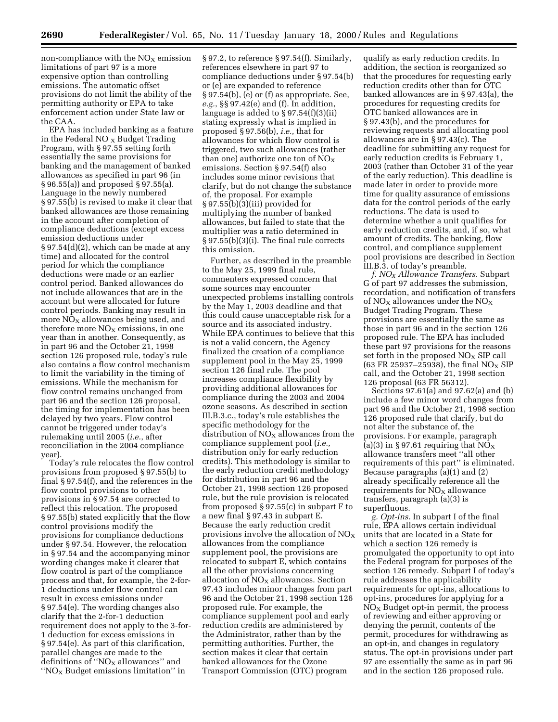non-compliance with the  $NO<sub>x</sub>$  emission limitations of part 97 is a more expensive option than controlling emissions. The automatic offset provisions do not limit the ability of the permitting authority or EPA to take enforcement action under State law or the CAA.

EPA has included banking as a feature in the Federal NO  $_X$  Budget Trading Program, with § 97.55 setting forth essentially the same provisions for banking and the management of banked allowances as specified in part 96 (in § 96.55(a)) and proposed § 97.55(a). Language in the newly numbered § 97.55(b) is revised to make it clear that banked allowances are those remaining in the account after completion of compliance deductions (except excess emission deductions under § 97.54(d)(2), which can be made at any time) and allocated for the control period for which the compliance deductions were made or an earlier control period. Banked allowances do not include allowances that are in the account but were allocated for future control periods. Banking may result in more  $NO<sub>X</sub>$  allowances being used, and therefore more  $NO<sub>x</sub>$  emissions, in one year than in another. Consequently, as in part 96 and the October 21, 1998 section 126 proposed rule, today's rule also contains a flow control mechanism to limit the variability in the timing of emissions. While the mechanism for flow control remains unchanged from part 96 and the section 126 proposal, the timing for implementation has been delayed by two years. Flow control cannot be triggered under today's rulemaking until 2005 (*i.e.*, after reconciliation in the 2004 compliance year).

Today's rule relocates the flow control provisions from proposed § 97.55(b) to final § 97.54(f), and the references in the flow control provisions to other provisions in § 97.54 are corrected to reflect this relocation. The proposed § 97.55(b) stated explicitly that the flow control provisions modify the provisions for compliance deductions under § 97.54. However, the relocation in § 97.54 and the accompanying minor wording changes make it clearer that flow control is part of the compliance process and that, for example, the 2-for-1 deductions under flow control can result in excess emissions under § 97.54(e). The wording changes also clarify that the 2-for-1 deduction requirement does not apply to the 3-for-1 deduction for excess emissions in § 97.54(e). As part of this clarification, parallel changes are made to the definitions of " $NO<sub>x</sub>$  allowances" and " $NO<sub>X</sub>$  Budget emissions limitation" in

§ 97.2, to reference § 97.54(f). Similarly, references elsewhere in part 97 to compliance deductions under § 97.54(b) or (e) are expanded to reference § 97.54(b), (e) or (f) as appropriate. See, *e.g.*, §§ 97.42(e) and (f). In addition, language is added to  $\S 97.54(f)(3)(ii)$ stating expressly what is implied in proposed § 97.56(b), *i.e.*, that for allowances for which flow control is triggered, two such allowances (rather than one) authorize one ton of  $NO<sub>x</sub>$ emissions. Section § 97.54(f) also includes some minor revisions that clarify, but do not change the substance of, the proposal. For example  $§ 97.55(b)(3)(iii)$  provided for multiplying the number of banked allowances, but failed to state that the multiplier was a ratio determined in § 97.55(b)(3)(i). The final rule corrects this omission.

Further, as described in the preamble to the May 25, 1999 final rule, commenters expressed concern that some sources may encounter unexpected problems installing controls by the May 1, 2003 deadline and that this could cause unacceptable risk for a source and its associated industry. While EPA continues to believe that this is not a valid concern, the Agency finalized the creation of a compliance supplement pool in the May 25, 1999 section 126 final rule. The pool increases compliance flexibility by providing additional allowances for compliance during the 2003 and 2004 ozone seasons. As described in section III.B.3.c., today's rule establishes the specific methodology for the distribution of  $NO<sub>X</sub>$  allowances from the compliance supplement pool (*i.e.,* distribution only for early reduction credits). This methodology is similar to the early reduction credit methodology for distribution in part 96 and the October 21, 1998 section 126 proposed rule, but the rule provision is relocated from proposed § 97.55(c) in subpart F to a new final § 97.43 in subpart E. Because the early reduction credit provisions involve the allocation of  $NO<sub>x</sub>$ allowances from the compliance supplement pool, the provisions are relocated to subpart E, which contains all the other provisions concerning allocation of  $NO<sub>x</sub>$  allowances. Section 97.43 includes minor changes from part 96 and the October 21, 1998 section 126 proposed rule. For example, the compliance supplement pool and early reduction credits are administered by the Administrator, rather than by the permitting authorities. Further, the section makes it clear that certain banked allowances for the Ozone Transport Commission (OTC) program

qualify as early reduction credits. In addition, the section is reorganized so that the procedures for requesting early reduction credits other than for OTC banked allowances are in § 97.43(a), the procedures for requesting credits for OTC banked allowances are in § 97.43(b), and the procedures for reviewing requests and allocating pool allowances are in § 97.43(c). The deadline for submitting any request for early reduction credits is February 1, 2003 (rather than October 31 of the year of the early reduction). This deadline is made later in order to provide more time for quality assurance of emissions data for the control periods of the early reductions. The data is used to determine whether a unit qualifies for early reduction credits, and, if so, what amount of credits. The banking, flow control, and compliance supplement pool provisions are described in Section III.B.3. of today's preamble.

*f. NOX Allowance Transfers.* Subpart G of part 97 addresses the submission, recordation, and notification of transfers of  $NO<sub>X</sub>$  allowances under the  $NO<sub>X</sub>$ Budget Trading Program. These provisions are essentially the same as those in part 96 and in the section 126 proposed rule. The EPA has included these part 97 provisions for the reasons set forth in the proposed  $NO<sub>x</sub>$  SIP call (63 FR 25937–25938), the final NO<sub>X</sub> SIP call, and the October 21, 1998 section 126 proposal (63 FR 56312).

Sections 97.61(a) and 97.62(a) and (b) include a few minor word changes from part 96 and the October 21, 1998 section 126 proposed rule that clarify, but do not alter the substance of, the provisions. For example, paragraph (a)(3) in § 97.61 requiring that  $NO<sub>x</sub>$ allowance transfers meet ''all other requirements of this part'' is eliminated. Because paragraphs (a)(1) and (2) already specifically reference all the requirements for  $NO<sub>x</sub>$  allowance transfers, paragraph (a)(3) is superfluous.

*g. Opt-ins.* In subpart I of the final rule, EPA allows certain individual units that are located in a State for which a section 126 remedy is promulgated the opportunity to opt into the Federal program for purposes of the section 126 remedy. Subpart I of today's rule addresses the applicability requirements for opt-ins, allocations to opt-ins, procedures for applying for a  $NO<sub>x</sub>$  Budget opt-in permit, the process of reviewing and either approving or denying the permit, contents of the permit, procedures for withdrawing as an opt-in, and changes in regulatory status. The opt-in provisions under part 97 are essentially the same as in part 96 and in the section 126 proposed rule.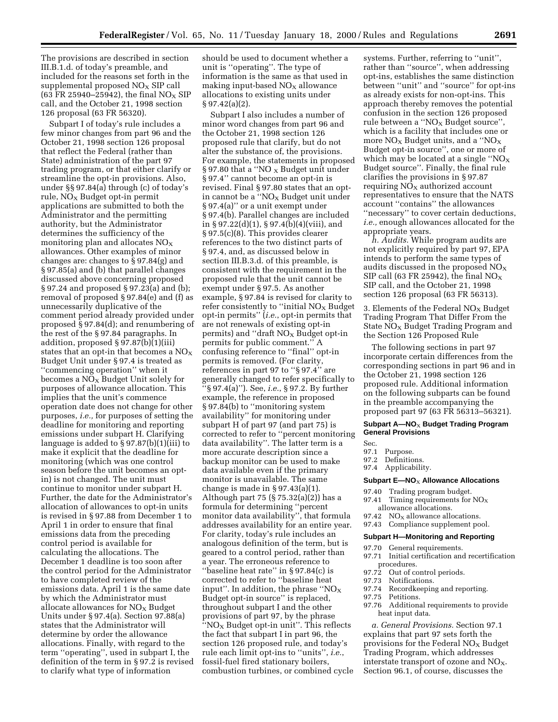The provisions are described in section III.B.1.d. of today's preamble, and included for the reasons set forth in the supplemental proposed  $NO<sub>X</sub>$  SIP call (63 FR 25940–25942), the final  $NO<sub>X</sub>$  SIP call, and the October 21, 1998 section 126 proposal (63 FR 56320).

Subpart I of today's rule includes a few minor changes from part 96 and the October 21, 1998 section 126 proposal that reflect the Federal (rather than State) administration of the part 97 trading program, or that either clarify or streamline the opt-in provisions. Also, under §§ 97.84(a) through (c) of today's rule,  $NO<sub>x</sub>$  Budget opt-in permit applications are submitted to both the Administrator and the permitting authority, but the Administrator determines the sufficiency of the monitoring plan and allocates  $NO<sub>X</sub>$ allowances. Other examples of minor changes are: changes to § 97.84(g) and § 97.85(a) and (b) that parallel changes discussed above concerning proposed § 97.24 and proposed § 97.23(a) and (b); removal of proposed § 97.84(e) and (f) as unnecessarily duplicative of the comment period already provided under proposed § 97.84(d); and renumbering of the rest of the § 97.84 paragraphs. In addition, proposed § 97.87(b)(1)(iii) states that an opt-in that becomes a  $\rm NO_X$ Budget Unit under § 97.4 is treated as ''commencing operation'' when it becomes a  $NO<sub>x</sub>$  Budget Unit solely for purposes of allowance allocation. This implies that the unit's commence operation date does not change for other purposes, *i.e.,* for purposes of setting the deadline for monitoring and reporting emissions under subpart H. Clarifying language is added to § 97.87(b)(1)(iii) to make it explicit that the deadline for monitoring (which was one control season before the unit becomes an optin) is not changed. The unit must continue to monitor under subpart H. Further, the date for the Administrator's allocation of allowances to opt-in units is revised in § 97.88 from December 1 to April 1 in order to ensure that final emissions data from the preceding control period is available for calculating the allocations. The December 1 deadline is too soon after the control period for the Administrator to have completed review of the emissions data. April 1 is the same date by which the Administrator must allocate allowances for  $NO<sub>x</sub>$  Budget Units under § 97.4(a). Section 97.88(a) states that the Administrator will determine by order the allowance allocations. Finally, with regard to the term ''operating'', used in subpart I, the definition of the term in § 97.2 is revised to clarify what type of information

should be used to document whether a unit is ''operating''. The type of information is the same as that used in making input-based  $NO<sub>X</sub>$  allowance allocations to existing units under § 97.42(a)(2).

Subpart I also includes a number of minor word changes from part 96 and the October 21, 1998 section 126 proposed rule that clarify, but do not alter the substance of, the provisions. For example, the statements in proposed § 97.80 that a "NO  $_X$  Budget unit under § 97.4'' cannot become an opt-in is revised. Final § 97.80 states that an optin cannot be a " $NO<sub>x</sub>$  Budget unit under § 97.4(a)'' or a unit exempt under § 97.4(b). Parallel changes are included in § 97.22(d)(1), § 97.4(b)(4)(viii), and § 97.5(c)(8). This provides clearer references to the two distinct parts of § 97.4, and, as discussed below in section III.B.3.d. of this preamble, is consistent with the requirement in the proposed rule that the unit cannot be exempt under § 97.5. As another example, § 97.84 is revised for clarity to refer consistently to "initial  $NO<sub>x</sub>$  Budget opt-in permits'' (*i.e.*, opt-in permits that are not renewals of existing opt-in permits) and "draft  $NO<sub>x</sub>$  Budget opt-in permits for public comment.'' A confusing reference to ''final'' opt-in permits is removed. (For clarity, references in part 97 to ''§ 97.4'' are generally changed to refer specifically to ''§ 97.4(a)''). See, *i.e.*, § 97.2. By further example, the reference in proposed § 97.84(b) to ''monitoring system availability'' for monitoring under subpart H of part 97 (and part 75) is corrected to refer to ''percent monitoring data availability''. The latter term is a more accurate description since a backup monitor can be used to make data available even if the primary monitor is unavailable. The same change is made in § 97.43(a)(1). Although part 75  $(\frac{6}{5}$  75.32(a)(2)) has a formula for determining ''percent monitor data availability'', that formula addresses availability for an entire year. For clarity, today's rule includes an analogous definition of the term, but is geared to a control period, rather than a year. The erroneous reference to ''baseline heat rate'' in § 97.84(c) is corrected to refer to ''baseline heat input". In addition, the phrase " $NO_X$ Budget opt-in source'' is replaced, throughout subpart I and the other provisions of part 97, by the phrase  $\log N$  Budget opt-in unit". This reflects the fact that subpart I in part 96, the section 126 proposed rule, and today's rule each limit opt-ins to ''units'', *i.e.*, fossil-fuel fired stationary boilers, combustion turbines, or combined cycle

systems. Further, referring to ''unit'', rather than ''source'', when addressing opt-ins, establishes the same distinction between ''unit'' and ''source'' for opt-ins as already exists for non-opt-ins. This approach thereby removes the potential confusion in the section 126 proposed rule between a " $NO<sub>X</sub>$  Budget source", which is a facility that includes one or more  $NO<sub>x</sub>$  Budget units, and a " $NO<sub>x</sub>$ Budget opt-in source'', one or more of which may be located at a single  $WQ_X$ Budget source''. Finally, the final rule clarifies the provisions in § 97.87 requiring  $NO<sub>x</sub>$  authorized account representatives to ensure that the NATS account ''contains'' the allowances ''necessary'' to cover certain deductions, *i.e.,* enough allowances allocated for the appropriate years.

*h. Audits.* While program audits are not explicitly required by part 97, EPA intends to perform the same types of audits discussed in the proposed  $NO<sub>x</sub>$ SIP call (63 FR 25942), the final  $NO<sub>x</sub>$ SIP call, and the October 21, 1998 section 126 proposal (63 FR 56313).

3. Elements of the Federal  $NO<sub>X</sub>$  Budget Trading Program That Differ From the State  $NO<sub>x</sub>$  Budget Trading Program and the Section 126 Proposed Rule

The following sections in part 97 incorporate certain differences from the corresponding sections in part 96 and in the October 21, 1998 section 126 proposed rule. Additional information on the following subparts can be found in the preamble accompanying the proposed part 97 (63 FR 56313–56321).

#### **Subpart A—NO**X **Budget Trading Program General Provisions**

- Sec.
- 97.1 Purpose.
- 97.2 Definitions.
- 97.4 Applicability.

#### **Subpart E-NO<sub>X</sub> Allowance Allocations**

- 97.40 Trading program budget.
- 97.41 Timing requirements for  $NO<sub>x</sub>$ allowance allocations.
- 97.42  $NO<sub>x</sub>$  allowance allocations.
- 97.43 Compliance supplement pool.

#### **Subpart H—Monitoring and Reporting**

- 97.70 General requirements.
- 97.71 Initial certification and recertification procedures.<br>97.72 Out of co
- 97.72 Out of control periods.<br>97.73 Notifications.
- Notifications.
- 97.74 Recordkeeping and reporting.<br>97.75 Petitions.
- Petitions.
	- 97.76 Additional requirements to provide heat input data.

*a. General Provisions.* Section 97.1 explains that part 97 sets forth the provisions for the Federal  $NO<sub>x</sub>$  Budget Trading Program, which addresses interstate transport of ozone and  $NO<sub>x</sub>$ . Section 96.1, of course, discusses the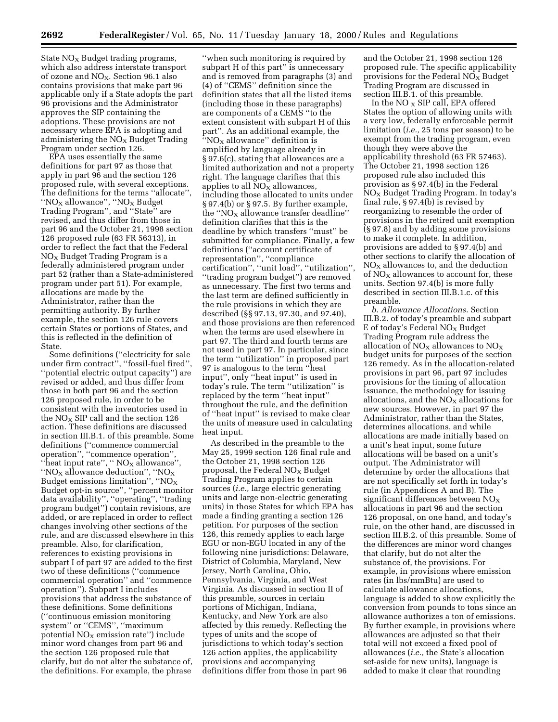State  $NO<sub>x</sub>$  Budget trading programs, which also address interstate transport of ozone and  $NO<sub>X</sub>$ . Section 96.1 also contains provisions that make part 96 applicable only if a State adopts the part 96 provisions and the Administrator approves the SIP containing the adoptions. These provisions are not necessary where EPA is adopting and administering the  $NO<sub>x</sub>$  Budget Trading Program under section 126.

EPA uses essentially the same definitions for part 97 as those that apply in part 96 and the section 126 proposed rule, with several exceptions. The definitions for the terms ''allocate'', ''NO $_{\rm X}$  allowance'', ''NO $_{\rm X}$  Budget Trading Program'', and ''State'' are revised, and thus differ from those in part 96 and the October 21, 1998 section 126 proposed rule (63 FR 56313), in order to reflect the fact that the Federal  $NO<sub>X</sub>$  Budget Trading Program is a federally administered program under part 52 (rather than a State-administered program under part 51). For example, allocations are made by the Administrator, rather than the permitting authority. By further example, the section 126 rule covers certain States or portions of States, and this is reflected in the definition of State.

Some definitions (''electricity for sale under firm contract'', ''fossil-fuel fired'', ''potential electric output capacity'') are revised or added, and thus differ from those in both part 96 and the section 126 proposed rule, in order to be consistent with the inventories used in the  $NO<sub>X</sub>$  SIP call and the section 126 action. These definitions are discussed in section III.B.1. of this preamble. Some definitions (''commence commercial operation'', ''commence operation'', "heat input rate", " $NO<sub>X</sub>$  allowance", ''NO $_{\rm X}$  allowance deduction'', ''NO $_{\rm X}$ Budget emissions limitation'', ''NO $_{\rm X}$ Budget opt-in source'', ''percent monitor data availability'', ''operating'', ''trading program budget'') contain revisions, are added, or are replaced in order to reflect changes involving other sections of the rule, and are discussed elsewhere in this preamble. Also, for clarification, references to existing provisions in subpart I of part 97 are added to the first two of these definitions (''commence commercial operation'' and ''commence operation''). Subpart I includes provisions that address the substance of these definitions. Some definitions (''continuous emission monitoring system'' or ''CEMS'', ''maximum potential  $NO<sub>x</sub>$  emission rate") include minor word changes from part 96 and the section 126 proposed rule that clarify, but do not alter the substance of, the definitions. For example, the phrase

''when such monitoring is required by subpart H of this part'' is unnecessary and is removed from paragraphs (3) and (4) of ''CEMS'' definition since the definition states that all the listed items (including those in these paragraphs) are components of a CEMS ''to the extent consistent with subpart H of this part''. As an additional example, the "NO $_X$  allowance" definition is amplified by language already in § 97.6(c), stating that allowances are a limited authorization and not a property right. The language clarifies that this applies to all  $NO<sub>x</sub>$  allowances, including those allocated to units under § 97.4(b) or § 97.5. By further example, the " $NO<sub>x</sub>$  allowance transfer deadline" definition clarifies that this is the deadline by which transfers ''must'' be submitted for compliance. Finally, a few definitions (''account certificate of representation'', ''compliance certification'', ''unit load'', ''utilization'', ''trading program budget'') are removed as unnecessary. The first two terms and the last term are defined sufficiently in the rule provisions in which they are described (§§ 97.13, 97.30, and 97.40), and those provisions are then referenced when the terms are used elsewhere in part 97. The third and fourth terms are not used in part 97. In particular, since the term ''utilization'' in proposed part 97 is analogous to the term ''heat input'', only ''heat input'' is used in today's rule. The term ''utilization'' is replaced by the term ''heat input'' throughout the rule, and the definition of ''heat input'' is revised to make clear the units of measure used in calculating heat input.

As described in the preamble to the May 25, 1999 section 126 final rule and the October 21, 1998 section 126 proposal, the Federal  $NO<sub>x</sub>$  Budget Trading Program applies to certain sources (*i.e.,* large electric generating units and large non-electric generating units) in those States for which EPA has made a finding granting a section 126 petition. For purposes of the section 126, this remedy applies to each large EGU or non-EGU located in any of the following nine jurisdictions: Delaware, District of Columbia, Maryland, New Jersey, North Carolina, Ohio, Pennsylvania, Virginia, and West Virginia. As discussed in section II of this preamble, sources in certain portions of Michigan, Indiana, Kentucky, and New York are also affected by this remedy. Reflecting the types of units and the scope of jurisdictions to which today's section 126 action applies, the applicability provisions and accompanying definitions differ from those in part 96

and the October 21, 1998 section 126 proposed rule. The specific applicability provisions for the Federal  $NO<sub>x</sub>$  Budget Trading Program are discussed in section III.B.1. of this preamble.

In the NO  $_X$  SIP call, EPA offered States the option of allowing units with a very low, federally enforceable permit limitation (*i.e.,* 25 tons per season) to be exempt from the trading program, even though they were above the applicability threshold (63 FR 57463). The October 21, 1998 section 126 proposed rule also included this provision as § 97.4(b) in the Federal  $NO<sub>X</sub>$  Budget Trading Program. In today's final rule, § 97.4(b) is revised by reorganizing to resemble the order of provisions in the retired unit exemption (§ 97.8) and by adding some provisions to make it complete. In addition, provisions are added to § 97.4(b) and other sections to clarify the allocation of  $NO<sub>X</sub>$  allowances to, and the deduction of  $NO<sub>x</sub>$  allowances to account for, these units. Section 97.4(b) is more fully described in section III.B.1.c. of this preamble.

*b. Allowance Allocations.* Section III.B.2. of today's preamble and subpart  $E$  of today's Federal NO<sub>X</sub> Budget Trading Program rule address the allocation of  $NO<sub>X</sub>$  allowances to  $NO<sub>X</sub>$ budget units for purposes of the section 126 remedy. As in the allocation-related provisions in part 96, part 97 includes provisions for the timing of allocation issuance, the methodology for issuing allocations, and the  $NO<sub>X</sub>$  allocations for new sources. However, in part 97 the Administrator, rather than the States, determines allocations, and while allocations are made initially based on a unit's heat input, some future allocations will be based on a unit's output. The Administrator will determine by order the allocations that are not specifically set forth in today's rule (in Appendices A and B). The significant differences between  $NO<sub>x</sub>$ allocations in part 96 and the section 126 proposal, on one hand, and today's rule, on the other hand, are discussed in section III.B.2. of this preamble. Some of the differences are minor word changes that clarify, but do not alter the substance of, the provisions. For example, in provisions where emission rates (in lbs/mmBtu) are used to calculate allowance allocations, language is added to show explicitly the conversion from pounds to tons since an allowance authorizes a ton of emissions. By further example, in provisions where allowances are adjusted so that their total will not exceed a fixed pool of allowances (*i.e.,* the State's allocation set-aside for new units), language is added to make it clear that rounding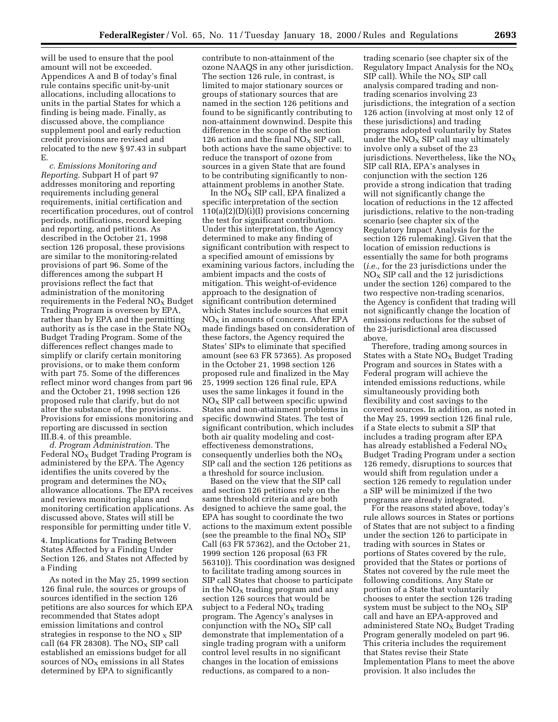will be used to ensure that the pool amount will not be exceeded. Appendices A and B of today's final rule contains specific unit-by-unit allocations, including allocations to units in the partial States for which a finding is being made. Finally, as discussed above, the compliance supplement pool and early reduction credit provisions are revised and relocated to the new § 97.43 in subpart E.

*c. Emissions Monitoring and Reporting.* Subpart H of part 97 addresses monitoring and reporting requirements including general requirements, initial certification and recertification procedures, out of control periods, notifications, record keeping and reporting, and petitions. As described in the October 21, 1998 section 126 proposal, these provisions are similar to the monitoring-related provisions of part 96. Some of the differences among the subpart H provisions reflect the fact that administration of the monitoring requirements in the Federal  $NO<sub>x</sub>$  Budget Trading Program is overseen by EPA, rather than by EPA and the permitting authority as is the case in the State  $NO<sub>X</sub>$ Budget Trading Program. Some of the differences reflect changes made to simplify or clarify certain monitoring provisions, or to make them conform with part 75. Some of the differences reflect minor word changes from part 96 and the October 21, 1998 section 126 proposed rule that clarify, but do not alter the substance of, the provisions. Provisions for emissions monitoring and reporting are discussed in section III.B.4. of this preamble.

*d. Program Administration.* The Federal  $NO<sub>x</sub>$  Budget Trading Program is administered by the EPA. The Agency identifies the units covered by the program and determines the  $NO<sub>x</sub>$ allowance allocations. The EPA receives and reviews monitoring plans and monitoring certification applications. As discussed above, States will still be responsible for permitting under title V.

4. Implications for Trading Between States Affected by a Finding Under Section 126, and States not Affected by a Finding

As noted in the May 25, 1999 section 126 final rule, the sources or groups of sources identified in the section 126 petitions are also sources for which EPA recommended that States adopt emission limitations and control strategies in response to the  $NO<sub>x</sub>$  SIP call (64 FR 28308). The  $NO_X$  SIP call established an emissions budget for all sources of  $NO<sub>x</sub>$  emissions in all States determined by EPA to significantly

contribute to non-attainment of the ozone NAAQS in any other jurisdiction. The section 126 rule, in contrast, is limited to major stationary sources or groups of stationary sources that are named in the section 126 petitions and found to be significantly contributing to non-attainment downwind. Despite this difference in the scope of the section 126 action and the final  $NO<sub>x</sub>$  SIP call, both actions have the same objective: to reduce the transport of ozone from sources in a given State that are found to be contributing significantly to nonattainment problems in another State.

In the  $\overline{\text{NO}_X}$  SIP call, EPA finalized a specific interpretation of the section 110(a)(2)(D)(i)(I) provisions concerning the test for significant contribution. Under this interpretation, the Agency determined to make any finding of significant contribution with respect to a specified amount of emissions by examining various factors, including the ambient impacts and the costs of mitigation. This weight-of-evidence approach to the designation of significant contribution determined which States include sources that emit  $NO<sub>X</sub>$  in amounts of concern. After EPA made findings based on consideration of these factors, the Agency required the States' SIPs to eliminate that specified amount (see 63 FR 57365). As proposed in the October 21, 1998 section 126 proposed rule and finalized in the May 25, 1999 section 126 final rule, EPA uses the same linkages it found in the  $NO<sub>x</sub>$  SIP call between specific upwind States and non-attainment problems in specific downwind States. The test of significant contribution, which includes both air quality modeling and costeffectiveness demonstrations, consequently underlies both the  $NO<sub>x</sub>$ SIP call and the section 126 petitions as a threshold for source inclusion.

Based on the view that the SIP call and section 126 petitions rely on the same threshold criteria and are both designed to achieve the same goal, the EPA has sought to coordinate the two actions to the maximum extent possible (see the preamble to the final  $NO<sub>x</sub>$  SIP Call (63 FR 57362), and the October 21, 1999 section 126 proposal (63 FR 56310)). This coordination was designed to facilitate trading among sources in SIP call States that choose to participate in the  $N_{\text{Ox}}$  trading program and any section 126 sources that would be subject to a Federal  $NO<sub>x</sub>$  trading program. The Agency's analyses in conjunction with the  $NO<sub>x</sub>$  SIP call demonstrate that implementation of a single trading program with a uniform control level results in no significant changes in the location of emissions reductions, as compared to a non-

trading scenario (see chapter six of the Regulatory Impact Analysis for the  $NO<sub>X</sub>$ SIP call). While the  $NO<sub>X</sub>$  SIP call analysis compared trading and nontrading scenarios involving 23 jurisdictions, the integration of a section 126 action (involving at most only 12 of these jurisdictions) and trading programs adopted voluntarily by States under the  $NO<sub>x</sub>$  SIP call may ultimately involve only a subset of the 23 jurisdictions. Nevertheless, like the  $NO<sub>x</sub>$ SIP call RIA, EPA's analyses in conjunction with the section 126 provide a strong indication that trading will not significantly change the location of reductions in the 12 affected jurisdictions, relative to the non-trading scenario (see chapter six of the Regulatory Impact Analysis for the section 126 rulemaking). Given that the location of emission reductions is essentially the same for both programs (*i.e.,* for the 23 jurisdictions under the  $NO<sub>x</sub>$  SIP call and the 12 jurisdictions under the section 126) compared to the two respective non-trading scenarios, the Agency is confident that trading will not significantly change the location of emissions reductions for the subset of the 23-jurisdictional area discussed above.

Therefore, trading among sources in States with a State  $NO<sub>x</sub>$  Budget Trading Program and sources in States with a Federal program will achieve the intended emissions reductions, while simultaneously providing both flexibility and cost savings to the covered sources. In addition, as noted in the May 25, 1999 section 126 final rule, if a State elects to submit a SIP that includes a trading program after EPA has already established a Federal  $NO<sub>X</sub>$ Budget Trading Program under a section 126 remedy, disruptions to sources that would shift from regulation under a section 126 remedy to regulation under a SIP will be minimized if the two programs are already integrated.

For the reasons stated above, today's rule allows sources in States or portions of States that are not subject to a finding under the section 126 to participate in trading with sources in States or portions of States covered by the rule, provided that the States or portions of States not covered by the rule meet the following conditions. Any State or portion of a State that voluntarily chooses to enter the section 126 trading system must be subject to the  $NO<sub>x</sub>$  SIP call and have an EPA-approved and administered State  $NO<sub>x</sub>$  Budget Trading Program generally modeled on part 96. This criteria includes the requirement that States revise their State Implementation Plans to meet the above provision. It also includes the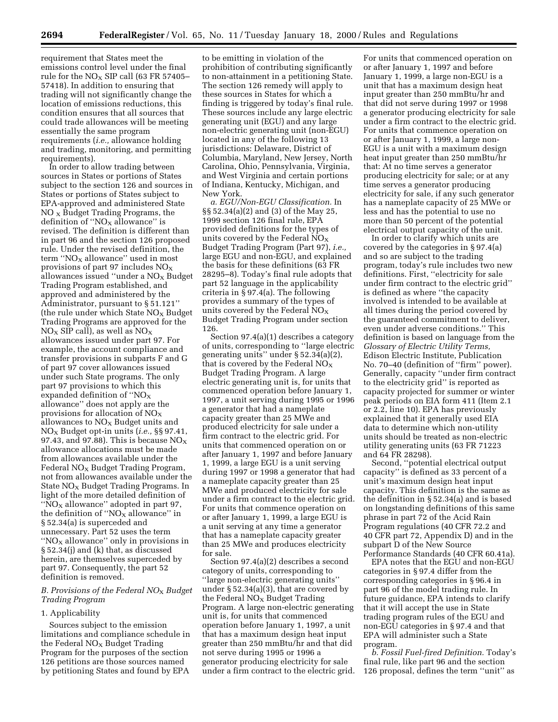requirement that States meet the emissions control level under the final rule for the  $NO<sub>x</sub>$  SIP call (63 FR 57405– 57418). In addition to ensuring that trading will not significantly change the location of emissions reductions, this condition ensures that all sources that could trade allowances will be meeting essentially the same program requirements (*i.e.,* allowance holding and trading, monitoring, and permitting requirements).

In order to allow trading between sources in States or portions of States subject to the section 126 and sources in States or portions of States subject to EPA-approved and administered State  $NO<sub>x</sub>$  Budget Trading Programs, the definition of " $NO<sub>x</sub>$  allowance" is revised. The definition is different than in part 96 and the section 126 proposed rule. Under the revised definition, the term " $NO<sub>X</sub>$  allowance" used in most provisions of part 97 includes  $NO<sub>x</sub>$ allowances issued "under a  $NO<sub>X</sub>$  Budget Trading Program established, and approved and administered by the Administrator, pursuant to § 51.121'' (the rule under which State  $NO<sub>x</sub>$  Budget Trading Programs are approved for the  $NO<sub>X</sub>$  SIP call), as well as  $NO<sub>X</sub>$ allowances issued under part 97. For example, the account compliance and transfer provisions in subparts F and G of part 97 cover allowances issued under such State programs. The only part 97 provisions to which this expanded definition of " $NO<sub>X</sub>$ allowance'' does not apply are the provisions for allocation of  $NO<sub>x</sub>$ allowances to  $NO_X$  Budget units and NOX Budget opt-in units (*i.e.,* §§ 97.41, 97.43, and 97.88). This is because  $NO<sub>x</sub>$ allowance allocations must be made from allowances available under the Federal  $NO<sub>x</sub>$  Budget Trading Program, not from allowances available under the State  $NO<sub>x</sub>$  Budget Trading Programs. In light of the more detailed definition of ''NO $_{\rm X}$  allowance'' adopted in part 97, the definition of ''NO $_{\rm X}$  allowance'' in § 52.34(a) is superceded and unnecessary. Part 52 uses the term " $NO<sub>x</sub>$  allowance" only in provisions in § 52.34(j) and (k) that, as discussed herein, are themselves superceded by part 97. Consequently, the part 52 definition is removed.

#### *B. Provisions of the Federal NO*X *Budget Trading Program*

#### 1. Applicability

Sources subject to the emission limitations and compliance schedule in the Federal  $NO<sub>x</sub>$  Budget Trading Program for the purposes of the section 126 petitions are those sources named by petitioning States and found by EPA

to be emitting in violation of the prohibition of contributing significantly to non-attainment in a petitioning State. The section 126 remedy will apply to these sources in States for which a finding is triggered by today's final rule. These sources include any large electric generating unit (EGU) and any large non-electric generating unit (non-EGU) located in any of the following 13 jurisdictions: Delaware, District of Columbia, Maryland, New Jersey, North Carolina, Ohio, Pennsylvania, Virginia, and West Virginia and certain portions of Indiana, Kentucky, Michigan, and New York.

*a. EGU/Non-EGU Classification.* In §§ 52.34(a)(2) and (3) of the May 25, 1999 section 126 final rule, EPA provided definitions for the types of units covered by the Federal  $NO<sub>x</sub>$ Budget Trading Program (Part 97), *i.e.,* large EGU and non-EGU, and explained the basis for these definitions (63 FR 28295–8). Today's final rule adopts that part 52 language in the applicability criteria in § 97.4(a). The following provides a summary of the types of units covered by the Federal  $NO<sub>x</sub>$ Budget Trading Program under section 126.

Section 97.4(a)(1) describes a category of units, corresponding to ''large electric generating units'' under § 52.34(a)(2), that is covered by the Federal  $NO<sub>x</sub>$ Budget Trading Program. A large electric generating unit is, for units that commenced operation before January 1, 1997, a unit serving during 1995 or 1996 a generator that had a nameplate capacity greater than 25 MWe and produced electricity for sale under a firm contract to the electric grid. For units that commenced operation on or after January 1, 1997 and before January 1, 1999, a large EGU is a unit serving during 1997 or 1998 a generator that had a nameplate capacity greater than 25 MWe and produced electricity for sale under a firm contract to the electric grid. For units that commence operation on or after January 1, 1999, a large EGU is a unit serving at any time a generator that has a nameplate capacity greater than 25 MWe and produces electricity for sale.

Section 97.4(a)(2) describes a second category of units, corresponding to ''large non-electric generating units'' under § 52.34(a)(3), that are covered by the Federal  $NO<sub>X</sub>$  Budget Trading Program. A large non-electric generating unit is, for units that commenced operation before January 1, 1997, a unit that has a maximum design heat input greater than 250 mmBtu/hr and that did not serve during 1995 or 1996 a generator producing electricity for sale under a firm contract to the electric grid.

For units that commenced operation on or after January 1, 1997 and before January 1, 1999, a large non-EGU is a unit that has a maximum design heat input greater than 250 mmBtu/hr and that did not serve during 1997 or 1998 a generator producing electricity for sale under a firm contract to the electric grid. For units that commence operation on or after January 1, 1999, a large non-EGU is a unit with a maximum design heat input greater than 250 mmBtu/hr that: At no time serves a generator producing electricity for sale; or at any time serves a generator producing electricity for sale, if any such generator has a nameplate capacity of 25 MWe or less and has the potential to use no more than 50 percent of the potential electrical output capacity of the unit.

In order to clarify which units are covered by the categories in § 97.4(a) and so are subject to the trading program, today's rule includes two new definitions. First, ''electricity for sale under firm contract to the electric grid'' is defined as where ''the capacity involved is intended to be available at all times during the period covered by the guaranteed commitment to deliver, even under adverse conditions.'' This definition is based on language from the *Glossary of Electric Utility Terms,* Edison Electric Institute, Publication No. 70–40 (definition of ''firm'' power). Generally, capacity ''under firm contract to the electricity grid'' is reported as capacity projected for summer or winter peak periods on EIA form 411 (Item 2.1 or 2.2, line 10). EPA has previously explained that it generally used EIA data to determine which non-utility units should be treated as non-electric utility generating units (63 FR 71223 and 64 FR 28298).

Second, ''potential electrical output capacity'' is defined as 33 percent of a unit's maximum design heat input capacity. This definition is the same as the definition in § 52.34(a) and is based on longstanding definitions of this same phrase in part 72 of the Acid Rain Program regulations (40 CFR 72.2 and 40 CFR part 72, Appendix D) and in the subpart D of the New Source Performance Standards (40 CFR 60.41a).

EPA notes that the EGU and non-EGU categories in § 97.4 differ from the corresponding categories in § 96.4 in part 96 of the model trading rule. In future guidance, EPA intends to clarify that it will accept the use in State trading program rules of the EGU and non-EGU categories in § 97.4 and that EPA will administer such a State program.

*b. Fossil Fuel-fired Definition.* Today's final rule, like part 96 and the section 126 proposal, defines the term ''unit'' as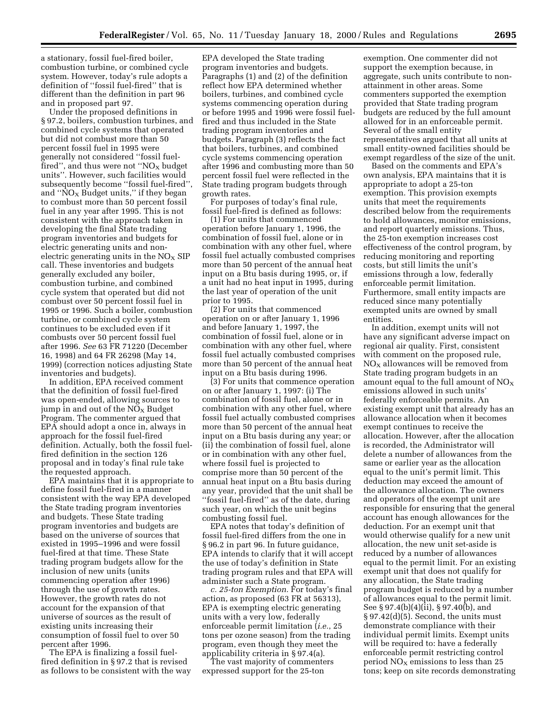a stationary, fossil fuel-fired boiler, combustion turbine, or combined cycle system. However, today's rule adopts a definition of ''fossil fuel-fired'' that is different than the definition in part 96 and in proposed part 97.

Under the proposed definitions in § 97.2, boilers, combustion turbines, and combined cycle systems that operated but did not combust more than 50 percent fossil fuel in 1995 were generally not considered ''fossil fuelfired", and thus were not " $NO<sub>X</sub>$  budget units''. However, such facilities would subsequently become ''fossil fuel-fired'', and " $NO<sub>x</sub>$  Budget units," if they began to combust more than 50 percent fossil fuel in any year after 1995. This is not consistent with the approach taken in developing the final State trading program inventories and budgets for electric generating units and nonelectric generating units in the  $NO<sub>x</sub>$  SIP call. These inventories and budgets generally excluded any boiler, combustion turbine, and combined cycle system that operated but did not combust over 50 percent fossil fuel in 1995 or 1996. Such a boiler, combustion turbine, or combined cycle system continues to be excluded even if it combusts over 50 percent fossil fuel after 1996. *See* 63 FR 71220 (December 16, 1998) and 64 FR 26298 (May 14, 1999) (correction notices adjusting State inventories and budgets).

In addition, EPA received comment that the definition of fossil fuel-fired was open-ended, allowing sources to jump in and out of the  $NO<sub>x</sub>$  Budget Program. The commenter argued that EPA should adopt a once in, always in approach for the fossil fuel-fired definition. Actually, both the fossil fuelfired definition in the section 126 proposal and in today's final rule take the requested approach.

EPA maintains that it is appropriate to define fossil fuel-fired in a manner consistent with the way EPA developed the State trading program inventories and budgets. These State trading program inventories and budgets are based on the universe of sources that existed in 1995–1996 and were fossil fuel-fired at that time. These State trading program budgets allow for the inclusion of new units (units commencing operation after 1996) through the use of growth rates. However, the growth rates do not account for the expansion of that universe of sources as the result of existing units increasing their consumption of fossil fuel to over 50 percent after 1996.

The EPA is finalizing a fossil fuelfired definition in § 97.2 that is revised as follows to be consistent with the way

EPA developed the State trading program inventories and budgets. Paragraphs (1) and (2) of the definition reflect how EPA determined whether boilers, turbines, and combined cycle systems commencing operation during or before 1995 and 1996 were fossil fuelfired and thus included in the State trading program inventories and budgets. Paragraph (3) reflects the fact that boilers, turbines, and combined cycle systems commencing operation after 1996 and combusting more than 50 percent fossil fuel were reflected in the State trading program budgets through growth rates.

For purposes of today's final rule, fossil fuel-fired is defined as follows:

(1) For units that commenced operation before January 1, 1996, the combination of fossil fuel, alone or in combination with any other fuel, where fossil fuel actually combusted comprises more than 50 percent of the annual heat input on a Btu basis during 1995, or, if a unit had no heat input in 1995, during the last year of operation of the unit prior to 1995.

(2) For units that commenced operation on or after January 1, 1996 and before January 1, 1997, the combination of fossil fuel, alone or in combination with any other fuel, where fossil fuel actually combusted comprises more than 50 percent of the annual heat input on a Btu basis during 1996.

(3) For units that commence operation on or after January 1, 1997: (i) The combination of fossil fuel, alone or in combination with any other fuel, where fossil fuel actually combusted comprises more than 50 percent of the annual heat input on a Btu basis during any year; or (ii) the combination of fossil fuel, alone or in combination with any other fuel, where fossil fuel is projected to comprise more than 50 percent of the annual heat input on a Btu basis during any year, provided that the unit shall be ''fossil fuel-fired'' as of the date, during such year, on which the unit begins combusting fossil fuel.

EPA notes that today's definition of fossil fuel-fired differs from the one in § 96.2 in part 96. In future guidance, EPA intends to clarify that it will accept the use of today's definition in State trading program rules and that EPA will administer such a State program.

*c. 25-ton Exemption.* For today's final action, as proposed (63 FR at 56313), EPA is exempting electric generating units with a very low, federally enforceable permit limitation (*i.e.*, 25 tons per ozone season) from the trading program, even though they meet the applicability criteria in § 97.4(a).

The vast majority of commenters expressed support for the 25-ton

exemption. One commenter did not support the exemption because, in aggregate, such units contribute to nonattainment in other areas. Some commenters supported the exemption provided that State trading program budgets are reduced by the full amount allowed for in an enforceable permit. Several of the small entity representatives argued that all units at small entity-owned facilities should be exempt regardless of the size of the unit.

Based on the comments and EPA's own analysis, EPA maintains that it is appropriate to adopt a 25-ton exemption. This provision exempts units that meet the requirements described below from the requirements to hold allowances, monitor emissions, and report quarterly emissions. Thus, the 25-ton exemption increases cost effectiveness of the control program, by reducing monitoring and reporting costs, but still limits the unit's emissions through a low, federally enforceable permit limitation. Furthermore, small entity impacts are reduced since many potentially exempted units are owned by small entities.

In addition, exempt units will not have any significant adverse impact on regional air quality. First, consistent with comment on the proposed rule,  $NO<sub>x</sub>$  allowances will be removed from State trading program budgets in an amount equal to the full amount of  $NO<sub>X</sub>$ emissions allowed in such units' federally enforceable permits. An existing exempt unit that already has an allowance allocation when it becomes exempt continues to receive the allocation. However, after the allocation is recorded, the Administrator will delete a number of allowances from the same or earlier year as the allocation equal to the unit's permit limit. This deduction may exceed the amount of the allowance allocation. The owners and operators of the exempt unit are responsible for ensuring that the general account has enough allowances for the deduction. For an exempt unit that would otherwise qualify for a new unit allocation, the new unit set-aside is reduced by a number of allowances equal to the permit limit. For an existing exempt unit that does not qualify for any allocation, the State trading program budget is reduced by a number of allowances equal to the permit limit. See § 97.4(b)(4)(ii), § 97.40(b), and  $§ 97.42(d)(5)$ . Second, the units must demonstrate compliance with their individual permit limits. Exempt units will be required to: have a federally enforceable permit restricting control period  $NO<sub>x</sub>$  emissions to less than 25 tons; keep on site records demonstrating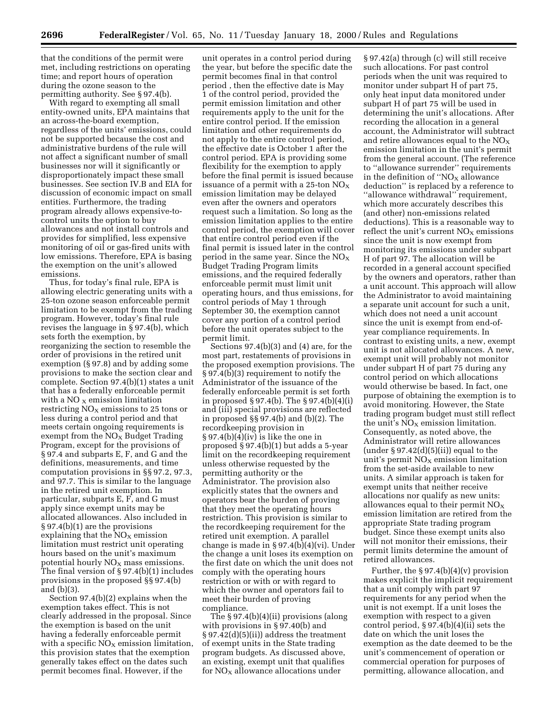that the conditions of the permit were met, including restrictions on operating time; and report hours of operation during the ozone season to the permitting authority. See § 97.4(b).

With regard to exempting all small entity-owned units, EPA maintains that an across-the-board exemption, regardless of the units' emissions, could not be supported because the cost and administrative burdens of the rule will not affect a significant number of small businesses nor will it significantly or disproportionately impact these small businesses. See section IV.B and EIA for discussion of economic impact on small entities. Furthermore, the trading program already allows expensive-tocontrol units the option to buy allowances and not install controls and provides for simplified, less expensive monitoring of oil or gas-fired units with low emissions. Therefore, EPA is basing the exemption on the unit's allowed emissions.

Thus, for today's final rule, EPA is allowing electric generating units with a 25-ton ozone season enforceable permit limitation to be exempt from the trading program. However, today's final rule revises the language in § 97.4(b), which sets forth the exemption, by reorganizing the section to resemble the order of provisions in the retired unit exemption (§ 97.8) and by adding some provisions to make the section clear and complete. Section 97.4(b)(1) states a unit that has a federally enforceable permit with a NO  $_X$  emission limitation restricting  $NO<sub>x</sub>$  emissions to 25 tons or less during a control period and that meets certain ongoing requirements is exempt from the  $NO<sub>x</sub>$  Budget Trading Program, except for the provisions of § 97.4 and subparts E, F, and G and the definitions, measurements, and time computation provisions in §§ 97.2, 97.3, and 97.7. This is similar to the language in the retired unit exemption. In particular, subparts E, F, and G must apply since exempt units may be allocated allowances. Also included in § 97.4(b)(1) are the provisions explaining that the  $NO<sub>x</sub>$  emission limitation must restrict unit operating hours based on the unit's maximum potential hourly  $NO<sub>X</sub>$  mass emissions. The final version of § 97.4(b)(1) includes provisions in the proposed §§ 97.4(b) and (b)(3).

Section 97.4(b)(2) explains when the exemption takes effect. This is not clearly addressed in the proposal. Since the exemption is based on the unit having a federally enforceable permit with a specific  $NO<sub>x</sub>$  emission limitation, this provision states that the exemption generally takes effect on the dates such permit becomes final. However, if the

unit operates in a control period during the year, but before the specific date the permit becomes final in that control period , then the effective date is May 1 of the control period, provided the permit emission limitation and other requirements apply to the unit for the entire control period. If the emission limitation and other requirements do not apply to the entire control period, the effective date is October 1 after the control period. EPA is providing some flexibility for the exemption to apply before the final permit is issued because issuance of a permit with a 25-ton  $NO<sub>x</sub>$ emission limitation may be delayed even after the owners and operators request such a limitation. So long as the emission limitation applies to the entire control period, the exemption will cover that entire control period even if the final permit is issued later in the control period in the same year. Since the  $NO<sub>x</sub>$ Budget Trading Program limits emissions, and the required federally enforceable permit must limit unit operating hours, and thus emissions, for control periods of May 1 through September 30, the exemption cannot cover any portion of a control period before the unit operates subject to the permit limit.

Sections 97.4(b)(3) and (4) are, for the most part, restatements of provisions in the proposed exemption provisions. The § 97.4(b)(3) requirement to notify the Administrator of the issuance of the federally enforceable permit is set forth in proposed § 97.4(b). The § 97.4(b)(4)(i) and (iii) special provisions are reflected in proposed §§ 97.4(b) and (b)(2). The recordkeeping provision in § 97.4(b)(4)(iv) is like the one in proposed § 97.4(b)(1) but adds a 5-year limit on the recordkeeping requirement unless otherwise requested by the permitting authority or the Administrator. The provision also explicitly states that the owners and operators bear the burden of proving that they meet the operating hours restriction. This provision is similar to the recordkeeping requirement for the retired unit exemption. A parallel change is made in § 97.4(b)(4)(vi). Under the change a unit loses its exemption on the first date on which the unit does not comply with the operating hours restriction or with or with regard to which the owner and operators fail to meet their burden of proving compliance.

The § 97.4(b)(4)(ii) provisions (along with provisions in § 97.40(b) and § 97.42(d)(5)(ii)) address the treatment of exempt units in the State trading program budgets. As discussed above, an existing, exempt unit that qualifies for  $NO<sub>X</sub>$  allowance allocations under

§ 97.42(a) through (c) will still receive such allocations. For past control periods when the unit was required to monitor under subpart H of part 75, only heat input data monitored under subpart H of part 75 will be used in determining the unit's allocations. After recording the allocation in a general account, the Administrator will subtract and retire allowances equal to the  $NO<sub>x</sub>$ emission limitation in the unit's permit from the general account. (The reference to ''allowance surrender'' requirements in the definition of " $NO<sub>X</sub>$  allowance deduction'' is replaced by a reference to ''allowance withdrawal'' requirement, which more accurately describes this (and other) non-emissions related deductions). This is a reasonable way to reflect the unit's current  $NO<sub>x</sub>$  emissions since the unit is now exempt from monitoring its emissions under subpart H of part 97. The allocation will be recorded in a general account specified by the owners and operators, rather than a unit account. This approach will allow the Administrator to avoid maintaining a separate unit account for such a unit, which does not need a unit account since the unit is exempt from end-ofyear compliance requirements. In contrast to existing units, a new, exempt unit is not allocated allowances. A new, exempt unit will probably not monitor under subpart H of part 75 during any control period on which allocations would otherwise be based. In fact, one purpose of obtaining the exemption is to avoid monitoring. However, the State trading program budget must still reflect the unit's  $NO<sub>x</sub>$  emission limitation. Consequently, as noted above, the Administrator will retire allowances (under  $\S 97.42(d)(5)(ii)$ ) equal to the unit's permit  $NO<sub>x</sub>$  emission limitation from the set-aside available to new units. A similar approach is taken for exempt units that neither receive allocations nor qualify as new units: allowances equal to their permit  $NO_X$ emission limitation are retired from the appropriate State trading program budget. Since these exempt units also will not monitor their emissions, their permit limits determine the amount of retired allowances.

Further, the  $\S 97.4(b)(4)(v)$  provision makes explicit the implicit requirement that a unit comply with part 97 requirements for any period when the unit is not exempt. If a unit loses the exemption with respect to a given control period,  $\S 97.4(b)(4)(ii)$  sets the date on which the unit loses the exemption as the date deemed to be the unit's commencement of operation or commercial operation for purposes of permitting, allowance allocation, and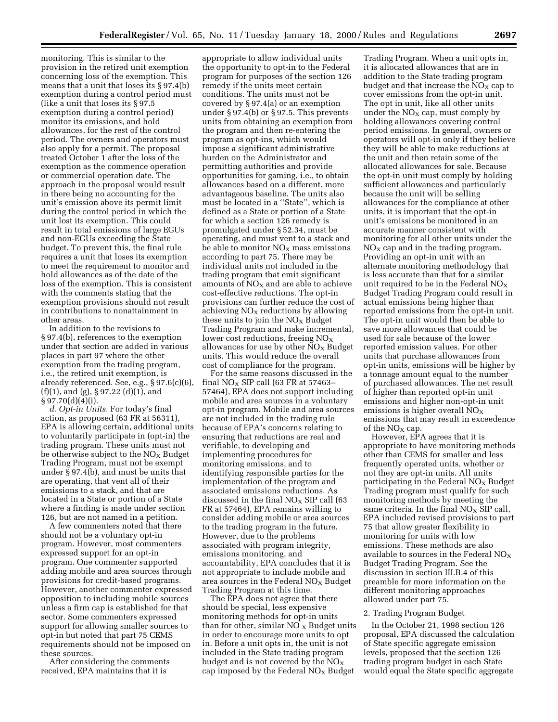monitoring. This is similar to the provision in the retired unit exemption concerning loss of the exemption. This means that a unit that loses its § 97.4(b) exemption during a control period must (like a unit that loses its § 97.5 exemption during a control period) monitor its emissions, and hold allowances, for the rest of the control period. The owners and operators must also apply for a permit. The proposal treated October 1 after the loss of the exemption as the commence operation or commercial operation date. The approach in the proposal would result in there being no accounting for the unit's emission above its permit limit during the control period in which the unit lost its exemption. This could result in total emissions of large EGUs and non-EGUs exceeding the State budget. To prevent this, the final rule requires a unit that loses its exemption to meet the requirement to monitor and hold allowances as of the date of the loss of the exemption. This is consistent with the comments stating that the exemption provisions should not result in contributions to nonattainment in other areas.

In addition to the revisions to § 97.4(b), references to the exemption under that section are added in various places in part 97 where the other exemption from the trading program, i.e., the retired unit exemption, is already referenced. See, e.g., § 97.6(c)(6), (f)(1), and (g),  $\S 97.22$  (d)(1), and  $§ 97.70(d)(4)(i).$ 

*d. Opt-in Units.* For today's final action, as proposed (63 FR at 56311), EPA is allowing certain, additional units to voluntarily participate in (opt-in) the trading program. These units must not be otherwise subject to the  $NO<sub>x</sub>$  Budget Trading Program, must not be exempt under § 97.4(b), and must be units that are operating, that vent all of their emissions to a stack, and that are located in a State or portion of a State where a finding is made under section 126, but are not named in a petition.

A few commenters noted that there should not be a voluntary opt-in program. However, most commenters expressed support for an opt-in program. One commenter supported adding mobile and area sources through provisions for credit-based programs. However, another commenter expressed opposition to including mobile sources unless a firm cap is established for that sector. Some commenters expressed support for allowing smaller sources to opt-in but noted that part 75 CEMS requirements should not be imposed on these sources.

After considering the comments received, EPA maintains that it is

appropriate to allow individual units the opportunity to opt-in to the Federal program for purposes of the section 126 remedy if the units meet certain conditions. The units must not be covered by § 97.4(a) or an exemption under § 97.4(b) or § 97.5. This prevents units from obtaining an exemption from the program and then re-entering the program as opt-ins, which would impose a significant administrative burden on the Administrator and permitting authorities and provide opportunities for gaming, i.e., to obtain allowances based on a different, more advantageous baseline. The units also must be located in a ''State'', which is defined as a State or portion of a State for which a section 126 remedy is promulgated under § 52.34, must be operating, and must vent to a stack and be able to monitor  $NO<sub>X</sub>$  mass emissions according to part 75. There may be individual units not included in the trading program that emit significant amounts of  $NO<sub>X</sub>$  and are able to achieve cost-effective reductions. The opt-in provisions can further reduce the cost of achieving  $NO<sub>x</sub>$  reductions by allowing these units to join the  $NO<sub>x</sub>$  Budget Trading Program and make incremental, lower cost reductions, freeing  $NO<sub>X</sub>$ allowances for use by other  $NO<sub>x</sub>$  Budget units. This would reduce the overall cost of compliance for the program.

For the same reasons discussed in the final  $NO<sub>x</sub>$  SIP call (63 FR at 57463– 57464), EPA does not support including mobile and area sources in a voluntary opt-in program. Mobile and area sources are not included in the trading rule because of EPA's concerns relating to ensuring that reductions are real and verifiable, to developing and implementing procedures for monitoring emissions, and to identifying responsible parties for the implementation of the program and associated emissions reductions. As discussed in the final  $NO<sub>X</sub>$  SIP call (63) FR at 57464), EPA remains willing to consider adding mobile or area sources to the trading program in the future. However, due to the problems associated with program integrity, emissions monitoring, and accountability, EPA concludes that it is not appropriate to include mobile and area sources in the Federal  $NO<sub>x</sub>$  Budget Trading Program at this time.

The EPA does not agree that there should be special, less expensive monitoring methods for opt-in units than for other, similar  $NO<sub>x</sub>$  Budget units in order to encourage more units to opt in. Before a unit opts in, the unit is not included in the State trading program budget and is not covered by the  $NO<sub>x</sub>$ cap imposed by the Federal  $NO<sub>x</sub>$  Budget

Trading Program. When a unit opts in, it is allocated allowances that are in addition to the State trading program budget and that increase the  $NO<sub>x</sub>$  cap to cover emissions from the opt-in unit. The opt in unit, like all other units under the  $NO<sub>x</sub>$  cap, must comply by holding allowances covering control period emissions. In general, owners or operators will opt-in only if they believe they will be able to make reductions at the unit and then retain some of the allocated allowances for sale. Because the opt-in unit must comply by holding sufficient allowances and particularly because the unit will be selling allowances for the compliance at other units, it is important that the opt-in unit's emissions be monitored in an accurate manner consistent with monitoring for all other units under the  $NO<sub>x</sub>$  cap and in the trading program. Providing an opt-in unit with an alternate monitoring methodology that is less accurate than that for a similar unit required to be in the Federal  $NO<sub>x</sub>$ Budget Trading Program could result in actual emissions being higher than reported emissions from the opt-in unit. The opt-in unit would then be able to save more allowances that could be used for sale because of the lower reported emission values. For other units that purchase allowances from opt-in units, emissions will be higher by a tonnage amount equal to the number of purchased allowances. The net result of higher than reported opt-in unit emissions and higher non-opt-in unit emissions is higher overall  $NO<sub>x</sub>$ emissions that may result in exceedence of the  $NO<sub>x</sub>$  cap.

However, EPA agrees that it is appropriate to have monitoring methods other than CEMS for smaller and less frequently operated units, whether or not they are opt-in units. All units participating in the Federal  $NO<sub>x</sub>$  Budget Trading program must qualify for such monitoring methods by meeting the same criteria. In the final  $NO<sub>x</sub>$  SIP call, EPA included revised provisions to part 75 that allow greater flexibility in monitoring for units with low emissions. These methods are also available to sources in the Federal  $NO<sub>x</sub>$ Budget Trading Program. See the discussion in section III.B.4 of this preamble for more information on the different monitoring approaches allowed under part 75.

#### 2. Trading Program Budget

In the October 21, 1998 section 126 proposal, EPA discussed the calculation of State specific aggregate emission levels, proposed that the section 126 trading program budget in each State would equal the State specific aggregate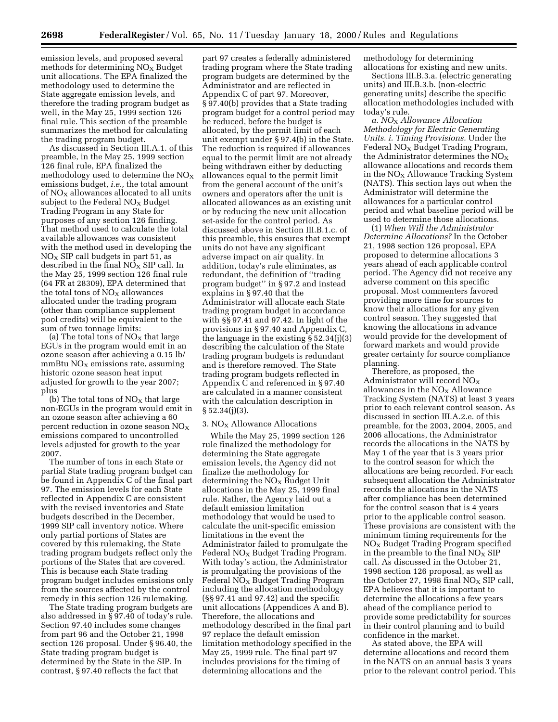emission levels, and proposed several methods for determining  $NO<sub>x</sub>$  Budget unit allocations. The EPA finalized the methodology used to determine the State aggregate emission levels, and therefore the trading program budget as well, in the May 25, 1999 section 126 final rule. This section of the preamble summarizes the method for calculating the trading program budget.

As discussed in Section III.A.1. of this preamble, in the May 25, 1999 section 126 final rule, EPA finalized the methodology used to determine the  $NO<sub>x</sub>$ emissions budget, *i.e.,* the total amount of  $NO<sub>X</sub>$  allowances allocated to all units subject to the Federal  $NO<sub>x</sub>$  Budget Trading Program in any State for purposes of any section 126 finding. That method used to calculate the total available allowances was consistent with the method used in developing the  $NO<sub>x</sub>$  SIP call budgets in part 51, as described in the final  $N\overline{O}_X$  SIP call. In the May 25, 1999 section 126 final rule (64 FR at 28309), EPA determined that the total tons of  $NO<sub>X</sub>$  allowances allocated under the trading program (other than compliance supplement pool credits) will be equivalent to the sum of two tonnage limits:

(a) The total tons of  $NO<sub>x</sub>$  that large EGUs in the program would emit in an ozone season after achieving a 0.15 lb/  $mmBtu NO<sub>X</sub>$  emissions rate, assuming historic ozone season heat input adjusted for growth to the year 2007; plus

(b) The total tons of  $NO<sub>x</sub>$  that large non-EGUs in the program would emit in an ozone season after achieving a 60 percent reduction in ozone season  $NO<sub>x</sub>$ emissions compared to uncontrolled levels adjusted for growth to the year 2007.

The number of tons in each State or partial State trading program budget can be found in Appendix C of the final part 97. The emission levels for each State reflected in Appendix C are consistent with the revised inventories and State budgets described in the December, 1999 SIP call inventory notice. Where only partial portions of States are covered by this rulemaking, the State trading program budgets reflect only the portions of the States that are covered. This is because each State trading program budget includes emissions only from the sources affected by the control remedy in this section 126 rulemaking.

The State trading program budgets are also addressed in § 97.40 of today's rule. Section 97.40 includes some changes from part 96 and the October 21, 1998 section 126 proposal. Under § 96.40, the State trading program budget is determined by the State in the SIP. In contrast, § 97.40 reflects the fact that

part 97 creates a federally administered trading program where the State trading program budgets are determined by the Administrator and are reflected in Appendix C of part 97. Moreover, § 97.40(b) provides that a State trading program budget for a control period may be reduced, before the budget is allocated, by the permit limit of each unit exempt under § 97.4(b) in the State. The reduction is required if allowances equal to the permit limit are not already being withdrawn either by deducting allowances equal to the permit limit from the general account of the unit's owners and operators after the unit is allocated allowances as an existing unit or by reducing the new unit allocation set-aside for the control period. As discussed above in Section III.B.1.c. of this preamble, this ensures that exempt units do not have any significant adverse impact on air quality. In addition, today's rule eliminates, as redundant, the definition of ''trading program budget'' in § 97.2 and instead explains in § 97.40 that the Administrator will allocate each State trading program budget in accordance with §§ 97.41 and 97.42. In light of the provisions in § 97.40 and Appendix C, the language in the existing § 52.34(j)(3) describing the calculation of the State trading program budgets is redundant and is therefore removed. The State trading program budgets reflected in Appendix C and referenced in § 97.40 are calculated in a manner consistent with the calculation description in § 52.34(j)(3).

#### 3.  $NO<sub>x</sub>$  Allowance Allocations

While the May 25, 1999 section 126 rule finalized the methodology for determining the State aggregate emission levels, the Agency did not finalize the methodology for determining the  $NO<sub>X</sub>$  Budget Unit allocations in the May 25, 1999 final rule. Rather, the Agency laid out a default emission limitation methodology that would be used to calculate the unit-specific emission limitations in the event the Administrator failed to promulgate the Federal  $NO<sub>x</sub>$  Budget Trading Program. With today's action, the Administrator is promulgating the provisions of the Federal  $NO_X$  Budget Trading Program including the allocation methodology (§§ 97.41 and 97.42) and the specific unit allocations (Appendices A and B). Therefore, the allocations and methodology described in the final part 97 replace the default emission limitation methodology specified in the May 25, 1999 rule. The final part 97 includes provisions for the timing of determining allocations and the

methodology for determining allocations for existing and new units.

Sections III.B.3.a. (electric generating units) and III.B.3.b. (non-electric generating units) describe the specific allocation methodologies included with today's rule.

*a. NO*X *Allowance Allocation Methodology for Electric Generating Units. i. Timing Provisions.* Under the Federal  $NO<sub>X</sub>$  Budget Trading Program, the Administrator determines the  $NO<sub>X</sub>$ allowance allocations and records them in the  $NO<sub>X</sub>$  Allowance Tracking System (NATS). This section lays out when the Administrator will determine the allowances for a particular control period and what baseline period will be used to determine those allocations.

(1) *When Will the Administrator Determine Allocations?* In the October 21, 1998 section 126 proposal, EPA proposed to determine allocations 3 years ahead of each applicable control period. The Agency did not receive any adverse comment on this specific proposal. Most commenters favored providing more time for sources to know their allocations for any given control season. They suggested that knowing the allocations in advance would provide for the development of forward markets and would provide greater certainty for source compliance planning.

Therefore, as proposed, the Administrator will record NOX allowances in the  $NO<sub>x</sub>$  Allowance Tracking System (NATS) at least 3 years prior to each relevant control season. As discussed in section III.A.2.e. of this preamble, for the 2003, 2004, 2005, and 2006 allocations, the Administrator records the allocations in the NATS by May 1 of the year that is 3 years prior to the control season for which the allocations are being recorded. For each subsequent allocation the Administrator records the allocations in the NATS after compliance has been determined for the control season that is 4 years prior to the applicable control season. These provisions are consistent with the minimum timing requirements for the  $NO<sub>x</sub>$  Budget Trading Program specified in the preamble to the final  $NO<sub>x</sub>$  SIP call. As discussed in the October 21, 1998 section 126 proposal, as well as the October 27, 1998 final  $NO<sub>X</sub>$  SIP call, EPA believes that it is important to determine the allocations a few years ahead of the compliance period to provide some predictability for sources in their control planning and to build confidence in the market.

As stated above, the EPA will determine allocations and record them in the NATS on an annual basis 3 years prior to the relevant control period. This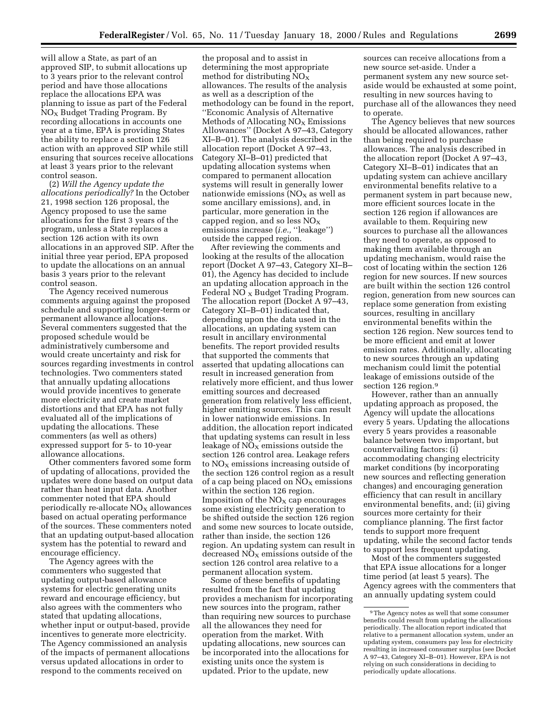will allow a State, as part of an approved SIP, to submit allocations up to 3 years prior to the relevant control period and have those allocations replace the allocations EPA was planning to issue as part of the Federal  $NO<sub>x</sub>$  Budget Trading Program. By recording allocations in accounts one year at a time, EPA is providing States the ability to replace a section 126 action with an approved SIP while still ensuring that sources receive allocations at least 3 years prior to the relevant control season.

(2) *Will the Agency update the allocations periodically?* In the October 21, 1998 section 126 proposal, the Agency proposed to use the same allocations for the first 3 years of the program, unless a State replaces a section 126 action with its own allocations in an approved SIP. After the initial three year period, EPA proposed to update the allocations on an annual basis 3 years prior to the relevant control season.

The Agency received numerous comments arguing against the proposed schedule and supporting longer-term or permanent allowance allocations. Several commenters suggested that the proposed schedule would be administratively cumbersome and would create uncertainty and risk for sources regarding investments in control technologies. Two commenters stated that annually updating allocations would provide incentives to generate more electricity and create market distortions and that EPA has not fully evaluated all of the implications of updating the allocations. These commenters (as well as others) expressed support for 5- to 10-year allowance allocations.

Other commenters favored some form of updating of allocations, provided the updates were done based on output data rather than heat input data. Another commenter noted that EPA should periodically re-allocate  $NO<sub>X</sub>$  allowances based on actual operating performance of the sources. These commenters noted that an updating output-based allocation system has the potential to reward and encourage efficiency.

The Agency agrees with the commenters who suggested that updating output-based allowance systems for electric generating units reward and encourage efficiency, but also agrees with the commenters who stated that updating allocations, whether input or output-based, provide incentives to generate more electricity. The Agency commissioned an analysis of the impacts of permanent allocations versus updated allocations in order to respond to the comments received on

the proposal and to assist in determining the most appropriate method for distributing  $NO<sub>X</sub>$ allowances. The results of the analysis as well as a description of the methodology can be found in the report, ''Economic Analysis of Alternative Methods of Allocating  $NO<sub>x</sub>$  Emissions Allowances'' (Docket A 97–43, Category XI–B–01). The analysis described in the allocation report (Docket A 97–43, Category XI–B–01) predicted that updating allocation systems when compared to permanent allocation systems will result in generally lower nationwide emissions  $NO<sub>X</sub>$  as well as some ancillary emissions), and, in particular, more generation in the capped region, and so less  $NO<sub>x</sub>$ emissions increase (*i.e.,* ''leakage'') outside the capped region.

After reviewing the comments and looking at the results of the allocation report (Docket A 97–43, Category XI–B– 01), the Agency has decided to include an updating allocation approach in the Federal NO  $_{\rm X}$  Budget Trading Program. The allocation report (Docket A 97–43, Category XI–B–01) indicated that, depending upon the data used in the allocations, an updating system can result in ancillary environmental benefits. The report provided results that supported the comments that asserted that updating allocations can result in increased generation from relatively more efficient, and thus lower emitting sources and decreased generation from relatively less efficient, higher emitting sources. This can result in lower nationwide emissions. In addition, the allocation report indicated that updating systems can result in less leakage of  $NO<sub>x</sub>$  emissions outside the section 126 control area. Leakage refers to  $NO<sub>X</sub>$  emissions increasing outside of the section 126 control region as a result of a cap being placed on  $NO<sub>x</sub>$  emissions within the section 126 region. Imposition of the  $NO<sub>x</sub>$  cap encourages some existing electricity generation to be shifted outside the section 126 region and some new sources to locate outside, rather than inside, the section 126 region. An updating system can result in decreased  $NO<sub>X</sub>$  emissions outside of the section 126 control area relative to a permanent allocation system.

Some of these benefits of updating resulted from the fact that updating provides a mechanism for incorporating new sources into the program, rather than requiring new sources to purchase all the allowances they need for operation from the market. With updating allocations, new sources can be incorporated into the allocations for existing units once the system is updated. Prior to the update, new

sources can receive allocations from a new source set-aside. Under a permanent system any new source setaside would be exhausted at some point, resulting in new sources having to purchase all of the allowances they need to operate.

The Agency believes that new sources should be allocated allowances, rather than being required to purchase allowances. The analysis described in the allocation report (Docket A 97–43, Category XI–B–01) indicates that an updating system can achieve ancillary environmental benefits relative to a permanent system in part because new, more efficient sources locate in the section 126 region if allowances are available to them. Requiring new sources to purchase all the allowances they need to operate, as opposed to making them available through an updating mechanism, would raise the cost of locating within the section 126 region for new sources. If new sources are built within the section 126 control region, generation from new sources can replace some generation from existing sources, resulting in ancillary environmental benefits within the section 126 region. New sources tend to be more efficient and emit at lower emission rates. Additionally, allocating to new sources through an updating mechanism could limit the potential leakage of emissions outside of the section 126 region.<sup>9</sup>

However, rather than an annually updating approach as proposed, the Agency will update the allocations every 5 years. Updating the allocations every 5 years provides a reasonable balance between two important, but countervailing factors: (i) accommodating changing electricity market conditions (by incorporating new sources and reflecting generation changes) and encouraging generation efficiency that can result in ancillary environmental benefits, and; (ii) giving sources more certainty for their compliance planning. The first factor tends to support more frequent updating, while the second factor tends to support less frequent updating.

Most of the commenters suggested that EPA issue allocations for a longer time period (at least 5 years). The Agency agrees with the commenters that an annually updating system could

<sup>9</sup>The Agency notes as well that some consumer benefits could result from updating the allocations periodically. The allocation report indicated that relative to a permanent allocation system, under an updating system, consumers pay less for electricity resulting in increased consumer surplus (see Docket A 97–43, Category XI–B–01). However, EPA is not relying on such considerations in deciding to periodically update allocations.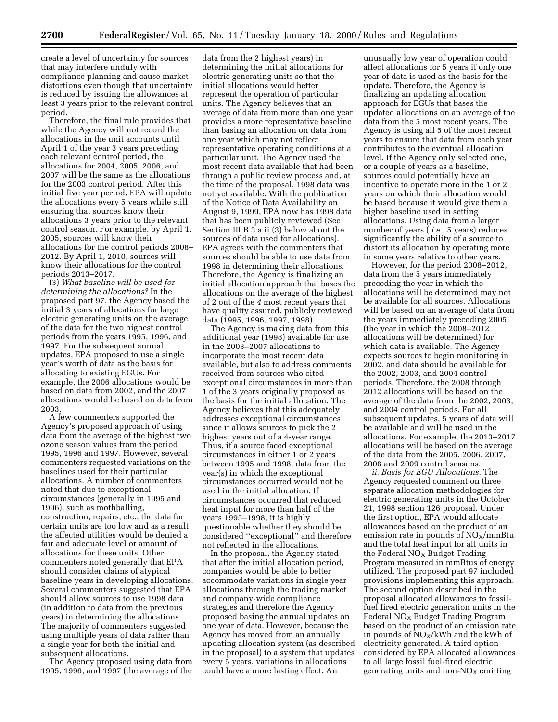create a level of uncertainty for sources that may interfere unduly with compliance planning and cause market distortions even though that uncertainty is reduced by issuing the allowances at least 3 years prior to the relevant control period.

Therefore, the final rule provides that while the Agency will not record the allocations in the unit accounts until April 1 of the year 3 years preceding each relevant control period, the allocations for 2004, 2005, 2006, and 2007 will be the same as the allocations for the 2003 control period. After this initial five year period, EPA will update the allocations every 5 years while still ensuring that sources know their allocations 3 years prior to the relevant control season. For example, by April 1, 2005, sources will know their allocations for the control periods 2008– 2012. By April 1, 2010, sources will know their allocations for the control periods 2013–2017.

(3) *What baseline will be used for determining the allocations?* In the proposed part 97, the Agency based the initial 3 years of allocations for large electric generating units on the average of the data for the two highest control periods from the years 1995, 1996, and 1997. For the subsequent annual updates, EPA proposed to use a single year's worth of data as the basis for allocating to existing EGUs. For example, the 2006 allocations would be based on data from 2002, and the 2007 allocations would be based on data from 2003.

A few commenters supported the Agency's proposed approach of using data from the average of the highest two ozone season values from the period 1995, 1996 and 1997. However, several commenters requested variations on the baselines used for their particular allocations. A number of commenters noted that due to exceptional circumstances (generally in 1995 and 1996), such as mothballing, construction, repairs, etc., the data for certain units are too low and as a result the affected utilities would be denied a fair and adequate level or amount of allocations for these units. Other commenters noted generally that EPA should consider claims of atypical baseline years in developing allocations. Several commenters suggested that EPA should allow sources to use 1998 data (in addition to data from the previous years) in determining the allocations. The majority of commenters suggested using multiple years of data rather than a single year for both the initial and subsequent allocations.

The Agency proposed using data from 1995, 1996, and 1997 (the average of the

data from the 2 highest years) in determining the initial allocations for electric generating units so that the initial allocations would better represent the operation of particular units. The Agency believes that an average of data from more than one year provides a more representative baseline than basing an allocation on data from one year which may not reflect representative operating conditions at a particular unit. The Agency used the most recent data available that had been through a public review process and, at the time of the proposal, 1998 data was not yet available. With the publication of the Notice of Data Availability on August 9, 1999, EPA now has 1998 data that has been publicly reviewed (See Section III.B.3.a.ii.(3) below about the sources of data used for allocations). EPA agrees with the commenters that sources should be able to use data from 1998 in determining their allocations. Therefore, the Agency is finalizing an initial allocation approach that bases the allocations on the average of the highest of 2 out of the *4* most recent years that have quality assured, publicly reviewed data (1995, 1996, 1997, 1998).

The Agency is making data from this additional year (1998) available for use in the 2003–2007 allocations to incorporate the most recent data available, but also to address comments received from sources who cited exceptional circumstances in more than 1 of the 3 years originally proposed as the basis for the initial allocation. The Agency believes that this adequately addresses exceptional circumstances since it allows sources to pick the 2 highest years out of a 4-year range. Thus, if a source faced exceptional circumstances in either 1 or 2 years between 1995 and 1998, data from the year(s) in which the exceptional circumstances occurred would not be used in the initial allocation. If circumstances occurred that reduced heat input for more than half of the years 1995–1998, it is highly questionable whether they should be considered ''exceptional'' and therefore not reflected in the allocations.

In the proposal, the Agency stated that after the initial allocation period, companies would be able to better accommodate variations in single year allocations through the trading market and company-wide compliance strategies and therefore the Agency proposed basing the annual updates on one year of data. However, because the Agency has moved from an annually updating allocation system (as described in the proposal) to a system that updates every 5 years, variations in allocations could have a more lasting effect. An

unusually low year of operation could affect allocations for 5 years if only one year of data is used as the basis for the update. Therefore, the Agency is finalizing an updating allocation approach for EGUs that bases the updated allocations on an average of the data from the 5 most recent years. The Agency is using all 5 of the most recent years to ensure that data from each year contributes to the eventual allocation level. If the Agency only selected one, or a couple of years as a baseline, sources could potentially have an incentive to operate more in the 1 or 2 years on which their allocation would be based because it would give them a higher baseline used in setting allocations. Using data from a larger number of years ( *i.e.,* 5 years) reduces significantly the ability of a source to distort its allocation by operating more in some years relative to other years.

However, for the period 2008–2012, data from the 5 years immediately preceding the year in which the allocations will be determined may not be available for all sources. Allocations will be based on an average of data from the years immediately preceding 2005 (the year in which the 2008–2012 allocations will be determined) for which data is available. The Agency expects sources to begin monitoring in 2002, and data should be available for the 2002, 2003, and 2004 control periods. Therefore, the 2008 through 2012 allocations will be based on the average of the data from the 2002, 2003, and 2004 control periods. For all subsequent updates, 5 years of data will be available and will be used in the allocations. For example, the 2013–2017 allocations will be based on the average of the data from the 2005, 2006, 2007, 2008 and 2009 control seasons.

*ii. Basis for EGU Allocations.* The Agency requested comment on three separate allocation methodologies for electric generating units in the October 21, 1998 section 126 proposal. Under the first option, EPA would allocate allowances based on the product of an emission rate in pounds of  $NO<sub>x</sub>/mmB$ tu and the total heat input for all units in the Federal NO<sub>X</sub> Budget Trading Program measured in mmBtus of energy utilized. The proposed part 97 included provisions implementing this approach. The second option described in the proposal allocated allowances to fossilfuel fired electric generation units in the Federal  $NO<sub>x</sub>$  Budget Trading Program based on the product of an emission rate in pounds of  $NO_X/kWh$  and the kWh of electricity generated. A third option considered by EPA allocated allowances to all large fossil fuel-fired electric generating units and non- $NO<sub>X</sub>$  emitting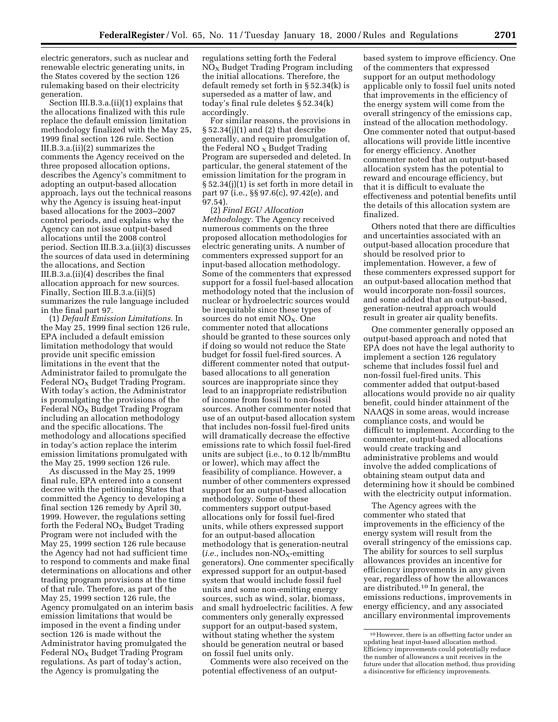electric generators, such as nuclear and renewable electric generating units, in the States covered by the section 126 rulemaking based on their electricity generation.

Section III.B.3.a.(ii)(1) explains that the allocations finalized with this rule replace the default emission limitation methodology finalized with the May 25, 1999 final section 126 rule. Section III.B.3.a.(ii)(2) summarizes the comments the Agency received on the three proposed allocation options, describes the Agency's commitment to adopting an output-based allocation approach, lays out the technical reasons why the Agency is issuing heat-input based allocations for the 2003–2007 control periods, and explains why the Agency can not issue output-based allocations until the 2008 control period. Section III.B.3.a.(ii)(3) discusses the sources of data used in determining the allocations, and Section III.B.3.a.(ii)(4) describes the final allocation approach for new sources. Finally, Section III.B.3.a.(ii)(5) summarizes the rule language included in the final part 97.

(1) *Default Emission Limitations.* In the May 25, 1999 final section 126 rule, EPA included a default emission limitation methodology that would provide unit specific emission limitations in the event that the Administrator failed to promulgate the Federal  $NO<sub>x</sub>$  Budget Trading Program. With today's action, the Administrator is promulgating the provisions of the  $Federal NO<sub>X</sub> Budget Trading Program$ including an allocation methodology and the specific allocations. The methodology and allocations specified in today's action replace the interim emission limitations promulgated with the May 25, 1999 section 126 rule.

As discussed in the May 25, 1999 final rule, EPA entered into a consent decree with the petitioning States that committed the Agency to developing a final section 126 remedy by April 30, 1999. However, the regulations setting forth the Federal  $NO<sub>x</sub>$  Budget Trading Program were not included with the May 25, 1999 section 126 rule because the Agency had not had sufficient time to respond to comments and make final determinations on allocations and other trading program provisions at the time of that rule. Therefore, as part of the May 25, 1999 section 126 rule, the Agency promulgated on an interim basis emission limitations that would be imposed in the event a finding under section 126 is made without the Administrator having promulgated the Federal  $NO<sub>x</sub>$  Budget Trading Program regulations. As part of today's action, the Agency is promulgating the

regulations setting forth the Federal  $NO<sub>x</sub>$  Budget Trading Program including the initial allocations. Therefore, the default remedy set forth in § 52.34(k) is superseded as a matter of law, and today's final rule deletes § 52.34(k) accordingly.

For similar reasons, the provisions in § 52.34(j)(1) and (2) that describe generally, and require promulgation of, the Federal NO  $_{\rm X}$  Budget Trading Program are superseded and deleted. In particular, the general statement of the emission limitation for the program in § 52.34(j)(1) is set forth in more detail in part 97 (i.e., §§ 97.6(c), 97.42(e), and 97.54).

(2) *Final EGU Allocation Methodology.* The Agency received numerous comments on the three proposed allocation methodologies for electric generating units. A number of commenters expressed support for an input-based allocation methodology. Some of the commenters that expressed support for a fossil fuel-based allocation methodology noted that the inclusion of nuclear or hydroelectric sources would be inequitable since these types of sources do not emit NO<sub>X</sub>. One commenter noted that allocations should be granted to these sources only if doing so would not reduce the State budget for fossil fuel-fired sources. A different commenter noted that outputbased allocations to all generation sources are inappropriate since they lead to an inappropriate redistribution of income from fossil to non-fossil sources. Another commenter noted that use of an output-based allocation system that includes non-fossil fuel-fired units will dramatically decrease the effective emissions rate to which fossil fuel-fired units are subject (i.e., to 0.12 lb/mmBtu or lower), which may affect the feasibility of compliance. However, a number of other commenters expressed support for an output-based allocation methodology. Some of these commenters support output-based allocations only for fossil fuel-fired units, while others expressed support for an output-based allocation methodology that is generation-neutral  $(i.e.,$  includes non-NO<sub>X</sub>-emitting generators). One commenter specifically expressed support for an output-based system that would include fossil fuel units and some non-emitting energy sources, such as wind, solar, biomass, and small hydroelectric facilities. A few commenters only generally expressed support for an output-based system, without stating whether the system should be generation neutral or based on fossil fuel units only.

Comments were also received on the potential effectiveness of an outputbased system to improve efficiency. One of the commenters that expressed support for an output methodology applicable only to fossil fuel units noted that improvements in the efficiency of the energy system will come from the overall stringency of the emissions cap, instead of the allocation methodology. One commenter noted that output-based allocations will provide little incentive for energy efficiency. Another commenter noted that an output-based allocation system has the potential to reward and encourage efficiency, but that it is difficult to evaluate the effectiveness and potential benefits until the details of this allocation system are finalized.

Others noted that there are difficulties and uncertainties associated with an output-based allocation procedure that should be resolved prior to implementation. However, a few of these commenters expressed support for an output-based allocation method that would incorporate non-fossil sources, and some added that an output-based, generation-neutral approach would result in greater air quality benefits.

One commenter generally opposed an output-based approach and noted that EPA does not have the legal authority to implement a section 126 regulatory scheme that includes fossil fuel and non-fossil fuel-fired units. This commenter added that output-based allocations would provide no air quality benefit, could hinder attainment of the NAAQS in some areas, would increase compliance costs, and would be difficult to implement. According to the commenter, output-based allocations would create tracking and administrative problems and would involve the added complications of obtaining steam output data and determining how it should be combined with the electricity output information.

The Agency agrees with the commenter who stated that improvements in the efficiency of the energy system will result from the overall stringency of the emissions cap. The ability for sources to sell surplus allowances provides an incentive for efficiency improvements in any given year, regardless of how the allowances are distributed.10 In general, the emissions reductions, improvements in energy efficiency, and any associated ancillary environmental improvements

<sup>10</sup>However, there is an offsetting factor under an updating heat input-based allocation method. Efficiency improvements could potentially reduce the number of allowances a unit receives in the future under that allocation method, thus providing a disincentive for efficiency improvements.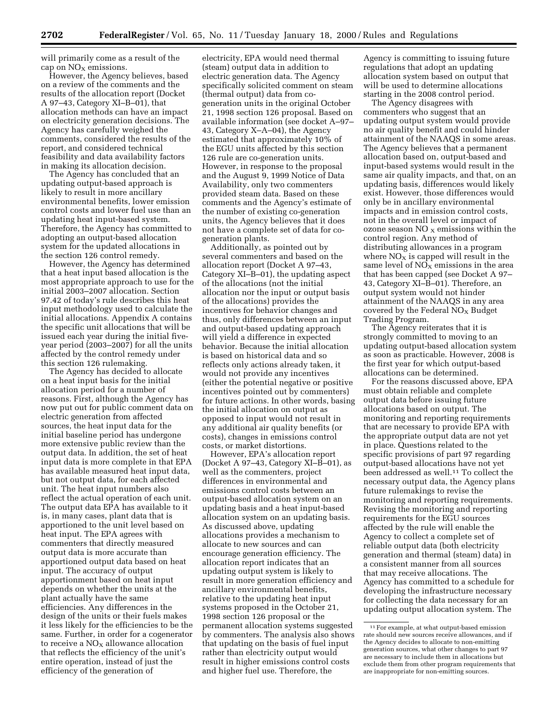will primarily come as a result of the cap on  $NO<sub>X</sub>$  emissions.

However, the Agency believes, based on a review of the comments and the results of the allocation report (Docket A 97–43, Category XI–B–01), that allocation methods can have an impact on electricity generation decisions. The Agency has carefully weighed the comments, considered the results of the report, and considered technical feasibility and data availability factors in making its allocation decision.

The Agency has concluded that an updating output-based approach is likely to result in more ancillary environmental benefits, lower emission control costs and lower fuel use than an updating heat input-based system. Therefore, the Agency has committed to adopting an output-based allocation system for the updated allocations in the section 126 control remedy.

However, the Agency has determined that a heat input based allocation is the most appropriate approach to use for the initial 2003–2007 allocation. Section 97.42 of today's rule describes this heat input methodology used to calculate the initial allocations. Appendix A contains the specific unit allocations that will be issued each year during the initial fiveyear period (2003–2007) for all the units affected by the control remedy under this section 126 rulemaking.

The Agency has decided to allocate on a heat input basis for the initial allocation period for a number of reasons. First, although the Agency has now put out for public comment data on electric generation from affected sources, the heat input data for the initial baseline period has undergone more extensive public review than the output data. In addition, the set of heat input data is more complete in that EPA has available measured heat input data, but not output data, for each affected unit. The heat input numbers also reflect the actual operation of each unit. The output data EPA has available to it is, in many cases, plant data that is apportioned to the unit level based on heat input. The EPA agrees with commenters that directly measured output data is more accurate than apportioned output data based on heat input. The accuracy of output apportionment based on heat input depends on whether the units at the plant actually have the same efficiencies. Any differences in the design of the units or their fuels makes it less likely for the efficiencies to be the same. Further, in order for a cogenerator to receive a  $NO<sub>X</sub>$  allowance allocation that reflects the efficiency of the unit's entire operation, instead of just the efficiency of the generation of

electricity, EPA would need thermal (steam) output data in addition to electric generation data. The Agency specifically solicited comment on steam (thermal output) data from cogeneration units in the original October 21, 1998 section 126 proposal. Based on available information (see docket A–97– 43, Category X–A–04), the Agency estimated that approximately 10% of the EGU units affected by this section 126 rule are co-generation units. However, in response to the proposal and the August 9, 1999 Notice of Data Availability, only two commenters provided steam data. Based on these comments and the Agency's estimate of the number of existing co-generation units, the Agency believes that it does not have a complete set of data for cogeneration plants.

Additionally, as pointed out by several commenters and based on the allocation report (Docket A 97–43, Category XI–B–01), the updating aspect of the allocations (not the initial allocation nor the input or output basis of the allocations) provides the incentives for behavior changes and thus, only differences between an input and output-based updating approach will yield a difference in expected behavior. Because the initial allocation is based on historical data and so reflects only actions already taken, it would not provide any incentives (either the potential negative or positive incentives pointed out by commenters) for future actions. In other words, basing the initial allocation on output as opposed to input would not result in any additional air quality benefits (or costs), changes in emissions control costs, or market distortions.

However, EPA's allocation report (Docket A 97–43, Category XI–B–01), as well as the commenters, project differences in environmental and emissions control costs between an output-based allocation system on an updating basis and a heat input-based allocation system on an updating basis. As discussed above, updating allocations provides a mechanism to allocate to new sources and can encourage generation efficiency. The allocation report indicates that an updating output system is likely to result in more generation efficiency and ancillary environmental benefits, relative to the updating heat input systems proposed in the October 21, 1998 section 126 proposal or the permanent allocation systems suggested by commenters. The analysis also shows that updating on the basis of fuel input rather than electricity output would result in higher emissions control costs and higher fuel use. Therefore, the

Agency is committing to issuing future regulations that adopt an updating allocation system based on output that will be used to determine allocations starting in the 2008 control period.

The Agency disagrees with commenters who suggest that an updating output system would provide no air quality benefit and could hinder attainment of the NAAQS in some areas. The Agency believes that a permanent allocation based on, output-based and input-based systems would result in the same air quality impacts, and that, on an updating basis, differences would likely exist. However, those differences would only be in ancillary environmental impacts and in emission control costs, not in the overall level or impact of ozone season NO  $_X$  emissions within the control region. Any method of distributing allowances in a program where  $NO<sub>X</sub>$  is capped will result in the same level of  $NO<sub>x</sub>$  emissions in the area that has been capped (see Docket A 97– 43, Category XI–B–01). Therefore, an output system would not hinder attainment of the NAAQS in any area covered by the Federal  $NO<sub>x</sub>$  Budget Trading Program.

The Agency reiterates that it is strongly committed to moving to an updating output-based allocation system as soon as practicable. However, 2008 is the first year for which output-based allocations can be determined.

For the reasons discussed above, EPA must obtain reliable and complete output data before issuing future allocations based on output. The monitoring and reporting requirements that are necessary to provide EPA with the appropriate output data are not yet in place. Questions related to the specific provisions of part 97 regarding output-based allocations have not yet been addressed as well.11 To collect the necessary output data, the Agency plans future rulemakings to revise the monitoring and reporting requirements. Revising the monitoring and reporting requirements for the EGU sources affected by the rule will enable the Agency to collect a complete set of reliable output data (both electricity generation and thermal (steam) data) in a consistent manner from all sources that may receive allocations. The Agency has committed to a schedule for developing the infrastructure necessary for collecting the data necessary for an updating output allocation system. The

<sup>11</sup>For example, at what output-based emission rate should new sources receive allowances, and if the Agency decides to allocate to non-emitting generation sources, what other changes to part 97 are necessary to include them in allocations but exclude them from other program requirements that are inappropriate for non-emitting sources.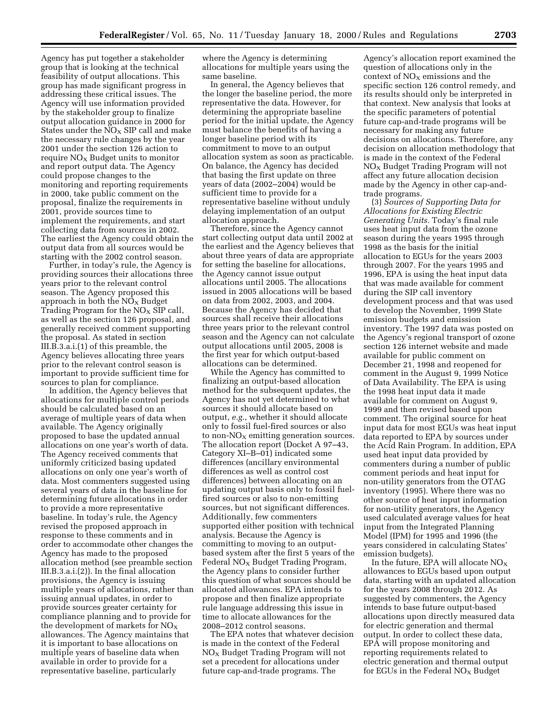Agency has put together a stakeholder group that is looking at the technical feasibility of output allocations. This group has made significant progress in addressing these critical issues. The Agency will use information provided by the stakeholder group to finalize output allocation guidance in 2000 for States under the  $NO<sub>x</sub>$  SIP call and make the necessary rule changes by the year 2001 under the section 126 action to require  $N_{\rm X}$  Budget units to monitor and report output data. The Agency could propose changes to the monitoring and reporting requirements in 2000, take public comment on the proposal, finalize the requirements in 2001, provide sources time to implement the requirements, and start collecting data from sources in 2002. The earliest the Agency could obtain the output data from all sources would be starting with the 2002 control season.

Further, in today's rule, the Agency is providing sources their allocations three years prior to the relevant control season. The Agency proposed this approach in both the  $NO_X$  Budget Trading Program for the  $NO<sub>x</sub>$  SIP call, as well as the section 126 proposal, and generally received comment supporting the proposal. As stated in section III.B.3.a.i.(1) of this preamble, the Agency believes allocating three years prior to the relevant control season is important to provide sufficient time for sources to plan for compliance.

In addition, the Agency believes that allocations for multiple control periods should be calculated based on an average of multiple years of data when available. The Agency originally proposed to base the updated annual allocations on one year's worth of data. The Agency received comments that uniformly criticized basing updated allocations on only one year's worth of data. Most commenters suggested using several years of data in the baseline for determining future allocations in order to provide a more representative baseline. In today's rule, the Agency revised the proposed approach in response to these comments and in order to accommodate other changes the Agency has made to the proposed allocation method (see preamble section III.B.3.a.i.(2)). In the final allocation provisions, the Agency is issuing multiple years of allocations, rather than issuing annual updates, in order to provide sources greater certainty for compliance planning and to provide for the development of markets for  $NO<sub>x</sub>$ allowances. The Agency maintains that it is important to base allocations on multiple years of baseline data when available in order to provide for a representative baseline, particularly

where the Agency is determining allocations for multiple years using the same baseline.

In general, the Agency believes that the longer the baseline period, the more representative the data. However, for determining the appropriate baseline period for the initial update, the Agency must balance the benefits of having a longer baseline period with its commitment to move to an output allocation system as soon as practicable. On balance, the Agency has decided that basing the first update on three years of data (2002–2004) would be sufficient time to provide for a representative baseline without unduly delaying implementation of an output allocation approach.

Therefore, since the Agency cannot start collecting output data until 2002 at the earliest and the Agency believes that about three years of data are appropriate for setting the baseline for allocations, the Agency cannot issue output allocations until 2005. The allocations issued in 2005 allocations will be based on data from 2002, 2003, and 2004. Because the Agency has decided that sources shall receive their allocations three years prior to the relevant control season and the Agency can not calculate output allocations until 2005, 2008 is the first year for which output-based allocations can be determined.

While the Agency has committed to finalizing an output-based allocation method for the subsequent updates, the Agency has not yet determined to what sources it should allocate based on output, *e.g.*, whether it should allocate only to fossil fuel-fired sources or also to non- $NO<sub>x</sub>$  emitting generation sources. The allocation report (Docket A 97–43, Category XI–B–01) indicated some differences (ancillary environmental differences as well as control cost differences) between allocating on an updating output basis only to fossil fuelfired sources or also to non-emitting sources, but not significant differences. Additionally, few commenters supported either position with technical analysis. Because the Agency is committing to moving to an outputbased system after the first 5 years of the Federal  $NO<sub>X</sub>$  Budget Trading Program, the Agency plans to consider further this question of what sources should be allocated allowances. EPA intends to propose and then finalize appropriate rule language addressing this issue in time to allocate allowances for the 2008–2012 control seasons.

The EPA notes that whatever decision is made in the context of the Federal  $NO<sub>x</sub>$  Budget Trading Program will not set a precedent for allocations under future cap-and-trade programs. The

Agency's allocation report examined the question of allocations only in the context of  $NO<sub>X</sub>$  emissions and the specific section 126 control remedy, and its results should only be interpreted in that context. New analysis that looks at the specific parameters of potential future cap-and-trade programs will be necessary for making any future decisions on allocations. Therefore, any decision on allocation methodology that is made in the context of the Federal  $NO<sub>x</sub>$  Budget Trading Program will not affect any future allocation decision made by the Agency in other cap-andtrade programs.

(3) *Sources of Supporting Data for Allocations for Existing Electric Generating Units.* Today's final rule uses heat input data from the ozone season during the years 1995 through 1998 as the basis for the initial allocation to EGUs for the years 2003 through 2007. For the years 1995 and 1996, EPA is using the heat input data that was made available for comment during the SIP call inventory development process and that was used to develop the November, 1999 State emission budgets and emission inventory. The 1997 data was posted on the Agency's regional transport of ozone section 126 internet website and made available for public comment on December 21, 1998 and reopened for comment in the August 9, 1999 Notice of Data Availability. The EPA is using the 1998 heat input data it made available for comment on August 9, 1999 and then revised based upon comment. The original source for heat input data for most EGUs was heat input data reported to EPA by sources under the Acid Rain Program. In addition, EPA used heat input data provided by commenters during a number of public comment periods and heat input for non-utility generators from the OTAG inventory (1995). Where there was no other source of heat input information for non-utility generators, the Agency used calculated average values for heat input from the Integrated Planning Model (IPM) for 1995 and 1996 (the years considered in calculating States' emission budgets).

In the future, EPA will allocate  $NO<sub>X</sub>$ allowances to EGUs based upon output data, starting with an updated allocation for the years 2008 through 2012. As suggested by commenters, the Agency intends to base future output-based allocations upon directly measured data for electric generation and thermal output. In order to collect these data, EPA will propose monitoring and reporting requirements related to electric generation and thermal output for EGUs in the Federal  $NO<sub>x</sub>$  Budget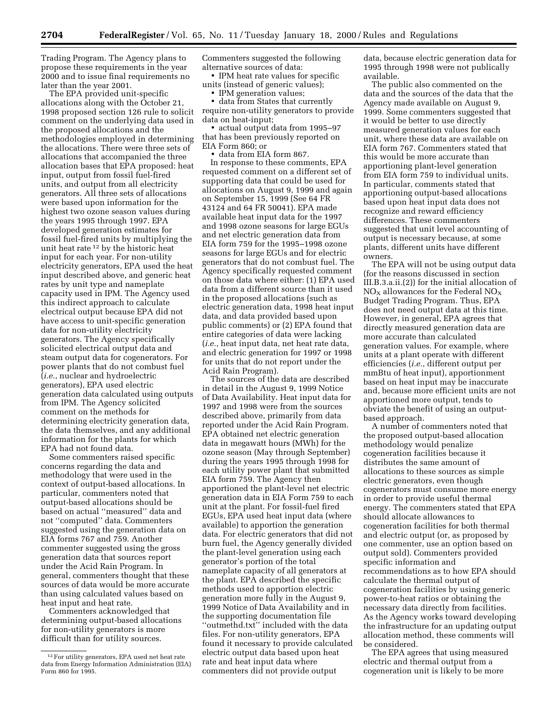Trading Program. The Agency plans to propose these requirements in the year 2000 and to issue final requirements no later than the year 2001.

The EPA provided unit-specific allocations along with the October 21, 1998 proposed section 126 rule to solicit comment on the underlying data used in the proposed allocations and the methodologies employed in determining the allocations. There were three sets of allocations that accompanied the three allocation bases that EPA proposed: heat input, output from fossil fuel-fired units, and output from all electricity generators. All three sets of allocations were based upon information for the highest two ozone season values during the years 1995 through 1997. EPA developed generation estimates for fossil fuel-fired units by multiplying the unit heat rate 12 by the historic heat input for each year. For non-utility electricity generators, EPA used the heat input described above, and generic heat rates by unit type and nameplate capacity used in IPM. The Agency used this indirect approach to calculate electrical output because EPA did not have access to unit-specific generation data for non-utility electricity generators. The Agency specifically solicited electrical output data and steam output data for cogenerators. For power plants that do not combust fuel (*i.e.*, nuclear and hydroelectric generators), EPA used electric generation data calculated using outputs from IPM. The Agency solicited comment on the methods for determining electricity generation data, the data themselves, and any additional information for the plants for which EPA had not found data.

Some commenters raised specific concerns regarding the data and methodology that were used in the context of output-based allocations. In particular, commenters noted that output-based allocations should be based on actual ''measured'' data and not ''computed'' data. Commenters suggested using the generation data on EIA forms 767 and 759. Another commenter suggested using the gross generation data that sources report under the Acid Rain Program. In general, commenters thought that these sources of data would be more accurate than using calculated values based on heat input and heat rate.

Commenters acknowledged that determining output-based allocations for non-utility generators is more difficult than for utility sources.

Commenters suggested the following alternative sources of data:

• IPM heat rate values for specific units (instead of generic values);

• IPM generation values;

• data from States that currently require non-utility generators to provide data on heat-input;

• actual output data from 1995–97 that has been previously reported on EIA Form 860; or

• data from EIA form 867.

In response to these comments, EPA requested comment on a different set of supporting data that could be used for allocations on August 9, 1999 and again on September 15, 1999 (See 64 FR 43124 and 64 FR 50041). EPA made available heat input data for the 1997 and 1998 ozone seasons for large EGUs and net electric generation data from EIA form 759 for the 1995–1998 ozone seasons for large EGUs and for electric generators that do not combust fuel. The Agency specifically requested comment on those data where either: (1) EPA used data from a different source than it used in the proposed allocations (such as electric generation data, 1998 heat input data, and data provided based upon public comments) or (2) EPA found that entire categories of data were lacking (*i.e.*, heat input data, net heat rate data, and electric generation for 1997 or 1998 for units that do not report under the Acid Rain Program).

The sources of the data are described in detail in the August 9, 1999 Notice of Data Availability. Heat input data for 1997 and 1998 were from the sources described above, primarily from data reported under the Acid Rain Program. EPA obtained net electric generation data in megawatt hours (MWh) for the ozone season (May through September) during the years 1995 through 1998 for each utility power plant that submitted EIA form 759. The Agency then apportioned the plant-level net electric generation data in EIA Form 759 to each unit at the plant. For fossil-fuel fired EGUs, EPA used heat input data (where available) to apportion the generation data. For electric generators that did not burn fuel, the Agency generally divided the plant-level generation using each generator's portion of the total nameplate capacity of all generators at the plant. EPA described the specific methods used to apportion electric generation more fully in the August 9, 1999 Notice of Data Availability and in the supporting documentation file ''outmethd.txt'' included with the data files. For non-utility generators, EPA found it necessary to provide calculated electric output data based upon heat rate and heat input data where commenters did not provide output

data, because electric generation data for 1995 through 1998 were not publically available.

The public also commented on the data and the sources of the data that the Agency made available on August 9, 1999. Some commenters suggested that it would be better to use directly measured generation values for each unit, where these data are available on EIA form 767. Commenters stated that this would be more accurate than apportioning plant-level generation from EIA form 759 to individual units. In particular, comments stated that apportioning output-based allocations based upon heat input data does not recognize and reward efficiency differences. These commenters suggested that unit level accounting of output is necessary because, at some plants, different units have different owners.

The EPA will not be using output data (for the reasons discussed in section III.B.3.a.ii.(2)) for the initial allocation of  $NO<sub>X</sub>$  allowances for the Federal  $NO<sub>X</sub>$ Budget Trading Program. Thus, EPA does not need output data at this time. However, in general, EPA agrees that directly measured generation data are more accurate than calculated generation values. For example, where units at a plant operate with different efficiencies (*i.e.*, different output per mmBtu of heat input), apportionment based on heat input may be inaccurate and, because more efficient units are not apportioned more output, tends to obviate the benefit of using an outputbased approach.

A number of commenters noted that the proposed output-based allocation methodology would penalize cogeneration facilities because it distributes the same amount of allocations to these sources as simple electric generators, even though cogenerators must consume more energy in order to provide useful thermal energy. The commenters stated that EPA should allocate allowances to cogeneration facilities for both thermal and electric output (or, as proposed by one commenter, use an option based on output sold). Commenters provided specific information and recommendations as to how EPA should calculate the thermal output of cogeneration facilities by using generic power-to-heat ratios or obtaining the necessary data directly from facilities. As the Agency works toward developing the infrastructure for an updating output allocation method, these comments will be considered.

The EPA agrees that using measured electric and thermal output from a cogeneration unit is likely to be more

<sup>&</sup>lt;sup>12</sup> For utility generators, EPA used net heat rate data from Energy Information Administration (EIA) Form 860 for 1995.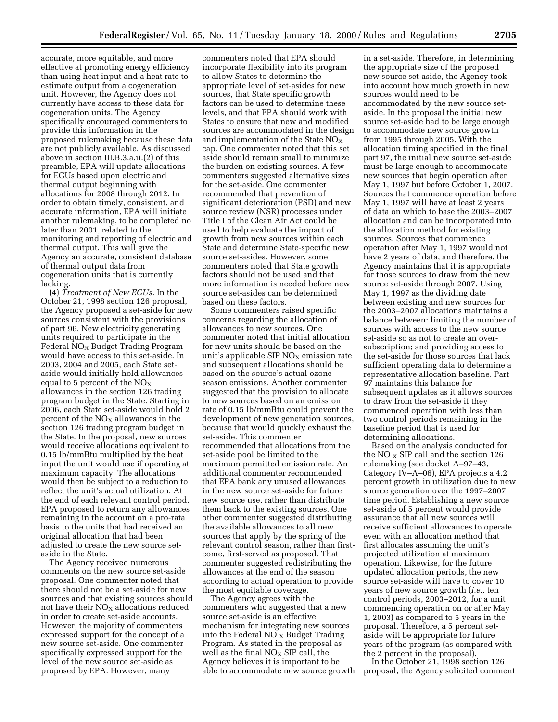accurate, more equitable, and more effective at promoting energy efficiency than using heat input and a heat rate to estimate output from a cogeneration unit. However, the Agency does not currently have access to these data for cogeneration units. The Agency specifically encouraged commenters to provide this information in the proposed rulemaking because these data are not publicly available. As discussed above in section III.B.3.a.ii.(2) of this preamble, EPA will update allocations for EGUs based upon electric and thermal output beginning with allocations for 2008 through 2012. In order to obtain timely, consistent, and accurate information, EPA will initiate another rulemaking, to be completed no later than 2001, related to the monitoring and reporting of electric and thermal output. This will give the Agency an accurate, consistent database of thermal output data from cogeneration units that is currently lacking.

(4) *Treatment of New EGUs.* In the October 21, 1998 section 126 proposal, the Agency proposed a set-aside for new sources consistent with the provisions of part 96. New electricity generating units required to participate in the Federal  $NO<sub>x</sub>$  Budget Trading Program would have access to this set-aside. In 2003, 2004 and 2005, each State setaside would initially hold allowances equal to 5 percent of the  $NO<sub>X</sub>$ allowances in the section 126 trading program budget in the State. Starting in 2006, each State set-aside would hold 2 percent of the  $NO<sub>x</sub>$  allowances in the section 126 trading program budget in the State. In the proposal, new sources would receive allocations equivalent to 0.15 lb/mmBtu multiplied by the heat input the unit would use if operating at maximum capacity. The allocations would then be subject to a reduction to reflect the unit's actual utilization. At the end of each relevant control period, EPA proposed to return any allowances remaining in the account on a pro-rata basis to the units that had received an original allocation that had been adjusted to create the new source setaside in the State.

The Agency received numerous comments on the new source set-aside proposal. One commenter noted that there should not be a set-aside for new sources and that existing sources should not have their  $N_{\rm X}$  allocations reduced in order to create set-aside accounts. However, the majority of commenters expressed support for the concept of a new source set-aside. One commenter specifically expressed support for the level of the new source set-aside as proposed by EPA. However, many

commenters noted that EPA should incorporate flexibility into its program to allow States to determine the appropriate level of set-asides for new sources, that State specific growth factors can be used to determine these levels, and that EPA should work with States to ensure that new and modified sources are accommodated in the design and implementation of the State  $NO<sub>x</sub>$ cap. One commenter noted that this set aside should remain small to minimize the burden on existing sources. A few commenters suggested alternative sizes for the set-aside. One commenter recommended that prevention of significant deterioration (PSD) and new source review (NSR) processes under Title I of the Clean Air Act could be used to help evaluate the impact of growth from new sources within each State and determine State-specific new source set-asides. However, some commenters noted that State growth factors should not be used and that more information is needed before new source set-asides can be determined based on these factors.

Some commenters raised specific concerns regarding the allocation of allowances to new sources. One commenter noted that initial allocation for new units should be based on the unit's applicable SIP  $NO<sub>x</sub>$  emission rate and subsequent allocations should be based on the source's actual ozoneseason emissions. Another commenter suggested that the provision to allocate to new sources based on an emission rate of 0.15 lb/mmBtu could prevent the development of new generation sources, because that would quickly exhaust the set-aside. This commenter recommended that allocations from the set-aside pool be limited to the maximum permitted emission rate. An additional commenter recommended that EPA bank any unused allowances in the new source set-aside for future new source use, rather than distribute them back to the existing sources. One other commenter suggested distributing the available allowances to all new sources that apply by the spring of the relevant control season, rather than firstcome, first-served as proposed. That commenter suggested redistributing the allowances at the end of the season according to actual operation to provide the most equitable coverage.

The Agency agrees with the commenters who suggested that a new source set-aside is an effective mechanism for integrating new sources into the Federal NO  $_X$  Budget Trading Program. As stated in the proposal as well as the final  $NO<sub>X</sub>$  SIP call, the Agency believes it is important to be able to accommodate new source growth in a set-aside. Therefore, in determining the appropriate size of the proposed new source set-aside, the Agency took into account how much growth in new sources would need to be accommodated by the new source setaside. In the proposal the initial new source set-aside had to be large enough to accommodate new source growth from 1995 through 2005. With the allocation timing specified in the final part 97, the initial new source set-aside must be large enough to accommodate new sources that begin operation after May 1, 1997 but before October 1, 2007. Sources that commence operation before May 1, 1997 will have at least 2 years of data on which to base the 2003–2007 allocation and can be incorporated into the allocation method for existing sources. Sources that commence operation after May 1, 1997 would not have 2 years of data, and therefore, the Agency maintains that it is appropriate for those sources to draw from the new source set-aside through 2007. Using May 1, 1997 as the dividing date between existing and new sources for the 2003–2007 allocations maintains a balance between: limiting the number of sources with access to the new source set-aside so as not to create an oversubscription; and providing access to the set-aside for those sources that lack sufficient operating data to determine a representative allocation baseline. Part 97 maintains this balance for subsequent updates as it allows sources to draw from the set-aside if they commenced operation with less than two control periods remaining in the baseline period that is used for determining allocations.

Based on the analysis conducted for the NO  $_{\rm X}$  SIP call and the section 126 rulemaking (see docket A–97–43, Category IV–A–06), EPA projects a 4.2 percent growth in utilization due to new source generation over the 1997–2007 time period. Establishing a new source set-aside of 5 percent would provide assurance that all new sources will receive sufficient allowances to operate even with an allocation method that first allocates assuming the unit's projected utilization at maximum operation. Likewise, for the future updated allocation periods, the new source set-aside will have to cover 10 years of new source growth (*i.e.,* ten control periods, 2003–2012, for a unit commencing operation on or after May 1, 2003) as compared to 5 years in the proposal. Therefore, a 5 percent setaside will be appropriate for future years of the program (as compared with the 2 percent in the proposal).

In the October 21, 1998 section 126 proposal, the Agency solicited comment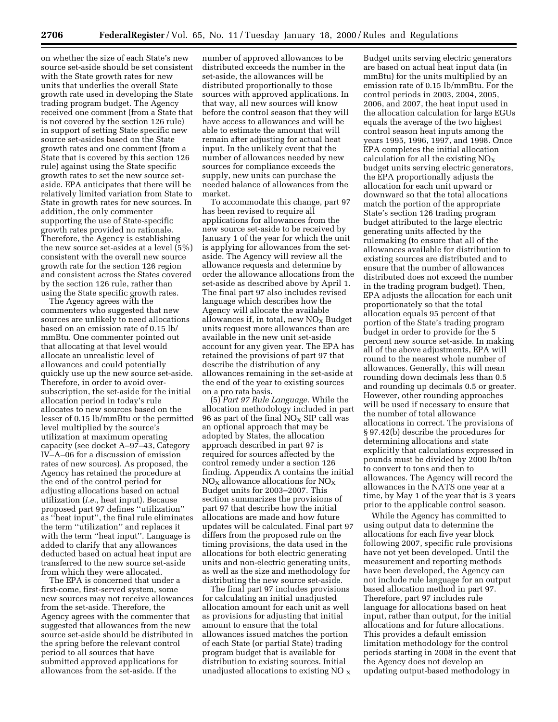on whether the size of each State's new source set-aside should be set consistent with the State growth rates for new units that underlies the overall State growth rate used in developing the State trading program budget. The Agency received one comment (from a State that is not covered by the section 126 rule) in support of setting State specific new source set-asides based on the State growth rates and one comment (from a State that is covered by this section 126 rule) against using the State specific growth rates to set the new source setaside. EPA anticipates that there will be relatively limited variation from State to State in growth rates for new sources. In addition, the only commenter supporting the use of State-specific growth rates provided no rationale. Therefore, the Agency is establishing the new source set-asides at a level (5%) consistent with the overall new source growth rate for the section 126 region and consistent across the States covered by the section 126 rule, rather than using the State specific growth rates.

The Agency agrees with the commenters who suggested that new sources are unlikely to need allocations based on an emission rate of 0.15 lb/ mmBtu. One commenter pointed out that allocating at that level would allocate an unrealistic level of allowances and could potentially quickly use up the new source set-aside. Therefore, in order to avoid oversubscription, the set-aside for the initial allocation period in today's rule allocates to new sources based on the lesser of 0.15 lb/mmBtu or the permitted level multiplied by the source's utilization at maximum operating capacity (see docket A–97–43, Category IV–A–06 for a discussion of emission rates of new sources). As proposed, the Agency has retained the procedure at the end of the control period for adjusting allocations based on actual utilization (*i.e.,* heat input). Because proposed part 97 defines ''utilization'' as ''heat input'', the final rule eliminates the term ''utilization'' and replaces it with the term ''heat input''. Language is added to clarify that any allowances deducted based on actual heat input are transferred to the new source set-aside from which they were allocated.

The EPA is concerned that under a first-come, first-served system, some new sources may not receive allowances from the set-aside. Therefore, the Agency agrees with the commenter that suggested that allowances from the new source set-aside should be distributed in the spring before the relevant control period to all sources that have submitted approved applications for allowances from the set-aside. If the

number of approved allowances to be distributed exceeds the number in the set-aside, the allowances will be distributed proportionally to those sources with approved applications. In that way, all new sources will know before the control season that they will have access to allowances and will be able to estimate the amount that will remain after adjusting for actual heat input. In the unlikely event that the number of allowances needed by new sources for compliance exceeds the supply, new units can purchase the needed balance of allowances from the market.

To accommodate this change, part 97 has been revised to require all applications for allowances from the new source set-aside to be received by January 1 of the year for which the unit is applying for allowances from the setaside. The Agency will review all the allowance requests and determine by order the allowance allocations from the set-aside as described above by April 1. The final part 97 also includes revised language which describes how the Agency will allocate the available allowances if, in total, new  $NO<sub>x</sub>$  Budget units request more allowances than are available in the new unit set-aside account for any given year. The EPA has retained the provisions of part 97 that describe the distribution of any allowances remaining in the set-aside at the end of the year to existing sources on a pro rata basis.

(5) *Part 97 Rule Language.* While the allocation methodology included in part 96 as part of the final  $NO<sub>X</sub>$  SIP call was an optional approach that may be adopted by States, the allocation approach described in part 97 is required for sources affected by the control remedy under a section 126 finding. Appendix A contains the initial  $NO<sub>X</sub>$  allowance allocations for  $NO<sub>X</sub>$ Budget units for 2003–2007. This section summarizes the provisions of part 97 that describe how the initial allocations are made and how future updates will be calculated. Final part 97 differs from the proposed rule on the timing provisions, the data used in the allocations for both electric generating units and non-electric generating units, as well as the size and methodology for distributing the new source set-aside.

The final part 97 includes provisions for calculating an initial unadjusted allocation amount for each unit as well as provisions for adjusting that initial amount to ensure that the total allowances issued matches the portion of each State (or partial State) trading program budget that is available for distribution to existing sources. Initial unadjusted allocations to existing  $NO<sub>x</sub>$ 

Budget units serving electric generators are based on actual heat input data (in mmBtu) for the units multiplied by an emission rate of 0.15 lb/mmBtu. For the control periods in 2003, 2004, 2005, 2006, and 2007, the heat input used in the allocation calculation for large EGUs equals the average of the two highest control season heat inputs among the years 1995, 1996, 1997, and 1998. Once EPA completes the initial allocation calculation for all the existing  $NO<sub>x</sub>$ budget units serving electric generators, the EPA proportionally adjusts the allocation for each unit upward or downward so that the total allocations match the portion of the appropriate State's section 126 trading program budget attributed to the large electric generating units affected by the rulemaking (to ensure that all of the allowances available for distribution to existing sources are distributed and to ensure that the number of allowances distributed does not exceed the number in the trading program budget). Then, EPA adjusts the allocation for each unit proportionately so that the total allocation equals 95 percent of that portion of the State's trading program budget in order to provide for the 5 percent new source set-aside. In making all of the above adjustments, EPA will round to the nearest whole number of allowances. Generally, this will mean rounding down decimals less than 0.5 and rounding up decimals 0.5 or greater. However, other rounding approaches will be used if necessary to ensure that the number of total allowance allocations in correct. The provisions of § 97.42(b) describe the procedures for determining allocations and state explicitly that calculations expressed in pounds must be divided by 2000 lb/ton to convert to tons and then to allowances. The Agency will record the allowances in the NATS one year at a time, by May 1 of the year that is 3 years prior to the applicable control season.

While the Agency has committed to using output data to determine the allocations for each five year block following 2007, specific rule provisions have not yet been developed. Until the measurement and reporting methods have been developed, the Agency can not include rule language for an output based allocation method in part 97. Therefore, part 97 includes rule language for allocations based on heat input, rather than output, for the initial allocations and for future allocations. This provides a default emission limitation methodology for the control periods starting in 2008 in the event that the Agency does not develop an updating output-based methodology in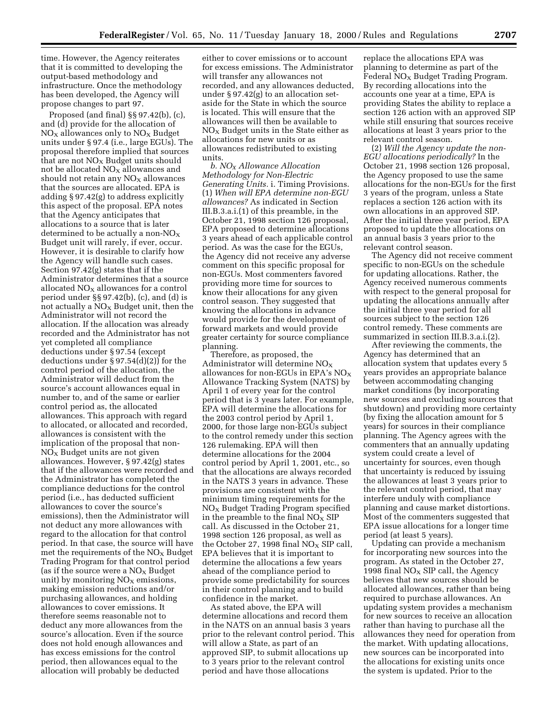time. However, the Agency reiterates that it is committed to developing the output-based methodology and infrastructure. Once the methodology has been developed, the Agency will propose changes to part 97.

Proposed (and final) §§ 97.42(b), (c), and (d) provide for the allocation of  $NO<sub>X</sub>$  allowances only to  $NO<sub>X</sub>$  Budget units under § 97.4 (i.e., large EGUs). The proposal therefore implied that sources that are not  $NO<sub>x</sub>$  Budget units should not be allocated  $NO<sub>X</sub>$  allowances and should not retain any  $NO<sub>X</sub>$  allowances that the sources are allocated. EPA is adding § 97.42(g) to address explicitly this aspect of the proposal. EPA notes that the Agency anticipates that allocations to a source that is later determined to be actually a non- $NO_X$ Budget unit will rarely, if ever, occur. However, it is desirable to clarify how the Agency will handle such cases. Section 97.42(g) states that if the Administrator determines that a source allocated  $NO<sub>X</sub>$  allowances for a control period under §§ 97.42(b), (c), and (d) is not actually a  $NO<sub>x</sub>$  Budget unit, then the Administrator will not record the allocation. If the allocation was already recorded and the Administrator has not yet completed all compliance deductions under § 97.54 (except deductions under § 97.54(d)(2)) for the control period of the allocation, the Administrator will deduct from the source's account allowances equal in number to, and of the same or earlier control period as, the allocated allowances. This approach with regard to allocated, or allocated and recorded, allowances is consistent with the implication of the proposal that non- $NO<sub>x</sub>$  Budget units are not given allowances. However, § 97.42(g) states that if the allowances were recorded and the Administrator has completed the compliance deductions for the control period (i.e., has deducted sufficient allowances to cover the source's emissions), then the Administrator will not deduct any more allowances with regard to the allocation for that control period. In that case, the source will have met the requirements of the  $NO_X$  Budget Trading Program for that control period (as if the source were a  $NO<sub>x</sub>$  Budget unit) by monitoring  $NO<sub>x</sub>$  emissions, making emission reductions and/or purchasing allowances, and holding allowances to cover emissions. It therefore seems reasonable not to deduct any more allowances from the source's allocation. Even if the source does not hold enough allowances and has excess emissions for the control period, then allowances equal to the allocation will probably be deducted

either to cover emissions or to account for excess emissions. The Administrator will transfer any allowances not recorded, and any allowances deducted, under § 97.42(g) to an allocation setaside for the State in which the source is located. This will ensure that the allowances will then be available to  $NO<sub>x</sub>$  Budget units in the State either as allocations for new units or as allowances redistributed to existing units.

*b. NOX Allowance Allocation Methodology for Non-Electric Generating Units.* i. Timing Provisions. (1) *When will EPA determine non-EGU allowances?* As indicated in Section III.B.3.a.i.(1) of this preamble, in the October 21, 1998 section 126 proposal, EPA proposed to determine allocations 3 years ahead of each applicable control period. As was the case for the EGUs, the Agency did not receive any adverse comment on this specific proposal for non-EGUs. Most commenters favored providing more time for sources to know their allocations for any given control season. They suggested that knowing the allocations in advance would provide for the development of forward markets and would provide greater certainty for source compliance planning.

Therefore, as proposed, the Administrator will determine  $NO<sub>x</sub>$ allowances for non-EGUs in EPA's  $NO<sub>x</sub>$ Allowance Tracking System (NATS) by April 1 of every year for the control period that is 3 years later. For example, EPA will determine the allocations for the 2003 control period by April 1, 2000, for those large non-EGUs subject to the control remedy under this section 126 rulemaking. EPA will then determine allocations for the 2004 control period by April 1, 2001, etc., so that the allocations are always recorded in the NATS 3 years in advance. These provisions are consistent with the minimum timing requirements for the NOX Budget Trading Program specified in the preamble to the final  $NO_X$  SIP call. As discussed in the October 21, 1998 section 126 proposal, as well as the October 27, 1998 final  $NO<sub>x</sub>$  SIP call, EPA believes that it is important to determine the allocations a few years ahead of the compliance period to provide some predictability for sources in their control planning and to build confidence in the market.

As stated above, the EPA will determine allocations and record them in the NATS on an annual basis 3 years prior to the relevant control period. This will allow a State, as part of an approved SIP, to submit allocations up to 3 years prior to the relevant control period and have those allocations

replace the allocations EPA was planning to determine as part of the Federal  $NO<sub>x</sub>$  Budget Trading Program. By recording allocations into the accounts one year at a time, EPA is providing States the ability to replace a section 126 action with an approved SIP while still ensuring that sources receive allocations at least 3 years prior to the relevant control season.

(2) *Will the Agency update the non-EGU allocations periodically?* In the October 21, 1998 section 126 proposal, the Agency proposed to use the same allocations for the non-EGUs for the first 3 years of the program, unless a State replaces a section 126 action with its own allocations in an approved SIP. After the initial three year period, EPA proposed to update the allocations on an annual basis 3 years prior to the relevant control season.

The Agency did not receive comment specific to non-EGUs on the schedule for updating allocations. Rather, the Agency received numerous comments with respect to the general proposal for updating the allocations annually after the initial three year period for all sources subject to the section 126 control remedy. These comments are summarized in section III.B.3.a.i.(2).

After reviewing the comments, the Agency has determined that an allocation system that updates every 5 years provides an appropriate balance between accommodating changing market conditions (by incorporating new sources and excluding sources that shutdown) and providing more certainty (by fixing the allocation amount for 5 years) for sources in their compliance planning. The Agency agrees with the commenters that an annually updating system could create a level of uncertainty for sources, even though that uncertainty is reduced by issuing the allowances at least 3 years prior to the relevant control period, that may interfere unduly with compliance planning and cause market distortions. Most of the commenters suggested that EPA issue allocations for a longer time period (at least 5 years).

Updating can provide a mechanism for incorporating new sources into the program. As stated in the October 27, 1998 final  $NO<sub>X</sub>$  SIP call, the Agency believes that new sources should be allocated allowances, rather than being required to purchase allowances. An updating system provides a mechanism for new sources to receive an allocation rather than having to purchase all the allowances they need for operation from the market. With updating allocations, new sources can be incorporated into the allocations for existing units once the system is updated. Prior to the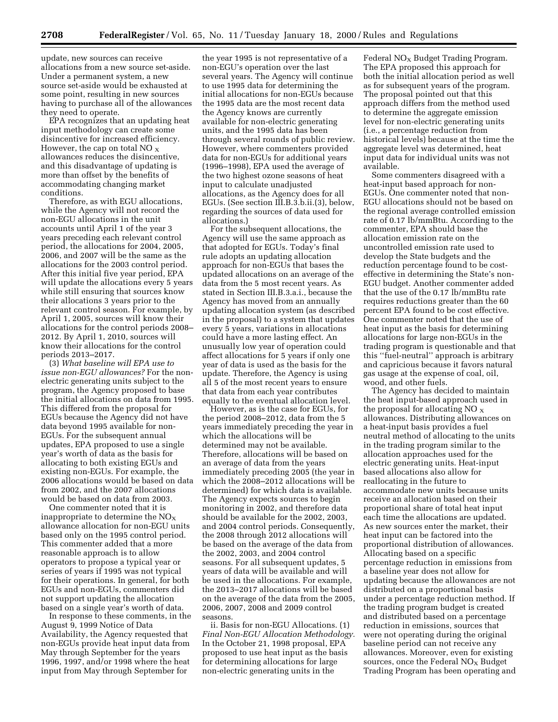update, new sources can receive allocations from a new source set-aside. Under a permanent system, a new source set-aside would be exhausted at some point, resulting in new sources having to purchase all of the allowances they need to operate.

EPA recognizes that an updating heat input methodology can create some disincentive for increased efficiency. However, the cap on total NO  $_{\rm X}$ allowances reduces the disincentive, and this disadvantage of updating is more than offset by the benefits of accommodating changing market conditions.

Therefore, as with EGU allocations, while the Agency will not record the non-EGU allocations in the unit accounts until April 1 of the year 3 years preceding each relevant control period, the allocations for 2004, 2005, 2006, and 2007 will be the same as the allocations for the 2003 control period. After this initial five year period, EPA will update the allocations every 5 years while still ensuring that sources know their allocations 3 years prior to the relevant control season. For example, by April 1, 2005, sources will know their allocations for the control periods 2008– 2012. By April 1, 2010, sources will know their allocations for the control periods 2013–2017.

(3) *What baseline will EPA use to issue non-EGU allowances?* For the nonelectric generating units subject to the program, the Agency proposed to base the initial allocations on data from 1995. This differed from the proposal for EGUs because the Agency did not have data beyond 1995 available for non-EGUs. For the subsequent annual updates, EPA proposed to use a single year's worth of data as the basis for allocating to both existing EGUs and existing non-EGUs. For example, the 2006 allocations would be based on data from 2002, and the 2007 allocations would be based on data from 2003.

One commenter noted that it is inappropriate to determine the  $NO<sub>x</sub>$ allowance allocation for non-EGU units based only on the 1995 control period. This commenter added that a more reasonable approach is to allow operators to propose a typical year or series of years if 1995 was not typical for their operations. In general, for both EGUs and non-EGUs, commenters did not support updating the allocation based on a single year's worth of data.

In response to these comments, in the August 9, 1999 Notice of Data Availability, the Agency requested that non-EGUs provide heat input data from May through September for the years 1996, 1997, and/or 1998 where the heat input from May through September for

the year 1995 is not representative of a non-EGU's operation over the last several years. The Agency will continue to use 1995 data for determining the initial allocations for non-EGUs because the 1995 data are the most recent data the Agency knows are currently available for non-electric generating units, and the 1995 data has been through several rounds of public review. However, where commenters provided data for non-EGUs for additional years (1996–1998), EPA used the average of the two highest ozone seasons of heat input to calculate unadjusted allocations, as the Agency does for all EGUs. (See section III.B.3.b.ii.(3), below, regarding the sources of data used for allocations.)

For the subsequent allocations, the Agency will use the same approach as that adopted for EGUs. Today's final rule adopts an updating allocation approach for non-EGUs that bases the updated allocations on an average of the data from the 5 most recent years. As stated in Section III.B.3.a.i., because the Agency has moved from an annually updating allocation system (as described in the proposal) to a system that updates every 5 years, variations in allocations could have a more lasting effect. An unusually low year of operation could affect allocations for 5 years if only one year of data is used as the basis for the update. Therefore, the Agency is using all 5 of the most recent years to ensure that data from each year contributes equally to the eventual allocation level.

However, as is the case for EGUs, for the period 2008–2012, data from the 5 years immediately preceding the year in which the allocations will be determined may not be available. Therefore, allocations will be based on an average of data from the years immediately preceding 2005 (the year in which the 2008–2012 allocations will be determined) for which data is available. The Agency expects sources to begin monitoring in 2002, and therefore data should be available for the 2002, 2003, and 2004 control periods. Consequently, the 2008 through 2012 allocations will be based on the average of the data from the 2002, 2003, and 2004 control seasons. For all subsequent updates, 5 years of data will be available and will be used in the allocations. For example, the 2013–2017 allocations will be based on the average of the data from the 2005, 2006, 2007, 2008 and 2009 control seasons.

ii. Basis for non-EGU Allocations. (1) *Final Non-EGU Allocation Methodology.* In the October 21, 1998 proposal, EPA proposed to use heat input as the basis for determining allocations for large non-electric generating units in the

Federal  $NO<sub>x</sub>$  Budget Trading Program. The EPA proposed this approach for both the initial allocation period as well as for subsequent years of the program. The proposal pointed out that this approach differs from the method used to determine the aggregate emission level for non-electric generating units (i.e., a percentage reduction from historical levels) because at the time the aggregate level was determined, heat input data for individual units was not available.

Some commenters disagreed with a heat-input based approach for non-EGUs. One commenter noted that non-EGU allocations should not be based on the regional average controlled emission rate of 0.17 lb/mmBtu. According to the commenter, EPA should base the allocation emission rate on the uncontrolled emission rate used to develop the State budgets and the reduction percentage found to be costeffective in determining the State's non-EGU budget. Another commenter added that the use of the 0.17 lb/mmBtu rate requires reductions greater than the 60 percent EPA found to be cost effective. One commenter noted that the use of heat input as the basis for determining allocations for large non-EGUs in the trading program is questionable and that this ''fuel-neutral'' approach is arbitrary and capricious because it favors natural gas usage at the expense of coal, oil, wood, and other fuels.

The Agency has decided to maintain the heat input-based approach used in the proposal for allocating NO  $_X$ allowances. Distributing allowances on a heat-input basis provides a fuel neutral method of allocating to the units in the trading program similar to the allocation approaches used for the electric generating units. Heat-input based allocations also allow for reallocating in the future to accommodate new units because units receive an allocation based on their proportional share of total heat input each time the allocations are updated. As new sources enter the market, their heat input can be factored into the proportional distribution of allowances. Allocating based on a specific percentage reduction in emissions from a baseline year does not allow for updating because the allowances are not distributed on a proportional basis under a percentage reduction method. If the trading program budget is created and distributed based on a percentage reduction in emissions, sources that were not operating during the original baseline period can not receive any allowances. Moreover, even for existing sources, once the Federal  $NO<sub>x</sub>$  Budget Trading Program has been operating and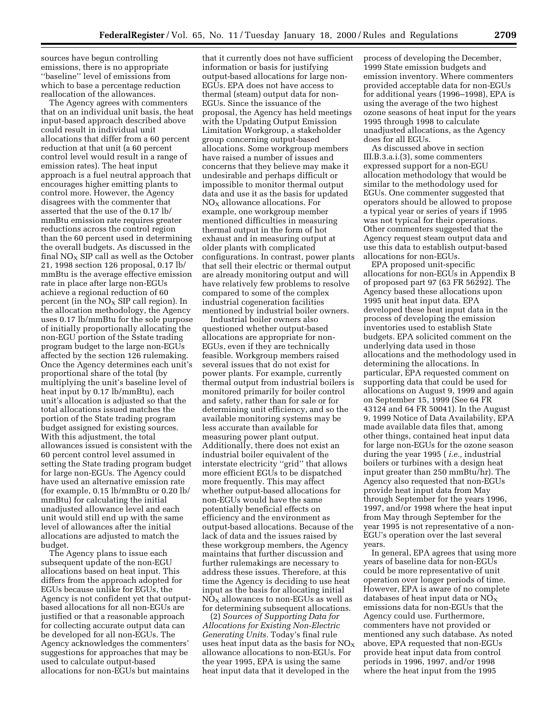sources have begun controlling emissions, there is no appropriate ''baseline'' level of emissions from which to base a percentage reduction reallocation of the allowances.

The Agency agrees with commenters that on an individual unit basis, the heat input-based approach described above could result in individual unit allocations that differ from a 60 percent reduction at that unit (a 60 percent control level would result in a range of emission rates). The heat input approach is a fuel neutral approach that encourages higher emitting plants to control more. However, the Agency disagrees with the commenter that asserted that the use of the 0.17 lb/ mmBtu emission rate requires greater reductions across the control region than the 60 percent used in determining the overall budgets. As discussed in the final  $NO<sub>X</sub>$  SIP call as well as the October 21, 1998 section 126 proposal, 0.17 lb/ mmBtu is the average effective emission rate in place after large non-EGUs achieve a regional reduction of 60 percent (in the  $NO<sub>x</sub>$  SIP call region). In the allocation methodology, the Agency uses 0.17 lb/mmBtu for the sole purpose of initially proportionally allocating the non-EGU portion of the Sstate trading program budget to the large non-EGUs affected by the section 126 rulemaking. Once the Agency determines each unit's proportional share of the total (by multiplying the unit's baseline level of heat input by 0.17 lb/mmBtu), each unit's allocation is adjusted so that the total allocations issued matches the portion of the State trading program budget assigned for existing sources. With this adjustment, the total allowances issued is consistent with the 60 percent control level assumed in setting the State trading program budget for large non-EGUs. The Agency could have used an alternative emission rate (for example, 0.15 lb/mmBtu or 0.20 lb/ mmBtu) for calculating the initial unadjusted allowance level and each unit would still end up with the same level of allowances after the initial allocations are adjusted to match the budget.

The Agency plans to issue each subsequent update of the non-EGU allocations based on heat input. This differs from the approach adopted for EGUs because unlike for EGUs, the Agency is not confident yet that outputbased allocations for all non-EGUs are justified or that a reasonable approach for collecting accurate output data can be developed for all non-EGUs. The Agency acknowledges the commenters' suggestions for approaches that may be used to calculate output-based allocations for non-EGUs but maintains

that it currently does not have sufficient information or basis for justifying output-based allocations for large non-EGUs. EPA does not have access to thermal (steam) output data for non-EGUs. Since the issuance of the proposal, the Agency has held meetings with the Updating Output Emission Limitation Workgroup, a stakeholder group concerning output-based allocations. Some workgroup members have raised a number of issues and concerns that they believe may make it undesirable and perhaps difficult or impossible to monitor thermal output data and use it as the basis for updated  $NO<sub>X</sub>$  allowance allocations. For example, one workgroup member mentioned difficulties in measuring thermal output in the form of hot exhaust and in measuring output at older plants with complicated configurations. In contrast, power plants that sell their electric or thermal output are already monitoring output and will have relatively few problems to resolve compared to some of the complex industrial cogeneration facilities mentioned by industrial boiler owners.

Industrial boiler owners also questioned whether output-based allocations are appropriate for non-EGUs, even if they are technically feasible. Workgroup members raised several issues that do not exist for power plants. For example, currently thermal output from industrial boilers is monitored primarily for boiler control and safety, rather than for sale or for determining unit efficiency, and so the available monitoring systems may be less accurate than available for measuring power plant output. Additionally, there does not exist an industrial boiler equivalent of the interstate electricity ''grid'' that allows more efficient EGUs to be dispatched more frequently. This may affect whether output-based allocations for non-EGUs would have the same potentially beneficial effects on efficiency and the environment as output-based allocations. Because of the lack of data and the issues raised by these workgroup members, the Agency maintains that further discussion and further rulemakings are necessary to address these issues. Therefore, at this time the Agency is deciding to use heat input as the basis for allocating initial  $NO<sub>x</sub>$  allowances to non-EGUs as well as for determining subsequent allocations.

(2) *Sources of Supporting Data for Allocations for Existing Non-Electric Generating Units.* Today's final rule uses heat input data as the basis for  $NO_X$ allowance allocations to non-EGUs. For the year 1995, EPA is using the same heat input data that it developed in the

process of developing the December, 1999 State emission budgets and emission inventory. Where commenters provided acceptable data for non-EGUs for additional years (1996–1998), EPA is using the average of the two highest ozone seasons of heat input for the years 1995 through 1998 to calculate unadjusted allocations, as the Agency does for all EGUs.

As discussed above in section III.B.3.a.i.(3), some commenters expressed support for a non-EGU allocation methodology that would be similar to the methodology used for EGUs. One commenter suggested that operators should be allowed to propose a typical year or series of years if 1995 was not typical for their operations. Other commenters suggested that the Agency request steam output data and use this data to establish output-based allocations for non-EGUs.

EPA proposed unit-specific allocations for non-EGUs in Appendix B of proposed part 97 (63 FR 56292). The Agency based these allocations upon 1995 unit heat input data. EPA developed these heat input data in the process of developing the emission inventories used to establish State budgets. EPA solicited comment on the underlying data used in those allocations and the methodology used in determining the allocations. In particular, EPA requested comment on supporting data that could be used for allocations on August 9, 1999 and again on September 15, 1999 (See 64 FR 43124 and 64 FR 50041). In the August 9, 1999 Notice of Data Availability, EPA made available data files that, among other things, contained heat input data for large non-EGUs for the ozone season during the year 1995 ( *i.e.,* industrial boilers or turbines with a design heat input greater than 250 mmBtu/hr). The Agency also requested that non-EGUs provide heat input data from May through September for the years 1996, 1997, and/or 1998 where the heat input from May through September for the year 1995 is not representative of a non-EGU's operation over the last several years.

In general, EPA agrees that using more years of baseline data for non-EGUs could be more representative of unit operation over longer periods of time. However, EPA is aware of no complete databases of heat input data or  $NO_X$ emissions data for non-EGUs that the Agency could use. Furthermore, commenters have not provided or mentioned any such database. As noted above, EPA requested that non-EGUs provide heat input data from control periods in 1996, 1997, and/or 1998 where the heat input from the 1995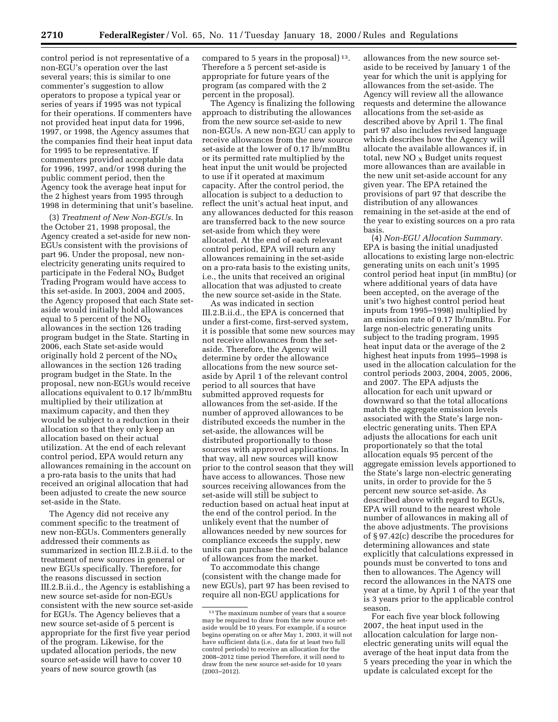control period is not representative of a non-EGU's operation over the last several years; this is similar to one commenter's suggestion to allow operators to propose a typical year or series of years if 1995 was not typical for their operations. If commenters have not provided heat input data for 1996, 1997, or 1998, the Agency assumes that the companies find their heat input data for 1995 to be representative. If commenters provided acceptable data for 1996, 1997, and/or 1998 during the public comment period, then the Agency took the average heat input for the 2 highest years from 1995 through 1998 in determining that unit's baseline.

(3) *Treatment of New Non-EGUs.* In the October 21, 1998 proposal, the Agency created a set-aside for new non-EGUs consistent with the provisions of part 96. Under the proposal, new nonelectricity generating units required to participate in the Federal  $NO<sub>x</sub>$  Budget Trading Program would have access to this set-aside. In 2003, 2004 and 2005, the Agency proposed that each State setaside would initially hold allowances equal to 5 percent of the  $NO<sub>x</sub>$ allowances in the section 126 trading program budget in the State. Starting in 2006, each State set-aside would originally hold 2 percent of the  $NO<sub>X</sub>$ allowances in the section 126 trading program budget in the State. In the proposal, new non-EGUs would receive allocations equivalent to 0.17 lb/mmBtu multiplied by their utilization at maximum capacity, and then they would be subject to a reduction in their allocation so that they only keep an allocation based on their actual utilization. At the end of each relevant control period, EPA would return any allowances remaining in the account on a pro-rata basis to the units that had received an original allocation that had been adjusted to create the new source set-aside in the State.

The Agency did not receive any comment specific to the treatment of new non-EGUs. Commenters generally addressed their comments as summarized in section III.2.B.ii.d. to the treatment of new sources in general or new EGUs specifically. Therefore, for the reasons discussed in section III.2.B.ii.d., the Agency is establishing a new source set-aside for non-EGUs consistent with the new source set-aside for EGUs. The Agency believes that a new source set-aside of 5 percent is appropriate for the first five year period of the program. Likewise, for the updated allocation periods, the new source set-aside will have to cover 10 years of new source growth (as

compared to 5 years in the proposal) 13. Therefore a 5 percent set-aside is appropriate for future years of the program (as compared with the 2 percent in the proposal).

The Agency is finalizing the following approach to distributing the allowances from the new source set-aside to new non-EGUs. A new non-EGU can apply to receive allowances from the new source set-aside at the lower of 0.17 lb/mmBtu or its permitted rate multiplied by the heat input the unit would be projected to use if it operated at maximum capacity. After the control period, the allocation is subject to a deduction to reflect the unit's actual heat input, and any allowances deducted for this reason are transferred back to the new source set-aside from which they were allocated. At the end of each relevant control period, EPA will return any allowances remaining in the set-aside on a pro-rata basis to the existing units, i.e., the units that received an original allocation that was adjusted to create the new source set-aside in the State.

As was indicated in section III.2.B.ii.d., the EPA is concerned that under a first-come, first-served system, it is possible that some new sources may not receive allowances from the setaside. Therefore, the Agency will determine by order the allowance allocations from the new source setaside by April 1 of the relevant control period to all sources that have submitted approved requests for allowances from the set-aside. If the number of approved allowances to be distributed exceeds the number in the set-aside, the allowances will be distributed proportionally to those sources with approved applications. In that way, all new sources will know prior to the control season that they will have access to allowances. Those new sources receiving allowances from the set-aside will still be subject to reduction based on actual heat input at the end of the control period. In the unlikely event that the number of allowances needed by new sources for compliance exceeds the supply, new units can purchase the needed balance of allowances from the market.

To accommodate this change (consistent with the change made for new EGUs), part 97 has been revised to require all non-EGU applications for

allowances from the new source setaside to be received by January 1 of the year for which the unit is applying for allowances from the set-aside. The Agency will review all the allowance requests and determine the allowance allocations from the set-aside as described above by April 1. The final part 97 also includes revised language which describes how the Agency will allocate the available allowances if, in total, new  $NO_{\mathbf{X}}$  Budget units request more allowances than are available in the new unit set-aside account for any given year. The EPA retained the provisions of part 97 that describe the distribution of any allowances remaining in the set-aside at the end of the year to existing sources on a pro rata basis.

(4) *Non-EGU Allocation Summary.* EPA is basing the initial unadjusted allocations to existing large non-electric generating units on each unit's 1995 control period heat input (in mmBtu) (or where additional years of data have been accepted, on the average of the unit's two highest control period heat inputs from 1995–1998) multiplied by an emission rate of 0.17 lb/mmBtu. For large non-electric generating units subject to the trading program, 1995 heat input data or the average of the 2 highest heat inputs from 1995–1998 is used in the allocation calculation for the control periods 2003, 2004, 2005, 2006, and 2007. The EPA adjusts the allocation for each unit upward or downward so that the total allocations match the aggregate emission levels associated with the State's large nonelectric generating units. Then EPA adjusts the allocations for each unit proportionately so that the total allocation equals 95 percent of the aggregate emission levels apportioned to the State's large non-electric generating units, in order to provide for the 5 percent new source set-aside. As described above with regard to EGUs, EPA will round to the nearest whole number of allowances in making all of the above adjustments. The provisions of § 97.42(c) describe the procedures for determining allowances and state explicitly that calculations expressed in pounds must be converted to tons and then to allowances. The Agency will record the allowances in the NATS one year at a time, by April 1 of the year that is 3 years prior to the applicable control season.

For each five year block following 2007, the heat input used in the allocation calculation for large nonelectric generating units will equal the average of the heat input data from the 5 years preceding the year in which the update is calculated except for the

<sup>13</sup>The maximum number of years that a source may be required to draw from the new source setaside would be 10 years. For example, if a source begins operating on or after May 1, 2003, it will not have sufficient data (i.e., data for at least two full control periods) to receive an allocation for the 2008–2012 time period Therefore, it will need to draw from the new source set-aside for 10 years (2003–2012).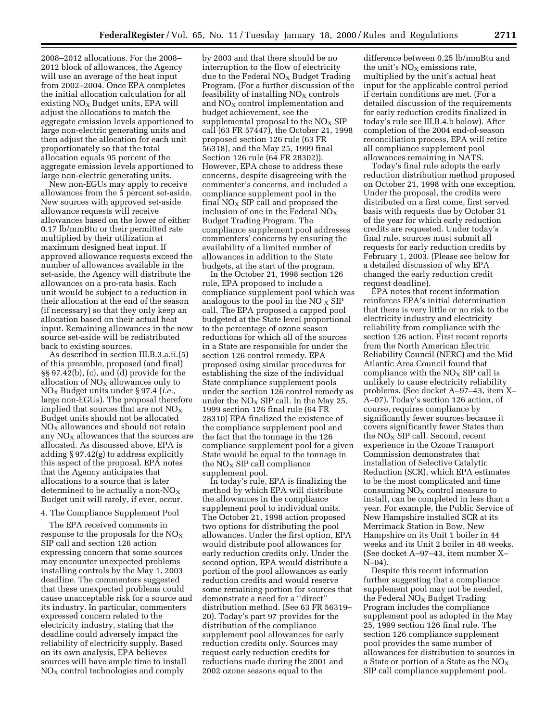2008–2012 allocations. For the 2008– 2012 block of allowances, the Agency will use an average of the heat input from 2002–2004. Once EPA completes the initial allocation calculation for all existing  $NO<sub>x</sub>$  Budget units, EPA will adjust the allocations to match the aggregate emission levels apportioned to large non-electric generating units and then adjust the allocation for each unit proportionately so that the total allocation equals 95 percent of the aggregate emission levels apportioned to large non-electric generating units.

New non-EGUs may apply to receive allowances from the 5 percent set-aside. New sources with approved set-aside allowance requests will receive allowances based on the lower of either 0.17 lb/mmBtu or their permitted rate multiplied by their utilization at maximum designed heat input. If approved allowance requests exceed the number of allowances available in the set-aside, the Agency will distribute the allowances on a pro-rata basis. Each unit would be subject to a reduction in their allocation at the end of the season (if necessary) so that they only keep an allocation based on their actual heat input. Remaining allowances in the new source set-aside will be redistributed back to existing sources.

As described in section III.B.3.a.ii.(5) of this preamble, proposed (and final) §§ 97.42(b), (c), and (d) provide for the allocation of  $NO<sub>X</sub>$  allowances only to NOX Budget units under § 97.4 (*i.e.,* large non-EGUs). The proposal therefore implied that sources that are not  $NO<sub>x</sub>$ Budget units should not be allocated  $NO<sub>X</sub>$  allowances and should not retain any  $NO<sub>x</sub>$  allowances that the sources are allocated. As discussed above, EPA is adding § 97.42(g) to address explicitly this aspect of the proposal. EPA notes that the Agency anticipates that allocations to a source that is later determined to be actually a non- $NO_X$ Budget unit will rarely, if ever, occur.

# 4. The Compliance Supplement Pool

The EPA received comments in response to the proposals for the  $NO<sub>x</sub>$ SIP call and section 126 action expressing concern that some sources may encounter unexpected problems installing controls by the May 1, 2003 deadline. The commenters suggested that these unexpected problems could cause unacceptable risk for a source and its industry. In particular, commenters expressed concern related to the electricity industry, stating that the deadline could adversely impact the reliability of electricity supply. Based on its own analysis, EPA believes sources will have ample time to install  $NO<sub>X</sub>$  control technologies and comply

by 2003 and that there should be no interruption to the flow of electricity due to the Federal  $NO<sub>X</sub>$  Budget Trading Program. (For a further discussion of the feasibility of installing  $NO<sub>x</sub>$  controls and  $NO<sub>X</sub>$  control implementation and budget achievement, see the supplemental proposal to the  $NO_X$  SIP call (63 FR 57447), the October 21, 1998 proposed section 126 rule (63 FR 56318), and the May 25, 1999 final Section 126 rule (64 FR 28302)). However, EPA chose to address these concerns, despite disagreeing with the commenter's concerns, and included a compliance supplement pool in the final  $NO<sub>x</sub>$  SIP call and proposed the inclusion of one in the Federal  $NO_X$ Budget Trading Program. The compliance supplement pool addresses commenters' concerns by ensuring the availability of a limited number of allowances in addition to the State budgets, at the start of the program.

In the October 21, 1998 section 126 rule, EPA proposed to include a compliance supplement pool which was analogous to the pool in the  $NO \times$  SIP call. The EPA proposed a capped pool budgeted at the State level proportional to the percentage of ozone season reductions for which all of the sources in a State are responsible for under the section 126 control remedy. EPA proposed using similar procedures for establishing the size of the individual State compliance supplement pools under the section 126 control remedy as under the  $NO<sub>x</sub>$  SIP call. In the May 25, 1999 section 126 final rule (64 FR 28310) EPA finalized the existence of the compliance supplement pool and the fact that the tonnage in the 126 compliance supplement pool for a given State would be equal to the tonnage in the  $NO<sub>X</sub>$  SIP call compliance supplement pool.

In today's rule, EPA is finalizing the method by which EPA will distribute the allowances in the compliance supplement pool to individual units. The October 21, 1998 action proposed two options for distributing the pool allowances. Under the first option, EPA would distribute pool allowances for early reduction credits only. Under the second option, EPA would distribute a portion of the pool allowances as early reduction credits and would reserve some remaining portion for sources that demonstrate a need for a ''direct'' distribution method. (See 63 FR 56319– 20). Today's part 97 provides for the distribution of the compliance supplement pool allowances for early reduction credits only. Sources may request early reduction credits for reductions made during the 2001 and 2002 ozone seasons equal to the

difference between 0.25 lb/mmBtu and the unit's  $NO<sub>x</sub>$  emissions rate, multiplied by the unit's actual heat input for the applicable control period if certain conditions are met. (For a detailed discussion of the requirements for early reduction credits finalized in today's rule see III.B.4.b below). After completion of the 2004 end-of-season reconciliation process, EPA will retire all compliance supplement pool allowances remaining in NATS.

Today's final rule adopts the early reduction distribution method proposed on October 21, 1998 with one exception. Under the proposal, the credits were distributed on a first come, first served basis with requests due by October 31 of the year for which early reduction credits are requested. Under today's final rule, sources must submit all requests for early reduction credits by February 1, 2003. (Please see below for a detailed discussion of why EPA changed the early reduction credit request deadline).

EPA notes that recent information reinforces EPA's initial determination that there is very little or no risk to the electricity industry and electricity reliability from compliance with the section 126 action. First recent reports from the North American Electric Reliability Council (NERC) and the Mid Atlantic Area Council found that compliance with the  $NO<sub>x</sub>$  SIP call is unlikely to cause electricity reliability problems. (See docket A–97–43, item X– A–07). Today's section 126 action, of course, requires compliance by significantly fewer sources because it covers significantly fewer States than the  $NO<sub>x</sub>$  SIP call. Second, recent experience in the Ozone Transport Commission demonstrates that installation of Selective Catalytic Reduction (SCR), which EPA estimates to be the most complicated and time consuming  $NO<sub>X</sub>$  control measure to install, can be completed in less than a year. For example, the Public Service of New Hampshire installed SCR at its Merrimack Station in Bow, New Hampshire on its Unit 1 boiler in 44 weeks and its Unit 2 boiler in 48 weeks. (See docket A–97–43, item number X– N–04).

Despite this recent information further suggesting that a compliance supplement pool may not be needed, the Federal  $NO<sub>x</sub>$  Budget Trading Program includes the compliance supplement pool as adopted in the May 25, 1999 section 126 final rule. The section 126 compliance supplement pool provides the same number of allowances for distribution to sources in a State or portion of a State as the  $NO<sub>x</sub>$ SIP call compliance supplement pool.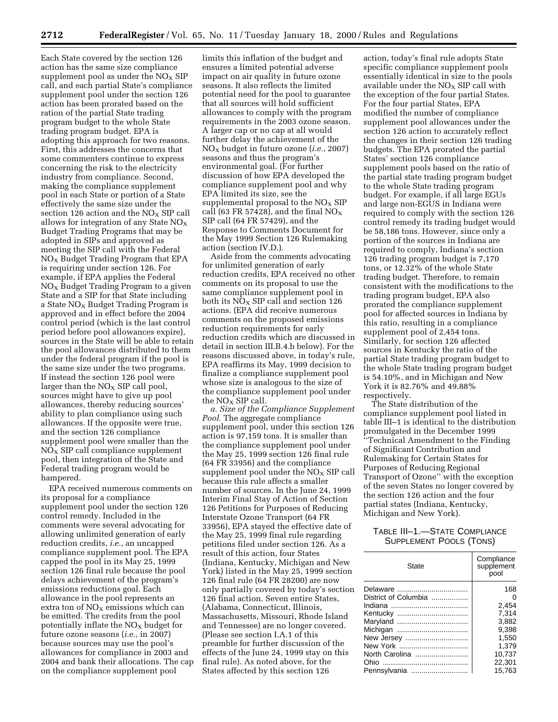Each State covered by the section 126 action has the same size compliance supplement pool as under the  $NO<sub>x</sub>$  SIP call, and each partial State's compliance supplement pool under the section 126 action has been prorated based on the ration of the partial State trading program budget to the whole State trading program budget. EPA is adopting this approach for two reasons. First, this addresses the concerns that some commenters continue to express concerning the risk to the electricity industry from compliance. Second, making the compliance supplement pool in each State or portion of a State effectively the same size under the section 126 action and the  $NO<sub>x</sub>$  SIP call allows for integration of any State  $NO<sub>X</sub>$ Budget Trading Programs that may be adopted in SIPs and approved as meeting the SIP call with the Federal  $NO<sub>x</sub>$  Budget Trading Program that EPA is requiring under section 126. For example, if EPA applies the Federal  $NO<sub>X</sub>$  Budget Trading Program to a given State and a SIP for that State including a State  $NO<sub>x</sub>$  Budget Trading Program is approved and in effect before the 2004 control period (which is the last control period before pool allowances expire), sources in the State will be able to retain the pool allowances distributed to them under the federal program if the pool is the same size under the two programs. If instead the section 126 pool were larger than the  $NO<sub>X</sub>$  SIP call pool, sources might have to give up pool allowances, thereby reducing sources' ability to plan compliance using such allowances. If the opposite were true, and the section 126 compliance supplement pool were smaller than the  $N\overline{O}_X$  SIP call compliance supplement pool, then integration of the State and Federal trading program would be hampered.

EPA received numerous comments on its proposal for a compliance supplement pool under the section 126 control remedy. Included in the comments were several advocating for allowing unlimited generation of early reduction credits, *i.e.*, an uncapped compliance supplement pool. The EPA capped the pool in its May 25, 1999 section 126 final rule because the pool delays achievement of the program's emissions reductions goal. Each allowance in the pool represents an extra ton of  $NO<sub>x</sub>$  emissions which can be emitted. The credits from the pool potentially inflate the  $NO<sub>X</sub>$  budget for future ozone seasons (*i.e.*, in 2007) because sources may use the pool's allowances for compliance in 2003 and 2004 and bank their allocations. The cap on the compliance supplement pool

limits this inflation of the budget and ensures a limited potential adverse impact on air quality in future ozone seasons. It also reflects the limited potential need for the pool to guarantee that all sources will hold sufficient allowances to comply with the program requirements in the 2003 ozone season. A larger cap or no cap at all would further delay the achievement of the NOX budget in future ozone (*i.e.*, 2007) seasons and thus the program's environmental goal. (For further discussion of how EPA developed the compliance supplement pool and why EPA limited its size, see the supplemental proposal to the  $NO<sub>x</sub>$  SIP call (63 FR 57428), and the final  $NO<sub>X</sub>$ SIP call (64 FR 57429), and the Response to Comments Document for the May 1999 Section 126 Rulemaking action (section IV.D.).

Aside from the comments advocating for unlimited generation of early reduction credits, EPA received no other comments on its proposal to use the same compliance supplement pool in both its  $N\ddot{O}_X$  SIP call and section 126 actions. (EPA did receive numerous comments on the proposed emissions reduction requirements for early reduction credits which are discussed in detail in section III.B.4.b below). For the reasons discussed above, in today's rule, EPA reaffirms its May, 1999 decision to finalize a compliance supplement pool whose size is analogous to the size of the compliance supplement pool under the  $NO<sub>x</sub>$  SIP call.

*a. Size of the Compliance Supplement Pool.* The aggregate compliance supplement pool, under this section 126 action is 97,159 tons. It is smaller than the compliance supplement pool under the May 25, 1999 section 126 final rule (64 FR 33956) and the compliance supplement pool under the  $NO<sub>X</sub>$  SIP call because this rule affects a smaller number of sources. In the June 24, 1999 Interim Final Stay of Action of Section 126 Petitions for Purposes of Reducing Interstate Ozone Transport (64 FR 33956), EPA stayed the effective date of the May 25, 1999 final rule regarding petitions filed under section 126. As a result of this action, four States (Indiana, Kentucky, Michigan and New York) listed in the May 25, 1999 section 126 final rule (64 FR 28200) are now only partially covered by today's section 126 final action. Seven entire States, (Alabama, Connecticut, Illinois, Massachusetts, Missouri, Rhode Island and Tennessee) are no longer covered. (Please see section I.A.1 of this preamble for further discussion of the effects of the June 24, 1999 stay on this final rule). As noted above, for the States affected by this section 126

action, today's final rule adopts State specific compliance supplement pools essentially identical in size to the pools available under the  $NO<sub>x</sub>$  SIP call with the exception of the four partial States. For the four partial States, EPA modified the number of compliance supplement pool allowances under the section 126 action to accurately reflect the changes in their section 126 trading budgets. The EPA prorated the partial States' section 126 compliance supplement pools based on the ratio of the partial state trading program budget to the whole State trading program budget. For example, if all large EGUs and large non-EGUS in Indiana were required to comply with the section 126 control remedy its trading budget would be 58,186 tons. However, since only a portion of the sources in Indiana are required to comply, Indiana's section 126 trading program budget is 7,170 tons, or 12.32% of the whole State trading budget. Therefore, to remain consistent with the modifications to the trading program budget, EPA also prorated the compliance supplement pool for affected sources in Indiana by this ratio, resulting in a compliance supplement pool of 2,454 tons. Similarly, for section 126 affected sources in Kentucky the ratio of the partial State trading program budget to the whole State trading program budget is 54.10%, and in Michigan and New York it is 82.76% and 49.88% respectively.

The State distribution of the compliance supplement pool listed in table III–1 is identical to the distribution promulgated in the December 1999 ''Technical Amendment to the Finding of Significant Contribution and Rulemaking for Certain States for Purposes of Reducing Regional Transport of Ozone'' with the exception of the seven States no longer covered by the section 126 action and the four partial states (Indiana, Kentucky, Michigan and New York).

# TABLE III–1.—STATE COMPLIANCE SUPPLEMENT POOLS (TONS)

| State                | Compliance<br>supplement<br>pool |
|----------------------|----------------------------------|
|                      | 168                              |
| District of Columbia | 0                                |
|                      | 2,454                            |
|                      | 7,314                            |
|                      | 3,882                            |
| Michigan             | 9.398                            |
| New Jersey           | 1,550                            |
| New York             | 1.379                            |
| North Carolina       | 10.737                           |
|                      | 22,301                           |
|                      | 15.763                           |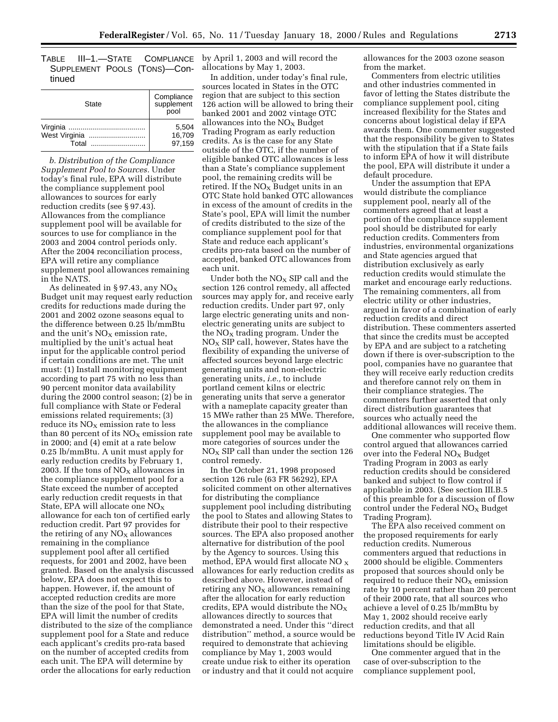TABLE III-1.-STATE SUPPLEMENT POOLS (TONS)—Continued

| State                  | Compliance<br>supplement<br>pool |
|------------------------|----------------------------------|
| West Virginia<br>Total | 5.504<br>16.709<br>97.159        |

*b. Distribution of the Compliance Supplement Pool to Sources.* Under today's final rule, EPA will distribute the compliance supplement pool allowances to sources for early reduction credits (see § 97.43). Allowances from the compliance supplement pool will be available for sources to use for compliance in the 2003 and 2004 control periods only. After the 2004 reconciliation process, EPA will retire any compliance supplement pool allowances remaining in the NATS.

As delineated in §97.43, any  $NO<sub>x</sub>$ Budget unit may request early reduction credits for reductions made during the 2001 and 2002 ozone seasons equal to the difference between 0.25 lb/mmBtu and the unit's  $NO<sub>X</sub>$  emission rate, multiplied by the unit's actual heat input for the applicable control period if certain conditions are met. The unit must: (1) Install monitoring equipment according to part 75 with no less than 90 percent monitor data availability during the 2000 control season; (2) be in full compliance with State or Federal emissions related requirements; (3) reduce its  $NO<sub>x</sub>$  emission rate to less than 80 percent of its  $NO<sub>X</sub>$  emission rate in 2000; and (4) emit at a rate below 0.25 lb/mmBtu. A unit must apply for early reduction credits by February 1, 2003. If the tons of  $NO<sub>X</sub>$  allowances in the compliance supplement pool for a State exceed the number of accepted early reduction credit requests in that State, EPA will allocate one NOX allowance for each ton of certified early reduction credit. Part 97 provides for the retiring of any  $NO<sub>X</sub>$  allowances remaining in the compliance supplement pool after all certified requests, for 2001 and 2002, have been granted. Based on the analysis discussed below, EPA does not expect this to happen. However, if, the amount of accepted reduction credits are more than the size of the pool for that State, EPA will limit the number of credits distributed to the size of the compliance supplement pool for a State and reduce each applicant's credits pro-rata based on the number of accepted credits from each unit. The EPA will determine by order the allocations for early reduction

COMPLIANCE by April 1, 2003 and will record the allocations by May 1, 2003.

In addition, under today's final rule, sources located in States in the OTC region that are subject to this section 126 action will be allowed to bring their banked 2001 and 2002 vintage OTC allowances into the  $NO<sub>x</sub>$  Budget Trading Program as early reduction credits. As is the case for any State outside of the OTC, if the number of eligible banked OTC allowances is less than a State's compliance supplement pool, the remaining credits will be retired. If the  $NO<sub>x</sub>$  Budget units in an OTC State hold banked OTC allowances in excess of the amount of credits in the State's pool, EPA will limit the number of credits distributed to the size of the compliance supplement pool for that State and reduce each applicant's credits pro-rata based on the number of accepted, banked OTC allowances from each unit.

Under both the  $NO<sub>x</sub>$  SIP call and the section 126 control remedy, all affected sources may apply for, and receive early reduction credits. Under part 97, only large electric generating units and nonelectric generating units are subject to the  $NO<sub>x</sub>$  trading program. Under the  $NO<sub>x</sub>$  SIP call, however, States have the flexibility of expanding the universe of affected sources beyond large electric generating units and non-electric generating units, *i.e.,* to include portland cement kilns or electric generating units that serve a generator with a nameplate capacity greater than 15 MWe rather than 25 MWe. Therefore, the allowances in the compliance supplement pool may be available to more categories of sources under the  $NO<sub>x</sub>$  SIP call than under the section 126 control remedy.

In the October 21, 1998 proposed section 126 rule (63 FR 56292), EPA solicited comment on other alternatives for distributing the compliance supplement pool including distributing the pool to States and allowing States to distribute their pool to their respective sources. The EPA also proposed another alternative for distribution of the pool by the Agency to sources. Using this method, EPA would first allocate NO  $_\mathrm{X}$ allowances for early reduction credits as described above. However, instead of retiring any  $NO<sub>x</sub>$  allowances remaining after the allocation for early reduction credits, EPA would distribute the  $NO<sub>X</sub>$ allowances directly to sources that demonstrated a need. Under this ''direct distribution'' method, a source would be required to demonstrate that achieving compliance by May 1, 2003 would create undue risk to either its operation or industry and that it could not acquire

allowances for the 2003 ozone season from the market.

Commenters from electric utilities and other industries commented in favor of letting the States distribute the compliance supplement pool, citing increased flexibility for the States and concerns about logistical delay if EPA awards them. One commenter suggested that the responsibility be given to States with the stipulation that if a State fails to inform EPA of how it will distribute the pool, EPA will distribute it under a default procedure.

Under the assumption that EPA would distribute the compliance supplement pool, nearly all of the commenters agreed that at least a portion of the compliance supplement pool should be distributed for early reduction credits. Commenters from industries, environmental organizations and State agencies argued that distribution exclusively as early reduction credits would stimulate the market and encourage early reductions. The remaining commenters, all from electric utility or other industries, argued in favor of a combination of early reduction credits and direct distribution. These commenters asserted that since the credits must be accepted by EPA and are subject to a ratcheting down if there is over-subscription to the pool, companies have no guarantee that they will receive early reduction credits and therefore cannot rely on them in their compliance strategies. The commenters further asserted that only direct distribution guarantees that sources who actually need the additional allowances will receive them.

One commenter who supported flow control argued that allowances carried over into the Federal  $NO<sub>x</sub>$  Budget Trading Program in 2003 as early reduction credits should be considered banked and subject to flow control if applicable in 2003. (See section III.B.5 of this preamble for a discussion of flow control under the Federal  $NO<sub>X</sub>$  Budget Trading Program).

The EPA also received comment on the proposed requirements for early reduction credits. Numerous commenters argued that reductions in 2000 should be eligible. Commenters proposed that sources should only be required to reduce their  $NO<sub>x</sub>$  emission rate by 10 percent rather than 20 percent of their 2000 rate, that all sources who achieve a level of 0.25 lb/mmBtu by May 1, 2002 should receive early reduction credits, and that all reductions beyond Title IV Acid Rain limitations should be eligible.

One commenter argued that in the case of over-subscription to the compliance supplement pool,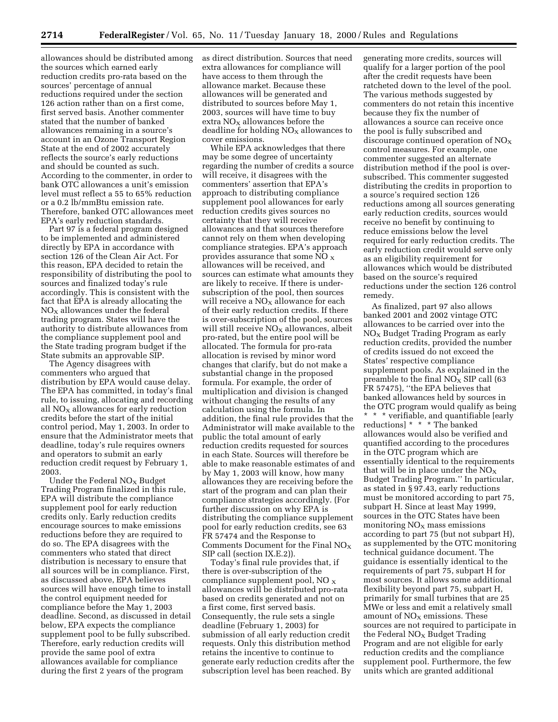allowances should be distributed among the sources which earned early reduction credits pro-rata based on the sources' percentage of annual reductions required under the section 126 action rather than on a first come, first served basis. Another commenter stated that the number of banked allowances remaining in a source's account in an Ozone Transport Region State at the end of 2002 accurately reflects the source's early reductions and should be counted as such. According to the commenter, in order to bank OTC allowances a unit's emission level must reflect a 55 to 65% reduction or a 0.2 lb/mmBtu emission rate. Therefore, banked OTC allowances meet EPA's early reduction standards.

Part 97 is a federal program designed to be implemented and administered directly by EPA in accordance with section 126 of the Clean Air Act. For this reason, EPA decided to retain the responsibility of distributing the pool to sources and finalized today's rule accordingly. This is consistent with the fact that EPA is already allocating the  $NO<sub>x</sub>$  allowances under the federal trading program. States will have the authority to distribute allowances from the compliance supplement pool and the State trading program budget if the State submits an approvable SIP.

The Agency disagrees with commenters who argued that distribution by EPA would cause delay. The EPA has committed, in today's final rule, to issuing, allocating and recording all  $NO<sub>x</sub>$  allowances for early reduction credits before the start of the initial control period, May 1, 2003. In order to ensure that the Administrator meets that deadline, today's rule requires owners and operators to submit an early reduction credit request by February 1, 2003.

Under the Federal  $NO<sub>x</sub>$  Budget Trading Program finalized in this rule, EPA will distribute the compliance supplement pool for early reduction credits only. Early reduction credits encourage sources to make emissions reductions before they are required to do so. The EPA disagrees with the commenters who stated that direct distribution is necessary to ensure that all sources will be in compliance. First, as discussed above, EPA believes sources will have enough time to install the control equipment needed for compliance before the May 1, 2003 deadline. Second, as discussed in detail below, EPA expects the compliance supplement pool to be fully subscribed. Therefore, early reduction credits will provide the same pool of extra allowances available for compliance during the first 2 years of the program

as direct distribution. Sources that need extra allowances for compliance will have access to them through the allowance market. Because these allowances will be generated and distributed to sources before May 1, 2003, sources will have time to buy extra  $NO<sub>X</sub>$  allowances before the deadline for holding  $NO<sub>x</sub>$  allowances to cover emissions.

While EPA acknowledges that there may be some degree of uncertainty regarding the number of credits a source will receive, it disagrees with the commenters' assertion that EPA's approach to distributing compliance supplement pool allowances for early reduction credits gives sources no certainty that they will receive allowances and that sources therefore cannot rely on them when developing compliance strategies. EPA's approach provides assurance that some NO  $_{\rm X}$ allowances will be received, and sources can estimate what amounts they are likely to receive. If there is undersubscription of the pool, then sources will receive a  $NO<sub>x</sub>$  allowance for each of their early reduction credits. If there is over-subscription of the pool, sources will still receive  $NO<sub>X</sub>$  allowances, albeit pro-rated, but the entire pool will be allocated. The formula for pro-rata allocation is revised by minor word changes that clarify, but do not make a substantial change in the proposed formula. For example, the order of multiplication and division is changed without changing the results of any calculation using the formula. In addition, the final rule provides that the Administrator will make available to the public the total amount of early reduction credits requested for sources in each State. Sources will therefore be able to make reasonable estimates of and by May 1, 2003 will know, how many allowances they are receiving before the start of the program and can plan their compliance strategies accordingly. (For further discussion on why EPA is distributing the compliance supplement pool for early reduction credits, see 63 FR 57474 and the Response to Comments Document for the Final  $NO<sub>X</sub>$ SIP call (section IX.E.2)).

Today's final rule provides that, if there is over-subscription of the compliance supplement pool,  $NO<sub>x</sub>$ allowances will be distributed pro-rata based on credits generated and not on a first come, first served basis. Consequently, the rule sets a single deadline (February 1, 2003) for submission of all early reduction credit requests. Only this distribution method retains the incentive to continue to generate early reduction credits after the subscription level has been reached. By

generating more credits, sources will qualify for a larger portion of the pool after the credit requests have been ratcheted down to the level of the pool. The various methods suggested by commenters do not retain this incentive because they fix the number of allowances a source can receive once the pool is fully subscribed and discourage continued operation of  $NO<sub>x</sub>$ control measures. For example, one commenter suggested an alternate distribution method if the pool is oversubscribed. This commenter suggested distributing the credits in proportion to a source's required section 126 reductions among all sources generating early reduction credits, sources would receive no benefit by continuing to reduce emissions below the level required for early reduction credits. The early reduction credit would serve only as an eligibility requirement for allowances which would be distributed based on the source's required reductions under the section 126 control remedy.

As finalized, part 97 also allows banked 2001 and 2002 vintage OTC allowances to be carried over into the  $NO<sub>x</sub>$  Budget Trading Program as early reduction credits, provided the number of credits issued do not exceed the States' respective compliance supplement pools. As explained in the preamble to the final  $NO<sub>x</sub>$  SIP call (63) FR 57475), ''the EPA believes that banked allowances held by sources in the OTC program would qualify as being \* \* \* verifiable, and quantifiable [early reductions] \* \* \* The banked allowances would also be verified and quantified according to the procedures in the OTC program which are essentially identical to the requirements that will be in place under the  $NO_X$ Budget Trading Program.'' In particular, as stated in § 97.43, early reductions must be monitored according to part 75, subpart H. Since at least May 1999, sources in the OTC States have been monitoring  $NO<sub>x</sub>$  mass emissions according to part 75 (but not subpart H), as supplemented by the OTC monitoring technical guidance document. The guidance is essentially identical to the requirements of part 75, subpart H for most sources. It allows some additional flexibility beyond part 75, subpart H, primarily for small turbines that are 25 MWe or less and emit a relatively small amount of  $NO<sub>X</sub>$  emissions. These sources are not required to participate in the Federal  $NO<sub>x</sub>$  Budget Trading Program and are not eligible for early reduction credits and the compliance supplement pool. Furthermore, the few units which are granted additional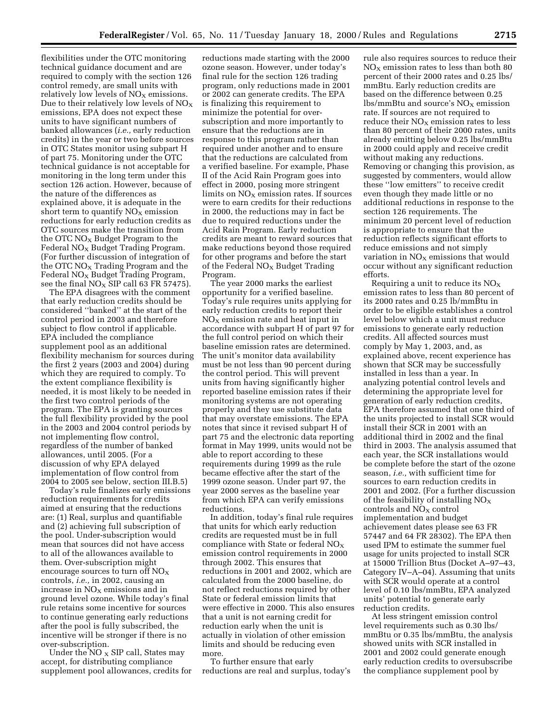flexibilities under the OTC monitoring technical guidance document and are required to comply with the section 126 control remedy, are small units with relatively low levels of  $NO<sub>x</sub>$  emissions. Due to their relatively low levels of  $NO<sub>x</sub>$ emissions, EPA does not expect these units to have significant numbers of banked allowances (*i.e.,* early reduction credits) in the year or two before sources in OTC States monitor using subpart H of part 75. Monitoring under the OTC technical guidance is not acceptable for monitoring in the long term under this section 126 action. However, because of the nature of the differences as explained above, it is adequate in the short term to quantify  $NO<sub>X</sub>$  emission reductions for early reduction credits as OTC sources make the transition from the OTC  $NO<sub>X</sub>$  Budget Program to the Federal  $NO<sub>X</sub>$  Budget Trading Program. (For further discussion of integration of the OTC  $NO<sub>x</sub>$  Trading Program and the Federal NO<sub>X</sub> Budget Trading Program, see the final  $NO<sub>X</sub>$  SIP call 63 FR 57475).

The EPA disagrees with the comment that early reduction credits should be considered ''banked'' at the start of the control period in 2003 and therefore subject to flow control if applicable. EPA included the compliance supplement pool as an additional flexibility mechanism for sources during the first 2 years (2003 and 2004) during which they are required to comply. To the extent compliance flexibility is needed, it is most likely to be needed in the first two control periods of the program. The EPA is granting sources the full flexibility provided by the pool in the 2003 and 2004 control periods by not implementing flow control, regardless of the number of banked allowances, until 2005. (For a discussion of why EPA delayed implementation of flow control from 2004 to 2005 see below, section III.B.5)

Today's rule finalizes early emissions reduction requirements for credits aimed at ensuring that the reductions are: (1) Real, surplus and quantifiable and (2) achieving full subscription of the pool. Under-subscription would mean that sources did not have access to all of the allowances available to them. Over-subscription might encourage sources to turn off  $NO<sub>x</sub>$ controls, *i.e.,* in 2002, causing an increase in  $NO<sub>x</sub>$  emissions and in ground level ozone. While today's final rule retains some incentive for sources to continue generating early reductions after the pool is fully subscribed, the incentive will be stronger if there is no over-subscription.

Under the NO  $_{\rm X}$  SIP call, States may accept, for distributing compliance supplement pool allowances, credits for

reductions made starting with the 2000 ozone season. However, under today's final rule for the section 126 trading program, only reductions made in 2001 or 2002 can generate credits. The EPA is finalizing this requirement to minimize the potential for oversubscription and more importantly to ensure that the reductions are in response to this program rather than required under another and to ensure that the reductions are calculated from a verified baseline. For example, Phase II of the Acid Rain Program goes into effect in 2000, posing more stringent limits on  $NO<sub>x</sub>$  emission rates. If sources were to earn credits for their reductions in 2000, the reductions may in fact be due to required reductions under the Acid Rain Program. Early reduction credits are meant to reward sources that make reductions beyond those required for other programs and before the start of the Federal  $NO<sub>x</sub>$  Budget Trading Program.

The year 2000 marks the earliest opportunity for a verified baseline. Today's rule requires units applying for early reduction credits to report their  $NO<sub>x</sub>$  emission rate and heat input in accordance with subpart H of part 97 for the full control period on which their baseline emission rates are determined. The unit's monitor data availability must be not less than 90 percent during the control period. This will prevent units from having significantly higher reported baseline emission rates if their monitoring systems are not operating properly and they use substitute data that may overstate emissions. The EPA notes that since it revised subpart H of part 75 and the electronic data reporting format in May 1999, units would not be able to report according to these requirements during 1999 as the rule became effective after the start of the 1999 ozone season. Under part 97, the year 2000 serves as the baseline year from which EPA can verify emissions reductions.

In addition, today's final rule requires that units for which early reduction credits are requested must be in full compliance with State or federal  $NO<sub>X</sub>$ emission control requirements in 2000 through 2002. This ensures that reductions in 2001 and 2002, which are calculated from the 2000 baseline, do not reflect reductions required by other State or federal emission limits that were effective in 2000. This also ensures that a unit is not earning credit for reduction early when the unit is actually in violation of other emission limits and should be reducing even more.

To further ensure that early reductions are real and surplus, today's

rule also requires sources to reduce their  $NO<sub>x</sub>$  emission rates to less than both 80 percent of their 2000 rates and 0.25 lbs/ mmBtu. Early reduction credits are based on the difference between 0.25  $\frac{1}{s}$ lbs/mmBtu and source's NO<sub>x</sub> emission rate. If sources are not required to reduce their  $NO<sub>x</sub>$  emission rates to less than 80 percent of their 2000 rates, units already emitting below 0.25 lbs/mmBtu in 2000 could apply and receive credit without making any reductions. Removing or changing this provision, as suggested by commenters, would allow these ''low emitters'' to receive credit even though they made little or no additional reductions in response to the section 126 requirements. The minimum 20 percent level of reduction is appropriate to ensure that the reduction reflects significant efforts to reduce emissions and not simply variation in  $NO<sub>X</sub>$  emissions that would occur without any significant reduction efforts.

Requiring a unit to reduce its  $NO<sub>X</sub>$ emission rates to less than 80 percent of its 2000 rates and 0.25 lb/mmBtu in order to be eligible establishes a control level below which a unit must reduce emissions to generate early reduction credits. All affected sources must comply by May 1, 2003, and, as explained above, recent experience has shown that SCR may be successfully installed in less than a year. In analyzing potential control levels and determining the appropriate level for generation of early reduction credits, EPA therefore assumed that one third of the units projected to install SCR would install their SCR in 2001 with an additional third in 2002 and the final third in 2003. The analysis assumed that each year, the SCR installations would be complete before the start of the ozone season, *i.e.,* with sufficient time for sources to earn reduction credits in 2001 and 2002. (For a further discussion of the feasibility of installing  $NO<sub>x</sub>$ controls and  $NO<sub>X</sub>$  control implementation and budget achievement dates please see 63 FR 57447 and 64 FR 28302). The EPA then used IPM to estimate the summer fuel usage for units projected to install SCR at 15000 Trillion Btus (Docket A–97–43, Category IV–A–04). Assuming that units with SCR would operate at a control level of 0.10 lbs/mmBtu, EPA analyzed units' potential to generate early reduction credits.

At less stringent emission control level requirements such as 0.30 lbs/ mmBtu or 0.35 lbs/mmBtu, the analysis showed units with SCR installed in 2001 and 2002 could generate enough early reduction credits to oversubscribe the compliance supplement pool by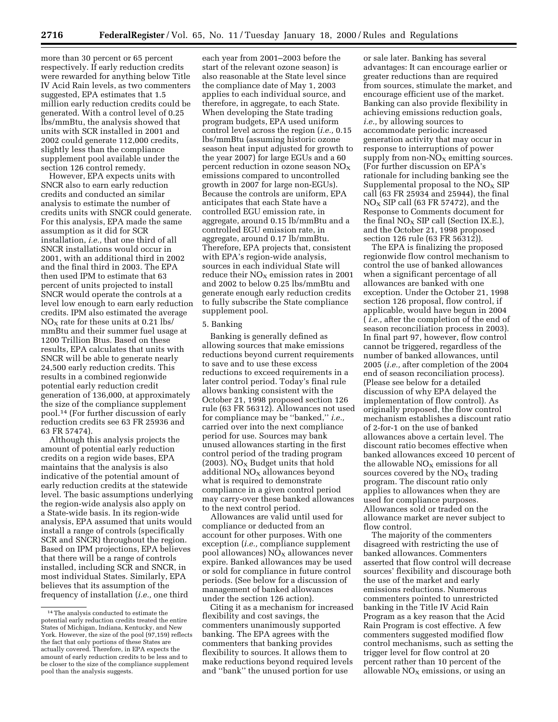more than 30 percent or 65 percent respectively. If early reduction credits were rewarded for anything below Title IV Acid Rain levels, as two commenters suggested, EPA estimates that 1.5 million early reduction credits could be generated. With a control level of 0.25 lbs/mmBtu, the analysis showed that units with SCR installed in 2001 and 2002 could generate 112,000 credits, slightly less than the compliance supplement pool available under the section 126 control remedy.

However, EPA expects units with SNCR also to earn early reduction credits and conducted an similar analysis to estimate the number of credits units with SNCR could generate. For this analysis, EPA made the same assumption as it did for SCR installation, *i.e.,* that one third of all SNCR installations would occur in 2001, with an additional third in 2002 and the final third in 2003. The EPA then used IPM to estimate that 63 percent of units projected to install SNCR would operate the controls at a level low enough to earn early reduction credits. IPM also estimated the average  $NO<sub>x</sub>$  rate for these units at 0.21 lbs/ mmBtu and their summer fuel usage at 1200 Trillion Btus. Based on these results, EPA calculates that units with SNCR will be able to generate nearly 24,500 early reduction credits. This results in a combined regionwide potential early reduction credit generation of 136,000, at approximately the size of the compliance supplement pool.14 (For further discussion of early reduction credits see 63 FR 25936 and 63 FR 57474).

Although this analysis projects the amount of potential early reduction credits on a region wide bases, EPA maintains that the analysis is also indicative of the potential amount of early reduction credits at the statewide level. The basic assumptions underlying the region-wide analysis also apply on a State-wide basis. In its region-wide analysis, EPA assumed that units would install a range of controls (specifically SCR and SNCR) throughout the region. Based on IPM projections, EPA believes that there will be a range of controls installed, including SCR and SNCR, in most individual States. Similarly, EPA believes that its assumption of the frequency of installation (*i.e.,* one third

each year from 2001–2003 before the start of the relevant ozone season) is also reasonable at the State level since the compliance date of May 1, 2003 applies to each individual source, and therefore, in aggregate, to each State. When developing the State trading program budgets, EPA used uniform control level across the region (*i.e.,* 0.15 lbs/mmBtu (assuming historic ozone season heat input adjusted for growth to the year 2007) for large EGUs and a 60 percent reduction in ozone season  $NO<sub>X</sub>$ emissions compared to uncontrolled growth in 2007 for large non-EGUs). Because the controls are uniform, EPA anticipates that each State have a controlled EGU emission rate, in aggregate, around 0.15 lb/mmBtu and a controlled EGU emission rate, in aggregate, around 0.17 lb/mmBtu. Therefore, EPA projects that, consistent with EPA's region-wide analysis, sources in each individual State will reduce their  $NO<sub>X</sub>$  emission rates in 2001 and 2002 to below 0.25 lbs/mmBtu and generate enough early reduction credits to fully subscribe the State compliance supplement pool.

### 5. Banking

Banking is generally defined as allowing sources that make emissions reductions beyond current requirements to save and to use these excess reductions to exceed requirements in a later control period. Today's final rule allows banking consistent with the October 21, 1998 proposed section 126 rule (63 FR 56312). Allowances not used for compliance may be ''banked,'' *i.e.,* carried over into the next compliance period for use. Sources may bank unused allowances starting in the first control period of the trading program (2003). NO<sub>X</sub> Budget units that hold additional  $NO<sub>X</sub>$  allowances beyond what is required to demonstrate compliance in a given control period may carry-over these banked allowances to the next control period.

Allowances are valid until used for compliance or deducted from an account for other purposes. With one exception (*i.e.,* compliance supplement pool allowances)  $NO<sub>x</sub>$  allowances never expire. Banked allowances may be used or sold for compliance in future control periods. (See below for a discussion of management of banked allowances under the section 126 action).

Citing it as a mechanism for increased flexibility and cost savings, the commenters unanimously supported banking. The EPA agrees with the commenters that banking provides flexibility to sources. It allows them to make reductions beyond required levels and ''bank'' the unused portion for use

or sale later. Banking has several advantages: It can encourage earlier or greater reductions than are required from sources, stimulate the market, and encourage efficient use of the market. Banking can also provide flexibility in achieving emissions reduction goals, *i.e.,* by allowing sources to accommodate periodic increased generation activity that may occur in response to interruptions of power supply from non- $NO_X$  emitting sources. (For further discussion on EPA's rationale for including banking see the Supplemental proposal to the  $NO<sub>X</sub>$  SIP call (63 FR 25934 and 25944), the final  $NO<sub>X</sub>$  SIP call (63 FR 57472), and the Response to Comments document for the final  $NO<sub>X</sub>$  SIP call (Section IX.E.), and the October 21, 1998 proposed section 126 rule (63 FR 56312)).

The EPA is finalizing the proposed regionwide flow control mechanism to control the use of banked allowances when a significant percentage of all allowances are banked with one exception. Under the October 21, 1998 section 126 proposal, flow control, if applicable, would have begun in 2004 ( *i.e.,* after the completion of the end of season reconciliation process in 2003). In final part 97, however, flow control cannot be triggered, regardless of the number of banked allowances, until 2005 (*i.e.,* after completion of the 2004 end of season reconciliation process). (Please see below for a detailed discussion of why EPA delayed the implementation of flow control). As originally proposed, the flow control mechanism establishes a discount ratio of 2-for-1 on the use of banked allowances above a certain level. The discount ratio becomes effective when banked allowances exceed 10 percent of the allowable  $NO<sub>X</sub>$  emissions for all sources covered by the  $NO<sub>x</sub>$  trading program. The discount ratio only applies to allowances when they are used for compliance purposes. Allowances sold or traded on the allowance market are never subject to flow control.

The majority of the commenters disagreed with restricting the use of banked allowances. Commenters asserted that flow control will decrease sources' flexibility and discourage both the use of the market and early emissions reductions. Numerous commenters pointed to unrestricted banking in the Title IV Acid Rain Program as a key reason that the Acid Rain Program is cost effective. A few commenters suggested modified flow control mechanisms, such as setting the trigger level for flow control at 20 percent rather than 10 percent of the allowable  $NO<sub>X</sub>$  emissions, or using an

<sup>14</sup>The analysis conducted to estimate the potential early reduction credits treated the entire States of Michigan, Indiana, Kentucky, and New York. However, the size of the pool (97,159) reflects the fact that only portions of these States are actually covered. Therefore, in EPA expects the amount of early reduction credits to be less and to be closer to the size of the compliance supplement pool than the analysis suggests.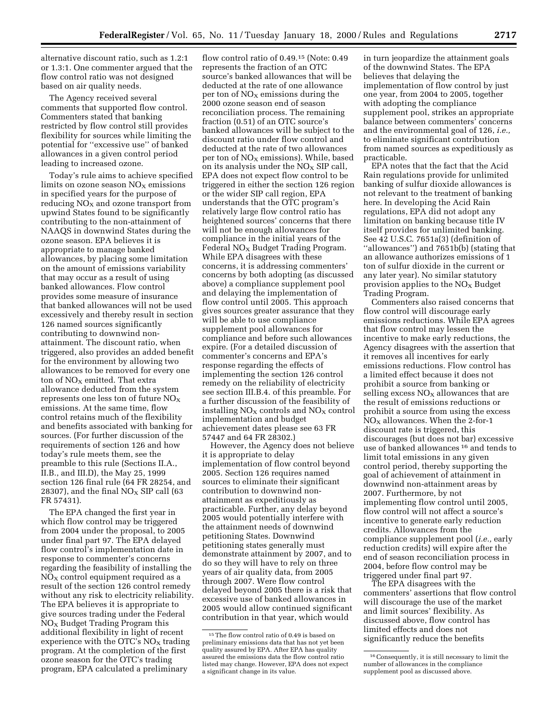alternative discount ratio, such as 1.2:1 or 1.3:1. One commenter argued that the flow control ratio was not designed based on air quality needs.

The Agency received several comments that supported flow control. Commenters stated that banking restricted by flow control still provides flexibility for sources while limiting the potential for ''excessive use'' of banked allowances in a given control period leading to increased ozone.

Today's rule aims to achieve specified limits on ozone season  $NO<sub>x</sub>$  emissions in specified years for the purpose of reducing  $NO<sub>x</sub>$  and ozone transport from upwind States found to be significantly contributing to the non-attainment of NAAQS in downwind States during the ozone season. EPA believes it is appropriate to manage banked allowances, by placing some limitation on the amount of emissions variability that may occur as a result of using banked allowances. Flow control provides some measure of insurance that banked allowances will not be used excessively and thereby result in section 126 named sources significantly contributing to downwind nonattainment. The discount ratio, when triggered, also provides an added benefit for the environment by allowing two allowances to be removed for every one ton of  $NO<sub>X</sub>$  emitted. That extra allowance deducted from the system represents one less ton of future  $NO<sub>x</sub>$ emissions. At the same time, flow control retains much of the flexibility and benefits associated with banking for sources. (For further discussion of the requirements of section 126 and how today's rule meets them, see the preamble to this rule (Sections II.A., II.B., and III.D), the May 25, 1999 section 126 final rule (64 FR 28254, and 28307), and the final  $NO<sub>X</sub>$  SIP call (63 FR 57431).

The EPA changed the first year in which flow control may be triggered from 2004 under the proposal, to 2005 under final part 97. The EPA delayed flow control's implementation date in response to commenter's concerns regarding the feasibility of installing the  $NO<sub>X</sub>$  control equipment required as a result of the section 126 control remedy without any risk to electricity reliability. The EPA believes it is appropriate to give sources trading under the Federal  $NO<sub>x</sub>$  Budget Trading Program this additional flexibility in light of recent experience with the OTC's  $NO<sub>x</sub>$  trading program. At the completion of the first ozone season for the OTC's trading program, EPA calculated a preliminary

flow control ratio of 0.49.<sup>15</sup> (Note: 0.49) represents the fraction of an OTC source's banked allowances that will be deducted at the rate of one allowance per ton of  $NO<sub>x</sub>$  emissions during the 2000 ozone season end of season reconciliation process. The remaining fraction (0.51) of an OTC source's banked allowances will be subject to the discount ratio under flow control and deducted at the rate of two allowances per ton of  $NO<sub>X</sub>$  emissions). While, based on its analysis under the  $NO<sub>x</sub>$  SIP call, EPA does not expect flow control to be triggered in either the section 126 region or the wider SIP call region, EPA understands that the OTC program's relatively large flow control ratio has heightened sources' concerns that there will not be enough allowances for compliance in the initial years of the Federal  $NO<sub>x</sub>$  Budget Trading Program. While EPA disagrees with these concerns, it is addressing commenters' concerns by both adopting (as discussed above) a compliance supplement pool and delaying the implementation of flow control until 2005. This approach gives sources greater assurance that they will be able to use compliance supplement pool allowances for compliance and before such allowances expire. (For a detailed discussion of commenter's concerns and EPA's response regarding the effects of implementing the section 126 control remedy on the reliability of electricity see section III.B.4. of this preamble. For a further discussion of the feasibility of installing  $NO<sub>x</sub>$  controls and  $NO<sub>x</sub>$  control implementation and budget achievement dates please see 63 FR 57447 and 64 FR 28302.)

However, the Agency does not believe it is appropriate to delay implementation of flow control beyond 2005. Section 126 requires named sources to eliminate their significant contribution to downwind nonattainment as expeditiously as practicable. Further, any delay beyond 2005 would potentially interfere with the attainment needs of downwind petitioning States. Downwind petitioning states generally must demonstrate attainment by 2007, and to do so they will have to rely on three years of air quality data, from 2005 through 2007. Were flow control delayed beyond 2005 there is a risk that excessive use of banked allowances in 2005 would allow continued significant contribution in that year, which would

in turn jeopardize the attainment goals of the downwind States. The EPA believes that delaying the implementation of flow control by just one year, from 2004 to 2005, together with adopting the compliance supplement pool, strikes an appropriate balance between commenters' concerns and the environmental goal of 126, *i.e.,* to eliminate significant contribution from named sources as expeditiously as practicable.

EPA notes that the fact that the Acid Rain regulations provide for unlimited banking of sulfur dioxide allowances is not relevant to the treatment of banking here. In developing the Acid Rain regulations, EPA did not adopt any limitation on banking because title IV itself provides for unlimited banking. See 42 U.S.C. 7651a(3) (definition of ''allowances'') and 7651b(b) (stating that an allowance authorizes emissions of 1 ton of sulfur dioxide in the current or any later year). No similar statutory provision applies to the  $NO<sub>x</sub>$  Budget Trading Program.

Commenters also raised concerns that flow control will discourage early emissions reductions. While EPA agrees that flow control may lessen the incentive to make early reductions, the Agency disagrees with the assertion that it removes all incentives for early emissions reductions. Flow control has a limited effect because it does not prohibit a source from banking or selling excess  $\rm{NO_{X}}$  allowances that are the result of emissions reductions or prohibit a source from using the excess  $NO<sub>X</sub>$  allowances. When the 2-for-1 discount rate is triggered, this discourages (but does not bar) excessive use of banked allowances 16 and tends to limit total emissions in any given control period, thereby supporting the goal of achievement of attainment in downwind non-attainment areas by 2007. Furthermore, by not implementing flow control until 2005, flow control will not affect a source's incentive to generate early reduction credits. Allowances from the compliance supplement pool (*i.e.,* early reduction credits) will expire after the end of season reconciliation process in 2004, before flow control may be triggered under final part 97.

The EPA disagrees with the commenters' assertions that flow control will discourage the use of the market and limit sources' flexibility. As discussed above, flow control has limited effects and does not significantly reduce the benefits

<sup>15</sup>The flow control ratio of 0.49 is based on preliminary emissions data that has not yet been quality assured by EPA. After EPA has quality assured the emissions data the flow control ratio listed may change. However, EPA does not expect a significant change in its value.

<sup>16</sup>Consequently, it is still necessary to limit the number of allowances in the compliance supplement pool as discussed above.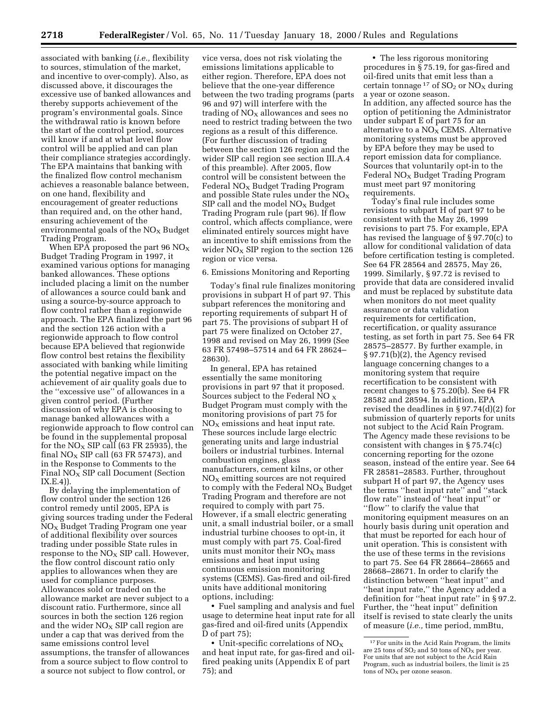associated with banking (*i.e.,* flexibility to sources, stimulation of the market, and incentive to over-comply). Also, as discussed above, it discourages the excessive use of banked allowances and thereby supports achievement of the program's environmental goals. Since the withdrawal ratio is known before the start of the control period, sources will know if and at what level flow control will be applied and can plan their compliance strategies accordingly. The EPA maintains that banking with the finalized flow control mechanism achieves a reasonable balance between, on one hand, flexibility and encouragement of greater reductions than required and, on the other hand, ensuring achievement of the environmental goals of the  $NO<sub>x</sub>$  Budget Trading Program.

When EPA proposed the part 96  $NO_X$ Budget Trading Program in 1997, it examined various options for managing banked allowances. These options included placing a limit on the number of allowances a source could bank and using a source-by-source approach to flow control rather than a regionwide approach. The EPA finalized the part 96 and the section 126 action with a regionwide approach to flow control because EPA believed that regionwide flow control best retains the flexibility associated with banking while limiting the potential negative impact on the achievement of air quality goals due to the ''excessive use'' of allowances in a given control period. (Further discussion of why EPA is choosing to manage banked allowances with a regionwide approach to flow control can be found in the supplemental proposal for the  $NO<sub>x</sub>$  SIP call (63 FR 25935), the final  $NO<sub>x</sub>$  SIP call (63 FR 57473), and in the Response to Comments to the Final  $NO<sub>X</sub>$  SIP call Document (Section IX.E.4)).

By delaying the implementation of flow control under the section 126 control remedy until 2005, EPA is giving sources trading under the Federal  $NO<sub>x</sub>$  Budget Trading Program one year of additional flexibility over sources trading under possible State rules in response to the  $NO<sub>x</sub>$  SIP call. However, the flow control discount ratio only applies to allowances when they are used for compliance purposes. Allowances sold or traded on the allowance market are never subject to a discount ratio. Furthermore, since all sources in both the section 126 region and the wider  $NO<sub>x</sub>$  SIP call region are under a cap that was derived from the same emissions control level assumptions, the transfer of allowances from a source subject to flow control to a source not subject to flow control, or

vice versa, does not risk violating the emissions limitations applicable to either region. Therefore, EPA does not believe that the one-year difference between the two trading programs (parts 96 and 97) will interfere with the trading of  $NO<sub>x</sub>$  allowances and sees no need to restrict trading between the two regions as a result of this difference. (For further discussion of trading between the section 126 region and the wider SIP call region see section III.A.4 of this preamble). After 2005, flow control will be consistent between the Federal NO<sub>X</sub> Budget Trading Program and possible State rules under the  $NO<sub>x</sub>$  $SIP$  call and the model  $NO<sub>X</sub>$  Budget Trading Program rule (part 96). If flow control, which affects compliance, were eliminated entirely sources might have an incentive to shift emissions from the wider  $NO<sub>X</sub>$  SIP region to the section 126 region or vice versa.

#### 6. Emissions Monitoring and Reporting

Today's final rule finalizes monitoring provisions in subpart H of part 97. This subpart references the monitoring and reporting requirements of subpart H of part 75. The provisions of subpart H of part 75 were finalized on October 27, 1998 and revised on May 26, 1999 (See 63 FR 57498–57514 and 64 FR 28624– 28630).

In general, EPA has retained essentially the same monitoring provisions in part 97 that it proposed. Sources subject to the Federal NO  $_X$ Budget Program must comply with the monitoring provisions of part 75 for  $NO<sub>x</sub>$  emissions and heat input rate. These sources include large electric generating units and large industrial boilers or industrial turbines. Internal combustion engines, glass manufacturers, cement kilns, or other  $NO<sub>x</sub>$  emitting sources are not required to comply with the Federal  $NO<sub>X</sub>$  Budget Trading Program and therefore are not required to comply with part 75. However, if a small electric generating unit, a small industrial boiler, or a small industrial turbine chooses to opt-in, it must comply with part 75. Coal-fired units must monitor their  $NO<sub>x</sub>$  mass emissions and heat input using continuous emission monitoring systems (CEMS). Gas-fired and oil-fired units have additional monitoring options, including:

• Fuel sampling and analysis and fuel usage to determine heat input rate for all gas-fired and oil-fired units (Appendix D of part 75);

• Unit-specific correlations of  $NO<sub>x</sub>$ and heat input rate, for gas-fired and oilfired peaking units (Appendix E of part 75); and

• The less rigorous monitoring procedures in § 75.19, for gas-fired and oil-fired units that emit less than a certain tonnage  $17$  of  $SO_2$  or  $NO_X$  during a year or ozone season. In addition, any affected source has the option of petitioning the Administrator under subpart E of part 75 for an alternative to a  $NO<sub>x</sub>$  CEMS. Alternative monitoring systems must be approved by EPA before they may be used to report emission data for compliance. Sources that voluntarily opt-in to the Federal  $NO<sub>x</sub>$  Budget Trading Program must meet part 97 monitoring requirements.

Today's final rule includes some revisions to subpart H of part 97 to be consistent with the May 26, 1999 revisions to part 75. For example, EPA has revised the language of § 97.70(c) to allow for conditional validation of data before certification testing is completed. See 64 FR 28564 and 28575, May 26, 1999. Similarly, § 97.72 is revised to provide that data are considered invalid and must be replaced by substitute data when monitors do not meet quality assurance or data validation requirements for certification, recertification, or quality assurance testing, as set forth in part 75. See 64 FR 28575–28577. By further example, in § 97.71(b)(2), the Agency revised language concerning changes to a monitoring system that require recertification to be consistent with recent changes to § 75.20(b). See 64 FR 28582 and 28594. In addition, EPA revised the deadlines in § 97.74(d)(2) for submission of quarterly reports for units not subject to the Acid Rain Program. The Agency made these revisions to be consistent with changes in § 75.74(c) concerning reporting for the ozone season, instead of the entire year. See 64 FR 28581–28583. Further, throughout subpart H of part 97, the Agency uses the terms ''heat input rate'' and ''stack flow rate'' instead of ''heat input'' or ''flow'' to clarify the value that monitoring equipment measures on an hourly basis during unit operation and that must be reported for each hour of unit operation. This is consistent with the use of these terms in the revisions to part 75. See 64 FR 28664–28665 and 28668–28671. In order to clarify the distinction between ''heat input'' and ''heat input rate,'' the Agency added a definition for ''heat input rate'' in § 97.2. Further, the ''heat input'' definition itself is revised to state clearly the units of measure (*i.e.,* time period, mmBtu,

<sup>&</sup>lt;sup>17</sup> For units in the Acid Rain Program, the limits are 25 tons of  $SO_2$  and 50 tons of  $\overline{NO_X}$  per year. For units that are not subject to the Acid Rain Program, such as industrial boilers, the limit is 25  $\frac{1}{100}$  tons of  $\text{NO}_X$  per ozone season.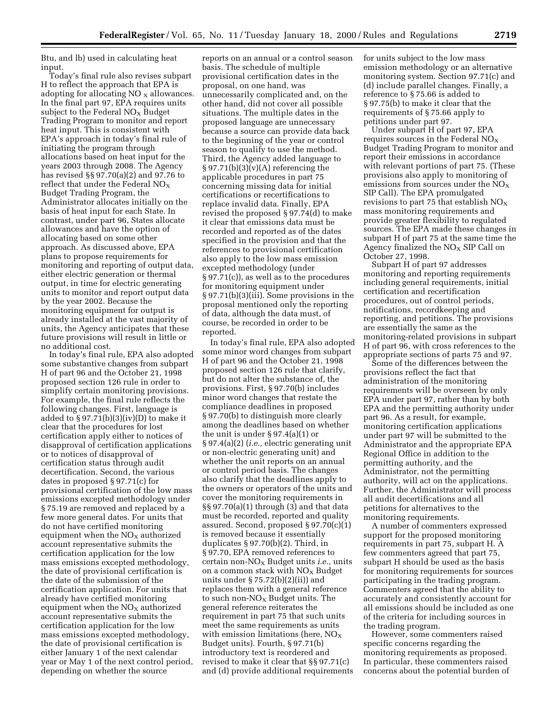Btu, and lb) used in calculating heat input.

Today's final rule also revises subpart H to reflect the approach that EPA is adopting for allocating NO  $_X$  allowances. In the final part 97, EPA requires units subject to the Federal  $NO<sub>x</sub>$  Budget Trading Program to monitor and report heat input. This is consistent with EPA's approach in today's final rule of initiating the program through allocations based on heat input for the years 2003 through 2008. The Agency has revised §§ 97.70(a)(2) and 97.76 to reflect that under the Federal  $NO_X$ Budget Trading Program, the Administrator allocates initially on the basis of heat input for each State. In contrast, under part 96, States allocate allowances and have the option of allocating based on some other approach. As discussed above, EPA plans to propose requirements for monitoring and reporting of output data, either electric generation or thermal output, in time for electric generating units to monitor and report output data by the year 2002. Because the monitoring equipment for output is already installed at the vast majority of units, the Agency anticipates that these future provisions will result in little or no additional cost.

In today's final rule, EPA also adopted some substantive changes from subpart H of part 96 and the October 21, 1998 proposed section 126 rule in order to simplify certain monitoring provisions. For example, the final rule reflects the following changes. First, language is added to  $\S 97.71(b)(3)(iv)(D)$  to make it clear that the procedures for lost certification apply either to notices of disapproval of certification applications or to notices of disapproval of certification status through audit decertification. Second, the various dates in proposed § 97.71(c) for provisional certification of the low mass emissions excepted methodology under § 75.19 are removed and replaced by a few more general dates. For units that do not have certified monitoring equipment when the  $NO<sub>x</sub>$  authorized account representative submits the certification application for the low mass emissions excepted methodology, the date of provisional certification is the date of the submission of the certification application. For units that already have certified monitoring equipment when the  $NO<sub>X</sub>$  authorized account representative submits the certification application for the low mass emissions excepted methodology, the date of provisional certification is either January 1 of the next calendar year or May 1 of the next control period, depending on whether the source

reports on an annual or a control season basis. The schedule of multiple provisional certification dates in the proposal, on one hand, was unnecessarily complicated and, on the other hand, did not cover all possible situations. The multiple dates in the proposed language are unnecessary because a source can provide data back to the beginning of the year or control season to qualify to use the method. Third, the Agency added language to  $\S 97.71(b)(3)(v)(A)$  referencing the applicable procedures in part 75 concerning missing data for initial certifications or recertifications to replace invalid data. Finally, EPA revised the proposed § 97.74(d) to make it clear that emissions data must be recorded and reported as of the dates specified in the provision and that the references to provisional certification also apply to the low mass emission excepted methodology (under § 97.71(c)), as well as to the procedures for monitoring equipment under § 97.71(b)(3)(iii). Some provisions in the proposal mentioned only the reporting of data, although the data must, of course, be recorded in order to be reported.

In today's final rule, EPA also adopted some minor word changes from subpart H of part 96 and the October 21, 1998 proposed section 126 rule that clarify, but do not alter the substance of, the provisions. First, § 97.70(b) includes minor word changes that restate the compliance deadlines in proposed § 97.70(b) to distinguish more clearly among the deadlines based on whether the unit is under § 97.4(a)(1) or § 97.4(a)(2) (*i.e.,* electric generating unit or non-electric generating unit) and whether the unit reports on an annual or control period basis. The changes also clarify that the deadlines apply to the owners or operators of the units and cover the monitoring requirements in §§ 97.70(a)(1) through (3) and that data must be recorded, reported and quality assured. Second, proposed § 97.70(c)(1) is removed because it essentially duplicates § 97.70(b)(2). Third, in § 97.70, EPA removed references to certain non-NOX Budget units *i.e.,* units on a common stack with  $NO<sub>X</sub>$  Budget units under  $\S 75.72(b)(2)(ii)$  and replaces them with a general reference to such non- $NO_X$  Budget units. The general reference reiterates the requirement in part 75 that such units meet the same requirements as units with emission limitations (here,  $NO_X$ Budget units). Fourth, § 97.71(b) introductory text is reordered and revised to make it clear that §§ 97.71(c) and (d) provide additional requirements

for units subject to the low mass emission methodology or an alternative monitoring system. Section 97.71(c) and (d) include parallel changes. Finally, a reference to § 75.66 is added to § 97.75(b) to make it clear that the requirements of § 75.66 apply to petitions under part 97.

Under subpart H of part 97, EPA requires sources in the Federal  $NO<sub>x</sub>$ Budget Trading Program to monitor and report their emissions in accordance with relevant portions of part 75. (These provisions also apply to monitoring of emissions from sources under the  $NO<sub>x</sub>$ SIP Call). The EPA promulgated revisions to part 75 that establish  $NO<sub>X</sub>$ mass monitoring requirements and provide greater flexibility to regulated sources. The EPA made these changes in subpart H of part 75 at the same time the Agency finalized the  $NO<sub>X</sub>$  SIP Call on October 27, 1998.

Subpart H of part 97 addresses monitoring and reporting requirements including general requirements, initial certification and recertification procedures, out of control periods, notifications, recordkeeping and reporting, and petitions. The provisions are essentially the same as the monitoring-related provisions in subpart H of part 96, with cross references to the appropriate sections of parts 75 and 97.

Some of the differences between the provisions reflect the fact that administration of the monitoring requirements will be overseen by only EPA under part 97, rather than by both EPA and the permitting authority under part 96. As a result, for example, monitoring certification applications under part 97 will be submitted to the Administrator and the appropriate EPA Regional Office in addition to the permitting authority, and the Administrator, not the permitting authority, will act on the applications. Further, the Administrator will process all audit decertifications and all petitions for alternatives to the monitoring requirements.

A number of commenters expressed support for the proposed monitoring requirements in part 75, subpart H. A few commenters agreed that part 75, subpart H should be used as the basis for monitoring requirements for sources participating in the trading program. Commenters agreed that the ability to accurately and consistently account for all emissions should be included as one of the criteria for including sources in the trading program.

However, some commenters raised specific concerns regarding the monitoring requirements as proposed. In particular, these commenters raised concerns about the potential burden of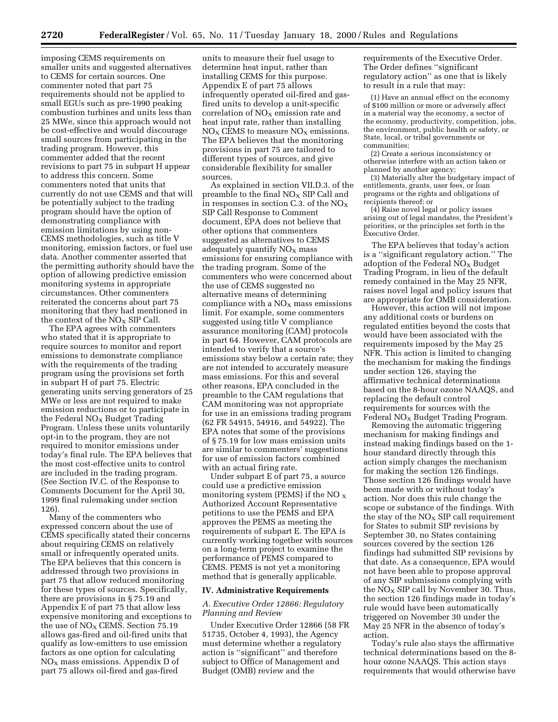imposing CEMS requirements on smaller units and suggested alternatives to CEMS for certain sources. One commenter noted that part 75 requirements should not be applied to small EGUs such as pre-1990 peaking combustion turbines and units less than 25 MWe, since this approach would not be cost-effective and would discourage small sources from participating in the trading program. However, this commenter added that the recent revisions to part 75 in subpart H appear to address this concern. Some commenters noted that units that currently do not use CEMS and that will be potentially subject to the trading program should have the option of demonstrating compliance with emission limitations by using non-CEMS methodologies, such as title V monitoring, emission factors, or fuel use data. Another commenter asserted that the permitting authority should have the option of allowing predictive emission monitoring systems in appropriate circumstances. Other commenters reiterated the concerns about part 75 monitoring that they had mentioned in the context of the  $NO<sub>x</sub>$  SIP Call.

The EPA agrees with commenters who stated that it is appropriate to require sources to monitor and report emissions to demonstrate compliance with the requirements of the trading program using the provisions set forth in subpart H of part 75. Electric generating units serving generators of 25 MWe or less are not required to make emission reductions or to participate in the Federal  $NO<sub>x</sub>$  Budget Trading Program. Unless these units voluntarily opt-in to the program, they are not required to monitor emissions under today's final rule. The EPA believes that the most cost-effective units to control are included in the trading program. (See Section IV.C. of the Response to Comments Document for the April 30, 1999 final rulemaking under section 126).

Many of the commenters who expressed concern about the use of CEMS specifically stated their concerns about requiring CEMS on relatively small or infrequently operated units. The EPA believes that this concern is addressed through two provisions in part 75 that allow reduced monitoring for these types of sources. Specifically, there are provisions in § 75.19 and Appendix E of part 75 that allow less expensive monitoring and exceptions to the use of  $NO<sub>X</sub>$  CEMS. Section 75.19 allows gas-fired and oil-fired units that qualify as low-emitters to use emission factors as one option for calculating  $NO<sub>x</sub>$  mass emissions. Appendix D of part 75 allows oil-fired and gas-fired

units to measure their fuel usage to determine heat input, rather than installing CEMS for this purpose. Appendix E of part 75 allows infrequently operated oil-fired and gasfired units to develop a unit-specific correlation of  $NO<sub>x</sub>$  emission rate and heat input rate, rather than installing  $NO<sub>x</sub>$  CEMS to measure  $NO<sub>x</sub>$  emissions. The EPA believes that the monitoring provisions in part 75 are tailored to different types of sources, and give considerable flexibility for smaller sources.

As explained in section VII.D.3. of the preamble to the final  $NO<sub>X</sub>$  SIP Call and in responses in section C.3. of the  $NO<sub>x</sub>$ SIP Call Response to Comment document, EPA does not believe that other options that commenters suggested as alternatives to CEMS adequately quantify  $NO<sub>x</sub>$  mass emissions for ensuring compliance with the trading program. Some of the commenters who were concerned about the use of CEMS suggested no alternative means of determining compliance with a  $NO<sub>x</sub>$  mass emissions limit. For example, some commenters suggested using title V compliance assurance monitoring (CAM) protocols in part 64. However, CAM protocols are intended to verify that a source's emissions stay below a certain rate; they are not intended to accurately measure mass emissions. For this and several other reasons, EPA concluded in the preamble to the CAM regulations that CAM monitoring was not appropriate for use in an emissions trading program (62 FR 54915, 54916, and 54922). The EPA notes that some of the provisions of § 75.19 for low mass emission units are similar to commenters' suggestions for use of emission factors combined with an actual firing rate.

Under subpart E of part 75, a source could use a predictive emission monitoring system (PEMS) if the NO  $_X$ Authorized Account Representative petitions to use the PEMS and EPA approves the PEMS as meeting the requirements of subpart E. The EPA is currently working together with sources on a long-term project to examine the performance of PEMS compared to CEMS. PEMS is not yet a monitoring method that is generally applicable.

### **IV. Administrative Requirements**

# *A. Executive Order 12866: Regulatory Planning and Review*

Under Executive Order 12866 (58 FR 51735, October 4, 1993), the Agency must determine whether a regulatory action is ''significant'' and therefore subject to Office of Management and Budget (OMB) review and the

requirements of the Executive Order. The Order defines ''significant regulatory action'' as one that is likely to result in a rule that may:

(1) Have an annual effect on the economy of \$100 million or more or adversely affect in a material way the economy, a sector of the economy, productivity, competition, jobs, the environment, public health or safety, or State, local, or tribal governments or communities;

(2) Create a serious inconsistency or otherwise interfere with an action taken or planned by another agency;

(3) Materially alter the budgetary impact of entitlements, grants, user fees, or loan programs or the rights and obligations of recipients thereof; or

(4) Raise novel legal or policy issues arising out of legal mandates, the President's priorities, or the principles set forth in the Executive Order.

The EPA believes that today's action is a ''significant regulatory action.'' The adoption of the Federal  $NO<sub>X</sub>$  Budget Trading Program, in lieu of the default remedy contained in the May 25 NFR, raises novel legal and policy issues that are appropriate for OMB consideration.

However, this action will not impose any additional costs or burdens on regulated entities beyond the costs that would have been associated with the requirements imposed by the May 25 NFR. This action is limited to changing the mechanism for making the findings under section 126, staying the affirmative technical determinations based on the 8-hour ozone NAAQS, and replacing the default control requirements for sources with the Federal  $NO<sub>x</sub>$  Budget Trading Program.

Removing the automatic triggering mechanism for making findings and instead making findings based on the 1 hour standard directly through this action simply changes the mechanism for making the section 126 findings. Those section 126 findings would have been made with or without today's action. Nor does this rule change the scope or substance of the findings. With the stay of the  $NO<sub>x</sub>$  SIP call requirement for States to submit SIP revisions by September 30, no States containing sources covered by the section 126 findings had submitted SIP revisions by that date. As a consequence, EPA would not have been able to propose approval of any SIP submissions complying with the  $NO<sub>x</sub>$  SIP call by November 30. Thus, the section 126 findings made in today's rule would have been automatically triggered on November 30 under the May 25 NFR in the absence of today's action.

Today's rule also stays the affirmative technical determinations based on the 8 hour ozone NAAQS. This action stays requirements that would otherwise have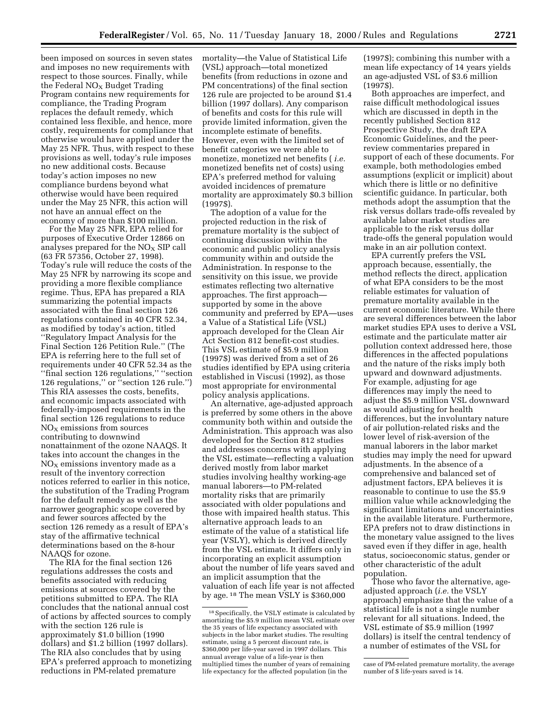been imposed on sources in seven states and imposes no new requirements with respect to those sources. Finally, while the Federal  $NO<sub>x</sub>$  Budget Trading Program contains new requirements for compliance, the Trading Program replaces the default remedy, which contained less flexible, and hence, more costly, requirements for compliance that otherwise would have applied under the May 25 NFR. Thus, with respect to these provisions as well, today's rule imposes no new additional costs. Because today's action imposes no new compliance burdens beyond what otherwise would have been required under the May 25 NFR, this action will not have an annual effect on the economy of more than \$100 million.

For the May 25 NFR, EPA relied for purposes of Executive Order 12866 on analyses prepared for the  $NO<sub>X</sub>$  SIP call (63 FR 57356, October 27, 1998). Today's rule will reduce the costs of the May 25 NFR by narrowing its scope and providing a more flexible compliance regime. Thus, EPA has prepared a RIA summarizing the potential impacts associated with the final section 126 regulations contained in 40 CFR 52.34, as modified by today's action, titled ''Regulatory Impact Analysis for the Final Section 126 Petition Rule.'' (The EPA is referring here to the full set of requirements under 40 CFR 52.34 as the ''final section 126 regulations,'' ''section 126 regulations,'' or ''section 126 rule.'') This RIA assesses the costs, benefits, and economic impacts associated with federally-imposed requirements in the final section 126 regulations to reduce  $NO<sub>X</sub>$  emissions from sources contributing to downwind nonattainment of the ozone NAAQS. It takes into account the changes in the  $NO<sub>x</sub>$  emissions inventory made as a result of the inventory correction notices referred to earlier in this notice, the substitution of the Trading Program for the default remedy as well as the narrower geographic scope covered by and fewer sources affected by the section 126 remedy as a result of EPA's stay of the affirmative technical determinations based on the 8-hour NAAQS for ozone.

The RIA for the final section 126 regulations addresses the costs and benefits associated with reducing emissions at sources covered by the petitions submitted to EPA. The RIA concludes that the national annual cost of actions by affected sources to comply with the section 126 rule is approximately \$1.0 billion (1990 dollars) and \$1.2 billion (1997 dollars). The RIA also concludes that by using EPA's preferred approach to monetizing reductions in PM-related premature

mortality—the Value of Statistical Life (VSL) approach—total monetized benefits (from reductions in ozone and PM concentrations) of the final section 126 rule are projected to be around \$1.4 billion (1997 dollars). Any comparison of benefits and costs for this rule will provide limited information, given the incomplete estimate of benefits. However, even with the limited set of benefit categories we were able to monetize, monetized net benefits ( *i.e.* monetized benefits net of costs) using EPA's preferred method for valuing avoided incidences of premature mortality are approximately \$0.3 billion (1997\$).

The adoption of a value for the projected reduction in the risk of premature mortality is the subject of continuing discussion within the economic and public policy analysis community within and outside the Administration. In response to the sensitivity on this issue, we provide estimates reflecting two alternative approaches. The first approach supported by some in the above community and preferred by EPA—uses a Value of a Statistical Life (VSL) approach developed for the Clean Air Act Section 812 benefit-cost studies. This VSL estimate of \$5.9 million (1997\$) was derived from a set of 26 studies identified by EPA using criteria established in Viscusi (1992), as those most appropriate for environmental policy analysis applications.

An alternative, age-adjusted approach is preferred by some others in the above community both within and outside the Administration. This approach was also developed for the Section 812 studies and addresses concerns with applying the VSL estimate—reflecting a valuation derived mostly from labor market studies involving healthy working-age manual laborers—to PM-related mortality risks that are primarily associated with older populations and those with impaired health status. This alternative approach leads to an estimate of the value of a statistical life year (VSLY), which is derived directly from the VSL estimate. It differs only in incorporating an explicit assumption about the number of life years saved and an implicit assumption that the valuation of each life year is not affected by age. 18 The mean VSLY is \$360,000

(1997\$); combining this number with a mean life expectancy of 14 years yields an age-adjusted VSL of \$3.6 million (1997\$).

Both approaches are imperfect, and raise difficult methodological issues which are discussed in depth in the recently published Section 812 Prospective Study, the draft EPA Economic Guidelines, and the peerreview commentaries prepared in support of each of these documents. For example, both methodologies embed assumptions (explicit or implicit) about which there is little or no definitive scientific guidance. In particular, both methods adopt the assumption that the risk versus dollars trade-offs revealed by available labor market studies are applicable to the risk versus dollar trade-offs the general population would make in an air pollution context.

EPA currently prefers the VSL approach because, essentially, the method reflects the direct, application of what EPA considers to be the most reliable estimates for valuation of premature mortality available in the current economic literature. While there are several differences between the labor market studies EPA uses to derive a VSL estimate and the particulate matter air pollution context addressed here, those differences in the affected populations and the nature of the risks imply both upward and downward adjustments. For example, adjusting for age differences may imply the need to adjust the \$5.9 million VSL downward as would adjusting for health differences, but the involuntary nature of air pollution-related risks and the lower level of risk-aversion of the manual laborers in the labor market studies may imply the need for upward adjustments. In the absence of a comprehensive and balanced set of adjustment factors, EPA believes it is reasonable to continue to use the \$5.9 million value while acknowledging the significant limitations and uncertainties in the available literature. Furthermore, EPA prefers not to draw distinctions in the monetary value assigned to the lives saved even if they differ in age, health status, socioeconomic status, gender or other characteristic of the adult population.

Those who favor the alternative, ageadjusted approach (*i.e.* the VSLY approach) emphasize that the value of a statistical life is not a single number relevant for all situations. Indeed, the VSL estimate of \$5.9 million (1997 dollars) is itself the central tendency of a number of estimates of the VSL for

<sup>18</sup>Specifically, the VSLY estimate is calculated by amortizing the \$5.9 million mean VSL estimate over the 35 years of life expectancy associated with subjects in the labor market studies. The resulting estimate, using a 5 percent discount rate, is \$360,000 per life-year saved in 1997 dollars. This annual average value of a life-year is then multiplied times the number of years of remaining life expectancy for the affected population (in the

case of PM-related premature mortality, the average number of \$ life-years saved is 14.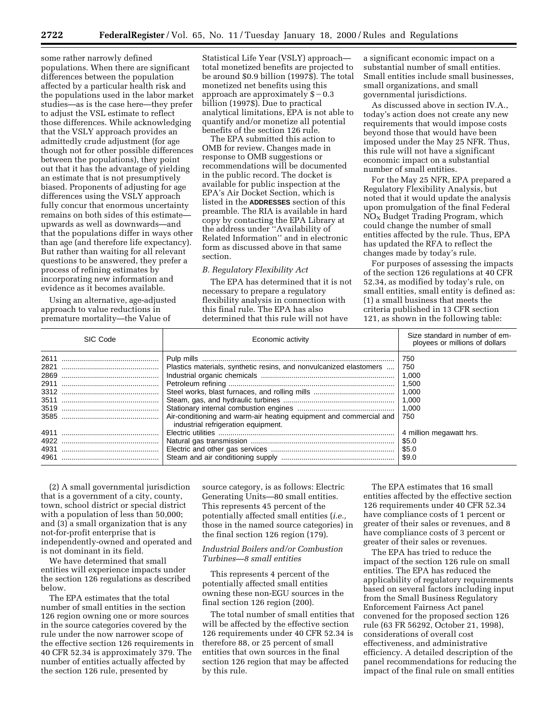some rather narrowly defined populations. When there are significant differences between the population affected by a particular health risk and the populations used in the labor market studies—as is the case here—they prefer to adjust the VSL estimate to reflect those differences. While acknowledging that the VSLY approach provides an admittedly crude adjustment (for age though not for other possible differences between the populations), they point out that it has the advantage of yielding an estimate that is not presumptively biased. Proponents of adjusting for age differences using the VSLY approach fully concur that enormous uncertainty remains on both sides of this estimate upwards as well as downwards—and that the populations differ in ways other than age (and therefore life expectancy). But rather than waiting for all relevant questions to be answered, they prefer a process of refining estimates by incorporating new information and evidence as it becomes available.

Using an alternative, age-adjusted approach to value reductions in premature mortality—the Value of

Statistical Life Year (VSLY) approach total monetized benefits are projected to be around \$0.9 billion (1997\$). The total monetized net benefits using this approach are approximately  $$-0.3$ billion (1997\$). Due to practical analytical limitations, EPA is not able to quantify and/or monetize all potential benefits of the section 126 rule.

The EPA submitted this action to OMB for review. Changes made in response to OMB suggestions or recommendations will be documented in the public record. The docket is available for public inspection at the EPA's Air Docket Section, which is listed in the **ADDRESSES** section of this preamble. The RIA is available in hard copy by contacting the EPA Library at the address under ''Availability of Related Information'' and in electronic form as discussed above in that same section.

### *B. Regulatory Flexibility Act*

The EPA has determined that it is not necessary to prepare a regulatory flexibility analysis in connection with this final rule. The EPA has also determined that this rule will not have

a significant economic impact on a substantial number of small entities. Small entities include small businesses, small organizations, and small governmental jurisdictions.

As discussed above in section IV.A., today's action does not create any new requirements that would impose costs beyond those that would have been imposed under the May 25 NFR. Thus, this rule will not have a significant economic impact on a substantial number of small entities.

For the May 25 NFR, EPA prepared a Regulatory Flexibility Analysis, but noted that it would update the analysis upon promulgation of the final Federal  $NO<sub>X</sub>$  Budget Trading Program, which could change the number of small entities affected by the rule. Thus, EPA has updated the RFA to reflect the changes made by today's rule.

For purposes of assessing the impacts of the section 126 regulations at 40 CFR 52.34, as modified by today's rule, on small entities, small entity is defined as: (1) a small business that meets the criteria published in 13 CFR section 121, as shown in the following table:

| SIC Code             | Economic activity                                                                                                                                                               | Size standard in number of em-<br>ployees or millions of dollars |
|----------------------|---------------------------------------------------------------------------------------------------------------------------------------------------------------------------------|------------------------------------------------------------------|
| 2821<br>2869<br>2911 | Plastics materials, synthetic resins, and nonvulcanized elastomers<br>Air-conditioning and warm-air heating equipment and commercial and<br>industrial refrigeration equipment. | 750<br>750<br>1,000<br>1.500<br>1.000<br>1.000<br>1.000<br>750   |
| 4911<br>4931<br>4961 |                                                                                                                                                                                 | 4 million megawatt hrs.<br>\$5.0<br>\$5.0<br>\$9.0               |

(2) A small governmental jurisdiction that is a government of a city, county, town, school district or special district with a population of less than 50,000; and (3) a small organization that is any not-for-profit enterprise that is independently-owned and operated and is not dominant in its field.

We have determined that small entities will experience impacts under the section 126 regulations as described below.

The EPA estimates that the total number of small entities in the section 126 region owning one or more sources in the source categories covered by the rule under the now narrower scope of the effective section 126 requirements in 40 CFR 52.34 is approximately 379. The number of entities actually affected by the section 126 rule, presented by

source category, is as follows: Electric Generating Units—80 small entities. This represents 45 percent of the potentially affected small entities (*i.e.,* those in the named source categories) in the final section 126 region (179).

# *Industrial Boilers and/or Combustion Turbines—8 small entities*

This represents 4 percent of the potentially affected small entities owning these non-EGU sources in the final section 126 region (200).

The total number of small entities that will be affected by the effective section 126 requirements under 40 CFR 52.34 is therefore 88, or 25 percent of small entities that own sources in the final section 126 region that may be affected by this rule.

The EPA estimates that 16 small entities affected by the effective section 126 requirements under 40 CFR 52.34 have compliance costs of 1 percent or greater of their sales or revenues, and 8 have compliance costs of 3 percent or greater of their sales or revenues.

The EPA has tried to reduce the impact of the section 126 rule on small entities. The EPA has reduced the applicability of regulatory requirements based on several factors including input from the Small Business Regulatory Enforcement Fairness Act panel convened for the proposed section 126 rule (63 FR 56292, October 21, 1998), considerations of overall cost effectiveness, and administrative efficiency. A detailed description of the panel recommendations for reducing the impact of the final rule on small entities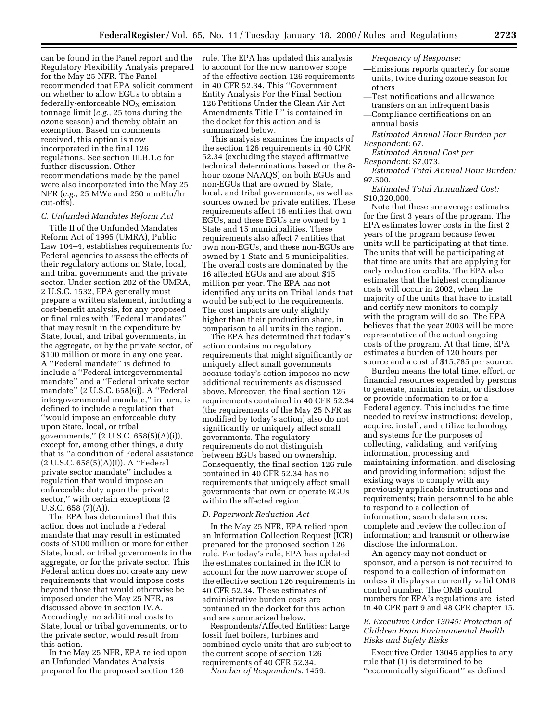can be found in the Panel report and the Regulatory Flexibility Analysis prepared for the May 25 NFR. The Panel recommended that EPA solicit comment on whether to allow EGUs to obtain a  $federally-enforceable NO<sub>x</sub> emission$ tonnage limit (*e.g.,* 25 tons during the ozone season) and thereby obtain an exemption. Based on comments received, this option is now incorporated in the final 126 regulations. See section III.B.1.c for further discussion. Other recommendations made by the panel were also incorporated into the May 25 NFR (*e.g.,* 25 MWe and 250 mmBtu/hr cut-offs).

# *C. Unfunded Mandates Reform Act*

Title II of the Unfunded Mandates Reform Act of 1995 (UMRA), Public Law 104–4, establishes requirements for Federal agencies to assess the effects of their regulatory actions on State, local, and tribal governments and the private sector. Under section 202 of the UMRA, 2 U.S.C. 1532, EPA generally must prepare a written statement, including a cost-benefit analysis, for any proposed or final rules with ''Federal mandates'' that may result in the expenditure by State, local, and tribal governments, in the aggregate, or by the private sector, of \$100 million or more in any one year. A ''Federal mandate'' is defined to include a ''Federal intergovernmental mandate'' and a ''Federal private sector mandate'' (2 U.S.C. 658(6)). A ''Federal intergovernmental mandate,'' in turn, is defined to include a regulation that ''would impose an enforceable duty upon State, local, or tribal governments,'' (2 U.S.C. 658(5)(A)(i)), except for, among other things, a duty that is ''a condition of Federal assistance (2 U.S.C. 658(5)(A)(I)). A ''Federal private sector mandate'' includes a regulation that would impose an enforceable duty upon the private sector,'' with certain exceptions (2 U.S.C. 658 (7)(A)).

The EPA has determined that this action does not include a Federal mandate that may result in estimated costs of \$100 million or more for either State, local, or tribal governments in the aggregate, or for the private sector. This Federal action does not create any new requirements that would impose costs beyond those that would otherwise be imposed under the May 25 NFR, as discussed above in section IV.A. Accordingly, no additional costs to State, local or tribal governments, or to the private sector, would result from this action.

In the May 25 NFR, EPA relied upon an Unfunded Mandates Analysis prepared for the proposed section 126

rule. The EPA has updated this analysis to account for the now narrower scope of the effective section 126 requirements in 40 CFR 52.34. This ''Government Entity Analysis For the Final Section 126 Petitions Under the Clean Air Act Amendments Title I,'' is contained in the docket for this action and is summarized below.

This analysis examines the impacts of the section 126 requirements in 40 CFR 52.34 (excluding the stayed affirmative technical determinations based on the 8 hour ozone NAAQS) on both EGUs and non-EGUs that are owned by State, local, and tribal governments, as well as sources owned by private entities. These requirements affect 16 entities that own EGUs, and these EGUs are owned by 1 State and 15 municipalities. These requirements also affect 7 entities that own non-EGUs, and these non-EGUs are owned by 1 State and 5 municipalities. The overall costs are dominated by the 16 affected EGUs and are about \$15 million per year. The EPA has not identified any units on Tribal lands that would be subject to the requirements. The cost impacts are only slightly higher than their production share, in comparison to all units in the region.

The EPA has determined that today's action contains no regulatory requirements that might significantly or uniquely affect small governments because today's action imposes no new additional requirements as discussed above. Moreover, the final section 126 requirements contained in 40 CFR 52.34 (the requirements of the May 25 NFR as modified by today's action) also do not significantly or uniquely affect small governments. The regulatory requirements do not distinguish between EGUs based on ownership. Consequently, the final section 126 rule contained in 40 CFR 52.34 has no requirements that uniquely affect small governments that own or operate EGUs within the affected region.

# *D. Paperwork Reduction Act*

In the May 25 NFR, EPA relied upon an Information Collection Request (ICR) prepared for the proposed section 126 rule. For today's rule, EPA has updated the estimates contained in the ICR to account for the now narrower scope of the effective section 126 requirements in 40 CFR 52.34. These estimates of administrative burden costs are contained in the docket for this action and are summarized below.

Respondents/Affected Entities: Large fossil fuel boilers, turbines and combined cycle units that are subject to the current scope of section 126 requirements of 40 CFR 52.34.

*Number of Respondents:* 1459.

# *Frequency of Response:*

- —Emissions reports quarterly for some units, twice during ozone season for others
- —Test notifications and allowance transfers on an infrequent basis —Compliance certifications on an
- annual basis
- *Estimated Annual Hour Burden per Respondent:* 67.

*Estimated Annual Cost per Respondent:* \$7,073.

*Estimated Total Annual Hour Burden:* 97,500.

*Estimated Total Annualized Cost:* \$10,320,000.

Note that these are average estimates for the first 3 years of the program. The EPA estimates lower costs in the first 2 years of the program because fewer units will be participating at that time. The units that will be participating at that time are units that are applying for early reduction credits. The EPA also estimates that the highest compliance costs will occur in 2002, when the majority of the units that have to install and certify new monitors to comply with the program will do so. The EPA believes that the year 2003 will be more representative of the actual ongoing costs of the program. At that time, EPA estimates a burden of 120 hours per source and a cost of \$15,785 per source.

Burden means the total time, effort, or financial resources expended by persons to generate, maintain, retain, or disclose or provide information to or for a Federal agency. This includes the time needed to review instructions; develop, acquire, install, and utilize technology and systems for the purposes of collecting, validating, and verifying information, processing and maintaining information, and disclosing and providing information; adjust the existing ways to comply with any previously applicable instructions and requirements; train personnel to be able to respond to a collection of information; search data sources; complete and review the collection of information; and transmit or otherwise disclose the information.

An agency may not conduct or sponsor, and a person is not required to respond to a collection of information unless it displays a currently valid OMB control number. The OMB control numbers for EPA's regulations are listed in 40 CFR part 9 and 48 CFR chapter 15.

# *E. Executive Order 13045: Protection of Children From Environmental Health Risks and Safety Risks*

Executive Order 13045 applies to any rule that (1) is determined to be ''economically significant'' as defined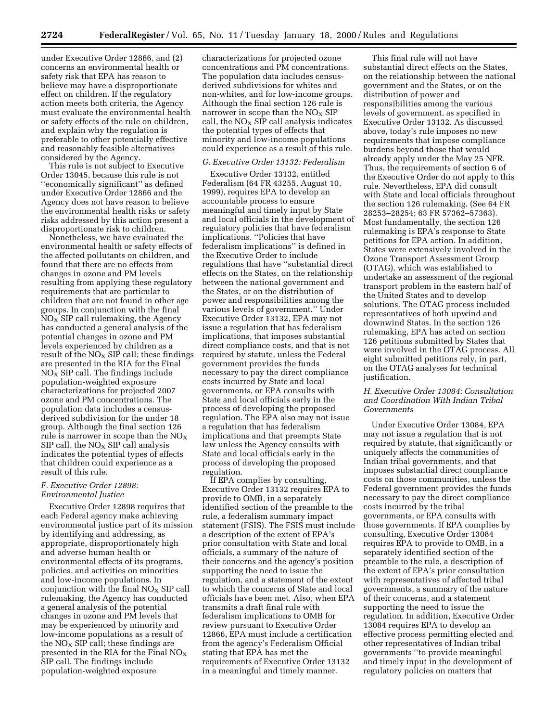under Executive Order 12866, and (2) concerns an environmental health or safety risk that EPA has reason to believe may have a disproportionate effect on children. If the regulatory action meets both criteria, the Agency must evaluate the environmental health or safety effects of the rule on children, and explain why the regulation is preferable to other potentially effective and reasonably feasible alternatives considered by the Agency.

This rule is not subject to Executive Order 13045, because this rule is not ''economically significant'' as defined under Executive Order 12866 and the Agency does not have reason to believe the environmental health risks or safety risks addressed by this action present a disproportionate risk to children.

Nonetheless, we have evaluated the environmental health or safety effects of the affected pollutants on children, and found that there are no effects from changes in ozone and PM levels resulting from applying these regulatory requirements that are particular to children that are not found in other age groups. In conjunction with the final  $NO<sub>X</sub>$  SIP call rulemaking, the Agency has conducted a general analysis of the potential changes in ozone and PM levels experienced by children as a result of the  $NO<sub>x</sub>$  SIP call; these findings are presented in the RIA for the Final  $NO<sub>x</sub>$  SIP call. The findings include population-weighted exposure characterizations for projected 2007 ozone and PM concentrations. The population data includes a censusderived subdivision for the under 18 group. Although the final section 126 rule is narrower in scope than the  $NO<sub>x</sub>$ SIP call, the  $NO<sub>x</sub>$  SIP call analysis indicates the potential types of effects that children could experience as a result of this rule.

# *F. Executive Order 12898: Environmental Justice*

Executive Order 12898 requires that each Federal agency make achieving environmental justice part of its mission by identifying and addressing, as appropriate, disproportionately high and adverse human health or environmental effects of its programs, policies, and activities on minorities and low-income populations. In conjunction with the final  $NO<sub>X</sub>$  SIP call rulemaking, the Agency has conducted a general analysis of the potential changes in ozone and PM levels that may be experienced by minority and low-income populations as a result of the  $NO<sub>x</sub>$  SIP call; these findings are presented in the RIA for the Final  $NO<sub>X</sub>$ SIP call. The findings include population-weighted exposure

characterizations for projected ozone concentrations and PM concentrations. The population data includes censusderived subdivisions for whites and non-whites, and for low-income groups. Although the final section 126 rule is narrower in scope than the  $NO<sub>X</sub>$  SIP call, the  $NO_X$  SIP call analysis indicates the potential types of effects that minority and low-income populations could experience as a result of this rule.

# *G. Executive Order 13132: Federalism*

Executive Order 13132, entitled Federalism (64 FR 43255, August 10, 1999), requires EPA to develop an accountable process to ensure meaningful and timely input by State and local officials in the development of regulatory policies that have federalism implications. ''Policies that have federalism implications'' is defined in the Executive Order to include regulations that have ''substantial direct effects on the States, on the relationship between the national government and the States, or on the distribution of power and responsibilities among the various levels of government.'' Under Executive Order 13132, EPA may not issue a regulation that has federalism implications, that imposes substantial direct compliance costs, and that is not required by statute, unless the Federal government provides the funds necessary to pay the direct compliance costs incurred by State and local governments, or EPA consults with State and local officials early in the process of developing the proposed regulation. The EPA also may not issue a regulation that has federalism implications and that preempts State law unless the Agency consults with State and local officials early in the process of developing the proposed regulation.

If EPA complies by consulting, Executive Order 13132 requires EPA to provide to OMB, in a separately identified section of the preamble to the rule, a federalism summary impact statement (FSIS). The FSIS must include a description of the extent of EPA's prior consultation with State and local officials, a summary of the nature of their concerns and the agency's position supporting the need to issue the regulation, and a statement of the extent to which the concerns of State and local officials have been met. Also, when EPA transmits a draft final rule with federalism implications to OMB for review pursuant to Executive Order 12866, EPA must include a certification from the agency's Federalism Official stating that EPA has met the requirements of Executive Order 13132 in a meaningful and timely manner.

This final rule will not have substantial direct effects on the States, on the relationship between the national government and the States, or on the distribution of power and responsibilities among the various levels of government, as specified in Executive Order 13132. As discussed above, today's rule imposes no new requirements that impose compliance burdens beyond those that would already apply under the May 25 NFR. Thus, the requirements of section 6 of the Executive Order do not apply to this rule. Nevertheless, EPA did consult with State and local officials throughout the section 126 rulemaking. (See 64 FR 28253–28254; 63 FR 57362–57363). Most fundamentally, the section 126 rulemaking is EPA's response to State petitions for EPA action. In addition, States were extensively involved in the Ozone Transport Assessment Group (OTAG), which was established to undertake an assessment of the regional transport problem in the eastern half of the United States and to develop solutions. The OTAG process included representatives of both upwind and downwind States. In the section 126 rulemaking, EPA has acted on section 126 petitions submitted by States that were involved in the OTAG process. All eight submitted petitions rely, in part, on the OTAG analyses for technical justification.

# *H. Executive Order 13084: Consultation and Coordination With Indian Tribal Governments*

Under Executive Order 13084, EPA may not issue a regulation that is not required by statute, that significantly or uniquely affects the communities of Indian tribal governments, and that imposes substantial direct compliance costs on those communities, unless the Federal government provides the funds necessary to pay the direct compliance costs incurred by the tribal governments, or EPA consults with those governments. If EPA complies by consulting, Executive Order 13084 requires EPA to provide to OMB, in a separately identified section of the preamble to the rule, a description of the extent of EPA's prior consultation with representatives of affected tribal governments, a summary of the nature of their concerns, and a statement supporting the need to issue the regulation. In addition, Executive Order 13084 requires EPA to develop an effective process permitting elected and other representatives of Indian tribal governments ''to provide meaningful and timely input in the development of regulatory policies on matters that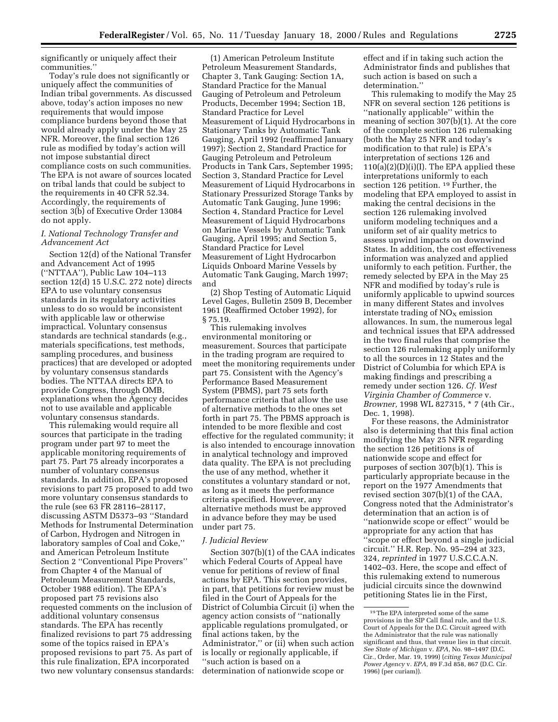significantly or uniquely affect their communities.''

Today's rule does not significantly or uniquely affect the communities of Indian tribal governments. As discussed above, today's action imposes no new requirements that would impose compliance burdens beyond those that would already apply under the May 25 NFR. Moreover, the final section 126 rule as modified by today's action will not impose substantial direct compliance costs on such communities. The EPA is not aware of sources located on tribal lands that could be subject to the requirements in 40 CFR 52.34. Accordingly, the requirements of section 3(b) of Executive Order 13084 do not apply.

# *I. National Technology Transfer and Advancement Act*

Section 12(d) of the National Transfer and Advancement Act of 1995 (''NTTAA''), Public Law 104–113 section 12(d) 15 U.S.C. 272 note) directs EPA to use voluntary consensus standards in its regulatory activities unless to do so would be inconsistent with applicable law or otherwise impractical. Voluntary consensus standards are technical standards (e.g., materials specifications, test methods, sampling procedures, and business practices) that are developed or adopted by voluntary consensus standards bodies. The NTTAA directs EPA to provide Congress, through OMB, explanations when the Agency decides not to use available and applicable voluntary consensus standards.

This rulemaking would require all sources that participate in the trading program under part 97 to meet the applicable monitoring requirements of part 75. Part 75 already incorporates a number of voluntary consensus standards. In addition, EPA's proposed revisions to part 75 proposed to add two more voluntary consensus standards to the rule (see 63 FR 28116–28117, discussing ASTM D5373–93 ''Standard Methods for Instrumental Determination of Carbon, Hydrogen and Nitrogen in laboratory samples of Coal and Coke,'' and American Petroleum Institute Section 2 ''Conventional Pipe Provers'' from Chapter 4 of the Manual of Petroleum Measurement Standards, October 1988 edition). The EPA's proposed part 75 revisions also requested comments on the inclusion of additional voluntary consensus standards. The EPA has recently finalized revisions to part 75 addressing some of the topics raised in EPA's proposed revisions to part 75. As part of this rule finalization, EPA incorporated two new voluntary consensus standards:

(1) American Petroleum Institute Petroleum Measurement Standards, Chapter 3, Tank Gauging: Section 1A, Standard Practice for the Manual Gauging of Petroleum and Petroleum Products, December 1994; Section 1B, Standard Practice for Level Measurement of Liquid Hydrocarbons in Stationary Tanks by Automatic Tank Gauging, April 1992 (reaffirmed January 1997); Section 2, Standard Practice for Gauging Petroleum and Petroleum Products in Tank Cars, September 1995; Section 3, Standard Practice for Level Measurement of Liquid Hydrocarbons in Stationary Pressurized Storage Tanks by Automatic Tank Gauging, June 1996; Section 4, Standard Practice for Level Measurement of Liquid Hydrocarbons on Marine Vessels by Automatic Tank Gauging, April 1995; and Section 5, Standard Practice for Level Measurement of Light Hydrocarbon Liquids Onboard Marine Vessels by Automatic Tank Gauging, March 1997; and

(2) Shop Testing of Automatic Liquid Level Gages, Bulletin 2509 B, December 1961 (Reaffirmed October 1992), for § 75.19.

This rulemaking involves environmental monitoring or measurement. Sources that participate in the trading program are required to meet the monitoring requirements under part 75. Consistent with the Agency's Performance Based Measurement System (PBMS), part 75 sets forth performance criteria that allow the use of alternative methods to the ones set forth in part 75. The PBMS approach is intended to be more flexible and cost effective for the regulated community; it is also intended to encourage innovation in analytical technology and improved data quality. The EPA is not precluding the use of any method, whether it constitutes a voluntary standard or not, as long as it meets the performance criteria specified. However, any alternative methods must be approved in advance before they may be used under part 75.

### *J. Judicial Review*

Section 307(b)(1) of the CAA indicates which Federal Courts of Appeal have venue for petitions of review of final actions by EPA. This section provides, in part, that petitions for review must be filed in the Court of Appeals for the District of Columbia Circuit (i) when the agency action consists of ''nationally applicable regulations promulgated, or final actions taken, by the Administrator,'' or (ii) when such action is locally or regionally applicable, if ''such action is based on a determination of nationwide scope or

effect and if in taking such action the Administrator finds and publishes that such action is based on such a determination.''

This rulemaking to modify the May 25 NFR on several section 126 petitions is ''nationally applicable'' within the meaning of section 307(b)(1). At the core of the complete section 126 rulemaking (both the May 25 NFR and today's modification to that rule) is EPA's interpretation of sections 126 and  $110(a)(2)(D)(i)(I)$ . The EPA applied these interpretations uniformly to each section 126 petition. 19 Further, the modeling that EPA employed to assist in making the central decisions in the section 126 rulemaking involved uniform modeling techniques and a uniform set of air quality metrics to assess upwind impacts on downwind States. In addition, the cost effectiveness information was analyzed and applied uniformly to each petition. Further, the remedy selected by EPA in the May 25 NFR and modified by today's rule is uniformly applicable to upwind sources in many different States and involves interstate trading of  $NO<sub>x</sub>$  emission allowances. In sum, the numerous legal and technical issues that EPA addressed in the two final rules that comprise the section 126 rulemaking apply uniformly to all the sources in 12 States and the District of Columbia for which EPA is making findings and prescribing a remedy under section 126. *Cf. West Virginia Chamber of Commerce* v. *Browner,* 1998 WL 827315, \* 7 (4th Cir., Dec. 1, 1998).

For these reasons, the Administrator also is determining that this final action modifying the May 25 NFR regarding the section 126 petitions is of nationwide scope and effect for purposes of section 307(b)(1). This is particularly appropriate because in the report on the 1977 Amendments that revised section 307(b)(1) of the CAA, Congress noted that the Administrator's determination that an action is of ''nationwide scope or effect'' would be appropriate for any action that has ''scope or effect beyond a single judicial circuit.'' H.R. Rep. No. 95–294 at 323, 324, *reprinted* in 1977 U.S.C.C.A.N. 1402–03. Here, the scope and effect of this rulemaking extend to numerous judicial circuits since the downwind petitioning States lie in the First,

<sup>19</sup>The EPA interpreted some of the same provisions in the SIP Call final rule, and the U.S. Court of Appeals for the D.C. Circuit agreed with the Administrator that the rule was nationally significant and thus, that venue lies in that circuit. *See State of Michigan* v. *EPA,* No. 98–1497 (D.C. Cir., Order, Mar. 19, 1999) (*citing Texas Municipal Power Agency* v. *EPA,* 89 F.3d 858, 867 (D.C. Cir. 1996) (per curiam)).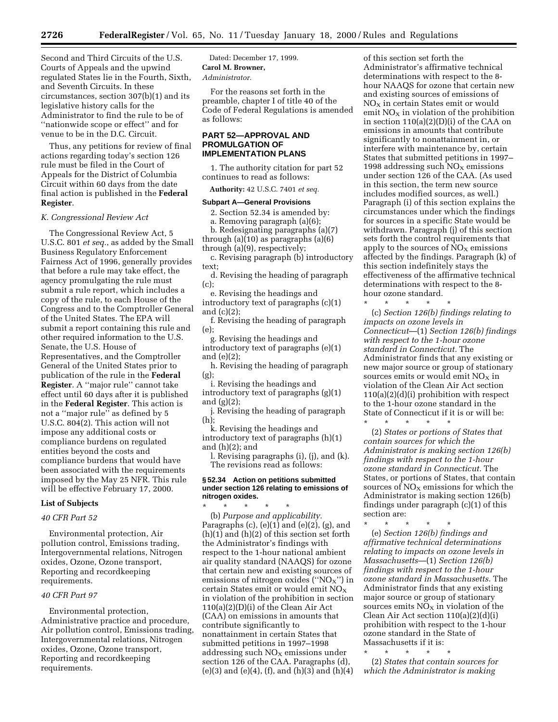Second and Third Circuits of the U.S. Courts of Appeals and the upwind regulated States lie in the Fourth, Sixth, and Seventh Circuits. In these circumstances, section 307(b)(1) and its legislative history calls for the Administrator to find the rule to be of ''nationwide scope or effect'' and for venue to be in the D.C. Circuit.

Thus, any petitions for review of final actions regarding today's section 126 rule must be filed in the Court of Appeals for the District of Columbia Circuit within 60 days from the date final action is published in the **Federal Register**.

### *K. Congressional Review Act*

The Congressional Review Act, 5 U.S.C. 801 *et seq.*, as added by the Small Business Regulatory Enforcement Fairness Act of 1996, generally provides that before a rule may take effect, the agency promulgating the rule must submit a rule report, which includes a copy of the rule, to each House of the Congress and to the Comptroller General of the United States. The EPA will submit a report containing this rule and other required information to the U.S. Senate, the U.S. House of Representatives, and the Comptroller General of the United States prior to publication of the rule in the **Federal Register**. A ''major rule'' cannot take effect until 60 days after it is published in the **Federal Register**. This action is not a ''major rule'' as defined by 5 U.S.C. 804(2). This action will not impose any additional costs or compliance burdens on regulated entities beyond the costs and compliance burdens that would have been associated with the requirements imposed by the May 25 NFR. This rule will be effective February 17, 2000.

#### **List of Subjects**

# *40 CFR Part 52*

Environmental protection, Air pollution control, Emissions trading, Intergovernmental relations, Nitrogen oxides, Ozone, Ozone transport, Reporting and recordkeeping requirements.

# *40 CFR Part 97*

Environmental protection, Administrative practice and procedure, Air pollution control, Emissions trading, Intergovernmental relations, Nitrogen oxides, Ozone, Ozone transport, Reporting and recordkeeping requirements.

Dated: December 17, 1999. **Carol M. Browner,** *Administrator.*

For the reasons set forth in the preamble, chapter I of title 40 of the Code of Federal Regulations is amended as follows:

# **PART 52—APPROVAL AND PROMULGATION OF IMPLEMENTATION PLANS**

1. The authority citation for part 52 continues to read as follows:

**Authority:** 42 U.S.C. 7401 *et seq.*

#### **Subpart A—General Provisions**

2. Section 52.34 is amended by:

a. Removing paragraph (a)(6);

b. Redesignating paragraphs (a)(7) through (a)(10) as paragraphs (a)(6)

through (a)(9), respectively; c. Revising paragraph (b) introductory text;

d. Revising the heading of paragraph (c);

e. Revising the headings and introductory text of paragraphs (c)(1) and (c)(2);

f. Revising the heading of paragraph (e);

g. Revising the headings and introductory text of paragraphs (e)(1) and (e)(2);

h. Revising the heading of paragraph (g);

i. Revising the headings and introductory text of paragraphs (g)(1) and (g)(2);

j. Revising the heading of paragraph (h);

k. Revising the headings and introductory text of paragraphs (h)(1) and (h)(2); and

l. Revising paragraphs (i), (j), and (k). The revisions read as follows:

### **§ 52.34 Action on petitions submitted under section 126 relating to emissions of nitrogen oxides.**

\* \* \* \* \* (b) *Purpose and applicability.* Paragraphs  $(c)$ ,  $(e)(1)$  and  $(e)(2)$ ,  $(g)$ , and  $(h)(1)$  and  $(h)(2)$  of this section set forth the Administrator's findings with respect to the 1-hour national ambient air quality standard (NAAQS) for ozone that certain new and existing sources of emissions of nitrogen oxides (" $NO<sub>x</sub>$ ") in certain States emit or would emit  $NO<sub>X</sub>$ in violation of the prohibition in section 110(a)(2)(D)(i) of the Clean Air Act (CAA) on emissions in amounts that contribute significantly to nonattainment in certain States that submitted petitions in 1997–1998 addressing such  $\rm{NO_{X}}$  emissions under section 126 of the CAA. Paragraphs (d),  $(e)(3)$  and  $(e)(4)$ ,  $(f)$ , and  $(h)(3)$  and  $(h)(4)$ 

of this section set forth the Administrator's affirmative technical determinations with respect to the 8 hour NAAQS for ozone that certain new and existing sources of emissions of NOX in certain States emit or would emit  $NO<sub>X</sub>$  in violation of the prohibition in section 110(a)(2)(D)(i) of the CAA on emissions in amounts that contribute significantly to nonattainment in, or interfere with maintenance by, certain States that submitted petitions in 1997– 1998 addressing such  $NO<sub>X</sub>$  emissions under section 126 of the CAA. (As used in this section, the term new source includes modified sources, as well.) Paragraph (i) of this section explains the circumstances under which the findings for sources in a specific State would be withdrawn. Paragraph (j) of this section sets forth the control requirements that apply to the sources of  $NO<sub>x</sub>$  emissions affected by the findings. Paragraph (k) of this section indefinitely stays the effectiveness of the affirmative technical determinations with respect to the 8 hour ozone standard.

(c) *Section 126(b) findings relating to impacts on ozone levels in Connecticut*—(1) *Section 126(b) findings with respect to the 1-hour ozone standard in Connecticut.* The Administrator finds that any existing or new major source or group of stationary sources emits or would emit  $NO<sub>x</sub>$  in violation of the Clean Air Act section 110(a)(2)(d)(i) prohibition with respect to the 1-hour ozone standard in the State of Connecticut if it is or will be:

\* \* \* \* \*

\* \* \* \* \* (2) *States or portions of States that contain sources for which the Administrator is making section 126(b) findings with respect to the 1-hour ozone standard in Connecticut.* The States, or portions of States, that contain sources of  $NO<sub>x</sub>$  emissions for which the Administrator is making section 126(b) findings under paragraph (c)(1) of this section are:

\* \* \* \* \* (e) *Section 126(b) findings and affirmative technical determinations relating to impacts on ozone levels in Massachusetts*—(1) *Section 126(b) findings with respect to the 1-hour ozone standard in Massachusetts.* The Administrator finds that any existing major source or group of stationary sources emits  $NO<sub>X</sub>$  in violation of the Clean Air Act section 110(a)(2)(d)(i) prohibition with respect to the 1-hour ozone standard in the State of Massachusetts if it is:

\* \* \* \* \* (2) *States that contain sources for which the Administrator is making*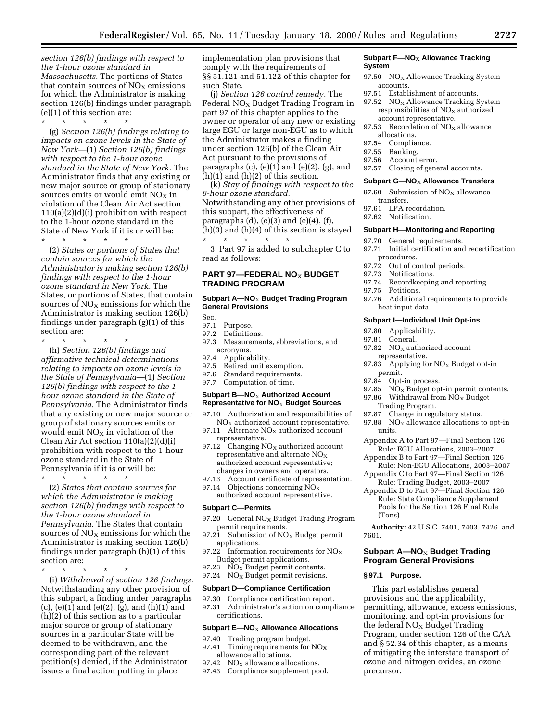*section 126(b) findings with respect to the 1-hour ozone standard in Massachusetts.* The portions of States that contain sources of  $NO<sub>x</sub>$  emissions for which the Administrator is making section 126(b) findings under paragraph (e)(1) of this section are:

\* \* \* \* \* (g) *Section 126(b) findings relating to impacts on ozone levels in the State of New York*—(1) *Section 126(b) findings with respect to the 1-hour ozone standard in the State of New York.* The Administrator finds that any existing or new major source or group of stationary sources emits or would emit  $NO<sub>x</sub>$  in violation of the Clean Air Act section 110(a)(2)(d)(i) prohibition with respect to the 1-hour ozone standard in the State of New York if it is or will be: \* \* \* \* \*

(2) *States or portions of States that contain sources for which the Administrator is making section 126(b) findings with respect to the 1-hour ozone standard in New York.* The States, or portions of States, that contain sources of  $NO<sub>X</sub>$  emissions for which the Administrator is making section 126(b) findings under paragraph (g)(1) of this section are:

\* \* \* \* \*

(h) *Section 126(b) findings and affirmative technical determinations relating to impacts on ozone levels in the State of Pennsylvania*—(1) *Section 126(b) findings with respect to the 1 hour ozone standard in the State of Pennsylvania.* The Administrator finds that any existing or new major source or group of stationary sources emits or would emit  $NO<sub>X</sub>$  in violation of the Clean Air Act section 110(a)(2)(d)(i) prohibition with respect to the 1-hour ozone standard in the State of Pennsylvania if it is or will be:

\* \* \* \* \*

(2) *States that contain sources for which the Administrator is making section 126(b) findings with respect to the 1-hour ozone standard in Pennsylvania.* The States that contain sources of  $NO<sub>x</sub>$  emissions for which the Administrator is making section 126(b) findings under paragraph (h)(1) of this section are:

\* \* \* \* \*

(i) *Withdrawal of section 126 findings.* Notwithstanding any other provision of this subpart, a finding under paragraphs (c), (e)(1) and (e)(2), (g), and (h)(1) and (h)(2) of this section as to a particular major source or group of stationary sources in a particular State will be deemed to be withdrawn, and the corresponding part of the relevant petition(s) denied, if the Administrator issues a final action putting in place

implementation plan provisions that comply with the requirements of §§ 51.121 and 51.122 of this chapter for such State.

(j) *Section 126 control remedy.* The Federal  $NO<sub>x</sub>$  Budget Trading Program in part 97 of this chapter applies to the owner or operator of any new or existing large EGU or large non-EGU as to which the Administrator makes a finding under section 126(b) of the Clean Air Act pursuant to the provisions of paragraphs  $(c)$ ,  $(e)(1)$  and  $(e)(2)$ ,  $(g)$ , and  $(h)(1)$  and  $(h)(2)$  of this section.

(k) *Stay of findings with respect to the 8-hour ozone standard.* Notwithstanding any other provisions of this subpart, the effectiveness of paragraphs  $(d)$ ,  $(e)(3)$  and  $(e)(4)$ ,  $(f)$ , (h)(3) and (h)(4) of this section is stayed. \* \* \* \* \*

3. Part 97 is added to subchapter C to read as follows:

# **PART 97—FEDERAL NO**X **BUDGET TRADING PROGRAM**

# **Subpart A—NO**X **Budget Trading Program General Provisions**

Sec.

- 97.1 Purpose.<br>97.2 Definitio
- 97.2 Definitions.<br>97.3 Measureme
- Measurements, abbreviations, and acronyms.<br>97.4 Applica
- Applicability.
- 97.5 Retired unit exemption.
- 97.6 Standard requirements.
- 97.7 Computation of time.

# **Subpart B-NO<sub>X</sub> Authorized Account Representative for NO**X **Budget Sources**

- 97.10 Authorization and responsibilities of
- $NO<sub>x</sub>$  authorized account representative. 97.11 Alternate  $NO<sub>x</sub>$  authorized account
- representative. 97.12 Changing  $NO<sub>x</sub>$  authorized account
- representative and alternate  $NO<sub>X</sub>$ authorized account representative; changes in owners and operators.
- 97.13 Account certificate of representation. 97.14 Objections concerning NO<sub>X</sub>
- authorized account representative.

#### **Subpart C—Permits**

- 97.20 General NO<sub>X</sub> Budget Trading Program permit requirements.
- 97.21 Submission of  $NO<sub>x</sub>$  Budget permit applications.
- 97.22 Information requirements for  $NO<sub>x</sub>$
- Budget permit applications.<br>97.23 NO<sub>X</sub> Budget permit contents NO<sub>X</sub> Budget permit contents.
- 97.24 NO<sub>x</sub> Budget permit revisions.

### **Subpart D—Compliance Certification**

97.30 Compliance certification report. 97.31 Administrator's action on compliance certifications.

#### **Subpart E-NO<sub>X</sub> Allowance Allocations**

- 97.40 Trading program budget.
- 97.41 Timing requirements for  $NO<sub>x</sub>$ allowance allocations.<br>97.42 NO<sub>x</sub> allowance allo
- $NO<sub>x</sub>$  allowance allocations.
- 97.43 Compliance supplement pool.

#### **Subpart F-NO<sub>X</sub> Allowance Tracking System**

- 97.50  $NO<sub>x</sub>$  Allowance Tracking System accounts.
- 97.51 Establishment of accounts.
- 97.52  $NO<sub>x</sub>$  Allowance Tracking System responsibilities of  $NO<sub>x</sub>$  authorized
- account representative.<br>97.53 Recordation of  $NO<sub>x</sub>$ Recordation of  $NO<sub>x</sub>$  allowance allocations.
- 97.54 Compliance.
- 97.55 Banking.
- 97.56 Account error.
- 97.57 Closing of general accounts.

#### **Subpart G--NO<sub>X</sub> Allowance Transfers**

- 97.60 Submission of  $NO<sub>X</sub>$  allowance transfers.
- 97.61 EPA recordation.
- 97.62 Notification.

### **Subpart H—Monitoring and Reporting**

- 97.70 General requirements.
- 97.71 Initial certification and recertification procedures.<br>97.72 Out of co
- Out of control periods.
- 97.73 Notifications.
- 97.74 Recordkeeping and reporting.<br>97.75 Petitions.
- Petitions.
- 97.76 Additional requirements to provide heat input data.

#### **Subpart I—Individual Unit Opt-ins**

- 97.80 Applicability.<br>97.81 General.
- General.
- 97.82  $NO<sub>x</sub>$  authorized account representative.
- 97.83 Applying for NO<sub>X</sub> Budget opt-in permit.
- 97.84 Opt-in process.
- 97.85  $\overline{NO_X}$  Budget opt-in permit contents.
- 97.86 Withdrawal from  $N\overline{O}_X$  Budget
- Trading Program.
- 97.87 Change in regulatory status.
- 97.88  $NO<sub>x</sub>$  allowance allocations to opt-in units.
- Appendix A to Part 97—Final Section 126 Rule: EGU Allocations, 2003–2007
- Appendix B to Part 97—Final Section 126 Rule: Non-EGU Allocations, 2003–2007
- Appendix C to Part 97—Final Section 126 Rule: Trading Budget, 2003–2007
- Appendix D to Part 97—Final Section 126 Rule: State Compliance Supplement Pools for the Section 126 Final Rule (Tons)
- **Authority:** 42 U.S.C. 7401, 7403, 7426, and 7601.

# **Subpart A-NO<sub>X</sub> Budget Trading Program General Provisions**

### **§ 97.1 Purpose.**

This part establishes general provisions and the applicability, permitting, allowance, excess emissions, monitoring, and opt-in provisions for the federal  $NO<sub>X</sub>$  Budget Trading Program, under section 126 of the CAA and § 52.34 of this chapter, as a means of mitigating the interstate transport of ozone and nitrogen oxides, an ozone precursor.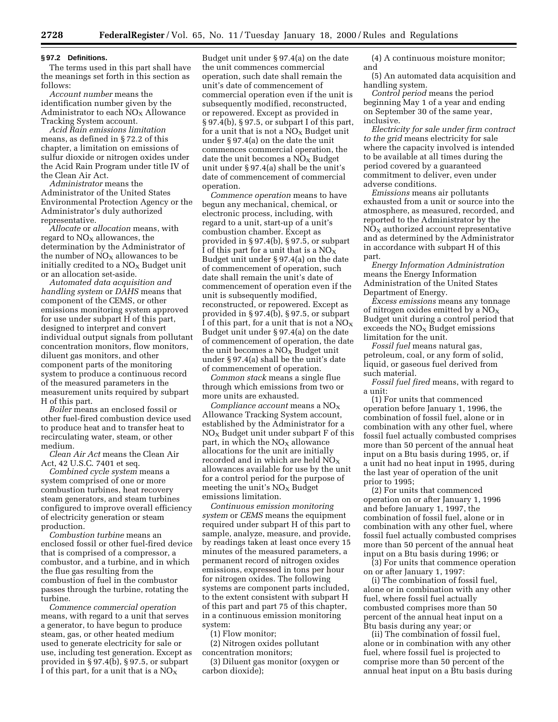#### **§ 97.2 Definitions.**

The terms used in this part shall have the meanings set forth in this section as follows:

*Account number* means the identification number given by the Administrator to each  $NO<sub>X</sub>$  Allowance Tracking System account.

*Acid Rain emissions limitation* means, as defined in § 72.2 of this chapter, a limitation on emissions of sulfur dioxide or nitrogen oxides under the Acid Rain Program under title IV of the Clean Air Act.

*Administrator* means the Administrator of the United States Environmental Protection Agency or the Administrator's duly authorized representative.

*Allocate* or *allocation* means, with regard to  $NO<sub>X</sub>$  allowances, the determination by the Administrator of the number of  $NO<sub>x</sub>$  allowances to be initially credited to a  $NO<sub>X</sub>$  Budget unit or an allocation set-aside.

*Automated data acquisition and handling system* or *DAHS* means that component of the CEMS, or other emissions monitoring system approved for use under subpart H of this part, designed to interpret and convert individual output signals from pollutant concentration monitors, flow monitors, diluent gas monitors, and other component parts of the monitoring system to produce a continuous record of the measured parameters in the measurement units required by subpart H of this part.

*Boiler* means an enclosed fossil or other fuel-fired combustion device used to produce heat and to transfer heat to recirculating water, steam, or other medium.

*Clean Air Act* means the Clean Air Act, 42 U.S.C. 7401 et seq.

*Combined cycle system* means a system comprised of one or more combustion turbines, heat recovery steam generators, and steam turbines configured to improve overall efficiency of electricity generation or steam production.

*Combustion turbine* means an enclosed fossil or other fuel-fired device that is comprised of a compressor, a combustor, and a turbine, and in which the flue gas resulting from the combustion of fuel in the combustor passes through the turbine, rotating the turbine.

*Commence commercial operation* means, with regard to a unit that serves a generator, to have begun to produce steam, gas, or other heated medium used to generate electricity for sale or use, including test generation. Except as provided in § 97.4(b), § 97.5, or subpart I of this part, for a unit that is a  $NO<sub>x</sub>$ 

Budget unit under § 97.4(a) on the date the unit commences commercial operation, such date shall remain the unit's date of commencement of commercial operation even if the unit is subsequently modified, reconstructed, or repowered. Except as provided in § 97.4(b), § 97.5, or subpart I of this part, for a unit that is not a  $NO<sub>x</sub>$  Budget unit under § 97.4(a) on the date the unit commences commercial operation, the date the unit becomes a  $NO<sub>x</sub>$  Budget unit under § 97.4(a) shall be the unit's date of commencement of commercial operation.

*Commence operation* means to have begun any mechanical, chemical, or electronic process, including, with regard to a unit, start-up of a unit's combustion chamber. Except as provided in § 97.4(b), § 97.5, or subpart I of this part for a unit that is a  $NO<sub>X</sub>$ Budget unit under § 97.4(a) on the date of commencement of operation, such date shall remain the unit's date of commencement of operation even if the unit is subsequently modified, reconstructed, or repowered. Except as provided in § 97.4(b), § 97.5, or subpart I of this part, for a unit that is not a  $NO_X$ Budget unit under § 97.4(a) on the date of commencement of operation, the date the unit becomes a  $NO<sub>x</sub>$  Budget unit under § 97.4(a) shall be the unit's date of commencement of operation.

*Common stack* means a single flue through which emissions from two or more units are exhausted.

*Compliance account* means a NOX Allowance Tracking System account, established by the Administrator for a  $NO<sub>x</sub>$  Budget unit under subpart F of this part, in which the  $NO<sub>X</sub>$  allowance allocations for the unit are initially recorded and in which are held  $NO_X$ allowances available for use by the unit for a control period for the purpose of meeting the unit's  $NO<sub>x</sub>$  Budget emissions limitation.

*Continuous emission monitoring system* or *CEMS* means the equipment required under subpart H of this part to sample, analyze, measure, and provide, by readings taken at least once every 15 minutes of the measured parameters, a permanent record of nitrogen oxides emissions, expressed in tons per hour for nitrogen oxides. The following systems are component parts included, to the extent consistent with subpart H of this part and part 75 of this chapter, in a continuous emission monitoring system:

(1) Flow monitor;

(2) Nitrogen oxides pollutant concentration monitors;

(3) Diluent gas monitor (oxygen or carbon dioxide);

(4) A continuous moisture monitor; and

(5) An automated data acquisition and handling system.

*Control period* means the period beginning May 1 of a year and ending on September 30 of the same year, inclusive.

*Electricity for sale under firm contract to the grid* means electricity for sale where the capacity involved is intended to be available at all times during the period covered by a guaranteed commitment to deliver, even under adverse conditions.

*Emissions* means air pollutants exhausted from a unit or source into the atmosphere, as measured, recorded, and reported to the Administrator by the  $NO<sub>x</sub>$  authorized account representative and as determined by the Administrator in accordance with subpart H of this part.

*Energy Information Administration* means the Energy Information Administration of the United States Department of Energy.

*Excess emissions* means any tonnage of nitrogen oxides emitted by a  $NO<sub>X</sub>$ Budget unit during a control period that exceeds the  $NO<sub>x</sub>$  Budget emissions limitation for the unit.

*Fossil fuel* means natural gas, petroleum, coal, or any form of solid, liquid, or gaseous fuel derived from such material.

*Fossil fuel fired* means, with regard to a unit:

(1) For units that commenced operation before January 1, 1996, the combination of fossil fuel, alone or in combination with any other fuel, where fossil fuel actually combusted comprises more than 50 percent of the annual heat input on a Btu basis during 1995, or, if a unit had no heat input in 1995, during the last year of operation of the unit prior to 1995;

(2) For units that commenced operation on or after January 1, 1996 and before January 1, 1997, the combination of fossil fuel, alone or in combination with any other fuel, where fossil fuel actually combusted comprises more than 50 percent of the annual heat input on a Btu basis during 1996; or

(3) For units that commence operation on or after January 1, 1997:

(i) The combination of fossil fuel, alone or in combination with any other fuel, where fossil fuel actually combusted comprises more than 50 percent of the annual heat input on a Btu basis during any year; or

(ii) The combination of fossil fuel, alone or in combination with any other fuel, where fossil fuel is projected to comprise more than 50 percent of the annual heat input on a Btu basis during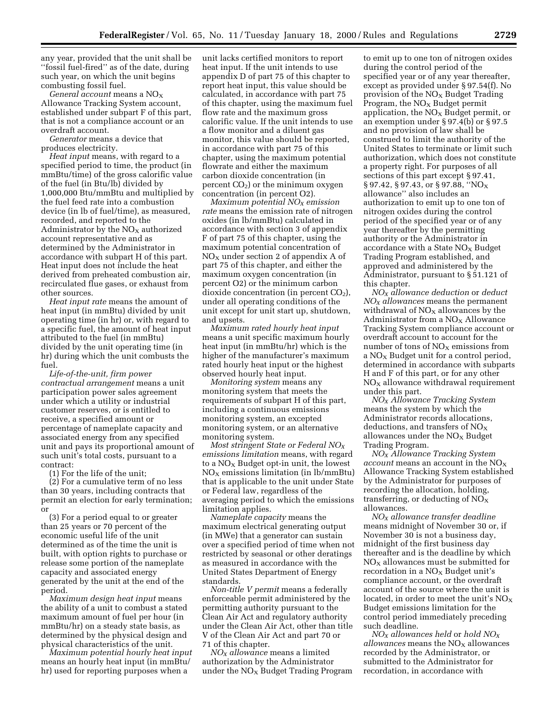any year, provided that the unit shall be ''fossil fuel-fired'' as of the date, during such year, on which the unit begins combusting fossil fuel.

*General account* means a NO<sub>X</sub> Allowance Tracking System account, established under subpart F of this part, that is not a compliance account or an overdraft account.

*Generator* means a device that produces electricity.

*Heat input* means, with regard to a specified period to time, the product (in mmBtu/time) of the gross calorific value of the fuel (in Btu/lb) divided by 1,000,000 Btu/mmBtu and multiplied by the fuel feed rate into a combustion device (in lb of fuel/time), as measured, recorded, and reported to the Administrator by the  $NO<sub>x</sub>$  authorized account representative and as determined by the Administrator in accordance with subpart H of this part. Heat input does not include the heat derived from preheated combustion air, recirculated flue gases, or exhaust from other sources.

*Heat input rate* means the amount of heat input (in mmBtu) divided by unit operating time (in hr) or, with regard to a specific fuel, the amount of heat input attributed to the fuel (in mmBtu) divided by the unit operating time (in hr) during which the unit combusts the fuel.

*Life-of-the-unit, firm power contractual arrangement* means a unit participation power sales agreement under which a utility or industrial customer reserves, or is entitled to receive, a specified amount or percentage of nameplate capacity and associated energy from any specified unit and pays its proportional amount of such unit's total costs, pursuant to a contract:

(1) For the life of the unit;

(2) For a cumulative term of no less than 30 years, including contracts that permit an election for early termination; or

(3) For a period equal to or greater than 25 years or 70 percent of the economic useful life of the unit determined as of the time the unit is built, with option rights to purchase or release some portion of the nameplate capacity and associated energy generated by the unit at the end of the period.

*Maximum design heat input* means the ability of a unit to combust a stated maximum amount of fuel per hour (in mmBtu/hr) on a steady state basis, as determined by the physical design and physical characteristics of the unit.

*Maximum potential hourly heat input* means an hourly heat input (in mmBtu/ hr) used for reporting purposes when a

unit lacks certified monitors to report heat input. If the unit intends to use appendix D of part 75 of this chapter to report heat input, this value should be calculated, in accordance with part 75 of this chapter, using the maximum fuel flow rate and the maximum gross calorific value. If the unit intends to use a flow monitor and a diluent gas monitor, this value should be reported, in accordance with part 75 of this chapter, using the maximum potential flowrate and either the maximum carbon dioxide concentration (in percent  $CO<sub>2</sub>$ ) or the minimum oxygen concentration (in percent O2).

*Maximum potential NOX emission rate* means the emission rate of nitrogen oxides (in lb/mmBtu) calculated in accordance with section 3 of appendix F of part 75 of this chapter, using the maximum potential concentration of  $NO<sub>x</sub>$  under section 2 of appendix A of part 75 of this chapter, and either the maximum oxygen concentration (in percent O2) or the minimum carbon dioxide concentration (in percent  $CO<sub>2</sub>$ ), under all operating conditions of the unit except for unit start up, shutdown, and upsets.

*Maximum rated hourly heat input* means a unit specific maximum hourly heat input (in mmBtu/hr) which is the higher of the manufacturer's maximum rated hourly heat input or the highest observed hourly heat input.

*Monitoring system* means any monitoring system that meets the requirements of subpart H of this part, including a continuous emissions monitoring system, an excepted monitoring system, or an alternative monitoring system.

*Most stringent State or Federal NOX emissions limitation* means, with regard to a  $NO<sub>x</sub>$  Budget opt-in unit, the lowest  $NO<sub>x</sub>$  emissions limitation (in  $lb/mmBtu$ ) that is applicable to the unit under State or Federal law, regardless of the averaging period to which the emissions limitation applies.

*Nameplate capacity* means the maximum electrical generating output (in MWe) that a generator can sustain over a specified period of time when not restricted by seasonal or other deratings as measured in accordance with the United States Department of Energy standards.

*Non-title V permit* means a federally enforceable permit administered by the permitting authority pursuant to the Clean Air Act and regulatory authority under the Clean Air Act, other than title V of the Clean Air Act and part 70 or 71 of this chapter.

*NOX allowance* means a limited authorization by the Administrator under the  $NO<sub>x</sub>$  Budget Trading Program

to emit up to one ton of nitrogen oxides during the control period of the specified year or of any year thereafter, except as provided under § 97.54(f). No provision of the  $NO<sub>x</sub>$  Budget Trading Program, the  $NO<sub>x</sub>$  Budget permit application, the  $NO<sub>x</sub>$  Budget permit, or an exemption under § 97.4(b) or § 97.5 and no provision of law shall be construed to limit the authority of the United States to terminate or limit such authorization, which does not constitute a property right. For purposes of all sections of this part except § 97.41, § 97.42, § 97.43, or § 97.88, "NO<sub>X</sub> allowance'' also includes an authorization to emit up to one ton of nitrogen oxides during the control period of the specified year or of any year thereafter by the permitting authority or the Administrator in accordance with a State  $NO<sub>x</sub>$  Budget Trading Program established, and approved and administered by the Administrator, pursuant to § 51.121 of this chapter.

*NOX allowance deduction* or *deduct NOX allowances* means the permanent withdrawal of  $NO<sub>x</sub>$  allowances by the Administrator from a  $NO<sub>x</sub>$  Allowance Tracking System compliance account or overdraft account to account for the number of tons of  $NO<sub>X</sub>$  emissions from a  $NO<sub>x</sub>$  Budget unit for a control period, determined in accordance with subparts H and F of this part, or for any other  $NO<sub>x</sub>$  allowance withdrawal requirement under this part.

*NOX Allowance Tracking System* means the system by which the Administrator records allocations, deductions, and transfers of  $NO<sub>x</sub>$ allowances under the  $NO<sub>x</sub>$  Budget Trading Program.

*NOX Allowance Tracking System account* means an account in the NOX Allowance Tracking System established by the Administrator for purposes of recording the allocation, holding, transferring, or deducting of  $NO<sub>x</sub>$ allowances.

*NOX allowance transfer deadline* means midnight of November 30 or, if November 30 is not a business day, midnight of the first business day thereafter and is the deadline by which  $NO<sub>x</sub>$  allowances must be submitted for recordation in a  $NO<sub>x</sub>$  Budget unit's compliance account, or the overdraft account of the source where the unit is located, in order to meet the unit's  $NO<sub>X</sub>$ Budget emissions limitation for the control period immediately preceding such deadline.

*NOX allowances held* or *hold NOX allowances* means the NO<sub>X</sub> allowances recorded by the Administrator, or submitted to the Administrator for recordation, in accordance with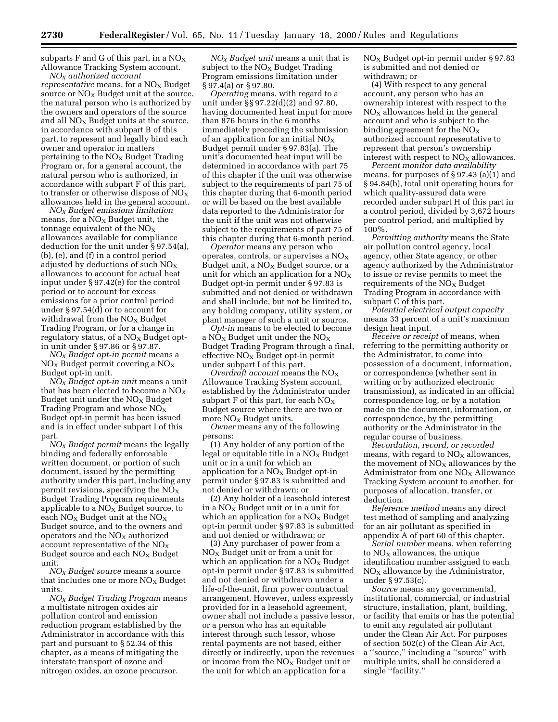subparts  $F$  and  $G$  of this part, in a  $NO<sub>X</sub>$ Allowance Tracking System account.

*NOX authorized account representative* means, for a NO<sub>X</sub> Budget source or  $NO<sub>x</sub>$  Budget unit at the source, the natural person who is authorized by the owners and operators of the source and all  $NO<sub>X</sub>$  Budget units at the source, in accordance with subpart B of this part, to represent and legally bind each owner and operator in matters pertaining to the  $NO<sub>x</sub>$  Budget Trading Program or, for a general account, the natural person who is authorized, in accordance with subpart F of this part, to transfer or otherwise dispose of  $NO<sub>X</sub>$ allowances held in the general account.

*NOX Budget emissions limitation* means, for a  $NO<sub>x</sub>$  Budget unit, the tonnage equivalent of the  $NO<sub>x</sub>$ allowances available for compliance deduction for the unit under § 97.54(a), (b), (e), and (f) in a control period adjusted by deductions of such  $NO<sub>x</sub>$ allowances to account for actual heat input under § 97.42(e) for the control period or to account for excess emissions for a prior control period under § 97.54(d) or to account for withdrawal from the  $NO<sub>x</sub>$  Budget Trading Program, or for a change in regulatory status, of a  $NO<sub>X</sub>$  Budget optin unit under § 97.86 or § 97.87.

*NOX Budget opt-in permit* means a  $NO<sub>X</sub>$  Budget permit covering a  $NO<sub>X</sub>$ Budget opt-in unit.

*NOX Budget opt-in unit* means a unit that has been elected to become a  $\rm NO_X$ Budget unit under the  $NO<sub>X</sub>$  Budget Trading Program and whose  $NO<sub>x</sub>$ Budget opt-in permit has been issued and is in effect under subpart I of this part.

*NOX Budget permit* means the legally binding and federally enforceable written document, or portion of such document, issued by the permitting authority under this part, including any permit revisions, specifying the  $NO<sub>x</sub>$ Budget Trading Program requirements applicable to a  $NO<sub>x</sub>$  Budget source, to each  $NO<sub>X</sub>$  Budget unit at the  $NO<sub>X</sub>$ Budget source, and to the owners and operators and the  $NO<sub>X</sub>$  authorized account representative of the  $NO<sub>X</sub>$ Budget source and each  $NO<sub>x</sub>$  Budget unit.

*NOX Budget source* means a source that includes one or more  $NO<sub>x</sub>$  Budget units.

*NOX Budget Trading Program* means a multistate nitrogen oxides air pollution control and emission reduction program established by the Administrator in accordance with this part and pursuant to § 52.34 of this chapter, as a means of mitigating the interstate transport of ozone and nitrogen oxides, an ozone precursor.

*NOX Budget unit* means a unit that is subject to the  $NO_X$  Budget Trading Program emissions limitation under § 97.4(a) or § 97.80.

*Operating* means, with regard to a unit under §§ 97.22(d)(2) and 97.80, having documented heat input for more than 876 hours in the 6 months immediately preceding the submission of an application for an initial  $NO<sub>x</sub>$ Budget permit under § 97.83(a). The unit's documented heat input will be determined in accordance with part 75 of this chapter if the unit was otherwise subject to the requirements of part 75 of this chapter during that 6-month period or will be based on the best available data reported to the Administrator for the unit if the unit was not otherwise subject to the requirements of part 75 of this chapter during that 6-month period.

*Operator* means any person who operates, controls, or supervises a  $NO<sub>X</sub>$ Budget unit, a  $NO<sub>x</sub>$  Budget source, or a unit for which an application for a  $NO<sub>x</sub>$ Budget opt-in permit under § 97.83 is submitted and not denied or withdrawn and shall include, but not be limited to, any holding company, utility system, or plant manager of such a unit or source.

*Opt-in* means to be elected to become a  $NO<sub>x</sub>$  Budget unit under the  $NO<sub>x</sub>$ Budget Trading Program through a final, effective  $NO<sub>x</sub>$  Budget opt-in permit under subpart I of this part.

*Overdraft account* means the NO<sub>X</sub> Allowance Tracking System account, established by the Administrator under subpart F of this part, for each  $NO<sub>x</sub>$ Budget source where there are two or more  $NO<sub>x</sub>$  Budget units.

*Owner* means any of the following persons:

(1) Any holder of any portion of the legal or equitable title in a  $NO_X$  Budget unit or in a unit for which an application for a  $NO<sub>x</sub>$  Budget opt-in permit under § 97.83 is submitted and not denied or withdrawn; or

(2) Any holder of a leasehold interest in a  $NO<sub>x</sub>$  Budget unit or in a unit for which an application for a  $NO<sub>x</sub>$  Budget opt-in permit under § 97.83 is submitted and not denied or withdrawn; or

(3) Any purchaser of power from a  $NO<sub>x</sub>$  Budget unit or from a unit for which an application for a  $NO<sub>x</sub>$  Budget opt-in permit under § 97.83 is submitted and not denied or withdrawn under a life-of-the-unit, firm power contractual arrangement. However, unless expressly provided for in a leasehold agreement, owner shall not include a passive lessor, or a person who has an equitable interest through such lessor, whose rental payments are not based, either directly or indirectly, upon the revenues or income from the  $NO<sub>x</sub>$  Budget unit or the unit for which an application for a

NOX Budget opt-in permit under § 97.83 is submitted and not denied or withdrawn; or

(4) With respect to any general account, any person who has an ownership interest with respect to the  $NO<sub>x</sub>$  allowances held in the general account and who is subject to the binding agreement for the  $NO<sub>x</sub>$ authorized account representative to represent that person's ownership interest with respect to  $NO<sub>x</sub>$  allowances.

*Percent monitor data availability* means, for purposes of § 97.43 (a)(1) and § 94.84(b), total unit operating hours for which quality-assured data were recorded under subpart H of this part in a control period, divided by 3,672 hours per control period, and multiplied by 100%.

*Permitting authority* means the State air pollution control agency, local agency, other State agency, or other agency authorized by the Administrator to issue or revise permits to meet the requirements of the  $NO<sub>x</sub>$  Budget Trading Program in accordance with subpart C of this part.

*Potential electrical output capacity* means 33 percent of a unit's maximum design heat input.

*Receive or receipt* of means, when referring to the permitting authority or the Administrator, to come into possession of a document, information, or correspondence (whether sent in writing or by authorized electronic transmission), as indicated in an official correspondence log, or by a notation made on the document, information, or correspondence, by the permitting authority or the Administrator in the regular course of business.

*Recordation, record, or recorded* means, with regard to  $NO<sub>X</sub>$  allowances, the movement of  $NO<sub>x</sub>$  allowances by the Administrator from one  $NO<sub>x</sub>$  Allowance Tracking System account to another, for purposes of allocation, transfer, or deduction.

*Reference method* means any direct test method of sampling and analyzing for an air pollutant as specified in appendix A of part 60 of this chapter.

*Serial number* means, when referring to  $NO<sub>x</sub>$  allowances, the unique identification number assigned to each  $NO<sub>X</sub>$  allowance by the Administrator, under § 97.53(c).

*Source* means any governmental, institutional, commercial, or industrial structure, installation, plant, building, or facility that emits or has the potential to emit any regulated air pollutant under the Clean Air Act. For purposes of section 502(c) of the Clean Air Act, a ''source,'' including a ''source'' with multiple units, shall be considered a single "facility."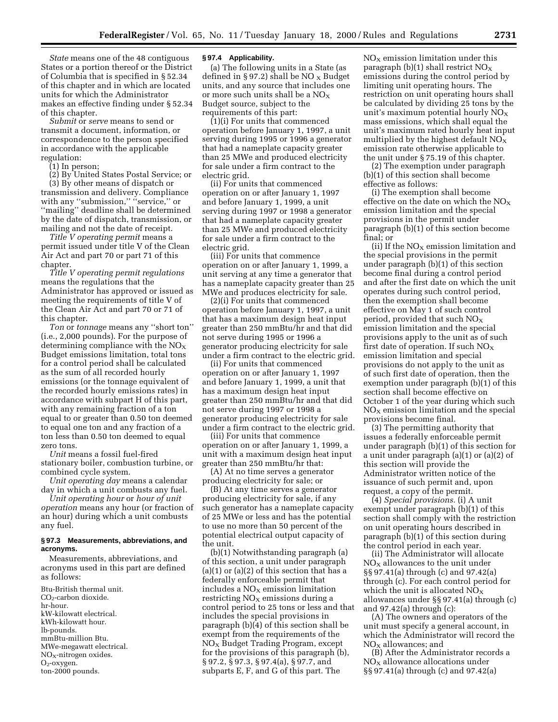*State* means one of the 48 contiguous States or a portion thereof or the District of Columbia that is specified in § 52.34 of this chapter and in which are located units for which the Administrator makes an effective finding under § 52.34 of this chapter.

*Submit* or *serve* means to send or transmit a document, information, or correspondence to the person specified in accordance with the applicable regulation:

(1) In person;

(2) By United States Postal Service; or

(3) By other means of dispatch or transmission and delivery. Compliance with any "submission," "service," or ''mailing'' deadline shall be determined by the date of dispatch, transmission, or mailing and not the date of receipt.

*Title V operating permit* means a permit issued under title V of the Clean Air Act and part 70 or part 71 of this chapter.

*Title V operating permit regulations* means the regulations that the Administrator has approved or issued as meeting the requirements of title V of the Clean Air Act and part 70 or 71 of this chapter.

*Ton* or *tonnage* means any ''short ton'' (i.e., 2,000 pounds). For the purpose of determining compliance with the  $NO<sub>x</sub>$ Budget emissions limitation, total tons for a control period shall be calculated as the sum of all recorded hourly emissions (or the tonnage equivalent of the recorded hourly emissions rates) in accordance with subpart H of this part, with any remaining fraction of a ton equal to or greater than 0.50 ton deemed to equal one ton and any fraction of a ton less than 0.50 ton deemed to equal zero tons.

*Unit* means a fossil fuel-fired stationary boiler, combustion turbine, or combined cycle system.

*Unit operating day* means a calendar day in which a unit combusts any fuel.

*Unit operating hour* or *hour of unit operation* means any hour (or fraction of an hour) during which a unit combusts any fuel.

### **§ 97.3 Measurements, abbreviations, and acronyms.**

Measurements, abbreviations, and acronyms used in this part are defined as follows:

Btu-British thermal unit. CO2-carbon dioxide. hr-hour. kW-kilowatt electrical. kWh-kilowatt hour. lb-pounds. mmBtu-million Btu. MWe-megawatt electrical.  $NO<sub>x</sub>$ -nitrogen oxides.  $O<sub>2</sub>$ -oxygen. ton-2000 pounds.

# **§ 97.4 Applicability.**

(a) The following units in a State (as defined in §97.2) shall be NO  $_{\rm X}$  Budget units, and any source that includes one or more such units shall be a  $NO<sub>X</sub>$ Budget source, subject to the requirements of this part:

(1)(i) For units that commenced operation before January 1, 1997, a unit serving during 1995 or 1996 a generator that had a nameplate capacity greater than 25 MWe and produced electricity for sale under a firm contract to the electric grid.

(ii) For units that commenced operation on or after January 1, 1997 and before January 1, 1999, a unit serving during 1997 or 1998 a generator that had a nameplate capacity greater than 25 MWe and produced electricity for sale under a firm contract to the electric grid.

(iii) For units that commence operation on or after January 1, 1999, a unit serving at any time a generator that has a nameplate capacity greater than 25 MWe and produces electricity for sale.

(2)(i) For units that commenced operation before January 1, 1997, a unit that has a maximum design heat input greater than 250 mmBtu/hr and that did not serve during 1995 or 1996 a generator producing electricity for sale under a firm contract to the electric grid.

(ii) For units that commenced operation on or after January 1, 1997 and before January 1, 1999, a unit that has a maximum design heat input greater than 250 mmBtu/hr and that did not serve during 1997 or 1998 a generator producing electricity for sale under a firm contract to the electric grid.

(iii) For units that commence operation on or after January 1, 1999, a unit with a maximum design heat input greater than 250 mmBtu/hr that:

(A) At no time serves a generator producing electricity for sale; or

(B) At any time serves a generator producing electricity for sale, if any such generator has a nameplate capacity of 25 MWe or less and has the potential to use no more than 50 percent of the potential electrical output capacity of the unit.

(b)(1) Notwithstanding paragraph (a) of this section, a unit under paragraph  $(a)(1)$  or  $(a)(2)$  of this section that has a federally enforceable permit that includes a  $NO<sub>X</sub>$  emission limitation restricting  $NO<sub>x</sub>$  emissions during a control period to 25 tons or less and that includes the special provisions in paragraph  $(b)(4)$  of this section shall be exempt from the requirements of the  $NO<sub>x</sub>$  Budget Trading Program, except for the provisions of this paragraph (b), § 97.2, § 97.3, § 97.4(a), § 97.7, and subparts E, F, and G of this part. The

 $NO<sub>x</sub>$  emission limitation under this paragraph (b)(1) shall restrict  $NO<sub>X</sub>$ emissions during the control period by limiting unit operating hours. The restriction on unit operating hours shall be calculated by dividing 25 tons by the unit's maximum potential hourly  $NO_X$ mass emissions, which shall equal the unit's maximum rated hourly heat input multiplied by the highest default  $NO<sub>X</sub>$ emission rate otherwise applicable to the unit under § 75.19 of this chapter.

(2) The exemption under paragraph (b)(1) of this section shall become effective as follows:

(i) The exemption shall become effective on the date on which the  $NO_X$ emission limitation and the special provisions in the permit under paragraph (b)(1) of this section become final; or

(ii) If the  $NO<sub>x</sub>$  emission limitation and the special provisions in the permit under paragraph (b)(1) of this section become final during a control period and after the first date on which the unit operates during such control period, then the exemption shall become effective on May 1 of such control period, provided that such  $NO<sub>x</sub>$ emission limitation and the special provisions apply to the unit as of such first date of operation. If such  $NO_X$ emission limitation and special provisions do not apply to the unit as of such first date of operation, then the exemption under paragraph (b)(1) of this section shall become effective on October 1 of the year during which such  $NO<sub>x</sub>$  emission limitation and the special provisions become final.

(3) The permitting authority that issues a federally enforceable permit under paragraph (b)(1) of this section for a unit under paragraph (a)(1) or (a)(2) of this section will provide the Administrator written notice of the issuance of such permit and, upon request, a copy of the permit.

(4) *Special provisions.* (i) A unit exempt under paragraph (b)(1) of this section shall comply with the restriction on unit operating hours described in paragraph (b)(1) of this section during the control period in each year.

(ii) The Administrator will allocate  $NO<sub>x</sub>$  allowances to the unit under §§ 97.41(a) through (c) and 97.42(a) through (c). For each control period for which the unit is allocated  $NO_X$ allowances under §§ 97.41(a) through (c) and 97.42(a) through (c):

(A) The owners and operators of the unit must specify a general account, in which the Administrator will record the  $NO<sub>x</sub>$  allowances; and

(B) After the Administrator records a  $NO<sub>x</sub>$  allowance allocations under §§ 97.41(a) through (c) and 97.42(a)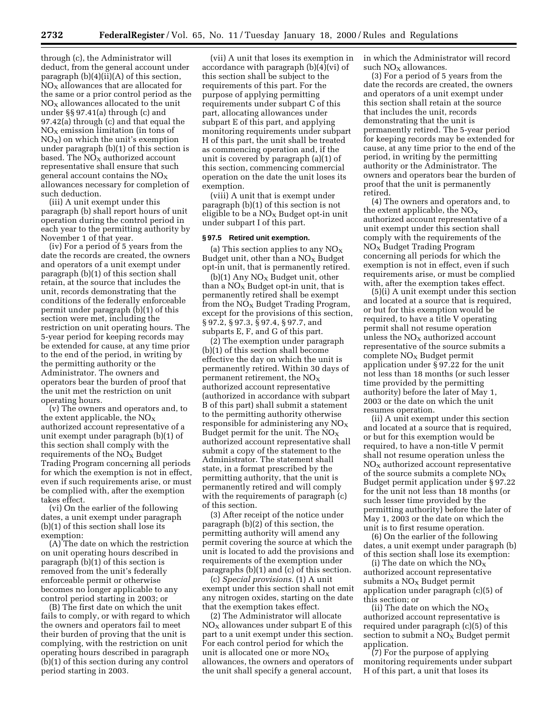through (c), the Administrator will deduct, from the general account under paragraph (b)(4)(ii)(A) of this section,  $NO<sub>X</sub>$  allowances that are allocated for the same or a prior control period as the  $NO<sub>x</sub>$  allowances allocated to the unit under §§ 97.41(a) through (c) and 97.42(a) through (c) and that equal the  $NO<sub>x</sub>$  emission limitation (in tons of  $NO<sub>x</sub>$ ) on which the unit's exemption under paragraph (b)(1) of this section is based. The  $NO<sub>X</sub>$  authorized account representative shall ensure that such general account contains the  $NO<sub>x</sub>$ allowances necessary for completion of such deduction.

(iii) A unit exempt under this paragraph (b) shall report hours of unit operation during the control period in each year to the permitting authority by November 1 of that year.

(iv) For a period of 5 years from the date the records are created, the owners and operators of a unit exempt under paragraph (b)(1) of this section shall retain, at the source that includes the unit, records demonstrating that the conditions of the federally enforceable permit under paragraph (b)(1) of this section were met, including the restriction on unit operating hours. The 5-year period for keeping records may be extended for cause, at any time prior to the end of the period, in writing by the permitting authority or the Administrator. The owners and operators bear the burden of proof that the unit met the restriction on unit operating hours.

(v) The owners and operators and, to the extent applicable, the  $NO<sub>X</sub>$ authorized account representative of a unit exempt under paragraph (b)(1) of this section shall comply with the requirements of the  $NO<sub>x</sub>$  Budget Trading Program concerning all periods for which the exemption is not in effect, even if such requirements arise, or must be complied with, after the exemption takes effect.

(vi) On the earlier of the following dates, a unit exempt under paragraph (b)(1) of this section shall lose its exemption:

(A) The date on which the restriction on unit operating hours described in paragraph (b)(1) of this section is removed from the unit's federally enforceable permit or otherwise becomes no longer applicable to any control period starting in 2003; or

(B) The first date on which the unit fails to comply, or with regard to which the owners and operators fail to meet their burden of proving that the unit is complying, with the restriction on unit operating hours described in paragraph (b)(1) of this section during any control period starting in 2003.

(vii) A unit that loses its exemption in accordance with paragraph (b)(4)(vi) of this section shall be subject to the requirements of this part. For the purpose of applying permitting requirements under subpart C of this part, allocating allowances under subpart E of this part, and applying monitoring requirements under subpart H of this part, the unit shall be treated as commencing operation and, if the unit is covered by paragraph (a)(1) of this section, commencing commercial operation on the date the unit loses its exemption.

(viii) A unit that is exempt under paragraph (b)(1) of this section is not eligible to be a  $NO<sub>X</sub>$  Budget opt-in unit under subpart I of this part.

#### **§ 97.5 Retired unit exemption.**

(a) This section applies to any  $NO<sub>x</sub>$ Budget unit, other than a  $NO<sub>X</sub>$  Budget opt-in unit, that is permanently retired.

(b)(1) Any  $NO<sub>x</sub>$  Budget unit, other than a  $NO<sub>X</sub>$  Budget opt-in unit, that is permanently retired shall be exempt from the  $NO<sub>X</sub>$  Budget Trading Program, except for the provisions of this section, § 97.2, § 97.3, § 97.4, § 97.7, and subparts E, F, and G of this part.

(2) The exemption under paragraph (b)(1) of this section shall become effective the day on which the unit is permanently retired. Within 30 days of permanent retirement, the  $NO<sub>x</sub>$ authorized account representative (authorized in accordance with subpart B of this part) shall submit a statement to the permitting authority otherwise responsible for administering any  $NO<sub>x</sub>$ Budget permit for the unit. The  $NO<sub>X</sub>$ authorized account representative shall submit a copy of the statement to the Administrator. The statement shall state, in a format prescribed by the permitting authority, that the unit is permanently retired and will comply with the requirements of paragraph (c) of this section.

(3) After receipt of the notice under paragraph (b)(2) of this section, the permitting authority will amend any permit covering the source at which the unit is located to add the provisions and requirements of the exemption under paragraphs (b)(1) and (c) of this section.

(c) *Special provisions.* (1) A unit exempt under this section shall not emit any nitrogen oxides, starting on the date that the exemption takes effect.

(2) The Administrator will allocate  $NO<sub>X</sub>$  allowances under subpart E of this part to a unit exempt under this section. For each control period for which the unit is allocated one or more  $NO<sub>x</sub>$ allowances, the owners and operators of the unit shall specify a general account,

in which the Administrator will record such  $NO<sub>x</sub>$  allowances.

(3) For a period of 5 years from the date the records are created, the owners and operators of a unit exempt under this section shall retain at the source that includes the unit, records demonstrating that the unit is permanently retired. The 5-year period for keeping records may be extended for cause, at any time prior to the end of the period, in writing by the permitting authority or the Administrator. The owners and operators bear the burden of proof that the unit is permanently retired.

(4) The owners and operators and, to the extent applicable, the  $NO<sub>x</sub>$ authorized account representative of a unit exempt under this section shall comply with the requirements of the  $NO<sub>x</sub>$  Budget Trading Program concerning all periods for which the exemption is not in effect, even if such requirements arise, or must be complied with, after the exemption takes effect.

(5)(i) A unit exempt under this section and located at a source that is required, or but for this exemption would be required, to have a title V operating permit shall not resume operation unless the  $NO<sub>X</sub>$  authorized account representative of the source submits a  $complete NO<sub>x</sub> Budget permit$ application under § 97.22 for the unit not less than 18 months (or such lesser time provided by the permitting authority) before the later of May 1, 2003 or the date on which the unit resumes operation.

(ii) A unit exempt under this section and located at a source that is required, or but for this exemption would be required, to have a non-title V permit shall not resume operation unless the  $NO<sub>x</sub>$  authorized account representative of the source submits a complete  $NO<sub>X</sub>$ Budget permit application under § 97.22 for the unit not less than 18 months (or such lesser time provided by the permitting authority) before the later of May 1, 2003 or the date on which the unit is to first resume operation.

(6) On the earlier of the following dates, a unit exempt under paragraph (b) of this section shall lose its exemption:

(i) The date on which the  $NO<sub>X</sub>$ authorized account representative submits a  $NO<sub>x</sub>$  Budget permit application under paragraph (c)(5) of this section; or

(ii) The date on which the  $NO<sub>x</sub>$ authorized account representative is required under paragraph (c)(5) of this section to submit a  $NO<sub>x</sub>$  Budget permit application.

(7) For the purpose of applying monitoring requirements under subpart H of this part, a unit that loses its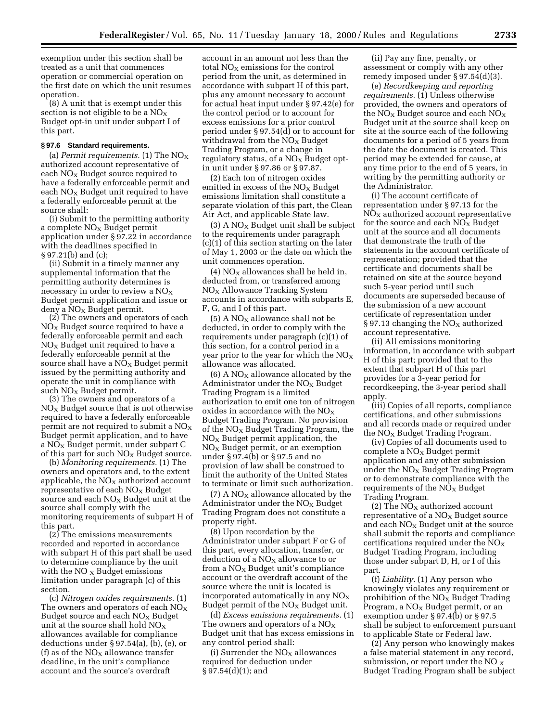exemption under this section shall be treated as a unit that commences operation or commercial operation on the first date on which the unit resumes operation.

(8) A unit that is exempt under this section is not eligible to be a  $NO<sub>x</sub>$ Budget opt-in unit under subpart I of this part.

### **§ 97.6 Standard requirements.**

(a) *Permit requirements.* (1) The  $NO<sub>X</sub>$ authorized account representative of each  $NO<sub>x</sub>$  Budget source required to have a federally enforceable permit and each  $NO<sub>x</sub>$  Budget unit required to have a federally enforceable permit at the source shall:

(i) Submit to the permitting authority a complete  $NO<sub>x</sub>$  Budget permit application under § 97.22 in accordance with the deadlines specified in § 97.21(b) and (c);

(ii) Submit in a timely manner any supplemental information that the permitting authority determines is necessary in order to review a  $NO<sub>X</sub>$ Budget permit application and issue or  $d$ eny a NO<sub>X</sub> Budget permit.

(2) The owners and operators of each  $NO<sub>x</sub>$  Budget source required to have a federally enforceable permit and each  $NO<sub>x</sub>$  Budget unit required to have a federally enforceable permit at the source shall have a  $NO<sub>x</sub>$  Budget permit issued by the permitting authority and operate the unit in compliance with such NO<sub>x</sub> Budget permit.

(3) The owners and operators of a  $NO<sub>x</sub>$  Budget source that is not otherwise required to have a federally enforceable permit are not required to submit a  $NO<sub>x</sub>$ Budget permit application, and to have a  $NO<sub>X</sub>$  Budget permit, under subpart C of this part for such  $NO<sub>x</sub>$  Budget source.

(b) *Monitoring requirements.* (1) The owners and operators and, to the extent applicable, the  $NO<sub>X</sub>$  authorized account representative of each  $NO<sub>x</sub>$  Budget source and each  $NO<sub>x</sub>$  Budget unit at the source shall comply with the monitoring requirements of subpart H of this part.

 $(2)$  The emissions measurements recorded and reported in accordance with subpart H of this part shall be used to determine compliance by the unit with the  $NO<sub>x</sub>$  Budget emissions limitation under paragraph (c) of this section.

(c) *Nitrogen oxides requirements.* (1) The owners and operators of each  $\rm NO_X$ Budget source and each  $NO<sub>x</sub>$  Budget unit at the source shall hold  $NO<sub>X</sub>$ allowances available for compliance deductions under § 97.54(a), (b), (e), or (f) as of the  $NO<sub>X</sub>$  allowance transfer deadline, in the unit's compliance account and the source's overdraft

account in an amount not less than the total  $NO<sub>x</sub>$  emissions for the control period from the unit, as determined in accordance with subpart H of this part, plus any amount necessary to account for actual heat input under § 97.42(e) for the control period or to account for excess emissions for a prior control period under § 97.54(d) or to account for withdrawal from the  $NO<sub>x</sub>$  Budget Trading Program, or a change in regulatory status, of a  $NO<sub>x</sub>$  Budget optin unit under § 97.86 or § 97.87.

(2) Each ton of nitrogen oxides emitted in excess of the  $NO<sub>x</sub>$  Budget emissions limitation shall constitute a separate violation of this part, the Clean Air Act, and applicable State law.

(3) A  $NO<sub>x</sub>$  Budget unit shall be subject to the requirements under paragraph (c)(1) of this section starting on the later of May 1, 2003 or the date on which the unit commences operation.

(4)  $NO<sub>X</sub>$  allowances shall be held in, deducted from, or transferred among NOX Allowance Tracking System accounts in accordance with subparts E, F, G, and I of this part.

 $(5)$  A NO<sub>x</sub> allowance shall not be deducted, in order to comply with the requirements under paragraph (c)(1) of this section, for a control period in a year prior to the year for which the  $NO<sub>X</sub>$ allowance was allocated.

 $(6)$  A NO<sub>X</sub> allowance allocated by the Administrator under the  $NO<sub>x</sub>$  Budget Trading Program is a limited authorization to emit one ton of nitrogen oxides in accordance with the  $NO<sub>x</sub>$ Budget Trading Program. No provision of the  $NO<sub>x</sub>$  Budget Trading Program, the  $NO<sub>x</sub>$  Budget permit application, the  $NO<sub>x</sub>$  Budget permit, or an exemption under § 97.4(b) or § 97.5 and no provision of law shall be construed to limit the authority of the United States to terminate or limit such authorization.

 $(7)$  A NO<sub>X</sub> allowance allocated by the Administrator under the  $NO<sub>x</sub>$  Budget Trading Program does not constitute a property right.

(8) Upon recordation by the Administrator under subpart F or G of this part, every allocation, transfer, or deduction of a  $NO<sub>X</sub>$  allowance to or from a  $NO<sub>x</sub>$  Budget unit's compliance account or the overdraft account of the source where the unit is located is incorporated automatically in any  $NO<sub>x</sub>$ Budget permit of the  $NO<sub>x</sub>$  Budget unit.

(d) *Excess emissions requirements.* (1) The owners and operators of a  $NO<sub>X</sub>$ Budget unit that has excess emissions in any control period shall:

(i) Surrender the  $NO<sub>x</sub>$  allowances required for deduction under § 97.54(d)(1); and

(ii) Pay any fine, penalty, or assessment or comply with any other remedy imposed under § 97.54(d)(3).

(e) *Recordkeeping and reporting requirements.* (1) Unless otherwise provided, the owners and operators of the  $NO<sub>X</sub>$  Budget source and each  $NO<sub>X</sub>$ Budget unit at the source shall keep on site at the source each of the following documents for a period of 5 years from the date the document is created. This period may be extended for cause, at any time prior to the end of 5 years, in writing by the permitting authority or the Administrator.

(i) The account certificate of representation under § 97.13 for the  $NO<sub>X</sub>$  authorized account representative for the source and each  $NO<sub>x</sub>$  Budget unit at the source and all documents that demonstrate the truth of the statements in the account certificate of representation; provided that the certificate and documents shall be retained on site at the source beyond such 5-year period until such documents are superseded because of the submission of a new account certificate of representation under § 97.13 changing the  $NO<sub>x</sub>$  authorized account representative.

(ii) All emissions monitoring information, in accordance with subpart H of this part; provided that to the extent that subpart H of this part provides for a 3-year period for recordkeeping, the 3-year period shall apply.

(iii) Copies of all reports, compliance certifications, and other submissions and all records made or required under the  $NO<sub>X</sub>$  Budget Trading Program.

(iv) Copies of all documents used to  $complete a NO<sub>X</sub> Budget permit$ application and any other submission under the  $NO<sub>x</sub>$  Budget Trading Program or to demonstrate compliance with the requirements of the  $NO<sub>x</sub>$  Budget Trading Program.

(2) The  $NO_X$  authorized account representative of a  $NO<sub>x</sub>$  Budget source and each  $NO<sub>X</sub>$  Budget unit at the source shall submit the reports and compliance certifications required under the  $NO<sub>x</sub>$ Budget Trading Program, including those under subpart D, H, or I of this part.

(f) *Liability.* (1) Any person who knowingly violates any requirement or prohibition of the  $NO<sub>X</sub>$  Budget Trading Program, a  $NO<sub>x</sub>$  Budget permit, or an exemption under § 97.4(b) or § 97.5 shall be subject to enforcement pursuant to applicable State or Federal law.

(2) Any person who knowingly makes a false material statement in any record, submission, or report under the NO  $\rm_X$ Budget Trading Program shall be subject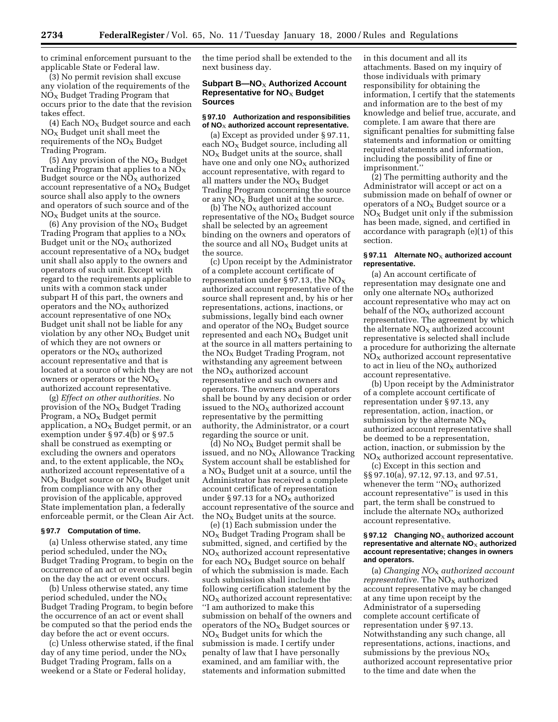to criminal enforcement pursuant to the applicable State or Federal law.

(3) No permit revision shall excuse any violation of the requirements of the  $NO<sub>X</sub>$  Budget Trading Program that occurs prior to the date that the revision takes effect.

 $(4)$  Each NO<sub>x</sub> Budget source and each  $NO<sub>x</sub>$  Budget unit shall meet the requirements of the  $NO<sub>x</sub>$  Budget Trading Program.

(5) Any provision of the  $NO<sub>x</sub>$  Budget Trading Program that applies to a  $NO<sub>x</sub>$ Budget source or the  $NO<sub>X</sub>$  authorized account representative of a  $NO<sub>x</sub>$  Budget source shall also apply to the owners and operators of such source and of the  $NO<sub>x</sub>$  Budget units at the source.

(6) Any provision of the  $NO<sub>x</sub>$  Budget Trading Program that applies to a  $NO<sub>x</sub>$ Budget unit or the  $NO<sub>X</sub>$  authorized account representative of a  $NO<sub>x</sub>$  budget unit shall also apply to the owners and operators of such unit. Except with regard to the requirements applicable to units with a common stack under subpart H of this part, the owners and operators and the  $NO<sub>X</sub>$  authorized account representative of one  $NO<sub>x</sub>$ Budget unit shall not be liable for any violation by any other  $NO_X$  Budget unit of which they are not owners or operators or the  $NO<sub>X</sub>$  authorized account representative and that is located at a source of which they are not owners or operators or the  $NO<sub>x</sub>$ authorized account representative.

(g) *Effect on other authorities.* No provision of the  $NO<sub>X</sub>$  Budget Trading Program, a  $NO<sub>X</sub>$  Budget permit application, a  $NO<sub>x</sub>$  Budget permit, or an exemption under § 97.4(b) or § 97.5 shall be construed as exempting or excluding the owners and operators and, to the extent applicable, the  $NO<sub>x</sub>$ authorized account representative of a  $NO<sub>X</sub>$  Budget source or  $NO<sub>X</sub>$  Budget unit from compliance with any other provision of the applicable, approved State implementation plan, a federally enforceable permit, or the Clean Air Act.

### **§ 97.7 Computation of time.**

(a) Unless otherwise stated, any time period scheduled, under the  $NO<sub>x</sub>$ Budget Trading Program, to begin on the occurrence of an act or event shall begin on the day the act or event occurs.

(b) Unless otherwise stated, any time period scheduled, under the  $NO<sub>X</sub>$ Budget Trading Program, to begin before the occurrence of an act or event shall be computed so that the period ends the day before the act or event occurs.

(c) Unless otherwise stated, if the final day of any time period, under the  $NO<sub>X</sub>$ Budget Trading Program, falls on a weekend or a State or Federal holiday,

the time period shall be extended to the next business day.

# **Subpart B-NO<sub>X</sub> Authorized Account Representative for NO**X **Budget Sources**

### **§ 97.10 Authorization and responsibilities of NO**X **authorized account representative.**

(a) Except as provided under § 97.11, each  $NO<sub>x</sub>$  Budget source, including all  $NO<sub>x</sub>$  Budget units at the source, shall have one and only one  $NO<sub>X</sub>$  authorized account representative, with regard to all matters under the  $NO<sub>x</sub>$  Budget Trading Program concerning the source or any  $NO<sub>X</sub>$  Budget unit at the source.

(b) The  $NO<sub>X</sub>$  authorized account representative of the  $NO<sub>x</sub>$  Budget source shall be selected by an agreement binding on the owners and operators of the source and all  $NO<sub>x</sub>$  Budget units at the source.

(c) Upon receipt by the Administrator of a complete account certificate of representation under § 97.13, the  $NO<sub>x</sub>$ authorized account representative of the source shall represent and, by his or her representations, actions, inactions, or submissions, legally bind each owner and operator of the  $NO<sub>x</sub>$  Budget source represented and each  $NO<sub>X</sub>$  Budget unit at the source in all matters pertaining to the  $NO<sub>X</sub>$  Budget Trading Program, not withstanding any agreement between the  $NO<sub>x</sub>$  authorized account representative and such owners and operators. The owners and operators shall be bound by any decision or order issued to the  $NO<sub>x</sub>$  authorized account representative by the permitting authority, the Administrator, or a court regarding the source or unit.

(d) No  $NO_X$  Budget permit shall be issued, and no  $NO<sub>X</sub>$  Allowance Tracking System account shall be established for a NOX Budget unit at a source, until the Administrator has received a complete account certificate of representation under  $\S 97.13$  for a NO<sub>x</sub> authorized account representative of the source and the  $NO<sub>x</sub>$  Budget units at the source.

(e) (1) Each submission under the  $NO<sub>x</sub>$  Budget Trading Program shall be submitted, signed, and certified by the  $NO<sub>X</sub>$  authorized account representative for each  $NO<sub>x</sub>$  Budget source on behalf of which the submission is made. Each such submission shall include the following certification statement by the  $NO<sub>x</sub>$  authorized account representative: ''I am authorized to make this submission on behalf of the owners and operators of the  $NO<sub>X</sub>$  Budget sources or  $NO<sub>x</sub>$  Budget units for which the submission is made. I certify under penalty of law that I have personally examined, and am familiar with, the statements and information submitted

in this document and all its attachments. Based on my inquiry of those individuals with primary responsibility for obtaining the information, I certify that the statements and information are to the best of my knowledge and belief true, accurate, and complete. I am aware that there are significant penalties for submitting false statements and information or omitting required statements and information, including the possibility of fine or imprisonment.''

(2) The permitting authority and the Administrator will accept or act on a submission made on behalf of owner or operators of a  $NO<sub>X</sub>$  Budget source or a  $NO<sub>x</sub>$  Budget unit only if the submission has been made, signed, and certified in accordance with paragraph (e)(1) of this section.

### § 97.11 Alternate NO<sub>X</sub> authorized account **representative.**

(a) An account certificate of representation may designate one and only one alternate  $NO<sub>x</sub>$  authorized account representative who may act on behalf of the  $NO<sub>X</sub>$  authorized account representative. The agreement by which the alternate  $NO<sub>x</sub>$  authorized account representative is selected shall include a procedure for authorizing the alternate  $NO<sub>x</sub>$  authorized account representative to act in lieu of the  $NO<sub>X</sub>$  authorized account representative.

(b) Upon receipt by the Administrator of a complete account certificate of representation under § 97.13, any representation, action, inaction, or submission by the alternate  $NO<sub>x</sub>$ authorized account representative shall be deemed to be a representation, action, inaction, or submission by the  $NO<sub>x</sub>$  authorized account representative.

(c) Except in this section and §§ 97.10(a), 97.12, 97.13, and 97.51, whenever the term  $'NO<sub>x</sub>$  authorized account representative'' is used in this part, the term shall be construed to include the alternate  $NO<sub>x</sub>$  authorized account representative.

#### § 97.12 Changing NO<sub>X</sub> authorized account representative and alternate NO<sub>X</sub> authorized **account representative; changes in owners and operators.**

(a) *Changing NO*X *authorized account representative.* The NO<sub>x</sub> authorized account representative may be changed at any time upon receipt by the Administrator of a superseding complete account certificate of representation under § 97.13. Notwithstanding any such change, all representations, actions, inactions, and submissions by the previous  $NO<sub>x</sub>$ authorized account representative prior to the time and date when the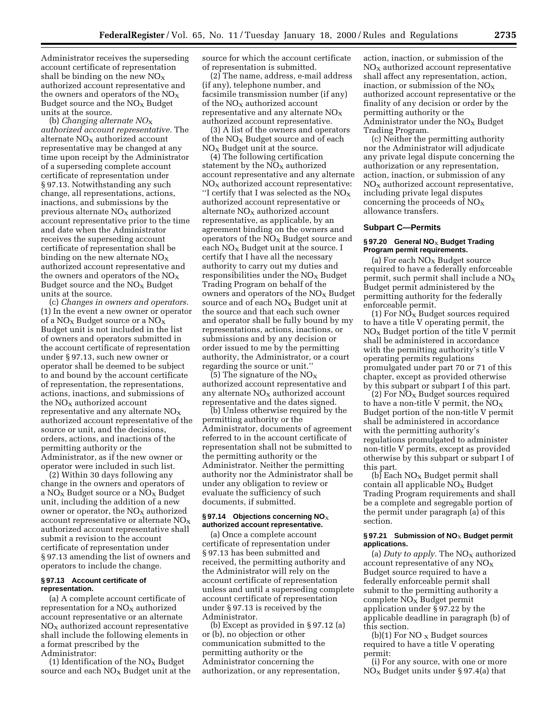Administrator receives the superseding account certificate of representation shall be binding on the new  $NO<sub>x</sub>$ authorized account representative and the owners and operators of the  $NO<sub>X</sub>$ Budget source and the  $NO<sub>X</sub>$  Budget units at the source.

(b) *Changing alternate NO*X *authorized account representative.* The alternate  $NO<sub>x</sub>$  authorized account representative may be changed at any time upon receipt by the Administrator of a superseding complete account certificate of representation under § 97.13. Notwithstanding any such change, all representations, actions, inactions, and submissions by the previous alternate  $NO<sub>x</sub>$  authorized account representative prior to the time and date when the Administrator receives the superseding account certificate of representation shall be binding on the new alternate  $NO<sub>x</sub>$ authorized account representative and the owners and operators of the  $NO_X$ Budget source and the  $NO<sub>X</sub>$  Budget units at the source.

(c) *Changes in owners and operators.* (1) In the event a new owner or operator of a  $NO<sub>X</sub>$  Budget source or a  $NO<sub>X</sub>$ Budget unit is not included in the list of owners and operators submitted in the account certificate of representation under § 97.13, such new owner or operator shall be deemed to be subject to and bound by the account certificate of representation, the representations, actions, inactions, and submissions of the  $NO<sub>x</sub>$  authorized account representative and any alternate  $NO<sub>x</sub>$ authorized account representative of the source or unit, and the decisions, orders, actions, and inactions of the permitting authority or the Administrator, as if the new owner or operator were included in such list.

(2) Within 30 days following any change in the owners and operators of a  $NO<sub>x</sub>$  Budget source or a  $NO<sub>x</sub>$  Budget unit, including the addition of a new owner or operator, the  $NO<sub>x</sub>$  authorized account representative or alternate  $NO<sub>x</sub>$ authorized account representative shall submit a revision to the account certificate of representation under § 97.13 amending the list of owners and operators to include the change.

# **§ 97.13 Account certificate of representation.**

(a) A complete account certificate of representation for a  $NO<sub>x</sub>$  authorized account representative or an alternate  $NO<sub>X</sub>$  authorized account representative shall include the following elements in a format prescribed by the

Administrator:

(1) Identification of the  $NO<sub>x</sub>$  Budget source and each  $NO<sub>x</sub>$  Budget unit at the source for which the account certificate of representation is submitted.

(2) The name, address, e-mail address (if any), telephone number, and facsimile transmission number (if any) of the  $NO<sub>x</sub>$  authorized account representative and any alternate  $NO<sub>x</sub>$ authorized account representative.

(3) A list of the owners and operators of the  $NO<sub>X</sub>$  Budget source and of each  $NO<sub>x</sub>$  Budget unit at the source.

(4) The following certification statement by the  $NO<sub>X</sub>$  authorized account representative and any alternate  $NO<sub>x</sub>$  authorized account representative: "I certify that I was selected as the  $NO_X$ authorized account representative or alternate  $NO<sub>x</sub>$  authorized account representative, as applicable, by an agreement binding on the owners and operators of the  $NO<sub>x</sub>$  Budget source and each  $NO<sub>x</sub>$  Budget unit at the source. I certify that I have all the necessary authority to carry out my duties and responsibilities under the  $NO<sub>x</sub>$  Budget Trading Program on behalf of the owners and operators of the  $NO_X$  Budget source and of each  $NO<sub>X</sub>$  Budget unit at the source and that each such owner and operator shall be fully bound by my representations, actions, inactions, or submissions and by any decision or order issued to me by the permitting authority, the Administrator, or a court regarding the source or unit.''

(5) The signature of the NO $_{\rm X}$ authorized account representative and any alternate  $NO<sub>x</sub>$  authorized account representative and the dates signed.

(b) Unless otherwise required by the permitting authority or the Administrator, documents of agreement referred to in the account certificate of representation shall not be submitted to the permitting authority or the Administrator. Neither the permitting authority nor the Administrator shall be under any obligation to review or evaluate the sufficiency of such documents, if submitted.

### § 97.14 Objections concerning NO<sub>X</sub> **authorized account representative.**

(a) Once a complete account certificate of representation under § 97.13 has been submitted and received, the permitting authority and the Administrator will rely on the account certificate of representation unless and until a superseding complete account certificate of representation under § 97.13 is received by the Administrator.

(b) Except as provided in § 97.12 (a) or (b), no objection or other communication submitted to the permitting authority or the Administrator concerning the authorization, or any representation,

action, inaction, or submission of the  $NO<sub>X</sub>$  authorized account representative shall affect any representation, action, inaction, or submission of the  $NO<sub>x</sub>$ authorized account representative or the finality of any decision or order by the permitting authority or the Administrator under the  $NO_X$  Budget Trading Program.

(c) Neither the permitting authority nor the Administrator will adjudicate any private legal dispute concerning the authorization or any representation, action, inaction, or submission of any  $NO<sub>x</sub>$  authorized account representative, including private legal disputes concerning the proceeds of  $NO<sub>x</sub>$ allowance transfers.

### **Subpart C—Permits**

### § 97.20 General NO<sub>X</sub> Budget Trading **Program permit requirements.**

(a) For each  $NO<sub>X</sub>$  Budget source required to have a federally enforceable permit, such permit shall include a NO $_{\rm X}$ Budget permit administered by the permitting authority for the federally enforceable permit.

(1) For  $N\overline{O}_X$  Budget sources required to have a title V operating permit, the  $NO<sub>X</sub>$  Budget portion of the title V permit shall be administered in accordance with the permitting authority's title V operating permits regulations promulgated under part 70 or 71 of this chapter, except as provided otherwise by this subpart or subpart I of this part.

(2) For  $\overline{NO_X}$  Budget sources required to have a non-title V permit, the  $NO_X$ Budget portion of the non-title V permit shall be administered in accordance with the permitting authority's regulations promulgated to administer non-title V permits, except as provided otherwise by this subpart or subpart I of this part.

(b) Each  $NO<sub>X</sub>$  Budget permit shall  $\alpha$ contain all applicable NO<sub>X</sub> Budget Trading Program requirements and shall be a complete and segregable portion of the permit under paragraph (a) of this section.

# § 97.21 Submission of NO<sub>X</sub> Budget permit **applications.**

(a) *Duty to apply*. The  $NO<sub>X</sub>$  authorized account representative of any  $NO<sub>x</sub>$ Budget source required to have a federally enforceable permit shall submit to the permitting authority a  $complete NO<sub>X</sub> Budget permit$ application under § 97.22 by the applicable deadline in paragraph (b) of this section.

(b)(1) For NO  $_{\rm X}$  Budget sources required to have a title V operating permit:

(i) For any source, with one or more  $NO<sub>x</sub>$  Budget units under § 97.4(a) that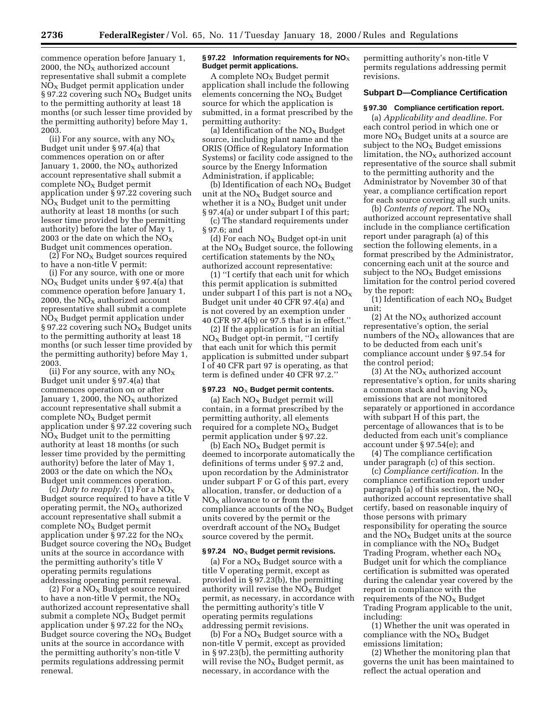commence operation before January 1, 2000, the  $NO<sub>x</sub>$  authorized account representative shall submit a complete  $NO<sub>x</sub>$  Budget permit application under § 97.22 covering such  $\overline{NO_X}$  Budget units to the permitting authority at least 18 months (or such lesser time provided by the permitting authority) before May 1, 2003.

(ii) For any source, with any  $NO<sub>x</sub>$ Budget unit under § 97.4(a) that commences operation on or after January 1, 2000, the  $NO<sub>X</sub>$  authorized account representative shall submit a  $\text{complete NO}_X$  Budget permit application under § 97.22 covering such  $NO<sub>x</sub>$  Budget unit to the permitting authority at least 18 months (or such lesser time provided by the permitting authority) before the later of May 1, 2003 or the date on which the  $NO<sub>x</sub>$ Budget unit commences operation.

(2) For  $NO<sub>X</sub>$  Budget sources required to have a non-title  $\tilde{V}$  permit:

(i) For any source, with one or more  $NO<sub>X</sub>$  Budget units under § 97.4(a) that commence operation before January 1, 2000, the  $NO<sub>X</sub>$  authorized account representative shall submit a complete  $NO<sub>x</sub>$  Budget permit application under § 97.22 covering such  $NO<sub>x</sub>$  Budget units to the permitting authority at least 18 months (or such lesser time provided by the permitting authority) before May 1, 2003.

(ii) For any source, with any  $NO<sub>x</sub>$ Budget unit under § 97.4(a) that commences operation on or after January 1, 2000, the  $NO<sub>X</sub>$  authorized account representative shall submit a  $complete NO<sub>X</sub> Budget permit$ application under § 97.22 covering such  $NO<sub>x</sub>$  Budget unit to the permitting authority at least 18 months (or such lesser time provided by the permitting authority) before the later of May 1, 2003 or the date on which the  $NO<sub>x</sub>$ Budget unit commences operation.

(c) *Duty to reapply.* (1) For a  $NO_X$ Budget source required to have a title V operating permit, the  $NO<sub>X</sub>$  authorized account representative shall submit a  $complete NO<sub>X</sub> Budget permit$ application under § 97.22 for the  $NO<sub>x</sub>$ Budget source covering the  $NO<sub>x</sub>$  Budget units at the source in accordance with the permitting authority's title V operating permits regulations addressing operating permit renewal.

(2) For a  $NO<sub>x</sub>$  Budget source required to have a non-title V permit, the  $\rm{NO_X}$ authorized account representative shall submit a complete  $N\bar{O_X}$  Budget permit application under § 97.22 for the  $NO_X$ Budget source covering the  $NO<sub>x</sub>$  Budget units at the source in accordance with the permitting authority's non-title V permits regulations addressing permit renewal.

### § 97.22 Information requirements for NO<sub>X</sub> **Budget permit applications.**

A complete  $NO<sub>x</sub>$  Budget permit application shall include the following elements concerning the  $NO<sub>x</sub>$  Budget source for which the application is submitted, in a format prescribed by the permitting authority:

(a) Identification of the  $NO<sub>x</sub>$  Budget source, including plant name and the ORIS (Office of Regulatory Information Systems) or facility code assigned to the source by the Energy Information Administration, if applicable;

(b) Identification of each  $NO<sub>X</sub>$  Budget unit at the  $NO<sub>x</sub>$  Budget source and whether it is a  $NO<sub>x</sub>$  Budget unit under § 97.4(a) or under subpart I of this part;

(c) The standard requirements under § 97.6; and

(d) For each  $NO<sub>x</sub>$  Budget opt-in unit at the  $NO<sub>x</sub>$  Budget source, the following certification statements by the  $NO<sub>x</sub>$ authorized account representative:

(1) ''I certify that each unit for which this permit application is submitted under subpart I of this part is not a  $NO<sub>X</sub>$ Budget unit under 40 CFR 97.4(a) and is not covered by an exemption under 40 CFR 97.4(b) or 97.5 that is in effect.''

(2) If the application is for an initial  $NO<sub>x</sub>$  Budget opt-in permit, "I certify that each unit for which this permit application is submitted under subpart I of 40 CFR part 97 is operating, as that term is defined under 40 CFR 97.2.''

# § 97.23 NO<sub>X</sub> Budget permit contents.

(a) Each  $NO<sub>X</sub>$  Budget permit will contain, in a format prescribed by the permitting authority, all elements required for a complete  $NO<sub>x</sub>$  Budget permit application under § 97.22.

(b) Each  $NO<sub>X</sub>$  Budget permit is deemed to incorporate automatically the definitions of terms under § 97.2 and, upon recordation by the Administrator under subpart F or G of this part, every allocation, transfer, or deduction of a  $NO<sub>X</sub>$  allowance to or from the compliance accounts of the  $NO<sub>x</sub>$  Budget units covered by the permit or the overdraft account of the  $NO<sub>X</sub>$  Budget source covered by the permit.

### § 97.24 NO<sub>X</sub> Budget permit revisions.

(a) For a  $NO<sub>X</sub>$  Budget source with a title V operating permit, except as provided in § 97.23(b), the permitting authority will revise the  $NO_X$  Budget permit, as necessary, in accordance with the permitting authority's title V operating permits regulations addressing permit revisions.

(b) For a  $NO<sub>x</sub>$  Budget source with a non-title V permit, except as provided in § 97.23(b), the permitting authority will revise the  $NO<sub>x</sub>$  Budget permit, as necessary, in accordance with the

permitting authority's non-title V permits regulations addressing permit revisions.

#### **Subpart D—Compliance Certification**

#### **§ 97.30 Compliance certification report.**

(a) *Applicability and deadline.* For each control period in which one or more  $NO<sub>X</sub>$  Budget units at a source are subject to the  $NO<sub>x</sub>$  Budget emissions limitation, the  $NO<sub>X</sub>$  authorized account representative of the source shall submit to the permitting authority and the Administrator by November 30 of that year, a compliance certification report for each source covering all such units.

(b) *Contents of report.* The NOX authorized account representative shall include in the compliance certification report under paragraph (a) of this section the following elements, in a format prescribed by the Administrator, concerning each unit at the source and subject to the  $NO<sub>x</sub>$  Budget emissions limitation for the control period covered by the report:

(1) Identification of each  $NO<sub>x</sub>$  Budget unit;

(2) At the  $NO<sub>x</sub>$  authorized account representative's option, the serial numbers of the  $NO<sub>x</sub>$  allowances that are to be deducted from each unit's compliance account under § 97.54 for the control period;

(3) At the  $NO<sub>X</sub>$  authorized account representative's option, for units sharing a common stack and having  $NO<sub>X</sub>$ emissions that are not monitored separately or apportioned in accordance with subpart H of this part, the percentage of allowances that is to be deducted from each unit's compliance account under § 97.54(e); and

(4) The compliance certification under paragraph (c) of this section.

(c) *Compliance certification.* In the compliance certification report under paragraph (a) of this section, the  $NO<sub>x</sub>$ authorized account representative shall certify, based on reasonable inquiry of those persons with primary responsibility for operating the source and the  $NO<sub>X</sub>$  Budget units at the source in compliance with the  $NO<sub>x</sub>$  Budget Trading Program, whether each  $NO<sub>x</sub>$ Budget unit for which the compliance certification is submitted was operated during the calendar year covered by the report in compliance with the requirements of the  $NO<sub>x</sub>$  Budget Trading Program applicable to the unit, including:

(1) Whether the unit was operated in compliance with the  $NO<sub>x</sub>$  Budget emissions limitation;

(2) Whether the monitoring plan that governs the unit has been maintained to reflect the actual operation and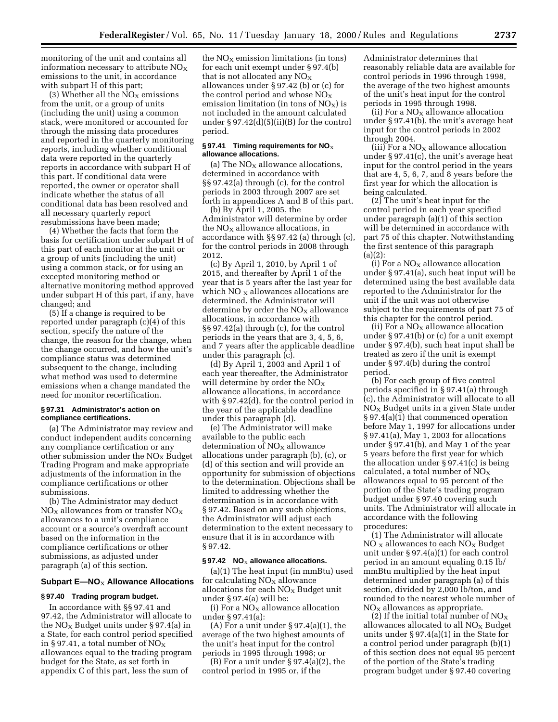monitoring of the unit and contains all information necessary to attribute  $NO<sub>X</sub>$ emissions to the unit, in accordance with subpart H of this part;

(3) Whether all the  $NO<sub>X</sub>$  emissions from the unit, or a group of units (including the unit) using a common stack, were monitored or accounted for through the missing data procedures and reported in the quarterly monitoring reports, including whether conditional data were reported in the quarterly reports in accordance with subpart H of this part. If conditional data were reported, the owner or operator shall indicate whether the status of all conditional data has been resolved and all necessary quarterly report resubmissions have been made;

(4) Whether the facts that form the basis for certification under subpart H of this part of each monitor at the unit or a group of units (including the unit) using a common stack, or for using an excepted monitoring method or alternative monitoring method approved under subpart H of this part, if any, have changed; and

(5) If a change is required to be reported under paragraph (c)(4) of this section, specify the nature of the change, the reason for the change, when the change occurred, and how the unit's compliance status was determined subsequent to the change, including what method was used to determine emissions when a change mandated the need for monitor recertification.

# **§ 97.31 Administrator's action on compliance certifications.**

(a) The Administrator may review and conduct independent audits concerning any compliance certification or any other submission under the  $NO<sub>x</sub>$  Budget Trading Program and make appropriate adjustments of the information in the compliance certifications or other submissions.

(b) The Administrator may deduct  $NO<sub>X</sub>$  allowances from or transfer  $NO<sub>X</sub>$ allowances to a unit's compliance account or a source's overdraft account based on the information in the compliance certifications or other submissions, as adjusted under paragraph (a) of this section.

# **Subpart E—NO**X **Allowance Allocations**

# **§ 97.40 Trading program budget.**

In accordance with §§ 97.41 and 97.42, the Administrator will allocate to the NO<sub>X</sub> Budget units under § 97.4(a) in a State, for each control period specified in §97.41, a total number of  $NO_X$ allowances equal to the trading program budget for the State, as set forth in appendix C of this part, less the sum of

the  $NO<sub>x</sub>$  emission limitations (in tons) for each unit exempt under § 97.4(b) that is not allocated any  $NO<sub>x</sub>$ allowances under § 97.42 (b) or (c) for the control period and whose  $NO<sub>x</sub>$ emission limitation (in tons of  $NO<sub>x</sub>$ ) is not included in the amount calculated under  $\S 97.42(d)(5)(ii)(B)$  for the control period.

# § 97.41 Timing requirements for NO<sub>X</sub> **allowance allocations.**

(a) The  $NO<sub>X</sub>$  allowance allocations, determined in accordance with §§ 97.42(a) through (c), for the control periods in 2003 through 2007 are set forth in appendices A and B of this part.

(b) By April 1, 2005, the Administrator will determine by order the  $NO<sub>x</sub>$  allowance allocations, in accordance with §§ 97.42 (a) through (c), for the control periods in 2008 through 2012.

(c) By April 1, 2010, by April 1 of 2015, and thereafter by April 1 of the year that is 5 years after the last year for which  $NO<sub>X</sub>$  allowances allocations are determined, the Administrator will determine by order the  $NO<sub>x</sub>$  allowance allocations, in accordance with §§ 97.42(a) through (c), for the control periods in the years that are 3, 4, 5, 6, and 7 years after the applicable deadline under this paragraph (c).

(d) By April 1, 2003 and April 1 of each year thereafter, the Administrator will determine by order the  $NO<sub>x</sub>$ allowance allocations, in accordance with § 97.42(d), for the control period in the year of the applicable deadline under this paragraph (d).

(e) The Administrator will make available to the public each determination of NO<sub>X</sub> allowance allocations under paragraph (b), (c), or (d) of this section and will provide an opportunity for submission of objections to the determination. Objections shall be limited to addressing whether the determination is in accordance with § 97.42. Based on any such objections, the Administrator will adjust each determination to the extent necessary to ensure that it is in accordance with § 97.42.

### § 97.42 NO<sub>X</sub> allowance allocations.

(a)(1) The heat input (in mmBtu) used for calculating  $NO<sub>x</sub>$  allowance allocations for each  $\rm{NO_{X}}$  Budget unit under § 97.4(a) will be:

(i) For a  $NO<sub>X</sub>$  allowance allocation under § 97.41(a):

(A) For a unit under  $\S 97.4(a)(1)$ , the average of the two highest amounts of the unit's heat input for the control periods in 1995 through 1998; or

(B) For a unit under  $\S 97.4(a)(2)$ , the control period in 1995 or, if the

Administrator determines that reasonably reliable data are available for control periods in 1996 through 1998, the average of the two highest amounts of the unit's heat input for the control periods in 1995 through 1998.

(ii) For a  $NO<sub>X</sub>$  allowance allocation under § 97.41(b), the unit's average heat input for the control periods in 2002 through 2004.

 $(iii)$  For a NO<sub>x</sub> allowance allocation under § 97.41(c), the unit's average heat input for the control period in the years that are 4, 5, 6, 7, and 8 years before the first year for which the allocation is being calculated.

(2) The unit's heat input for the control period in each year specified under paragraph (a)(1) of this section will be determined in accordance with part 75 of this chapter. Notwithstanding the first sentence of this paragraph  $(a)(2)$ :

(i) For a  $NO<sub>X</sub>$  allowance allocation under § 97.41(a), such heat input will be determined using the best available data reported to the Administrator for the unit if the unit was not otherwise subject to the requirements of part 75 of this chapter for the control period.

(ii) For a  $NO<sub>X</sub>$  allowance allocation under § 97.41(b) or (c) for a unit exempt under § 97.4(b), such heat input shall be treated as zero if the unit is exempt under § 97.4(b) during the control period.

(b) For each group of five control periods specified in § 97.41(a) through (c), the Administrator will allocate to all  $NO<sub>x</sub>$  Budget units in a given State under § 97.4(a)(1) that commenced operation before May 1, 1997 for allocations under § 97.41(a), May 1, 2003 for allocations under § 97.41(b), and May 1 of the year 5 years before the first year for which the allocation under § 97.41(c) is being calculated, a total number of  $NO<sub>X</sub>$ allowances equal to 95 percent of the portion of the State's trading program budget under § 97.40 covering such units. The Administrator will allocate in accordance with the following procedures:

(1) The Administrator will allocate  $NO<sub>x</sub>$  allowances to each  $NO<sub>x</sub>$  Budget unit under § 97.4(a)(1) for each control period in an amount equaling 0.15 lb/ mmBtu multiplied by the heat input determined under paragraph (a) of this section, divided by 2,000 lb/ton, and rounded to the nearest whole number of  $NO<sub>x</sub>$  allowances as appropriate.

(2) If the initial total number of  $NO<sub>X</sub>$ allowances allocated to all  $NO<sub>x</sub>$  Budget units under § 97.4(a)(1) in the State for a control period under paragraph (b)(1) of this section does not equal 95 percent of the portion of the State's trading program budget under § 97.40 covering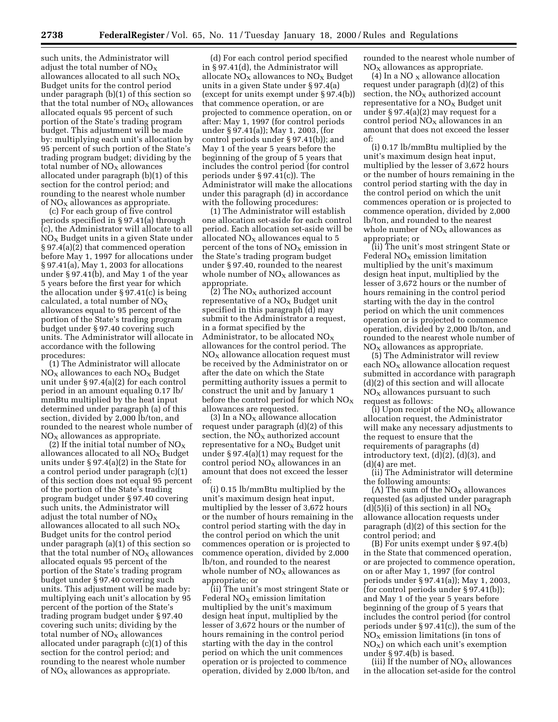such units, the Administrator will adjust the total number of  $NO<sub>x</sub>$ allowances allocated to all such  $NO_X$ Budget units for the control period under paragraph (b)(1) of this section so that the total number of  $NO<sub>x</sub>$  allowances allocated equals 95 percent of such portion of the State's trading program budget. This adjustment will be made by: multiplying each unit's allocation by 95 percent of such portion of the State's trading program budget; dividing by the total number of  $NO<sub>X</sub>$  allowances allocated under paragraph (b)(1) of this section for the control period; and rounding to the nearest whole number of  $NO<sub>x</sub>$  allowances as appropriate.

(c) For each group of five control periods specified in § 97.41(a) through (c), the Administrator will allocate to all  $NO<sub>x</sub>$  Budget units in a given State under § 97.4(a)(2) that commenced operation before May 1, 1997 for allocations under § 97.41(a), May 1, 2003 for allocations under § 97.41(b), and May 1 of the year 5 years before the first year for which the allocation under § 97.41(c) is being calculated, a total number of  $NO<sub>X</sub>$ allowances equal to 95 percent of the portion of the State's trading program budget under § 97.40 covering such units. The Administrator will allocate in accordance with the following procedures:

(1) The Administrator will allocate  $NO<sub>x</sub>$  allowances to each  $NO<sub>x</sub>$  Budget unit under § 97.4(a)(2) for each control period in an amount equaling 0.17 lb/ mmBtu multiplied by the heat input determined under paragraph (a) of this section, divided by 2,000 lb/ton, and rounded to the nearest whole number of  $NO<sub>x</sub>$  allowances as appropriate.

(2) If the initial total number of  $NO_X$ allowances allocated to all  $NO<sub>x</sub>$  Budget units under § 97.4(a)(2) in the State for a control period under paragraph (c)(1) of this section does not equal 95 percent of the portion of the State's trading program budget under § 97.40 covering such units, the Administrator will adjust the total number of  $NO_X$ allowances allocated to all such  $NO<sub>X</sub>$ Budget units for the control period under paragraph (a)(1) of this section so that the total number of  $NO<sub>X</sub>$  allowances allocated equals 95 percent of the portion of the State's trading program budget under § 97.40 covering such units. This adjustment will be made by: multiplying each unit's allocation by 95 percent of the portion of the State's trading program budget under § 97.40 covering such units; dividing by the total number of  $NO<sub>X</sub>$  allowances allocated under paragraph (c)(1) of this section for the control period; and rounding to the nearest whole number of  $NO<sub>x</sub>$  allowances as appropriate.

(d) For each control period specified in § 97.41(d), the Administrator will allocate  $NO<sub>X</sub>$  allowances to  $NO<sub>X</sub>$  Budget units in a given State under § 97.4(a) (except for units exempt under § 97.4(b)) that commence operation, or are projected to commence operation, on or after: May 1, 1997 (for control periods under § 97.41(a)); May 1, 2003, (for control periods under § 97.41(b)); and May 1 of the year 5 years before the beginning of the group of 5 years that includes the control period (for control periods under § 97.41(c)). The Administrator will make the allocations under this paragraph (d) in accordance with the following procedures:

(1) The Administrator will establish one allocation set-aside for each control period. Each allocation set-aside will be allocated  $NO<sub>x</sub>$  allowances equal to 5 percent of the tons of  $NO<sub>x</sub>$  emission in the State's trading program budget under § 97.40, rounded to the nearest whole number of  $NO<sub>x</sub>$  allowances as appropriate.

(2) The  $NO<sub>x</sub>$  authorized account representative of a  $NO<sub>x</sub>$  Budget unit specified in this paragraph (d) may submit to the Administrator a request, in a format specified by the Administrator, to be allocated  $NO<sub>X</sub>$ allowances for the control period. The  $NO<sub>x</sub>$  allowance allocation request must be received by the Administrator on or after the date on which the State permitting authority issues a permit to construct the unit and by January 1 before the control period for which  $NO<sub>X</sub>$ allowances are requested.

 $(3)$  In a NO<sub>X</sub> allowance allocation request under paragraph (d)(2) of this section, the  $NO<sub>x</sub>$  authorized account representative for a  $NO<sub>x</sub>$  Budget unit under § 97.4(a)(1) may request for the control period  $NO<sub>X</sub>$  allowances in an amount that does not exceed the lesser of:

(i) 0.15 lb/mmBtu multiplied by the unit's maximum design heat input, multiplied by the lesser of 3,672 hours or the number of hours remaining in the control period starting with the day in the control period on which the unit commences operation or is projected to commence operation, divided by 2,000 lb/ton, and rounded to the nearest whole number of  $NO<sub>X</sub>$  allowances as appropriate; or

(ii) The unit's most stringent State or Federal  $NO<sub>X</sub>$  emission limitation multiplied by the unit's maximum design heat input, multiplied by the lesser of 3,672 hours or the number of hours remaining in the control period starting with the day in the control period on which the unit commences operation or is projected to commence operation, divided by 2,000 lb/ton, and rounded to the nearest whole number of  $NO<sub>x</sub>$  allowances as appropriate.

(4) In a NO  $_{\rm X}$  allowance allocation request under paragraph (d)(2) of this section, the  $\rm{NO_{X}}$  authorized account representative for a  $NO<sub>x</sub>$  Budget unit under § 97.4(a)(2) may request for a control period  $NO<sub>X</sub>$  allowances in an amount that does not exceed the lesser of:

(i) 0.17 lb/mmBtu multiplied by the unit's maximum design heat input, multiplied by the lesser of 3,672 hours or the number of hours remaining in the control period starting with the day in the control period on which the unit commences operation or is projected to commence operation, divided by 2,000 lb/ton, and rounded to the nearest whole number of  $NO<sub>X</sub>$  allowances as appropriate; or

(ii) The unit's most stringent State or Federal  $NO<sub>x</sub>$  emission limitation multiplied by the unit's maximum design heat input, multiplied by the lesser of 3,672 hours or the number of hours remaining in the control period starting with the day in the control period on which the unit commences operation or is projected to commence operation, divided by 2,000 lb/ton, and rounded to the nearest whole number of  $NO<sub>x</sub>$  allowances as appropriate.

(5) The Administrator will review each  $NO<sub>X</sub>$  allowance allocation request submitted in accordance with paragraph (d)(2) of this section and will allocate  $NO<sub>X</sub>$  allowances pursuant to such request as follows:

(i) Upon receipt of the  $NO<sub>X</sub>$  allowance allocation request, the Administrator will make any necessary adjustments to the request to ensure that the requirements of paragraphs (d) introductory text, (d)(2), (d)(3), and  $(d)(4)$  are met.

(ii) The Administrator will determine the following amounts:

(A) The sum of the  $NO<sub>X</sub>$  allowances requested (as adjusted under paragraph (d)(5)(i) of this section) in all  $\overline{\text{NOx}}$ allowance allocation requests under paragraph (d)(2) of this section for the control period; and

(B) For units exempt under § 97.4(b) in the State that commenced operation, or are projected to commence operation, on or after May 1, 1997 (for control periods under § 97.41(a)); May 1, 2003, (for control periods under § 97.41(b)); and May 1 of the year 5 years before beginning of the group of 5 years that includes the control period (for control periods under  $\S 97.41(c)$ , the sum of the  $NO<sub>x</sub>$  emission limitations (in tons of  $NO<sub>X</sub>$ ) on which each unit's exemption under § 97.4(b) is based.

(iii) If the number of  $NO<sub>x</sub>$  allowances in the allocation set-aside for the control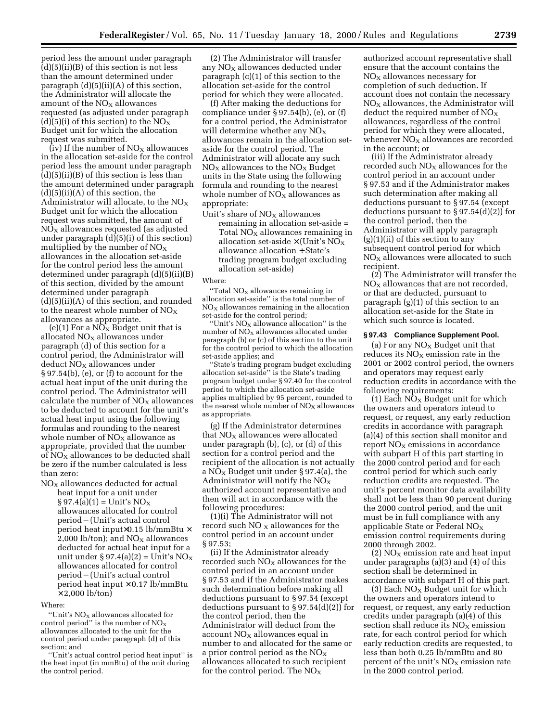period less the amount under paragraph  $(d)(5)(ii)(B)$  of this section is not less than the amount determined under paragraph (d)(5)(ii)(A) of this section, the Administrator will allocate the amount of the  $NO<sub>x</sub>$  allowances requested (as adjusted under paragraph (d)(5)(i) of this section) to the  $NO_X$ Budget unit for which the allocation request was submitted.

(iv) If the number of  $NO<sub>X</sub>$  allowances in the allocation set-aside for the control period less the amount under paragraph  $(d)(5)(ii)(B)$  of this section is less than the amount determined under paragraph  $(d)(5)(ii)(A)$  of this section, the Administrator will allocate, to the  $NO<sub>x</sub>$ Budget unit for which the allocation request was submitted, the amount of  $NO<sub>X</sub>$  allowances requested (as adjusted under paragraph (d)(5)(i) of this section) multiplied by the number of  $NO<sub>x</sub>$ allowances in the allocation set-aside for the control period less the amount determined under paragraph (d)(5)(ii)(B) of this section, divided by the amount determined under paragraph (d)(5)(ii)(A) of this section, and rounded to the nearest whole number of  $NO<sub>x</sub>$ allowances as appropriate.

(e)(1) For a  $N\overline{O}_X$  Budget unit that is allocated  $NO<sub>X</sub>$  allowances under paragraph (d) of this section for a control period, the Administrator will deduct NO<sub>X</sub> allowances under § 97.54(b), (e), or (f) to account for the actual heat input of the unit during the control period. The Administrator will calculate the number of  $NO<sub>X</sub>$  allowances to be deducted to account for the unit's actual heat input using the following formulas and rounding to the nearest whole number of  $NO<sub>X</sub>$  allowance as appropriate, provided that the number  $\overrightarrow{O}$  of  $\overrightarrow{NO}$  allowances to be deducted shall be zero if the number calculated is less than zero:

 $NO<sub>X</sub>$  allowances deducted for actual heat input for a unit under  $\S 97.4(a)(1) =$  Unit's NO<sub>X</sub> allowances allocated for control period - (Unit's actual control period heat input×0.15 lb/mmBtu × 2,000 lb/ton); and  $NO<sub>X</sub>$  allowances deducted for actual heat input for a unit under § 97.4(a)(2) = Unit's  $NO<sub>X</sub>$ allowances allocated for control period¥(Unit's actual control period heat input  $\times$  0.17 lb/mmBtu  $\times$  2,000 lb/ton)

#### Where:

"Unit's  $NO<sub>X</sub>$  allowances allocated for control period" is the number of  $NO<sub>x</sub>$ allowances allocated to the unit for the control period under paragraph (d) of this section; and

''Unit's actual control period heat input'' is the heat input (in mmBtu) of the unit during the control period.

(2) The Administrator will transfer any  $NO<sub>x</sub>$  allowances deducted under paragraph (c)(1) of this section to the allocation set-aside for the control period for which they were allocated.

(f) After making the deductions for compliance under § 97.54(b), (e), or (f) for a control period, the Administrator will determine whether any  $NO<sub>x</sub>$ allowances remain in the allocation setaside for the control period. The Administrator will allocate any such  $NO<sub>X</sub>$  allowances to the  $NO<sub>X</sub>$  Budget units in the State using the following formula and rounding to the nearest whole number of  $NO<sub>X</sub>$  allowances as appropriate:

Unit's share of  $NO<sub>x</sub>$  allowances remaining in allocation set-aside = Total  $NO<sub>X</sub>$  allowances remaining in allocation set-aside  $\times$  (Unit's NO<sub>X</sub> allowance allocation ÷ State's trading program budget excluding allocation set-aside)

### Where:

"Total  $NO<sub>x</sub>$  allowances remaining in allocation set-aside'' is the total number of  $NO<sub>x</sub>$  allowances remaining in the allocation set-aside for the control period;

"Unit's  $NO<sub>X</sub>$  allowance allocation" is the number of  $NO<sub>x</sub>$  allowances allocated under paragraph (b) or (c) of this section to the unit for the control period to which the allocation set-aside applies; and

''State's trading program budget excluding allocation set-aside'' is the State's trading program budget under § 97.40 for the control period to which the allocation set-aside applies multiplied by 95 percent, rounded to the nearest whole number of  $NO<sub>x</sub>$  allowances as appropriate.

(g) If the Administrator determines that  $NO<sub>X</sub>$  allowances were allocated under paragraph (b), (c), or (d) of this section for a control period and the recipient of the allocation is not actually a NO<sub>X</sub> Budget unit under § 97.4(a), the Administrator will notify the  $NO<sub>x</sub>$ authorized account representative and then will act in accordance with the following procedures:

(1)(i) The Administrator will not record such  $NO<sub>x</sub>$  allowances for the control period in an account under § 97.53;

(ii) If the Administrator already recorded such  $NO<sub>X</sub>$  allowances for the control period in an account under § 97.53 and if the Administrator makes such determination before making all deductions pursuant to § 97.54 (except deductions pursuant to  $\S 97.54(d)(2)$  for the control period, then the Administrator will deduct from the  $account NO<sub>x</sub>$  allowances equal in number to and allocated for the same or a prior control period as the  $NO<sub>x</sub>$ allowances allocated to such recipient for the control period. The  $NO<sub>X</sub>$ 

authorized account representative shall ensure that the account contains the  $NO<sub>x</sub>$  allowances necessary for completion of such deduction. If account does not contain the necessary  $NO<sub>x</sub>$  allowances, the Administrator will deduct the required number of  $NO<sub>X</sub>$ allowances, regardless of the control period for which they were allocated, whenever  $NO<sub>X</sub>$  allowances are recorded in the account; or

(iii) If the Administrator already recorded such  $NO<sub>x</sub>$  allowances for the control period in an account under § 97.53 and if the Administrator makes such determination after making all deductions pursuant to § 97.54 (except deductions pursuant to § 97.54(d)(2)) for the control period, then the Administrator will apply paragraph  $(g)(1)(ii)$  of this section to any subsequent control period for which  $NO<sub>x</sub>$  allowances were allocated to such recipient.

(2) The Administrator will transfer the  $NO<sub>x</sub>$  allowances that are not recorded, or that are deducted, pursuant to paragraph (g)(1) of this section to an allocation set-aside for the State in which such source is located.

# **§ 97.43 Compliance Supplement Pool.**

(a) For any  $NO<sub>x</sub>$  Budget unit that reduces its  $NO<sub>x</sub>$  emission rate in the 2001 or 2002 control period, the owners and operators may request early reduction credits in accordance with the following requirements:

(1) Each  $NO<sub>x</sub>$  Budget unit for which the owners and operators intend to request, or request, any early reduction credits in accordance with paragraph (a)(4) of this section shall monitor and report  $NO<sub>x</sub>$  emissions in accordance with subpart H of this part starting in the 2000 control period and for each control period for which such early reduction credits are requested. The unit's percent monitor data availability shall not be less than 90 percent during the 2000 control period, and the unit must be in full compliance with any applicable State or Federal  $NO<sub>X</sub>$ emission control requirements during 2000 through 2002.

 $(2) NO<sub>x</sub>$  emission rate and heat input under paragraphs (a)(3) and (4) of this section shall be determined in accordance with subpart H of this part.

 $(3)$  Each NO<sub>X</sub> Budget unit for which the owners and operators intend to request, or request, any early reduction credits under paragraph (a)(4) of this section shall reduce its  $NO<sub>X</sub>$  emission rate, for each control period for which early reduction credits are requested, to less than both 0.25 lb/mmBtu and 80 percent of the unit's  $NO<sub>x</sub>$  emission rate in the 2000 control period.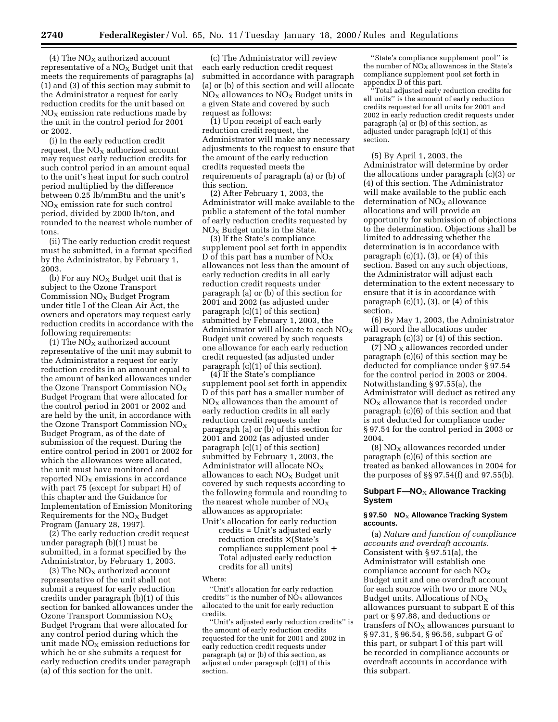(4) The  $NO<sub>X</sub>$  authorized account representative of a  $NO<sub>X</sub>$  Budget unit that meets the requirements of paragraphs (a) (1) and (3) of this section may submit to the Administrator a request for early reduction credits for the unit based on  $NO<sub>x</sub>$  emission rate reductions made by the unit in the control period for 2001 or 2002.

(i) In the early reduction credit request, the  $NO<sub>X</sub>$  authorized account may request early reduction credits for such control period in an amount equal to the unit's heat input for such control period multiplied by the difference between 0.25 lb/mmBtu and the unit's  $NO<sub>x</sub>$  emission rate for such control period, divided by 2000 lb/ton, and rounded to the nearest whole number of tons.

(ii) The early reduction credit request must be submitted, in a format specified by the Administrator, by February 1, 2003.

(b) For any  $NO<sub>x</sub>$  Budget unit that is subject to the Ozone Transport Commission  $NO<sub>X</sub>$  Budget Program under title I of the Clean Air Act, the owners and operators may request early reduction credits in accordance with the following requirements:

(1) The  $NO<sub>X</sub>$  authorized account representative of the unit may submit to the Administrator a request for early reduction credits in an amount equal to the amount of banked allowances under the Ozone Transport Commission  $NO<sub>x</sub>$ Budget Program that were allocated for the control period in 2001 or 2002 and are held by the unit, in accordance with the Ozone Transport Commission  $NO<sub>X</sub>$ Budget Program, as of the date of submission of the request. During the entire control period in 2001 or 2002 for which the allowances were allocated, the unit must have monitored and reported  $NO<sub>X</sub>$  emissions in accordance with part 75 (except for subpart H) of this chapter and the Guidance for Implementation of Emission Monitoring Requirements for the  $NO<sub>x</sub>$  Budget Program (January 28, 1997).

(2) The early reduction credit request under paragraph (b)(1) must be submitted, in a format specified by the Administrator, by February 1, 2003.

(3) The  $NO<sub>X</sub>$  authorized account representative of the unit shall not submit a request for early reduction credits under paragraph (b)(1) of this section for banked allowances under the Ozone Transport Commission NOX Budget Program that were allocated for any control period during which the unit made  $NO<sub>X</sub>$  emission reductions for which he or she submits a request for early reduction credits under paragraph (a) of this section for the unit.

(c) The Administrator will review each early reduction credit request submitted in accordance with paragraph (a) or (b) of this section and will allocate  $NO<sub>X</sub>$  allowances to  $NO<sub>X</sub>$  Budget units in a given State and covered by such request as follows:

(1) Upon receipt of each early reduction credit request, the Administrator will make any necessary adjustments to the request to ensure that the amount of the early reduction credits requested meets the requirements of paragraph (a) or (b) of this section.

(2) After February 1, 2003, the Administrator will make available to the public a statement of the total number of early reduction credits requested by  $NO<sub>x</sub>$  Budget units in the State.

(3) If the State's compliance supplement pool set forth in appendix D of this part has a number of  $NO_X$ allowances not less than the amount of early reduction credits in all early reduction credit requests under paragraph (a) or (b) of this section for 2001 and 2002 (as adjusted under paragraph (c)(1) of this section) submitted by February 1, 2003, the Administrator will allocate to each  $NO<sub>x</sub>$ Budget unit covered by such requests one allowance for each early reduction credit requested (as adjusted under paragraph (c)(1) of this section).

(4) If the State's compliance supplement pool set forth in appendix D of this part has a smaller number of  $NO<sub>X</sub>$  allowances than the amount of early reduction credits in all early reduction credit requests under paragraph (a) or (b) of this section for 2001 and 2002 (as adjusted under paragraph (c)(1) of this section) submitted by February 1, 2003, the Administrator will allocate  $NO<sub>x</sub>$ allowances to each  $NO<sub>X</sub>$  Budget unit covered by such requests according to the following formula and rounding to the nearest whole number of  $NO<sub>x</sub>$ allowances as appropriate:

Unit's allocation for early reduction credits = Unit's adjusted early reduction credits × (State's compliance supplement pool ÷ Total adjusted early reduction credits for all units)

### Where:

''Unit's allocation for early reduction credits" is the number of  $N\ddot{O}_X$  allowances allocated to the unit for early reduction credits.

''Unit's adjusted early reduction credits'' is the amount of early reduction credits requested for the unit for 2001 and 2002 in early reduction credit requests under paragraph (a) or (b) of this section, as adjusted under paragraph (c)(1) of this section.

''State's compliance supplement pool'' is the number of  $NO<sub>x</sub>$  allowances in the State's compliance supplement pool set forth in appendix D of this part.

'Total adjusted early reduction credits for all units'' is the amount of early reduction credits requested for all units for 2001 and 2002 in early reduction credit requests under paragraph (a) or (b) of this section, as adjusted under paragraph (c)(1) of this section.

(5) By April 1, 2003, the Administrator will determine by order the allocations under paragraph (c)(3) or (4) of this section. The Administrator will make available to the public each determination of  $NO<sub>x</sub>$  allowance allocations and will provide an opportunity for submission of objections to the determination. Objections shall be limited to addressing whether the determination is in accordance with paragraph  $(c)(1)$ ,  $(3)$ , or  $(4)$  of this section. Based on any such objections, the Administrator will adjust each determination to the extent necessary to ensure that it is in accordance with paragraph  $(c)(1)$ ,  $(3)$ , or  $(4)$  of this section.

(6) By May 1, 2003, the Administrator will record the allocations under paragraph (c)(3) or (4) of this section.

(7) NO  $_{\rm X}$  allowances recorded under paragraph (c)(6) of this section may be deducted for compliance under § 97.54 for the control period in 2003 or 2004. Notwithstanding § 97.55(a), the Administrator will deduct as retired any  $NO<sub>x</sub>$  allowance that is recorded under paragraph (c)(6) of this section and that is not deducted for compliance under § 97.54 for the control period in 2003 or 2004.

 $(8)$  NO<sub>x</sub> allowances recorded under paragraph (c)(6) of this section are treated as banked allowances in 2004 for the purposes of §§ 97.54(f) and 97.55(b).

# **Subpart F-NO<sub>X</sub> Allowance Tracking System**

### **§ 97.50 NO**X **Allowance Tracking System accounts.**

(a) *Nature and function of compliance accounts and overdraft accounts.* Consistent with § 97.51(a), the Administrator will establish one compliance account for each  $NO<sub>X</sub>$ Budget unit and one overdraft account for each source with two or more  $NO<sub>X</sub>$ Budget units. Allocations of  $NO<sub>x</sub>$ allowances pursuant to subpart E of this part or § 97.88, and deductions or transfers of  $NO<sub>X</sub>$  allowances pursuant to § 97.31, § 96.54, § 96.56, subpart G of this part, or subpart I of this part will be recorded in compliance accounts or overdraft accounts in accordance with this subpart.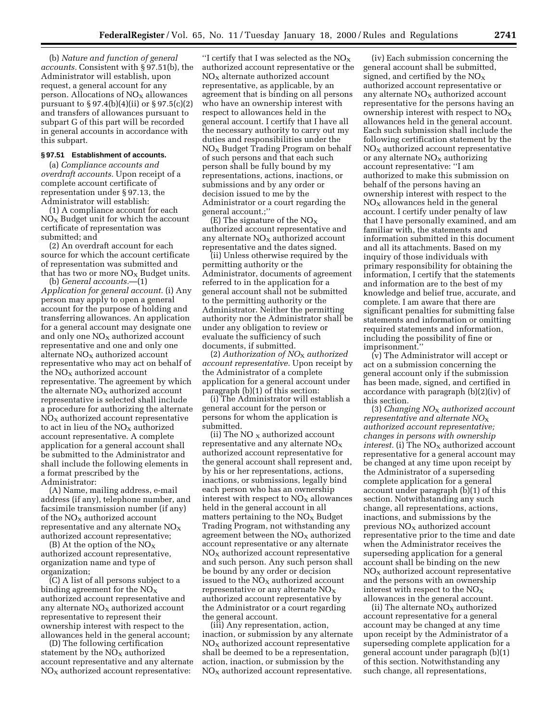(b) *Nature and function of general accounts.* Consistent with § 97.51(b), the Administrator will establish, upon request, a general account for any person. Allocations of  $NO<sub>x</sub>$  allowances pursuant to § 97.4(b)(4)(ii) or § 97.5(c)(2) and transfers of allowances pursuant to subpart G of this part will be recorded in general accounts in accordance with this subpart.

### **§ 97.51 Establishment of accounts.**

(a) *Compliance accounts and overdraft accounts.* Upon receipt of a complete account certificate of representation under § 97.13, the Administrator will establish:

(1) A compliance account for each  $NO<sub>x</sub>$  Budget unit for which the account certificate of representation was submitted; and

(2) An overdraft account for each source for which the account certificate of representation was submitted and that has two or more  $NO<sub>x</sub>$  Budget units.

(b) *General accounts.*—(1) *Application for general account.* (i) Any person may apply to open a general account for the purpose of holding and transferring allowances. An application for a general account may designate one and only one  $NO<sub>X</sub>$  authorized account representative and one and only one alternate  $NO<sub>X</sub>$  authorized account representative who may act on behalf of the  $NO<sub>x</sub>$  authorized account representative. The agreement by which the alternate  $NO<sub>x</sub>$  authorized account representative is selected shall include a procedure for authorizing the alternate  $NO<sub>X</sub>$  authorized account representative to act in lieu of the  $NO<sub>x</sub>$  authorized account representative. A complete application for a general account shall be submitted to the Administrator and shall include the following elements in a format prescribed by the Administrator:

(A) Name, mailing address, e-mail address (if any), telephone number, and facsimile transmission number (if any) of the  $NO<sub>x</sub>$  authorized account representative and any alternate  $NO<sub>X</sub>$ authorized account representative;

(B) At the option of the  $NO_X$ authorized account representative, organization name and type of organization;

(C) A list of all persons subject to a binding agreement for the  $NO<sub>x</sub>$ authorized account representative and any alternate  $NO<sub>x</sub>$  authorized account representative to represent their ownership interest with respect to the allowances held in the general account;

(D) The following certification statement by the  $NO<sub>X</sub>$  authorized account representative and any alternate  $NO<sub>x</sub>$  authorized account representative:

"I certify that I was selected as the  $NO<sub>x</sub>$ authorized account representative or the  $NO<sub>X</sub>$  alternate authorized account representative, as applicable, by an agreement that is binding on all persons who have an ownership interest with respect to allowances held in the general account. I certify that I have all the necessary authority to carry out my duties and responsibilities under the NOX Budget Trading Program on behalf of such persons and that each such person shall be fully bound by my representations, actions, inactions, or submissions and by any order or decision issued to me by the Administrator or a court regarding the general account.;''

(E) The signature of the  $NO_X$ authorized account representative and any alternate  $NO<sub>x</sub>$  authorized account representative and the dates signed.

(ii) Unless otherwise required by the permitting authority or the Administrator, documents of agreement referred to in the application for a general account shall not be submitted to the permitting authority or the Administrator. Neither the permitting authority nor the Administrator shall be under any obligation to review or evaluate the sufficiency of such documents, if submitted.

(2) *Authorization of NO*X *authorized account representative.* Upon receipt by the Administrator of a complete application for a general account under paragraph (b)(1) of this section:

(i) The Administrator will establish a general account for the person or persons for whom the application is submitted.

(ii) The NO  $_X$  authorized account representative and any alternate  $NO<sub>x</sub>$ authorized account representative for the general account shall represent and, by his or her representations, actions, inactions, or submissions, legally bind each person who has an ownership interest with respect to  $NO<sub>x</sub>$  allowances held in the general account in all matters pertaining to the  $NO<sub>x</sub>$  Budget Trading Program, not withstanding any agreement between the  $NO<sub>X</sub>$  authorized account representative or any alternate  $NO<sub>x</sub>$  authorized account representative and such person. Any such person shall be bound by any order or decision issued to the  $NO<sub>x</sub>$  authorized account representative or any alternate  $NO<sub>x</sub>$ authorized account representative by the Administrator or a court regarding the general account.

(iii) Any representation, action, inaction, or submission by any alternate  $NO<sub>x</sub>$  authorized account representative shall be deemed to be a representation, action, inaction, or submission by the  $NO<sub>x</sub>$  authorized account representative.

(iv) Each submission concerning the general account shall be submitted, signed, and certified by the  $NO<sub>x</sub>$ authorized account representative or any alternate  $NO<sub>x</sub>$  authorized account representative for the persons having an ownership interest with respect to  $NO<sub>X</sub>$ allowances held in the general account. Each such submission shall include the following certification statement by the  $NO<sub>x</sub>$  authorized account representative or any alternate  $NO<sub>x</sub>$  authorizing account representative: ''I am authorized to make this submission on behalf of the persons having an ownership interest with respect to the  $NO<sub>x</sub>$  allowances held in the general account. I certify under penalty of law that I have personally examined, and am familiar with, the statements and information submitted in this document and all its attachments. Based on my inquiry of those individuals with primary responsibility for obtaining the information, I certify that the statements and information are to the best of my knowledge and belief true, accurate, and complete. I am aware that there are significant penalties for submitting false statements and information or omitting required statements and information, including the possibility of fine or imprisonment.''

(v) The Administrator will accept or act on a submission concerning the general account only if the submission has been made, signed, and certified in accordance with paragraph (b)(2)(iv) of this section.

(3) *Changing NO*X *authorized account representative and alternate NO*X *authorized account representative; changes in persons with ownership*  $interest.$  (i) The  $NO<sub>x</sub>$  authorized account representative for a general account may be changed at any time upon receipt by the Administrator of a superseding complete application for a general account under paragraph (b)(1) of this section. Notwithstanding any such change, all representations, actions, inactions, and submissions by the previous  $NO<sub>X</sub>$  authorized account representative prior to the time and date when the Administrator receives the superseding application for a general account shall be binding on the new  $NO<sub>x</sub>$  authorized account representative and the persons with an ownership interest with respect to the  $NO<sub>x</sub>$ allowances in the general account.

(ii) The alternate  $NO<sub>x</sub>$  authorized account representative for a general account may be changed at any time upon receipt by the Administrator of a superseding complete application for a general account under paragraph (b)(1) of this section. Notwithstanding any such change, all representations,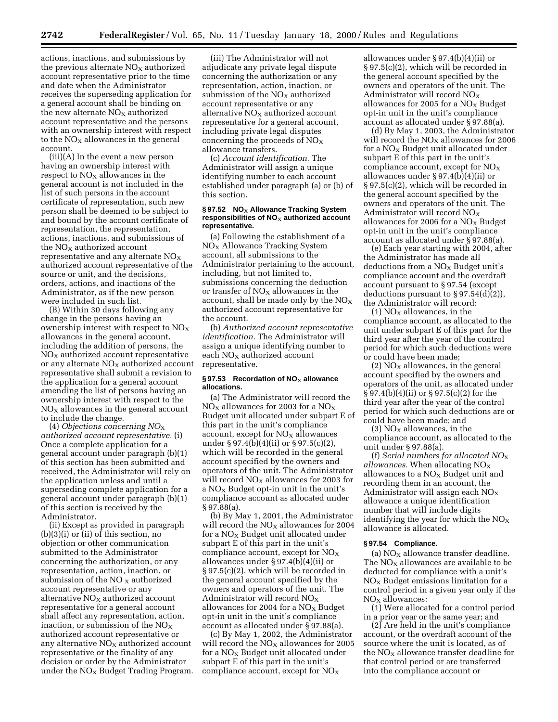actions, inactions, and submissions by the previous alternate  $NO<sub>x</sub>$  authorized account representative prior to the time and date when the Administrator receives the superseding application for a general account shall be binding on the new alternate  $NO<sub>X</sub>$  authorized account representative and the persons with an ownership interest with respect to the  $NO<sub>X</sub>$  allowances in the general account.

(iii)(A) In the event a new person having an ownership interest with respect to  $NO<sub>x</sub>$  allowances in the general account is not included in the list of such persons in the account certificate of representation, such new person shall be deemed to be subject to and bound by the account certificate of representation, the representation, actions, inactions, and submissions of the  $NO<sub>X</sub>$  authorized account representative and any alternate  $NO<sub>x</sub>$ authorized account representative of the source or unit, and the decisions, orders, actions, and inactions of the Administrator, as if the new person were included in such list.

(B) Within 30 days following any change in the persons having an ownership interest with respect to  $NO<sub>X</sub>$ allowances in the general account, including the addition of persons, the  $NO<sub>X</sub>$  authorized account representative or any alternate  $NO<sub>x</sub>$  authorized account representative shall submit a revision to the application for a general account amending the list of persons having an ownership interest with respect to the  $NO<sub>X</sub>$  allowances in the general account to include the change.

(4) *Objections concerning NO*X *authorized account representative.* (i) Once a complete application for a general account under paragraph (b)(1) of this section has been submitted and received, the Administrator will rely on the application unless and until a superseding complete application for a general account under paragraph (b)(1) of this section is received by the Administrator.

(ii) Except as provided in paragraph (b)(3)(i) or (ii) of this section, no objection or other communication submitted to the Administrator concerning the authorization, or any representation, action, inaction, or submission of the NO  $_{\rm X}$  authorized account representative or any alternative  $NO_X$  authorized account representative for a general account shall affect any representation, action, inaction, or submission of the  $NO<sub>x</sub>$ authorized account representative or any alternative  $NO<sub>x</sub>$  authorized account representative or the finality of any decision or order by the Administrator under the  $NO<sub>x</sub>$  Budget Trading Program.

(iii) The Administrator will not adjudicate any private legal dispute concerning the authorization or any representation, action, inaction, or submission of the  $NO<sub>x</sub>$  authorized account representative or any alternative  $NO<sub>x</sub>$  authorized account representative for a general account, including private legal disputes concerning the proceeds of NOX allowance transfers.

(c) *Account identification.* The Administrator will assign a unique identifying number to each account established under paragraph (a) or (b) of this section.

### **§ 97.52 NO**X **Allowance Tracking System** responsibilities of NO<sub>X</sub> authorized account **representative.**

(a) Following the establishment of a NO<sub>X</sub> Allowance Tracking System account, all submissions to the Administrator pertaining to the account, including, but not limited to, submissions concerning the deduction or transfer of  $NO<sub>X</sub>$  allowances in the account, shall be made only by the  $NO<sub>X</sub>$ authorized account representative for the account.

(b) *Authorized account representative identification.* The Administrator will assign a unique identifying number to each  $NO<sub>x</sub>$  authorized account representative.

# § 97.53 Recordation of NO<sub>X</sub> allowance **allocations.**

(a) The Administrator will record the  $NO<sub>x</sub>$  allowances for 2003 for a  $NO<sub>x</sub>$ Budget unit allocated under subpart E of this part in the unit's compliance account, except for  $NO<sub>x</sub>$  allowances under § 97.4(b)(4)(ii) or § 97.5(c)(2), which will be recorded in the general account specified by the owners and operators of the unit. The Administrator will record  $NO<sub>x</sub>$  allowances for 2003 for a  $NO<sub>x</sub>$  Budget opt-in unit in the unit's compliance account as allocated under § 97.88(a).

(b) By May 1, 2001, the Administrator will record the  $NO<sub>X</sub>$  allowances for 2004 for a  $NO<sub>x</sub>$  Budget unit allocated under subpart E of this part in the unit's compliance account, except for  $NO<sub>x</sub>$ allowances under § 97.4(b)(4)(ii) or § 97.5(c)(2), which will be recorded in the general account specified by the owners and operators of the unit. The Administrator will record  $NO<sub>x</sub>$ allowances for 2004 for a  $NO<sub>x</sub>$  Budget opt-in unit in the unit's compliance account as allocated under § 97.88(a).

(c) By May 1, 2002, the Administrator will record the  $NO<sub>X</sub>$  allowances for 2005 for a  $NO<sub>X</sub>$  Budget unit allocated under subpart E of this part in the unit's compliance account, except for  $NO<sub>x</sub>$ 

allowances under § 97.4(b)(4)(ii) or § 97.5(c)(2), which will be recorded in the general account specified by the owners and operators of the unit. The Administrator will record  $NO<sub>X</sub>$ allowances for 2005 for a  $NO<sub>x</sub>$  Budget opt-in unit in the unit's compliance account as allocated under § 97.88(a).

(d) By May 1, 2003, the Administrator will record the  $NO<sub>X</sub>$  allowances for 2006 for a  $NO<sub>X</sub>$  Budget unit allocated under subpart E of this part in the unit's compliance account, except for  $NO<sub>x</sub>$ allowances under § 97.4(b)(4)(ii) or § 97.5(c)(2), which will be recorded in the general account specified by the owners and operators of the unit. The Administrator will record  $NO<sub>x</sub>$ allowances for 2006 for a  $NO<sub>x</sub>$  Budget opt-in unit in the unit's compliance account as allocated under § 97.88(a).

(e) Each year starting with 2004, after the Administrator has made all deductions from a  $NO<sub>x</sub>$  Budget unit's compliance account and the overdraft account pursuant to § 97.54 (except deductions pursuant to  $\S 97.54(d)(2)$ , the Administrator will record:

 $(1) NO<sub>X</sub>$  allowances, in the compliance account, as allocated to the unit under subpart E of this part for the third year after the year of the control period for which such deductions were or could have been made;

(2)  $NO<sub>X</sub>$  allowances, in the general account specified by the owners and operators of the unit, as allocated under § 97.4(b)(4)(ii) or § 97.5(c)(2) for the third year after the year of the control period for which such deductions are or could have been made; and

 $(3)$  NO<sub>X</sub> allowances, in the compliance account, as allocated to the unit under § 97.88(a).

(f) *Serial numbers for allocated NO*X *allowances.* When allocating  $NO_X$ allowances to a  $NO<sub>x</sub>$  Budget unit and recording them in an account, the Administrator will assign each  $NO<sub>x</sub>$ allowance a unique identification number that will include digits identifying the year for which the  $NO<sub>X</sub>$ allowance is allocated.

## **§ 97.54 Compliance.**

(a)  $NO<sub>X</sub>$  allowance transfer deadline. The  $NO<sub>x</sub>$  allowances are available to be deducted for compliance with a unit's  $NO<sub>x</sub>$  Budget emissions limitation for a control period in a given year only if the  $NO<sub>x</sub>$  allowances:

(1) Were allocated for a control period in a prior year or the same year; and

(2) Are held in the unit's compliance account, or the overdraft account of the source where the unit is located, as of the  $NO<sub>X</sub>$  allowance transfer deadline for that control period or are transferred into the compliance account or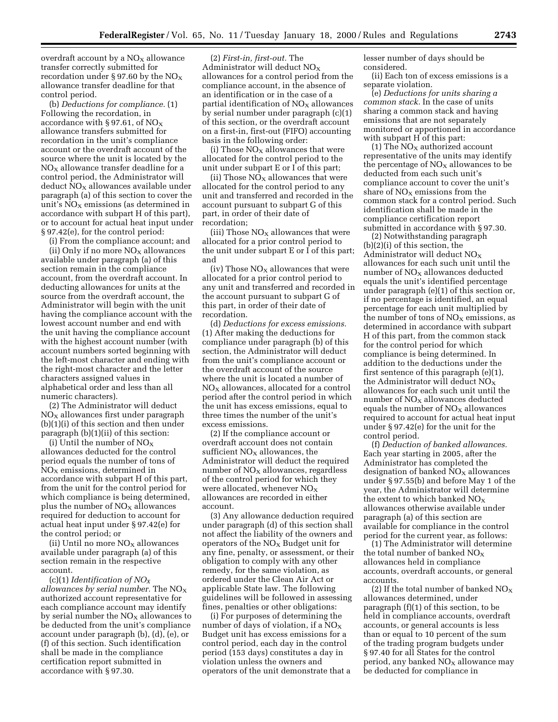overdraft account by a  $NO<sub>x</sub>$  allowance transfer correctly submitted for recordation under § 97.60 by the  $NO<sub>x</sub>$ allowance transfer deadline for that control period.

(b) *Deductions for compliance.* (1) Following the recordation, in accordance with § 97.61, of  $NO<sub>x</sub>$ allowance transfers submitted for recordation in the unit's compliance account or the overdraft account of the source where the unit is located by the  $NO<sub>X</sub>$  allowance transfer deadline for a control period, the Administrator will  $deduct NO<sub>X</sub>$  allowances available under paragraph (a) of this section to cover the unit's  $\overline{NO_X}$  emissions (as determined in accordance with subpart H of this part), or to account for actual heat input under § 97.42(e), for the control period:

(i) From the compliance account; and

(ii) Only if no more  $NO<sub>X</sub>$  allowances available under paragraph (a) of this section remain in the compliance account, from the overdraft account. In deducting allowances for units at the source from the overdraft account, the Administrator will begin with the unit having the compliance account with the lowest account number and end with the unit having the compliance account with the highest account number (with account numbers sorted beginning with the left-most character and ending with the right-most character and the letter characters assigned values in alphabetical order and less than all numeric characters).

(2) The Administrator will deduct  $NO<sub>x</sub>$  allowances first under paragraph (b)(1)(i) of this section and then under paragraph (b)(1)(ii) of this section:

(i) Until the number of  $NO<sub>x</sub>$ allowances deducted for the control period equals the number of tons of NOX emissions, determined in accordance with subpart H of this part, from the unit for the control period for which compliance is being determined, plus the number of  $NO<sub>x</sub>$  allowances required for deduction to account for actual heat input under § 97.42(e) for the control period; or

(ii) Until no more  $NO<sub>X</sub>$  allowances available under paragraph (a) of this section remain in the respective account.

(c)(1) *Identification of NOX allowances by serial number.* The NOX authorized account representative for each compliance account may identify by serial number the  $NO<sub>x</sub>$  allowances to be deducted from the unit's compliance account under paragraph (b), (d), (e), or (f) of this section. Such identification shall be made in the compliance certification report submitted in accordance with § 97.30.

(2) *First-in, first-out.* The Administrator will deduct  $NO<sub>x</sub>$ allowances for a control period from the compliance account, in the absence of an identification or in the case of a partial identification of  $NO<sub>x</sub>$  allowances by serial number under paragraph (c)(1) of this section, or the overdraft account on a first-in, first-out (FIFO) accounting basis in the following order:

(i) Those  $NO<sub>x</sub>$  allowances that were allocated for the control period to the unit under subpart E or I of this part;

(ii) Those  $NO<sub>X</sub>$  allowances that were allocated for the control period to any unit and transferred and recorded in the account pursuant to subpart G of this part, in order of their date of recordation;

(iii) Those  $NO<sub>x</sub>$  allowances that were allocated for a prior control period to the unit under subpart E or I of this part; and

(iv) Those  $NO<sub>X</sub>$  allowances that were allocated for a prior control period to any unit and transferred and recorded in the account pursuant to subpart G of this part, in order of their date of recordation.

(d) *Deductions for excess emissions.* (1) After making the deductions for compliance under paragraph (b) of this section, the Administrator will deduct from the unit's compliance account or the overdraft account of the source where the unit is located a number of  $NO<sub>X</sub>$  allowances, allocated for a control period after the control period in which the unit has excess emissions, equal to three times the number of the unit's excess emissions.

(2) If the compliance account or overdraft account does not contain sufficient  $NO<sub>x</sub>$  allowances, the Administrator will deduct the required number of  $NO<sub>x</sub>$  allowances, regardless of the control period for which they were allocated, whenever  $NO<sub>x</sub>$ allowances are recorded in either account.

(3) Any allowance deduction required under paragraph (d) of this section shall not affect the liability of the owners and operators of the  $NO<sub>x</sub>$  Budget unit for any fine, penalty, or assessment, or their obligation to comply with any other remedy, for the same violation, as ordered under the Clean Air Act or applicable State law. The following guidelines will be followed in assessing fines, penalties or other obligations:

(i) For purposes of determining the number of days of violation, if a  $NO_X$ Budget unit has excess emissions for a control period, each day in the control period (153 days) constitutes a day in violation unless the owners and operators of the unit demonstrate that a lesser number of days should be considered.

(ii) Each ton of excess emissions is a separate violation.

(e) *Deductions for units sharing a common stack.* In the case of units sharing a common stack and having emissions that are not separately monitored or apportioned in accordance with subpart H of this part:

(1) The  $NO<sub>X</sub>$  authorized account representative of the units may identify the percentage of  $NO<sub>X</sub>$  allowances to be deducted from each such unit's compliance account to cover the unit's share of  $NO<sub>X</sub>$  emissions from the common stack for a control period. Such identification shall be made in the compliance certification report submitted in accordance with § 97.30.

(2) Notwithstanding paragraph (b)(2)(i) of this section, the Administrator will deduct  $NO<sub>x</sub>$ allowances for each such unit until the number of  $NO<sub>x</sub>$  allowances deducted equals the unit's identified percentage under paragraph (e)(1) of this section or, if no percentage is identified, an equal percentage for each unit multiplied by the number of tons of  $NO<sub>x</sub>$  emissions, as determined in accordance with subpart H of this part, from the common stack for the control period for which compliance is being determined. In addition to the deductions under the first sentence of this paragraph (e)(1), the Administrator will deduct  $NO<sub>x</sub>$ allowances for each such unit until the number of  $NO<sub>X</sub>$  allowances deducted equals the number of  $NO<sub>x</sub>$  allowances required to account for actual heat input under § 97.42(e) for the unit for the control period.

(f) *Deduction of banked allowances.* Each year starting in 2005, after the Administrator has completed the designation of banked  $NO<sub>X</sub>$  allowances under § 97.55(b) and before May 1 of the year, the Administrator will determine the extent to which banked  $\rm{NO_{X}}$ allowances otherwise available under paragraph (a) of this section are available for compliance in the control period for the current year, as follows:

(1) The Administrator will determine the total number of banked  $NO<sub>x</sub>$ allowances held in compliance accounts, overdraft accounts, or general accounts.

(2) If the total number of banked  $NO<sub>x</sub>$ allowances determined, under paragraph (f)(1) of this section, to be held in compliance accounts, overdraft accounts, or general accounts is less than or equal to 10 percent of the sum of the trading program budgets under § 97.40 for all States for the control period, any banked  $NO<sub>x</sub>$  allowance may be deducted for compliance in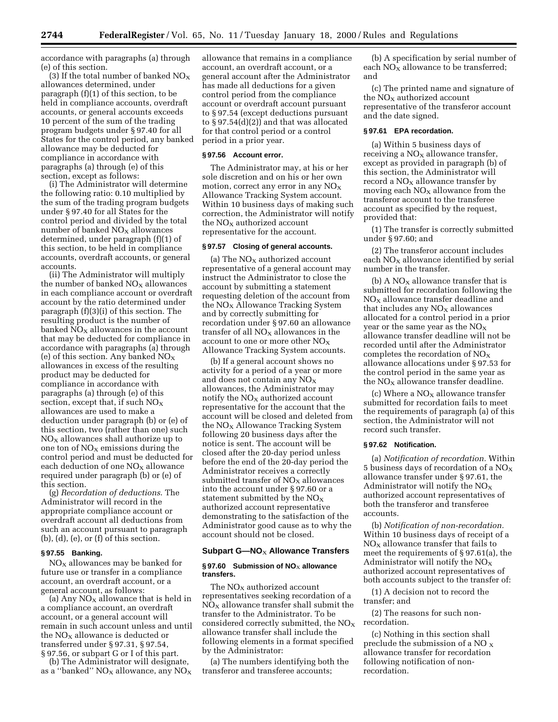accordance with paragraphs (a) through (e) of this section.

(3) If the total number of banked  $NO<sub>X</sub>$ allowances determined, under paragraph (f)(1) of this section, to be held in compliance accounts, overdraft accounts, or general accounts exceeds 10 percent of the sum of the trading program budgets under § 97.40 for all States for the control period, any banked allowance may be deducted for compliance in accordance with paragraphs (a) through (e) of this section, except as follows:

(i) The Administrator will determine the following ratio: 0.10 multiplied by the sum of the trading program budgets under § 97.40 for all States for the control period and divided by the total number of banked  $NO<sub>X</sub>$  allowances determined, under paragraph (f)(1) of this section, to be held in compliance accounts, overdraft accounts, or general accounts.

(ii) The Administrator will multiply the number of banked  $NO<sub>x</sub>$  allowances in each compliance account or overdraft account by the ratio determined under paragraph (f)(3)(i) of this section. The resulting product is the number of banked  $\overline{NO_x}$  allowances in the account that may be deducted for compliance in accordance with paragraphs (a) through (e) of this section. Any banked  $NO<sub>x</sub>$ allowances in excess of the resulting product may be deducted for compliance in accordance with paragraphs (a) through (e) of this section, except that, if such  $NO<sub>x</sub>$ allowances are used to make a deduction under paragraph (b) or (e) of this section, two (rather than one) such  $NO<sub>X</sub>$  allowances shall authorize up to one ton of  $NO<sub>X</sub>$  emissions during the control period and must be deducted for each deduction of one  $NO<sub>x</sub>$  allowance required under paragraph (b) or (e) of this section.

(g) *Recordation of deductions*. The Administrator will record in the appropriate compliance account or overdraft account all deductions from such an account pursuant to paragraph  $(b)$ ,  $(d)$ ,  $(e)$ , or  $(f)$  of this section.

### **§ 97.55 Banking.**

 $NO<sub>x</sub>$  allowances may be banked for future use or transfer in a compliance account, an overdraft account, or a general account, as follows:

(a) Any  $NO<sub>X</sub>$  allowance that is held in a compliance account, an overdraft account, or a general account will remain in such account unless and until the  $NO<sub>x</sub>$  allowance is deducted or transferred under § 97.31, § 97.54, § 97.56, or subpart G or I of this part.

(b) The Administrator will designate, as a "banked"  $NO<sub>X</sub>$  allowance, any  $NO<sub>X</sub>$ 

allowance that remains in a compliance account, an overdraft account, or a general account after the Administrator has made all deductions for a given control period from the compliance account or overdraft account pursuant to § 97.54 (except deductions pursuant to § 97.54(d)(2)) and that was allocated for that control period or a control period in a prior year.

#### **§ 97.56 Account error.**

The Administrator may, at his or her sole discretion and on his or her own motion, correct any error in any  $NO<sub>X</sub>$ Allowance Tracking System account. Within 10 business days of making such correction, the Administrator will notify the  $NO<sub>X</sub>$  authorized account representative for the account.

#### **§ 97.57 Closing of general accounts.**

(a) The  $NO<sub>x</sub>$  authorized account representative of a general account may instruct the Administrator to close the account by submitting a statement requesting deletion of the account from the  $NO<sub>x</sub>$  Allowance Tracking System and by correctly submitting for recordation under § 97.60 an allowance transfer of all  $NO<sub>x</sub>$  allowances in the account to one or more other  $NO<sub>x</sub>$ Allowance Tracking System accounts.

(b) If a general account shows no activity for a period of a year or more and does not contain any  $NO<sub>X</sub>$ allowances, the Administrator may notify the  $NO<sub>x</sub>$  authorized account representative for the account that the account will be closed and deleted from the  $NO<sub>x</sub>$  Allowance Tracking System following 20 business days after the notice is sent. The account will be closed after the 20-day period unless before the end of the 20-day period the Administrator receives a correctly submitted transfer of  $NO<sub>x</sub>$  allowances into the account under § 97.60 or a statement submitted by the  $NO<sub>x</sub>$ authorized account representative demonstrating to the satisfaction of the Administrator good cause as to why the account should not be closed.

# **Subpart G-NO<sub>X</sub> Allowance Transfers**

### § 97.60 Submission of NO<sub>X</sub> allowance **transfers.**

The  $NO<sub>X</sub>$  authorized account representatives seeking recordation of a  $NO<sub>x</sub>$  allowance transfer shall submit the transfer to the Administrator. To be considered correctly submitted, the  $NO<sub>x</sub>$ allowance transfer shall include the following elements in a format specified by the Administrator:

(a) The numbers identifying both the transferor and transferee accounts;

(b) A specification by serial number of each  $NO<sub>X</sub>$  allowance to be transferred; and

(c) The printed name and signature of the  $NO<sub>x</sub>$  authorized account representative of the transferor account and the date signed.

# **§ 97.61 EPA recordation.**

(a) Within 5 business days of receiving a  $NO<sub>x</sub>$  allowance transfer, except as provided in paragraph (b) of this section, the Administrator will record a  $NO<sub>X</sub>$  allowance transfer by moving each  $NO<sub>X</sub>$  allowance from the transferor account to the transferee account as specified by the request, provided that:

(1) The transfer is correctly submitted under § 97.60; and

(2) The transferor account includes each  $NO<sub>X</sub>$  allowance identified by serial number in the transfer.

(b) A  $NO<sub>x</sub>$  allowance transfer that is submitted for recordation following the  $NO<sub>x</sub>$  allowance transfer deadline and that includes any  $NO<sub>x</sub>$  allowances allocated for a control period in a prior year or the same year as the  $NO<sub>x</sub>$ allowance transfer deadline will not be recorded until after the Administrator completes the recordation of  $NO<sub>x</sub>$ allowance allocations under § 97.53 for the control period in the same year as the  $NO<sub>x</sub>$  allowance transfer deadline.

(c) Where a  $NO<sub>X</sub>$  allowance transfer submitted for recordation fails to meet the requirements of paragraph (a) of this section, the Administrator will not record such transfer.

### **§ 97.62 Notification.**

(a) *Notification of recordation.* Within 5 business days of recordation of a  $NO<sub>x</sub>$ allowance transfer under § 97.61, the Administrator will notify the  $NO<sub>x</sub>$ authorized account representatives of both the transferor and transferee accounts.

(b) *Notification of non-recordation.* Within 10 business days of receipt of a  $NO<sub>x</sub>$  allowance transfer that fails to meet the requirements of § 97.61(a), the Administrator will notify the  $NO<sub>x</sub>$ authorized account representatives of both accounts subject to the transfer of:

(1) A decision not to record the transfer; and

(2) The reasons for such nonrecordation.

(c) Nothing in this section shall preclude the submission of a NO X allowance transfer for recordation following notification of nonrecordation.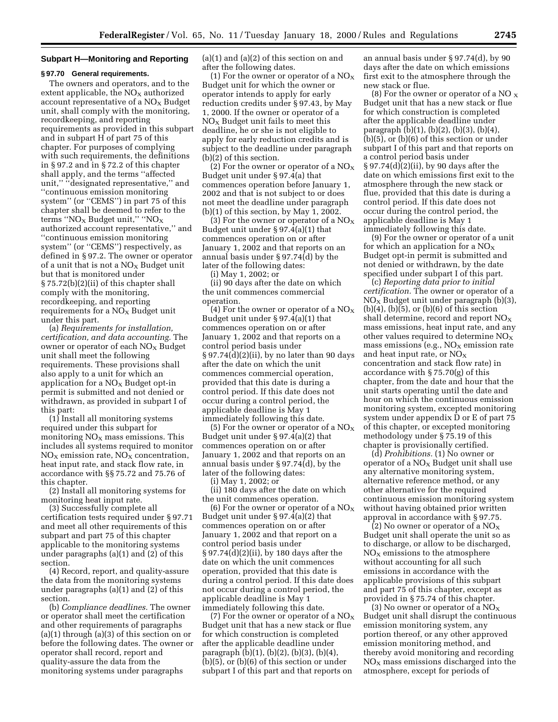#### **Subpart H—Monitoring and Reporting**

## **§ 97.70 General requirements.**

The owners and operators, and to the extent applicable, the  $NO<sub>X</sub>$  authorized account representative of a  $NO<sub>x</sub>$  Budget unit, shall comply with the monitoring, recordkeeping, and reporting requirements as provided in this subpart and in subpart H of part 75 of this chapter. For purposes of complying with such requirements, the definitions in § 97.2 and in § 72.2 of this chapter shall apply, and the terms ''affected unit,'' ''designated representative,'' and ''continuous emission monitoring system'' (or ''CEMS'') in part 75 of this chapter shall be deemed to refer to the terms " $NO<sub>X</sub>$  Budget unit," " $NO<sub>X</sub>$ authorized account representative,'' and ''continuous emission monitoring system" (or "CEMS") respectively, as defined in § 97.2. The owner or operator of a unit that is not a  $NO<sub>x</sub>$  Budget unit but that is monitored under § 75.72(b)(2)(ii) of this chapter shall comply with the monitoring, recordkeeping, and reporting requirements for a  $NO<sub>x</sub>$  Budget unit under this part.

(a) *Requirements for installation, certification, and data accounting.* The owner or operator of each  $NO<sub>x</sub>$  Budget unit shall meet the following requirements. These provisions shall also apply to a unit for which an application for a  $NO<sub>x</sub>$  Budget opt-in permit is submitted and not denied or withdrawn, as provided in subpart I of this part:

(1) Install all monitoring systems required under this subpart for monitoring  $NO<sub>x</sub>$  mass emissions. This includes all systems required to monitor  $NO<sub>X</sub>$  emission rate,  $NO<sub>X</sub>$  concentration, heat input rate, and stack flow rate, in accordance with §§ 75.72 and 75.76 of this chapter.

(2) Install all monitoring systems for monitoring heat input rate.

(3) Successfully complete all certification tests required under § 97.71 and meet all other requirements of this subpart and part 75 of this chapter applicable to the monitoring systems under paragraphs (a)(1) and (2) of this section.

(4) Record, report, and quality-assure the data from the monitoring systems under paragraphs (a)(1) and (2) of this section.

(b) *Compliance deadlines.* The owner or operator shall meet the certification and other requirements of paragraphs (a)(1) through (a)(3) of this section on or before the following dates. The owner or operator shall record, report and quality-assure the data from the monitoring systems under paragraphs

 $(a)(1)$  and  $(a)(2)$  of this section on and after the following dates.

(1) For the owner or operator of a  $NO_X$ Budget unit for which the owner or operator intends to apply for early reduction credits under § 97.43, by May 1, 2000. If the owner or operator of a  $NO<sub>X</sub>$  Budget unit fails to meet this deadline, he or she is not eligible to apply for early reduction credits and is subject to the deadline under paragraph (b)(2) of this section.

(2) For the owner or operator of a  $NO<sub>x</sub>$ Budget unit under § 97.4(a) that commences operation before January 1, 2002 and that is not subject to or does not meet the deadline under paragraph (b)(1) of this section, by May 1, 2002.

(3) For the owner or operator of a  $NO<sub>x</sub>$ Budget unit under § 97.4(a)(1) that commences operation on or after January 1, 2002 and that reports on an annual basis under § 97.74(d) by the later of the following dates:

(i) May 1, 2002; or

(ii) 90 days after the date on which the unit commences commercial operation.

(4) For the owner or operator of a  $NO_X$ Budget unit under § 97.4(a)(1) that commences operation on or after January 1, 2002 and that reports on a control period basis under  $\S 97.74(d)(2)(ii)$ , by no later than 90 days after the date on which the unit commences commercial operation, provided that this date is during a control period. If this date does not occur during a control period, the applicable deadline is May 1 immediately following this date.

(5) For the owner or operator of a  $NO<sub>x</sub>$ Budget unit under § 97.4(a)(2) that commences operation on or after January 1, 2002 and that reports on an annual basis under § 97.74(d), by the later of the following dates:

(i) May 1, 2002; or

(ii) 180 days after the date on which the unit commences operation.

(6) For the owner or operator of a  $NO<sub>X</sub>$ Budget unit under § 97.4(a)(2) that commences operation on or after January 1, 2002 and that report on a control period basis under § 97.74(d)(2)(ii), by 180 days after the date on which the unit commences operation, provided that this date is during a control period. If this date does not occur during a control period, the applicable deadline is May 1 immediately following this date.

(7) For the owner or operator of a  $NO<sub>x</sub>$ Budget unit that has a new stack or flue for which construction is completed after the applicable deadline under paragraph (b)(1), (b)(2), (b)(3), (b)(4), (b)(5), or (b)(6) of this section or under subpart I of this part and that reports on

an annual basis under § 97.74(d), by 90 days after the date on which emissions first exit to the atmosphere through the new stack or flue.

(8) For the owner or operator of a NO  $_{\rm X}$ Budget unit that has a new stack or flue for which construction is completed after the applicable deadline under paragraph (b)(1), (b)(2), (b)(3), (b)(4), (b)(5), or (b)(6) of this section or under subpart I of this part and that reports on a control period basis under § 97.74(d)(2)(ii), by 90 days after the date on which emissions first exit to the atmosphere through the new stack or flue, provided that this date is during a control period. If this date does not occur during the control period, the applicable deadline is May 1 immediately following this date.

(9) For the owner or operator of a unit for which an application for a  $NO_X$ Budget opt-in permit is submitted and not denied or withdrawn, by the date specified under subpart I of this part.

(c) *Reporting data prior to initial certification.* The owner or operator of a  $NO<sub>x</sub>$  Budget unit under paragraph (b)(3),  $(b)(4)$ ,  $(b)(5)$ , or  $(b)(6)$  of this section shall determine, record and report  $NO<sub>X</sub>$ mass emissions, heat input rate, and any other values required to determine  $NO<sub>x</sub>$ mass emissions (e.g.,  $NO<sub>x</sub>$  emission rate and heat input rate, or  $NO<sub>x</sub>$ concentration and stack flow rate) in accordance with § 75.70(g) of this chapter, from the date and hour that the unit starts operating until the date and hour on which the continuous emission monitoring system, excepted monitoring system under appendix D or E of part 75 of this chapter, or excepted monitoring methodology under § 75.19 of this chapter is provisionally certified.

(d) *Prohibitions.* (1) No owner or operator of a  $NO<sub>x</sub>$  Budget unit shall use any alternative monitoring system, alternative reference method, or any other alternative for the required continuous emission monitoring system without having obtained prior written approval in accordance with § 97.75.

(2) No owner or operator of a  $NO<sub>x</sub>$ Budget unit shall operate the unit so as to discharge, or allow to be discharged,  $NO<sub>x</sub>$  emissions to the atmosphere without accounting for all such emissions in accordance with the applicable provisions of this subpart and part 75 of this chapter, except as provided in § 75.74 of this chapter.

(3) No owner or operator of a  $NO<sub>x</sub>$ Budget unit shall disrupt the continuous emission monitoring system, any portion thereof, or any other approved emission monitoring method, and thereby avoid monitoring and recording  $NO<sub>x</sub>$  mass emissions discharged into the atmosphere, except for periods of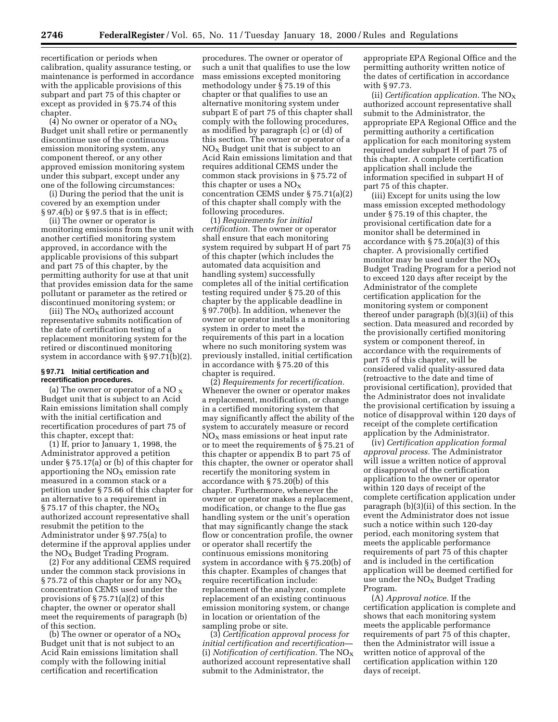**2746 FederalRegister** / Vol. 65, No. 11 / Tuesday January 18, 2000 / Rules and Regulations

recertification or periods when calibration, quality assurance testing, or maintenance is performed in accordance with the applicable provisions of this subpart and part 75 of this chapter or except as provided in § 75.74 of this chapter.

(4) No owner or operator of a  $\rm{NO_X}$ Budget unit shall retire or permanently discontinue use of the continuous emission monitoring system, any component thereof, or any other approved emission monitoring system under this subpart, except under any one of the following circumstances:

(i) During the period that the unit is covered by an exemption under § 97.4(b) or § 97.5 that is in effect;

(ii) The owner or operator is monitoring emissions from the unit with another certified monitoring system approved, in accordance with the applicable provisions of this subpart and part 75 of this chapter, by the permitting authority for use at that unit that provides emission data for the same pollutant or parameter as the retired or discontinued monitoring system; or

(iii) The  $\rm NO_{X}$  authorized account representative submits notification of the date of certification testing of a replacement monitoring system for the retired or discontinued monitoring system in accordance with § 97.71(b)(2).

#### **§ 97.71 Initial certification and recertification procedures.**

(a) The owner or operator of a NO  $_{\rm X}$ Budget unit that is subject to an Acid Rain emissions limitation shall comply with the initial certification and recertification procedures of part 75 of this chapter, except that:

(1) If, prior to January 1, 1998, the Administrator approved a petition under § 75.17(a) or (b) of this chapter for apportioning the  $NO<sub>X</sub>$  emission rate measured in a common stack or a petition under § 75.66 of this chapter for an alternative to a requirement in § 75.17 of this chapter, the  $NO<sub>x</sub>$ authorized account representative shall resubmit the petition to the Administrator under § 97.75(a) to determine if the approval applies under the NO<sub>X</sub> Budget Trading Program.

(2) For any additional CEMS required under the common stack provisions in § 75.72 of this chapter or for any  $NO<sub>X</sub>$ concentration CEMS used under the provisions of  $\S 75.71(a)(2)$  of this chapter, the owner or operator shall meet the requirements of paragraph (b) of this section.

(b) The owner or operator of a  $\rm{NO_{X}}$ Budget unit that is not subject to an Acid Rain emissions limitation shall comply with the following initial certification and recertification

procedures. The owner or operator of such a unit that qualifies to use the low mass emissions excepted monitoring methodology under § 75.19 of this chapter or that qualifies to use an alternative monitoring system under subpart E of part 75 of this chapter shall comply with the following procedures, as modified by paragraph (c) or (d) of this section. The owner or operator of a  $NO<sub>x</sub>$  Budget unit that is subject to an Acid Rain emissions limitation and that requires additional CEMS under the common stack provisions in § 75.72 of this chapter or uses a  $NO<sub>X</sub>$ concentration CEMS under § 75.71(a)(2) of this chapter shall comply with the following procedures.

(1) *Requirements for initial certification.* The owner or operator shall ensure that each monitoring system required by subpart H of part 75 of this chapter (which includes the automated data acquisition and handling system) successfully completes all of the initial certification testing required under § 75.20 of this chapter by the applicable deadline in § 97.70(b). In addition, whenever the owner or operator installs a monitoring system in order to meet the requirements of this part in a location where no such monitoring system was previously installed, initial certification in accordance with § 75.20 of this chapter is required.

(2) *Requirements for recertification.* Whenever the owner or operator makes a replacement, modification, or change in a certified monitoring system that may significantly affect the ability of the system to accurately measure or record  $NO<sub>x</sub>$  mass emissions or heat input rate or to meet the requirements of § 75.21 of this chapter or appendix B to part 75 of this chapter, the owner or operator shall recertify the monitoring system in accordance with § 75.20(b) of this chapter. Furthermore, whenever the owner or operator makes a replacement, modification, or change to the flue gas handling system or the unit's operation that may significantly change the stack flow or concentration profile, the owner or operator shall recertify the continuous emissions monitoring system in accordance with § 75.20(b) of this chapter. Examples of changes that require recertification include: replacement of the analyzer, complete replacement of an existing continuous emission monitoring system, or change in location or orientation of the sampling probe or site.

(3) *Certification approval process for initial certification and recertification*— (i) *Notification of certification*. The  $NO_X$ authorized account representative shall submit to the Administrator, the

appropriate EPA Regional Office and the permitting authority written notice of the dates of certification in accordance with § 97.73.

(ii) *Certification application.* The NOX authorized account representative shall submit to the Administrator, the appropriate EPA Regional Office and the permitting authority a certification application for each monitoring system required under subpart H of part 75 of this chapter. A complete certification application shall include the information specified in subpart H of part 75 of this chapter.

(iii) Except for units using the low mass emission excepted methodology under § 75.19 of this chapter, the provisional certification date for a monitor shall be determined in accordance with § 75.20(a)(3) of this chapter. A provisionally certified monitor may be used under the  $NO<sub>x</sub>$ Budget Trading Program for a period not to exceed 120 days after receipt by the Administrator of the complete certification application for the monitoring system or component thereof under paragraph (b)(3)(ii) of this section. Data measured and recorded by the provisionally certified monitoring system or component thereof, in accordance with the requirements of part 75 of this chapter, will be considered valid quality-assured data (retroactive to the date and time of provisional certification), provided that the Administrator does not invalidate the provisional certification by issuing a notice of disapproval within 120 days of receipt of the complete certification application by the Administrator.

(iv) *Certification application formal approval process.* The Administrator will issue a written notice of approval or disapproval of the certification application to the owner or operator within 120 days of receipt of the complete certification application under paragraph (b)(3)(ii) of this section. In the event the Administrator does not issue such a notice within such 120-day period, each monitoring system that meets the applicable performance requirements of part 75 of this chapter and is included in the certification application will be deemed certified for use under the  $NO<sub>x</sub>$  Budget Trading Program.

(A) *Approval notice.* If the certification application is complete and shows that each monitoring system meets the applicable performance requirements of part 75 of this chapter, then the Administrator will issue a written notice of approval of the certification application within 120 days of receipt.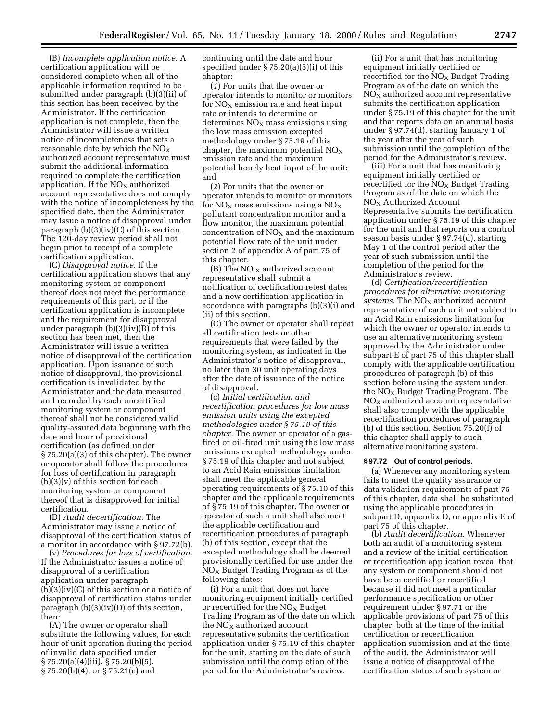(B) *Incomplete application notice.* A certification application will be considered complete when all of the applicable information required to be submitted under paragraph (b)(3)(ii) of this section has been received by the Administrator. If the certification application is not complete, then the Administrator will issue a written notice of incompleteness that sets a reasonable date by which the  $NO<sub>X</sub>$ authorized account representative must submit the additional information required to complete the certification application. If the  $NO<sub>X</sub>$  authorized account representative does not comply with the notice of incompleteness by the specified date, then the Administrator may issue a notice of disapproval under paragraph  $(b)(3)(iv)(C)$  of this section. The 120-day review period shall not begin prior to receipt of a complete certification application.

(C) *Disapproval notice.* If the certification application shows that any monitoring system or component thereof does not meet the performance requirements of this part, or if the certification application is incomplete and the requirement for disapproval under paragraph (b)(3)(iv)(B) of this section has been met, then the Administrator will issue a written notice of disapproval of the certification application. Upon issuance of such notice of disapproval, the provisional certification is invalidated by the Administrator and the data measured and recorded by each uncertified monitoring system or component thereof shall not be considered valid quality-assured data beginning with the date and hour of provisional certification (as defined under § 75.20(a)(3) of this chapter). The owner or operator shall follow the procedures for loss of certification in paragraph  $(b)(3)(v)$  of this section for each monitoring system or component thereof that is disapproved for initial certification.

(D) *Audit decertification.* The Administrator may issue a notice of disapproval of the certification status of a monitor in accordance with § 97.72(b).

(v) *Procedures for loss of certification.* If the Administrator issues a notice of disapproval of a certification application under paragraph  $(b)(3)(iv)(C)$  of this section or a notice of disapproval of certification status under paragraph (b)(3)(iv)(D) of this section, then:

(A) The owner or operator shall substitute the following values, for each hour of unit operation during the period of invalid data specified under § 75.20(a)(4)(iii), § 75.20(b)(5), § 75.20(h)(4), or § 75.21(e) and

continuing until the date and hour specified under § 75.20(a)(5)(i) of this chapter:

(*1*) For units that the owner or operator intends to monitor or monitors for  $NO<sub>x</sub>$  emission rate and heat input rate or intends to determine or  $determines NO<sub>x</sub> mass emissions using$ the low mass emission excepted methodology under § 75.19 of this chapter, the maximum potential  $NO<sub>x</sub>$ emission rate and the maximum potential hourly heat input of the unit; and

(*2*) For units that the owner or operator intends to monitor or monitors for  $NO<sub>x</sub>$  mass emissions using a  $NO<sub>x</sub>$ pollutant concentration monitor and a flow monitor, the maximum potential concentration of  $NO<sub>x</sub>$  and the maximum potential flow rate of the unit under section 2 of appendix A of part 75 of this chapter.

(B) The NO  $_X$  authorized account representative shall submit a notification of certification retest dates and a new certification application in accordance with paragraphs (b)(3)(i) and (ii) of this section.

(C) The owner or operator shall repeat all certification tests or other requirements that were failed by the monitoring system, as indicated in the Administrator's notice of disapproval, no later than 30 unit operating days after the date of issuance of the notice of disapproval.

(c) *Initial certification and recertification procedures for low mass emission units using the excepted methodologies under § 75.19 of this chapter.* The owner or operator of a gasfired or oil-fired unit using the low mass emissions excepted methodology under § 75.19 of this chapter and not subject to an Acid Rain emissions limitation shall meet the applicable general operating requirements of § 75.10 of this chapter and the applicable requirements of § 75.19 of this chapter. The owner or operator of such a unit shall also meet the applicable certification and recertification procedures of paragraph (b) of this section, except that the excepted methodology shall be deemed provisionally certified for use under the  $NO<sub>X</sub>$  Budget Trading Program as of the following dates:

(i) For a unit that does not have monitoring equipment initially certified or recertified for the NO<sub>X</sub> Budget Trading Program as of the date on which the  $NO<sub>X</sub>$  authorized account representative submits the certification application under § 75.19 of this chapter for the unit, starting on the date of such submission until the completion of the period for the Administrator's review.

(ii) For a unit that has monitoring equipment initially certified or recertified for the  $NO<sub>x</sub>$  Budget Trading Program as of the date on which the  $NO<sub>x</sub>$  authorized account representative submits the certification application under § 75.19 of this chapter for the unit and that reports data on an annual basis under § 97.74(d), starting January 1 of the year after the year of such submission until the completion of the period for the Administrator's review.

(iii) For a unit that has monitoring equipment initially certified or recertified for the  $NO_X$  Budget Trading Program as of the date on which the  $NO<sub>x</sub>$  Authorized Account Representative submits the certification application under § 75.19 of this chapter for the unit and that reports on a control season basis under § 97.74(d), starting May 1 of the control period after the year of such submission until the completion of the period for the Administrator's review.

(d) *Certification/recertification procedures for alternative monitoring systems.* The NO<sub>x</sub> authorized account representative of each unit not subject to an Acid Rain emissions limitation for which the owner or operator intends to use an alternative monitoring system approved by the Administrator under subpart E of part 75 of this chapter shall comply with the applicable certification procedures of paragraph (b) of this section before using the system under the  $NO<sub>x</sub>$  Budget Trading Program. The  $NO<sub>x</sub>$  authorized account representative shall also comply with the applicable recertification procedures of paragraph (b) of this section. Section 75.20(f) of this chapter shall apply to such alternative monitoring system.

#### **§ 97.72 Out of control periods.**

(a) Whenever any monitoring system fails to meet the quality assurance or data validation requirements of part 75 of this chapter, data shall be substituted using the applicable procedures in subpart D, appendix D, or appendix E of part 75 of this chapter.

(b) *Audit decertification.* Whenever both an audit of a monitoring system and a review of the initial certification or recertification application reveal that any system or component should not have been certified or recertified because it did not meet a particular performance specification or other requirement under § 97.71 or the applicable provisions of part 75 of this chapter, both at the time of the initial certification or recertification application submission and at the time of the audit, the Administrator will issue a notice of disapproval of the certification status of such system or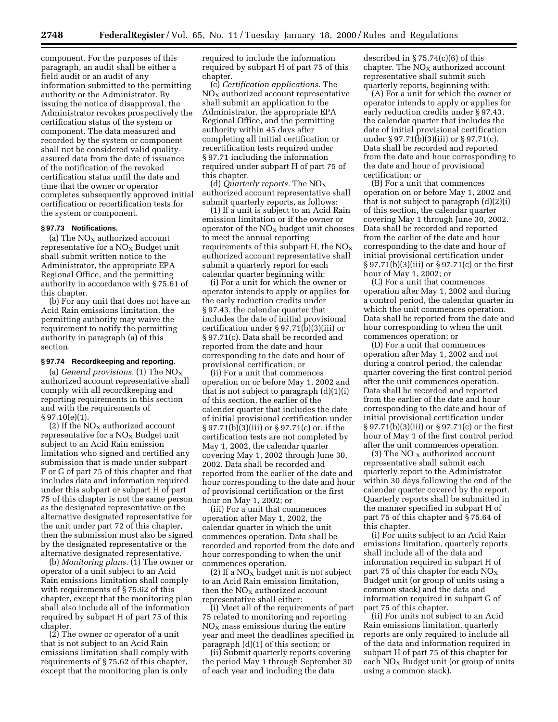component. For the purposes of this paragraph, an audit shall be either a field audit or an audit of any information submitted to the permitting authority or the Administrator. By issuing the notice of disapproval, the Administrator revokes prospectively the certification status of the system or component. The data measured and recorded by the system or component shall not be considered valid qualityassured data from the date of issuance of the notification of the revoked certification status until the date and time that the owner or operator completes subsequently approved initial certification or recertification tests for the system or component.

#### **§ 97.73 Notifications.**

(a) The  $NO<sub>x</sub>$  authorized account representative for a  $NO<sub>X</sub>$  Budget unit shall submit written notice to the Administrator, the appropriate EPA Regional Office, and the permitting authority in accordance with § 75.61 of this chapter.

(b) For any unit that does not have an Acid Rain emissions limitation, the permitting authority may waive the requirement to notify the permitting authority in paragraph (a) of this section.

#### **§ 97.74 Recordkeeping and reporting.**

(a) *General provisions.* (1) The NO<sub>x</sub> authorized account representative shall comply with all recordkeeping and reporting requirements in this section and with the requirements of § 97.10(e)(1).

(2) If the  $NO<sub>x</sub>$  authorized account representative for a  $NO<sub>x</sub>$  Budget unit subject to an Acid Rain emission limitation who signed and certified any submission that is made under subpart F or G of part 75 of this chapter and that includes data and information required under this subpart or subpart H of part 75 of this chapter is not the same person as the designated representative or the alternative designated representative for the unit under part 72 of this chapter, then the submission must also be signed by the designated representative or the alternative designated representative.

(b) *Monitoring plans.* (1) The owner or operator of a unit subject to an Acid Rain emissions limitation shall comply with requirements of § 75.62 of this chapter, except that the monitoring plan shall also include all of the information required by subpart H of part 75 of this chapter.

(2) The owner or operator of a unit that is not subject to an Acid Rain emissions limitation shall comply with requirements of § 75.62 of this chapter, except that the monitoring plan is only required to include the information required by subpart H of part 75 of this chapter.

(c) *Certification applications.* The  $NO<sub>x</sub>$  authorized account representative shall submit an application to the Administrator, the appropriate EPA Regional Office, and the permitting authority within 45 days after completing all initial certification or recertification tests required under § 97.71 including the information required under subpart H of part 75 of this chapter.

(d) *Quarterly reports.* The NOX authorized account representative shall submit quarterly reports, as follows:

(1) If a unit is subject to an Acid Rain emission limitation or if the owner or operator of the  $NO<sub>x</sub>$  budget unit chooses to meet the annual reporting requirements of this subpart H, the  $NO<sub>x</sub>$ authorized account representative shall submit a quarterly report for each calendar quarter beginning with:

(i) For a unit for which the owner or operator intends to apply or applies for the early reduction credits under § 97.43, the calendar quarter that includes the date of initial provisional certification under § 97.71(b)(3)(iii) or § 97.71(c). Data shall be recorded and reported from the date and hour corresponding to the date and hour of provisional certification; or

(ii) For a unit that commences operation on or before May 1, 2002 and that is not subject to paragraph (d)(1)(i) of this section, the earlier of the calender quarter that includes the date of initial provisional certification under § 97.71(b)(3)(iii) or § 97.71(c) or, if the certification tests are not completed by May 1, 2002, the calendar quarter covering May 1, 2002 through June 30, 2002. Data shall be recorded and reported from the earlier of the date and hour corresponding to the date and hour of provisional certification or the first hour on May 1, 2002; or

(iii) For a unit that commences operation after May 1, 2002, the calendar quarter in which the unit commences operation. Data shall be recorded and reported from the date and hour corresponding to when the unit commences operation.

(2) If a  $NO<sub>x</sub>$  budget unit is not subject to an Acid Rain emission limitation, then the  $NO<sub>X</sub>$  authorized account representative shall either:

(i) Meet all of the requirements of part 75 related to monitoring and reporting  $NO<sub>x</sub>$  mass emissions during the entire year and meet the deadlines specified in paragraph (d)(1) of this section; or

(ii) Submit quarterly reports covering the period May 1 through September 30 of each year and including the data

described in § 75.74(c)(6) of this chapter. The  $NO<sub>X</sub>$  authorized account representative shall submit such quarterly reports, beginning with:

(A) For a unit for which the owner or operator intends to apply or applies for early reduction credits under § 97.43, the calendar quarter that includes the date of initial provisional certification under § 97.71(b)(3)(iii) or § 97.71(c). Data shall be recorded and reported from the date and hour corresponding to the date and hour of provisional certification; or

(B) For a unit that commences operation on or before May 1, 2002 and that is not subject to paragraph (d)(2)(i) of this section, the calendar quarter covering May 1 through June 30, 2002. Data shall be recorded and reported from the earlier of the date and hour corresponding to the date and hour of initial provisional certification under § 97.71(b)(3)(iii) or § 97.71(c) or the first hour of May 1, 2002; or

(C) For a unit that commences operation after May 1, 2002 and during a control period, the calendar quarter in which the unit commences operation. Data shall be reported from the date and hour corresponding to when the unit commences operation; or

(D) For a unit that commences operation after May 1, 2002 and not during a control period, the calendar quarter covering the first control period after the unit commences operation. Data shall be recorded and reported from the earlier of the date and hour corresponding to the date and hour of initial provisional certification under § 97.71(b)(3)(iii) or § 97.71(c) or the first hour of May 1 of the first control period after the unit commences operation.

(3) The NO  $_{\rm X}$  authorized account representative shall submit each quarterly report to the Administrator within 30 days following the end of the calendar quarter covered by the report. Quarterly reports shall be submitted in the manner specified in subpart H of part 75 of this chapter and § 75.64 of this chapter.

(i) For units subject to an Acid Rain emissions limitation, quarterly reports shall include all of the data and information required in subpart H of part 75 of this chapter for each  $NO<sub>x</sub>$ Budget unit (or group of units using a common stack) and the data and information required in subpart G of part 75 of this chapter.

(ii) For units not subject to an Acid Rain emissions limitation, quarterly reports are only required to include all of the data and information required in subpart H of part 75 of this chapter for each  $NO<sub>x</sub>$  Budget unit (or group of units using a common stack).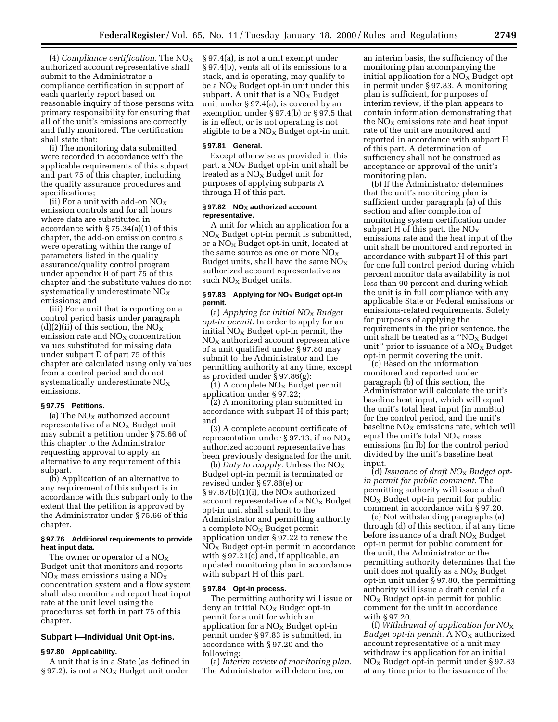(4) *Compliance certification.* The NOX authorized account representative shall submit to the Administrator a compliance certification in support of each quarterly report based on reasonable inquiry of those persons with primary responsibility for ensuring that all of the unit's emissions are correctly and fully monitored. The certification shall state that:

(i) The monitoring data submitted were recorded in accordance with the applicable requirements of this subpart and part 75 of this chapter, including the quality assurance procedures and specifications;

(ii) For a unit with add-on  $NO<sub>X</sub>$ emission controls and for all hours where data are substituted in accordance with § 75.34(a)(1) of this chapter, the add-on emission controls were operating within the range of parameters listed in the quality assurance/quality control program under appendix B of part 75 of this chapter and the substitute values do not systematically underestimate  $NO<sub>x</sub>$ emissions; and

(iii) For a unit that is reporting on a control period basis under paragraph (d)(2)(ii) of this section, the  $NO<sub>X</sub>$ emission rate and  $NO<sub>X</sub>$  concentration values substituted for missing data under subpart D of part 75 of this chapter are calculated using only values from a control period and do not systematically underestimate  $NO<sub>x</sub>$ emissions.

## **§ 97.75 Petitions.**

(a) The  $NO<sub>X</sub>$  authorized account representative of a  $NO<sub>x</sub>$  Budget unit may submit a petition under § 75.66 of this chapter to the Administrator requesting approval to apply an alternative to any requirement of this subpart.

(b) Application of an alternative to any requirement of this subpart is in accordance with this subpart only to the extent that the petition is approved by the Administrator under § 75.66 of this chapter.

### **§ 97.76 Additional requirements to provide heat input data.**

The owner or operator of a  $NO<sub>x</sub>$ Budget unit that monitors and reports  $NO<sub>x</sub>$  mass emissions using a  $NO<sub>x</sub>$ concentration system and a flow system shall also monitor and report heat input rate at the unit level using the procedures set forth in part 75 of this chapter.

## **Subpart I—Individual Unit Opt-ins.**

#### **§ 97.80 Applicability.**

A unit that is in a State (as defined in § 97.2), is not a  $NO<sub>x</sub>$  Budget unit under

§ 97.4(a), is not a unit exempt under § 97.4(b), vents all of its emissions to a stack, and is operating, may qualify to be a  $NO<sub>x</sub>$  Budget opt-in unit under this subpart. A unit that is a  $NO<sub>x</sub>$  Budget unit under § 97.4(a), is covered by an exemption under § 97.4(b) or § 97.5 that is in effect, or is not operating is not eligible to be a  $NO<sub>x</sub>$  Budget opt-in unit.

#### **§ 97.81 General.**

Except otherwise as provided in this part, a  $NO<sub>x</sub>$  Budget opt-in unit shall be treated as a  $NO<sub>x</sub>$  Budget unit for purposes of applying subparts A through H of this part.

### § 97.82 NO<sub>X</sub> authorized account **representative.**

A unit for which an application for a  $NO<sub>x</sub>$  Budget opt-in permit is submitted, or a  $NO<sub>x</sub>$  Budget opt-in unit, located at the same source as one or more  $NO<sub>x</sub>$ Budget units, shall have the same  $NO<sub>X</sub>$ authorized account representative as such NO<sub>X</sub> Budget units.

# § 97.83 Applying for NO<sub>X</sub> Budget opt-in **permit.**

(a) *Applying for initial NO*X *Budget opt-in permit.* In order to apply for an initial  $NO<sub>x</sub>$  Budget opt-in permit, the  $NO<sub>X</sub>$  authorized account representative of a unit qualified under § 97.80 may submit to the Administrator and the permitting authority at any time, except as provided under § 97.86(g):

 $(1)$  A complete NO<sub>X</sub> Budget permit application under § 97.22;

(2) A monitoring plan submitted in accordance with subpart H of this part; and

(3) A complete account certificate of representation under § 97.13, if no  $NO<sub>X</sub>$ authorized account representative has been previously designated for the unit.

(b) *Duty to reapply*. Unless the  $NO<sub>x</sub>$ Budget opt-in permit is terminated or revised under § 97.86(e) or § 97.87(b)(1)(i), the  $NO<sub>X</sub>$  authorized account representative of a  $NO<sub>x</sub>$  Budget opt-in unit shall submit to the Administrator and permitting authority a complete  $NO<sub>x</sub>$  Budget permit application under § 97.22 to renew the  $NO<sub>x</sub>$  Budget opt-in permit in accordance with § 97.21(c) and, if applicable, an updated monitoring plan in accordance with subpart H of this part.

#### **§ 97.84 Opt-in process.**

The permitting authority will issue or  $d$ eny an initial  $NO<sub>x</sub>$  Budget opt-in permit for a unit for which an application for a  $NO<sub>x</sub>$  Budget opt-in permit under § 97.83 is submitted, in accordance with § 97.20 and the following:

(a) *Interim review of monitoring plan.* The Administrator will determine, on

an interim basis, the sufficiency of the monitoring plan accompanying the initial application for a  $NO<sub>x</sub>$  Budget optin permit under § 97.83. A monitoring plan is sufficient, for purposes of interim review, if the plan appears to contain information demonstrating that the  $NO<sub>x</sub>$  emissions rate and heat input rate of the unit are monitored and reported in accordance with subpart H of this part. A determination of sufficiency shall not be construed as acceptance or approval of the unit's monitoring plan.

(b) If the Administrator determines that the unit's monitoring plan is sufficient under paragraph (a) of this section and after completion of monitoring system certification under subpart H of this part, the  $NO<sub>X</sub>$ emissions rate and the heat input of the unit shall be monitored and reported in accordance with subpart H of this part for one full control period during which percent monitor data availability is not less than 90 percent and during which the unit is in full compliance with any applicable State or Federal emissions or emissions-related requirements. Solely for purposes of applying the requirements in the prior sentence, the unit shall be treated as a " $NO<sub>x</sub>$  Budget unit" prior to issuance of a  $NO<sub>x</sub>$  Budget opt-in permit covering the unit.

(c) Based on the information monitored and reported under paragraph (b) of this section, the Administrator will calculate the unit's baseline heat input, which will equal the unit's total heat input (in mmBtu) for the control period, and the unit's baseline  $NO<sub>x</sub>$  emissions rate, which will equal the unit's total  $NO<sub>x</sub>$  mass emissions (in lb) for the control period divided by the unit's baseline heat input.

(d) *Issuance of draft NO*X *Budget optin permit for public comment.* The permitting authority will issue a draft  $NO<sub>x</sub>$  Budget opt-in permit for public comment in accordance with § 97.20.

(e) Not withstanding paragraphs (a) through (d) of this section, if at any time before issuance of a draft  $NO<sub>x</sub>$  Budget opt-in permit for public comment for the unit, the Administrator or the permitting authority determines that the unit does not qualify as a  $NO<sub>x</sub>$  Budget opt-in unit under § 97.80, the permitting authority will issue a draft denial of a  $NO<sub>x</sub>$  Budget opt-in permit for public comment for the unit in accordance with § 97.20.

(f) *Withdrawal of application for NO*X *Budget opt-in permit.* A NO<sub>X</sub> authorized account representative of a unit may withdraw its application for an initial  $NO<sub>x</sub>$  Budget opt-in permit under § 97.83 at any time prior to the issuance of the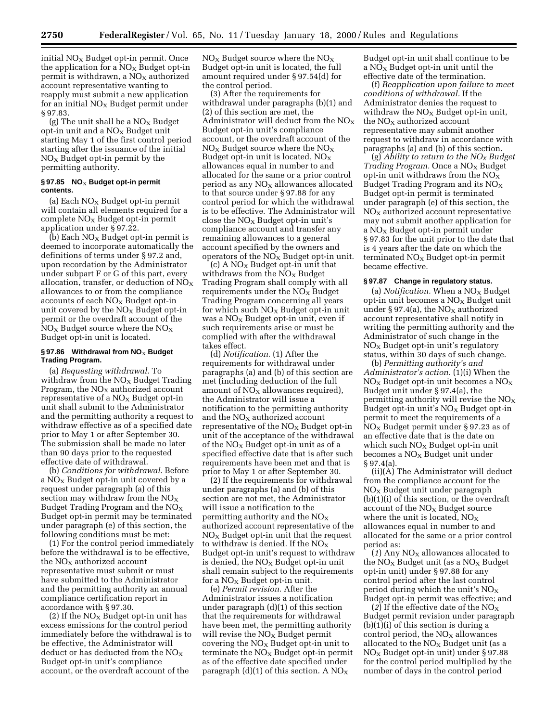initial  $NO<sub>x</sub>$  Budget opt-in permit. Once the application for a  $NO<sub>X</sub>$  Budget opt-in permit is withdrawn, a  $NO<sub>x</sub>$  authorized account representative wanting to reapply must submit a new application for an initial  $NO<sub>x</sub>$  Budget permit under § 97.83.

(g) The unit shall be a  $NO<sub>x</sub>$  Budget opt-in unit and a  $NO<sub>x</sub>$  Budget unit starting May 1 of the first control period starting after the issuance of the initial  $NO<sub>x</sub>$  Budget opt-in permit by the permitting authority.

### § 97.85 NO<sub>X</sub> Budget opt-in permit **contents.**

(a) Each  $N\rm{O}_{X}$  Budget opt-in permit will contain all elements required for a  $complete NO<sub>x</sub> Budget opt-in permit$ application under § 97.22.

(b) Each  $NO_X$  Budget opt-in permit is deemed to incorporate automatically the definitions of terms under § 97.2 and, upon recordation by the Administrator under subpart F or G of this part, every allocation, transfer, or deduction of  $NO<sub>X</sub>$ allowances to or from the compliance accounts of each  $NO<sub>x</sub>$  Budget opt-in unit covered by the  $NO<sub>X</sub>$  Budget opt-in permit or the overdraft account of the  $NO<sub>x</sub>$  Budget source where the  $NO<sub>x</sub>$ Budget opt-in unit is located.

# § 97.86 Withdrawal from NO<sub>X</sub> Budget **Trading Program.**

(a) *Requesting withdrawal.* To withdraw from the  $NO<sub>X</sub>$  Budget Trading Program, the  $NO<sub>x</sub>$  authorized account representative of a  $NO<sub>x</sub>$  Budget opt-in unit shall submit to the Administrator and the permitting authority a request to withdraw effective as of a specified date prior to May 1 or after September 30. The submission shall be made no later than 90 days prior to the requested effective date of withdrawal.

(b) *Conditions for withdrawal.* Before a  $NO<sub>x</sub>$  Budget opt-in unit covered by a request under paragraph (a) of this section may withdraw from the  $NO<sub>x</sub>$ Budget Trading Program and the  $NO<sub>X</sub>$ Budget opt-in permit may be terminated under paragraph (e) of this section, the following conditions must be met:

(1) For the control period immediately before the withdrawal is to be effective, the  $NO<sub>x</sub>$  authorized account representative must submit or must have submitted to the Administrator and the permitting authority an annual compliance certification report in accordance with § 97.30.

(2) If the  $NO<sub>x</sub>$  Budget opt-in unit has excess emissions for the control period immediately before the withdrawal is to be effective, the Administrator will deduct or has deducted from the  $NO_X$ Budget opt-in unit's compliance account, or the overdraft account of the

 $NO<sub>x</sub>$  Budget source where the  $NO<sub>x</sub>$ Budget opt-in unit is located, the full amount required under § 97.54(d) for the control period.

(3) After the requirements for withdrawal under paragraphs (b)(1) and (2) of this section are met, the Administrator will deduct from the  $NO<sub>X</sub>$ Budget opt-in unit's compliance account, or the overdraft account of the  $NO<sub>X</sub>$  Budget source where the  $NO<sub>X</sub>$ Budget opt-in unit is located,  $NO<sub>x</sub>$ allowances equal in number to and allocated for the same or a prior control period as any  $NO<sub>x</sub>$  allowances allocated to that source under § 97.88 for any control period for which the withdrawal is to be effective. The Administrator will close the  $NO<sub>x</sub>$  Budget opt-in unit's compliance account and transfer any remaining allowances to a general account specified by the owners and operators of the  $NO<sub>x</sub>$  Budget opt-in unit.

(c) A  $NO<sub>x</sub>$  Budget opt-in unit that withdraws from the  $NO<sub>x</sub>$  Budget Trading Program shall comply with all requirements under the  $NO<sub>x</sub>$  Budget Trading Program concerning all years for which such  $NO<sub>x</sub>$  Budget opt-in unit was a  $NO<sub>X</sub>$  Budget opt-in unit, even if such requirements arise or must be complied with after the withdrawal takes effect.

(d) *Notification.* (1) After the requirements for withdrawal under paragraphs (a) and (b) of this section are met (including deduction of the full amount of  $NO<sub>X</sub>$  allowances required), the Administrator will issue a notification to the permitting authority and the  $NO<sub>x</sub>$  authorized account representative of the  $NO<sub>x</sub>$  Budget opt-in unit of the acceptance of the withdrawal of the  $NO<sub>x</sub>$  Budget opt-in unit as of a specified effective date that is after such requirements have been met and that is prior to May 1 or after September 30.

(2) If the requirements for withdrawal under paragraphs (a) and (b) of this section are not met, the Administrator will issue a notification to the permitting authority and the  $NO<sub>x</sub>$ authorized account representative of the  $NO<sub>X</sub>$  Budget opt-in unit that the request to withdraw is denied. If the  $NO<sub>x</sub>$ Budget opt-in unit's request to withdraw is denied, the  $NO<sub>x</sub>$  Budget opt-in unit shall remain subject to the requirements for a  $NO<sub>x</sub>$  Budget opt-in unit.

(e) *Permit revision.* After the Administrator issues a notification under paragraph (d)(1) of this section that the requirements for withdrawal have been met, the permitting authority will revise the  $NO<sub>x</sub>$  Budget permit covering the  $NO<sub>x</sub>$  Budget opt-in unit to terminate the  $NO<sub>x</sub>$  Budget opt-in permit as of the effective date specified under paragraph  $(d)(1)$  of this section. A NO<sub>X</sub>

Budget opt-in unit shall continue to be a  $NO<sub>x</sub>$  Budget opt-in unit until the effective date of the termination.

(f) *Reapplication upon failure to meet conditions of withdrawal.* If the Administrator denies the request to withdraw the  $NO<sub>x</sub>$  Budget opt-in unit, the  $NO<sub>x</sub>$  authorized account representative may submit another request to withdraw in accordance with paragraphs (a) and (b) of this section.

(g) *Ability to return to the NOX Budget Trading Program.* Once a NO<sub>X</sub> Budget opt-in unit withdraws from the  $NO<sub>x</sub>$ Budget Trading Program and its  $NO<sub>x</sub>$ Budget opt-in permit is terminated under paragraph (e) of this section, the  $NO<sub>x</sub>$  authorized account representative may not submit another application for a NO<sub>x</sub> Budget opt-in permit under § 97.83 for the unit prior to the date that is 4 years after the date on which the terminated  $NO<sub>x</sub>$  Budget opt-in permit became effective.

# **§ 97.87 Change in regulatory status.**

(a) *Notification*. When a NO<sub>X</sub> Budget opt-in unit becomes a  $NO<sub>x</sub>$  Budget unit under § 97.4(a), the  $NO<sub>X</sub>$  authorized account representative shall notify in writing the permitting authority and the Administrator of such change in the  $NO<sub>x</sub>$  Budget opt-in unit's regulatory status, within 30 days of such change.

(b) *Permitting authority's and Administrator's action.* (1)(i) When the  $NO<sub>x</sub>$  Budget opt-in unit becomes a  $NO<sub>x</sub>$ Budget unit under § 97.4(a), the permitting authority will revise the  $NO<sub>x</sub>$ Budget opt-in unit's  $NO<sub>x</sub>$  Budget opt-in permit to meet the requirements of a  $NO<sub>x</sub>$  Budget permit under § 97.23 as of an effective date that is the date on which such  $NO<sub>X</sub>$  Budget opt-in unit becomes a  $NO<sub>x</sub>$  Budget unit under § 97.4(a).

(ii)(A) The Administrator will deduct from the compliance account for the NOX Budget unit under paragraph (b)(1)(i) of this section, or the overdraft account of the  $NO<sub>x</sub>$  Budget source where the unit is located,  $NO<sub>X</sub>$ allowances equal in number to and allocated for the same or a prior control period as:

 $(1)$  Any NO<sub>x</sub> allowances allocated to the  $NO<sub>X</sub>$  Budget unit (as a  $NO<sub>X</sub>$  Budget opt-in unit) under § 97.88 for any control period after the last control period during which the unit's  $NO<sub>x</sub>$ Budget opt-in permit was effective; and

(2) If the effective date of the  $NO_X$ Budget permit revision under paragraph (b)(1)(i) of this section is during a control period, the  $NO<sub>X</sub>$  allowances allocated to the  $NO_X$  Budget unit (as a  $NO<sub>x</sub>$  Budget opt-in unit) under § 97.88 for the control period multiplied by the number of days in the control period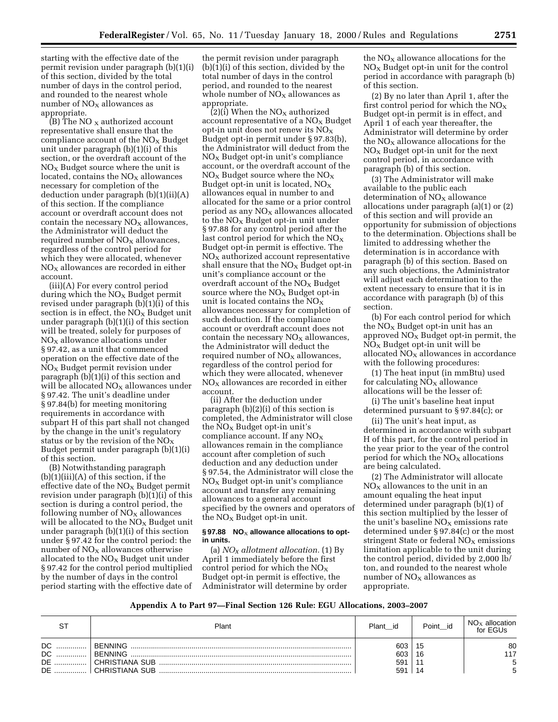starting with the effective date of the permit revision under paragraph (b)(1)(i) of this section, divided by the total number of days in the control period, and rounded to the nearest whole number of  $NO<sub>x</sub>$  allowances as appropriate.

 $(B)$  The NO x authorized account representative shall ensure that the compliance account of the  $NO<sub>x</sub>$  Budget unit under paragraph  $(b)(1)(i)$  of this section, or the overdraft account of the  $NO<sub>x</sub>$  Budget source where the unit is located, contains the  $NO<sub>X</sub>$  allowances necessary for completion of the deduction under paragraph (b)(1)(ii)(A) of this section. If the compliance account or overdraft account does not contain the necessary  $NO<sub>x</sub>$  allowances, the Administrator will deduct the required number of  $NO<sub>X</sub>$  allowances, regardless of the control period for which they were allocated, whenever  $NO<sub>x</sub>$  allowances are recorded in either account.

(iii)(A) For every control period during which the  $NO<sub>x</sub>$  Budget permit revised under paragraph (b)(1)(i) of this section is in effect, the  $NO<sub>x</sub>$  Budget unit under paragraph (b)(1)(i) of this section will be treated, solely for purposes of  $NO<sub>X</sub>$  allowance allocations under § 97.42, as a unit that commenced operation on the effective date of the  $NO<sub>x</sub>$  Budget permit revision under paragraph (b)(1)(i) of this section and will be allocated  $NO<sub>X</sub>$  allowances under § 97.42. The unit's deadline under § 97.84(b) for meeting monitoring requirements in accordance with subpart H of this part shall not changed by the change in the unit's regulatory status or by the revision of the  $NO<sub>x</sub>$ Budget permit under paragraph (b)(1)(i) of this section.

(B) Notwithstanding paragraph  $(b)(1)(iii)(A)$  of this section, if the effective date of the  $NO<sub>x</sub>$  Budget permit revision under paragraph (b)(1)(i) of this section is during a control period, the following number of  $NO<sub>x</sub>$  allowances will be allocated to the  $NO<sub>x</sub>$  Budget unit under paragraph (b)(1)(i) of this section under § 97.42 for the control period: the number of  $NO<sub>x</sub>$  allowances otherwise allocated to the  $NO<sub>X</sub>$  Budget unit under § 97.42 for the control period multiplied by the number of days in the control period starting with the effective date of the permit revision under paragraph (b)(1)(i) of this section, divided by the total number of days in the control period, and rounded to the nearest whole number of  $NO<sub>X</sub>$  allowances as appropriate.

 $(2)(i)$  When the NO<sub>X</sub> authorized account representative of a  $NO<sub>x</sub>$  Budget opt-in unit does not renew its  $NO<sub>x</sub>$ Budget opt-in permit under § 97.83(b), the Administrator will deduct from the  $NO<sub>x</sub>$  Budget opt-in unit's compliance account, or the overdraft account of the  $NO<sub>x</sub>$  Budget source where the  $NO<sub>x</sub>$ Budget opt-in unit is located,  $NO<sub>x</sub>$ allowances equal in number to and allocated for the same or a prior control period as any  $NO<sub>X</sub>$  allowances allocated to the  $NO<sub>x</sub>$  Budget opt-in unit under § 97.88 for any control period after the last control period for which the  $NO<sub>x</sub>$ Budget opt-in permit is effective. The  $NO<sub>X</sub>$  authorized account representative shall ensure that the  $NO<sub>x</sub>$  Budget opt-in unit's compliance account or the overdraft account of the  $NO<sub>X</sub>$  Budget source where the  $NO<sub>x</sub>$  Budget opt-in unit is located contains the  $NO<sub>X</sub>$ allowances necessary for completion of such deduction. If the compliance account or overdraft account does not contain the necessary  $NO<sub>x</sub>$  allowances, the Administrator will deduct the required number of  $NO<sub>x</sub>$  allowances, regardless of the control period for which they were allocated, whenever  $NO<sub>x</sub>$  allowances are recorded in either account.

(ii) After the deduction under paragraph (b)(2)(i) of this section is completed, the Administrator will close the  $NO<sub>x</sub>$  Budget opt-in unit's compliance account. If any  $NO<sub>x</sub>$ allowances remain in the compliance account after completion of such deduction and any deduction under § 97.54, the Administrator will close the  $NO<sub>x</sub>$  Budget opt-in unit's compliance account and transfer any remaining allowances to a general account specified by the owners and operators of the  $NO<sub>x</sub>$  Budget opt-in unit.

#### § 97.88 NO<sub>X</sub> allowance allocations to opt**in units.**

(a) *NOX allotment allocation.* (1) By April 1 immediately before the first control period for which the  $NO<sub>x</sub>$ Budget opt-in permit is effective, the Administrator will determine by order

the  $NO<sub>x</sub>$  allowance allocations for the  $NO<sub>x</sub>$  Budget opt-in unit for the control period in accordance with paragraph (b) of this section.

(2) By no later than April 1, after the first control period for which the  $NO<sub>x</sub>$ Budget opt-in permit is in effect, and April 1 of each year thereafter, the Administrator will determine by order the  $NO<sub>x</sub>$  allowance allocations for the  $NO<sub>x</sub>$  Budget opt-in unit for the next control period, in accordance with paragraph (b) of this section.

(3) The Administrator will make available to the public each determination of  $NO<sub>x</sub>$  allowance allocations under paragraph (a)(1) or (2) of this section and will provide an opportunity for submission of objections to the determination. Objections shall be limited to addressing whether the determination is in accordance with paragraph (b) of this section. Based on any such objections, the Administrator will adjust each determination to the extent necessary to ensure that it is in accordance with paragraph (b) of this section.

(b) For each control period for which the  $NO<sub>x</sub>$  Budget opt-in unit has an approved  $NO<sub>x</sub>$  Budget opt-in permit, the  $NO<sub>x</sub>$  Budget opt-in unit will be allocated  $NO<sub>x</sub>$  allowances in accordance with the following procedures:

(1) The heat input (in mmBtu) used for calculating  $NO<sub>x</sub>$  allowance allocations will be the lesser of:

(i) The unit's baseline heat input determined pursuant to § 97.84(c); or

(ii) The unit's heat input, as determined in accordance with subpart H of this part, for the control period in the year prior to the year of the control period for which the  $NO<sub>x</sub>$  allocations are being calculated.

(2) The Administrator will allocate  $NO<sub>X</sub>$  allowances to the unit in an amount equaling the heat input determined under paragraph (b)(1) of this section multiplied by the lesser of the unit's baseline  $NO<sub>x</sub>$  emissions rate determined under § 97.84(c) or the most stringent State or federal  $NO<sub>x</sub>$  emissions limitation applicable to the unit during the control period, divided by 2,000 lb/ ton, and rounded to the nearest whole number of  $NO<sub>X</sub>$  allowances as appropriate.

#### **Appendix A to Part 97—Final Section 126 Rule: EGU Allocations, 2003–2007**

| oт        | Plant          | Plant<br>id | Point id | $NO_{X}$<br>allocation<br>for EGUs |
|-----------|----------------|-------------|----------|------------------------------------|
| DC.       | BENNING        | 603         | 15       | 80                                 |
| DC        | BENNING        | 603         | 16       | 117                                |
| <b>DE</b> | CHRISTIANA SUB | 59'         |          |                                    |
| <b>DE</b> | CHRISTIANA SUB | 591         | 14       |                                    |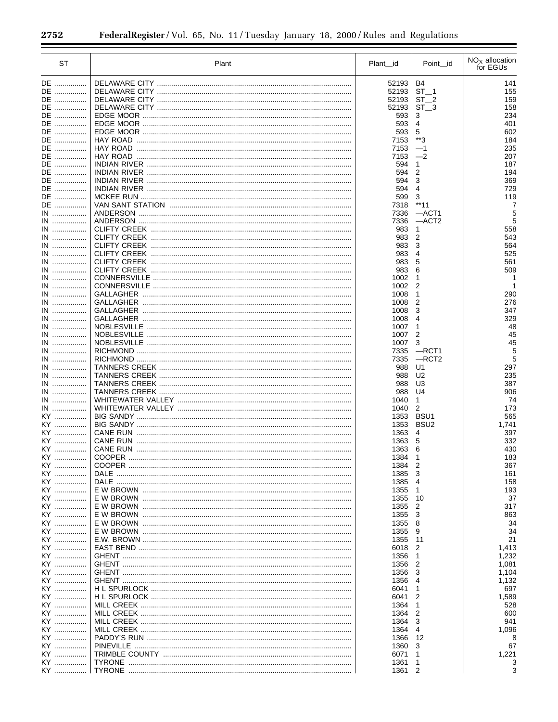$\equiv$ 

| ST       | Plant | Plant id   | Point id                | $NOx$ allocation<br>for EGUs |
|----------|-------|------------|-------------------------|------------------------------|
| DE       |       | 52193      | B4                      | 141                          |
| DE       |       | 52193      | $ST_1$                  | 155                          |
| DE       |       | 52193      | ST <sub>2</sub>         | 159                          |
| DE       |       | 52193      | ST<br>- 3               | 158                          |
| DE       |       | 593        | 3                       | 234                          |
|          |       |            |                         |                              |
| DE       |       | 593        | 4                       | 401                          |
| DE       |       | 593        | 5<br>$**3$              | 602                          |
| DE       |       | 7153       |                         | 184                          |
| DE       |       | 7153       | $-1$                    | 235                          |
| DE       |       | 7153       | $-2$                    | 207                          |
| DE       |       | 594        | 1                       | 187                          |
| DE       |       | 594        | $\overline{2}$          | 194                          |
| DE       |       | 594        | 3                       | 369                          |
| DE       |       | 594        | $\overline{4}$          | 729                          |
| DE       |       | 599        | 3                       | 119                          |
| DE       |       | 7318       | $**11$                  | 7                            |
| IN       |       | 7336       | $-$ ACT1                | 5                            |
| IN       |       | 7336       | $-$ ACT2                | 5                            |
| IN       |       | 983        | 1                       | 558                          |
| IN       |       | 983        | $\overline{\mathbf{c}}$ | 543                          |
| IN       |       | 983        | 3                       | 564                          |
| IN       |       | 983        | 4                       | 525                          |
| IN       |       | 983        | 5                       | 561                          |
| IN       |       | 983        | 6                       | 509                          |
| IN       |       | 1002       | 1                       |                              |
| IN       |       | 1002       | $\overline{2}$          | 1                            |
| IN       |       | 1008       | 1                       | 290                          |
| IN       |       | 1008       | 2                       | 276                          |
| IN       |       | 1008       | 3                       | 347                          |
| IN       |       | 1008       | 4                       | 329                          |
| IN       |       | 1007       | 1                       | 48                           |
| IN       |       | 1007       | 2                       | 45                           |
| IN       |       | 1007       | 3                       | 45                           |
| IN       |       | 7335       | $-$ RCT1                | 5                            |
| $IN$     |       | 7335       | $-$ RCT2                | 5                            |
| IN       |       | 988        | U1                      | 297                          |
| IN       |       | 988        | U <sub>2</sub>          | 235                          |
| IN       |       | 988        | U <sub>3</sub>          | 387                          |
| IN       |       | 988        | U <sub>4</sub>          | 906                          |
| IN       |       | 1040       | $\mathbf{1}$            | 74                           |
| IN       |       | 1040       | 2                       | 173                          |
| KY       |       | 1353       | BSU <sub>1</sub>        | 565                          |
| KY …………… |       | 1353       | BSU <sub>2</sub>        | 1,741                        |
| KY …………… |       | 1363       | 4                       | 397                          |
| KY …………… |       | 1363       | 5                       | 332                          |
| KY       |       | 1363       | 6                       | 430                          |
| KY …………… |       | 1384       | $\mathbf{1}$            | 183                          |
| KY …………… |       | 1384       | 2                       | 367                          |
| KY       |       | 1385       | 3                       | 161                          |
| KY       |       | 1385       | 4                       | 158                          |
| KY       |       | 1355       | 1                       | 193                          |
| KY       |       | 1355       | 10                      | 37                           |
| KY       |       |            | 2                       | 317                          |
| KY       |       | 1355       | 3                       | 863                          |
|          |       | 1355       |                         |                              |
| KY       |       | 1355       | 8                       | 34                           |
| KY       |       | 1355       | 9                       | 34                           |
| KY       |       | 1355       | 11                      | 21                           |
| KY       |       | 6018       | 2                       | 1,413                        |
| KY …………… |       | 1356       | 1                       | 1,232                        |
| KY       |       | 1356       | 2                       | 1,081                        |
| KY       |       | 1356       | 3                       | 1,104                        |
| KY       |       | 1356       | 4                       | 1,132                        |
| KY       |       | 6041       | 1                       | 697                          |
| KY       |       | 6041       | 2                       | 1,589                        |
| KY       |       | 1364       | 1                       | 528                          |
| KY       |       | 1364       | 2                       | 600                          |
| KY       |       | 1364       | 3                       | 941                          |
| KY       |       | 1364       | 4                       | 1,096                        |
| KY       |       | 1366       | 12                      | 8                            |
| KY       |       | 1360       | 3                       | 67                           |
| KY       |       | 6071       | 1                       | 1,221                        |
| KY       |       | 1361       | 1                       | 3                            |
| KY       |       | $1361$   2 |                         |                              |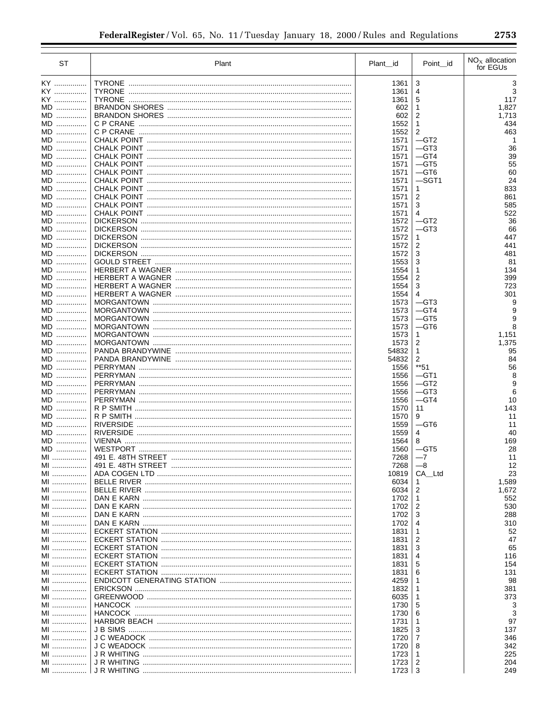| <b>ST</b> | Plant             | Plant_id      | Point id        | $NOx$ allocation<br>for EGUs |
|-----------|-------------------|---------------|-----------------|------------------------------|
| KY ……………  |                   | 1361          | 3               | 3                            |
| KY        | <b>TYRONE</b>     | 1361          | 4               | 3                            |
| KY        | <b>TYRONE</b>     | 1361          | 5               | 117                          |
| MD        |                   | 602           | 1               | 1,827                        |
| MD        |                   | 602           | $\overline{2}$  | 1,713                        |
| MD        |                   | 1552          | $\mathbf{1}$    | 434                          |
| MD        |                   | 1552          | 2               | 463                          |
| MD        |                   | 1571          | $-$ GT2         | -1                           |
| MD        |                   | 1571          | —GT3            | 36                           |
| MD<br>MD  |                   | 1571<br>1571  | —GT4<br>$-$ GT5 | 39<br>55                     |
| MD        |                   | 1571          | —GT6            | 60                           |
| MD        |                   | 1571          | $-$ SGT1        | 24                           |
| MD        |                   | 1571          | 1               | 833                          |
| MD        |                   | 1571          | 2               | 861                          |
| MD        |                   | 1571          | 3               | 585                          |
| MD        |                   | 1571          | 4               | 522                          |
| MD        |                   | 1572          | —GT2            | 36                           |
| MD        |                   | 1572          | $-$ GT3         | 66                           |
| MD        |                   | 1572          | 1               | 447                          |
| $MD$      |                   | 1572          | 2               | 441                          |
| MD<br>MD  |                   | 1572<br>1553  | 3<br>3          | 481<br>81                    |
| MD        |                   | 1554          | 1               | 134                          |
| MD        |                   | 1554          | $\overline{2}$  | 399                          |
| MD        |                   | 1554          | 3               | 723                          |
| MD        |                   | 1554          | 4               | 301                          |
| MD        |                   | 1573          | $-$ GT3         | 9                            |
| MD        | <b>MORGANTOWN</b> | 1573          | $-GT4$          | 9                            |
| MD        | <b>MORGANTOWN</b> | 1573          | $-$ GT5         | 9                            |
| MD        |                   | 1573          | $-$ GT6         | 8                            |
| MD        | <b>MORGANTOWN</b> | 1573          | 1               | 1,151                        |
| MD        |                   | 1573          | 2               | 1,375                        |
| MD        |                   | 54832         | 1               | 95                           |
| MD<br>MD  |                   | 54832         | 2<br>**51       | 84<br>56                     |
| MD        |                   | 1556<br>1556  | —GT1            | 8                            |
| MD        |                   | 1556          | $-$ GT2         | 9                            |
| MD        |                   | 1556          | $-GT3$          | 6                            |
| MD        |                   | 1556          | $-GT4$          | 10                           |
| MD        |                   | 1570          | 11              | 143                          |
| MD        | R P SMITH         | 1570          | 9               | 11                           |
| MD        | <b>RIVERSIDE</b>  | 1559          | $-$ GT6         | 11                           |
| $MD$      | <b>RIVERSIDE</b>  | 1559          | 4               | 40                           |
| MD        | <b>VIENNA</b>     | 1564          | 8               | 169                          |
| MD        |                   | 1560          | $-$ GT5         | 28                           |
| MI        |                   | 7268          | $-7$            | 11                           |
| MI        |                   | 7268          | $-8$            | 12                           |
| MI<br>MI  |                   | 10819<br>6034 | CA_Ltd<br>1     | 23<br>1,589                  |
| MI        |                   | 6034          | 2               | 1,672                        |
| MI        |                   | 1702          | 1               | 552                          |
| MI        |                   | 1702          | 2               | 530                          |
| MI        |                   | 1702          | 3               | 288                          |
| MI        |                   | 1702          | 4               | 310                          |
| MI        |                   | 1831          | 1               | 52                           |
| MI        |                   | 1831          | 2               | 47                           |
| MI        |                   | 1831          | 3               | 65                           |
| MI        |                   | 1831          | 4               | 116                          |
| MI        |                   | 1831          | 5               | 154                          |
| MI        |                   | 1831          | 6               | 131                          |
| MI<br>MI  |                   | 4259          | 1<br>1          | 98                           |
| MI        |                   | 1832<br>6035  | 1               | 381<br>373                   |
| MI        |                   | 1730          | 5               | 3                            |
| MI        |                   | 1730          | 6               | 3                            |
| MI        |                   | 1731          | 1               | 97                           |
| MI        |                   | 1825          | 3               | 137                          |
| MI        |                   | 1720          | 7               | 346                          |
| MI        |                   | 1720          | 8               | 342                          |
| MI        |                   | 1723          | 1               | 225                          |
| MI        |                   | 1723          | 2               | 204                          |
| MI        |                   | 1723          | $\mathbf{3}$    | 249                          |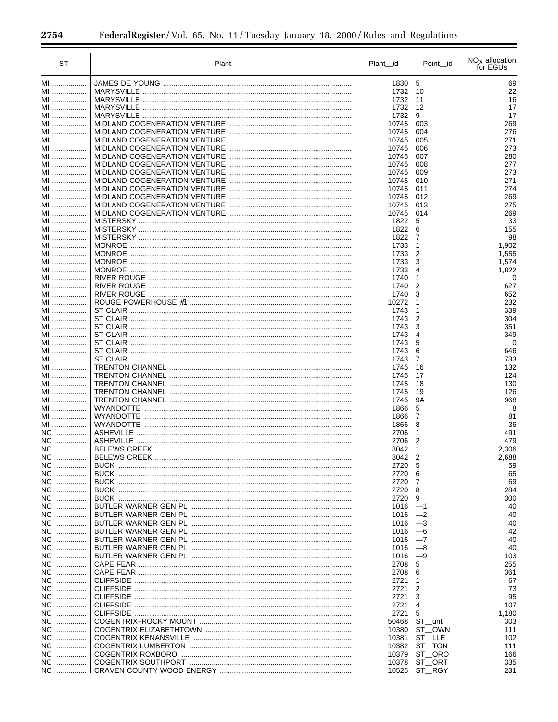$\equiv$ 

| ST       | Plant                                         | Plant id       | Point_id            | $NOx$ allocation<br>for EGUs |
|----------|-----------------------------------------------|----------------|---------------------|------------------------------|
| MI       |                                               | 1830           | 5                   | 69                           |
| MI       | <b>MARYSVILLE</b>                             | 1732           | 10                  | 22                           |
| MI       | <b>MARYSVILLE</b>                             | 1732           | 11                  | 16                           |
| MI       | <b>MARYSVILLE</b>                             | 1732           | 12                  | 17                           |
| MI       | <b>MARYSVILLE</b>                             | 1732           | 9                   | 17                           |
| MI       |                                               | 10745          | 003                 | 269                          |
| MI<br>MI |                                               | 10745<br>10745 | 004<br>005          | 276<br>271                   |
| MI       |                                               | 10745          | 006                 | 273                          |
| MI       |                                               | 10745          | 007                 | 280                          |
| MI       |                                               | 10745          | 008                 | 277                          |
| MI       |                                               | 10745          | 009                 | 273                          |
| MI       |                                               | 10745          | 010                 | 271                          |
| MI       |                                               | 10745          | 011                 | 274                          |
| MI<br>MI |                                               | 10745<br>10745 | 012<br>013          | 269<br>275                   |
| MI       |                                               | 10745          | 014                 | 269                          |
| MI       |                                               | 1822           | 5                   | 33                           |
| MI       |                                               | 1822           | 6                   | 155                          |
| MI       |                                               | 1822           | 7                   | 98                           |
| MI       |                                               | 1733           | 1                   | 1,902                        |
| MI       |                                               | 1733           | 2                   | 1,555                        |
| MI       |                                               | 1733           | 3                   | 1,574                        |
| MI       |                                               | 1733           | 4                   | 1,822                        |
| MI       |                                               | 1740           | 1                   | 0                            |
| MI<br>MI |                                               | 1740<br>1740   | 2<br>3              | 627                          |
| MI       |                                               | 10272          | 1                   | 652<br>232                   |
| MI       |                                               | 1743           | 1                   | 339                          |
| MI       |                                               | 1743           | 2                   | 304                          |
| MI       |                                               | 1743           | 3                   | 351                          |
| MI       |                                               | 1743           | 4                   | 349                          |
| MI       |                                               | 1743           | 5                   | $\Omega$                     |
| MI       |                                               | 1743           | 6                   | 646                          |
| MI       |                                               | 1743           | $\overline{7}$      | 733                          |
| MI       |                                               | 1745           | 16                  | 132                          |
| MI<br>MI |                                               | 1745<br>1745   | 17<br>18            | 124<br>130                   |
| MI       |                                               | 1745           | 19                  | 126                          |
| MI       |                                               | 1745           | <b>9A</b>           | 968                          |
| MI       |                                               | 1866           | 5                   | 8                            |
| MI       |                                               | 1866           | 7                   | 81                           |
| MI       |                                               | 1866           | 8                   | 36                           |
| NC       | <b>ASHEVILLE</b>                              | 2706           | 1                   | 491                          |
| NC       | <b>ASHEVILLE</b>                              | 2706           | $\overline{2}$      | 479                          |
| NC<br>NC |                                               | 8042<br>8042   | 1<br>$\overline{2}$ | 2,306<br>2,688               |
| NC.<br>. |                                               | 2720           | 5                   | 59                           |
| NC.<br>. |                                               | 2720           | 6                   | 65                           |
| NC.<br>. |                                               | 2720           | 7                   | 69                           |
| NC       |                                               | 2720           | 8                   | 284                          |
| NC.<br>. |                                               | 2720           | 9                   | 300                          |
| NC       |                                               | 1016           | $-1$                | 40                           |
| NC       |                                               | 1016           | $-2$                | 40                           |
| NC       |                                               | 1016           | $-3$                | 40                           |
| NC<br>NC |                                               | 1016<br>1016   | $-6$<br>$-7$        | 42<br>40                     |
| NC       |                                               | 1016           | $-8$                | 40                           |
| NC       |                                               | 1016           | $-9$                | 103                          |
| NC       |                                               | 2708           | 5                   | 255                          |
| NC       |                                               | 2708           | 6                   | 361                          |
| NC       | CLIFFSIDE …………………………………………………………………………………………… | 2721           | 1                   | 67                           |
| NC       | CLIFFSIDE …………………………………………………………………………………………… | 2721           | 2                   | 73                           |
| NC       | CLIFFSIDE …………………………………………………………………………………………… | 2721           | 3                   | 95                           |
| NC       | CLIFFSIDE …………………………………………………………………………………………… | 2721           | 4                   | 107                          |
| NC       | CLIFFSIDE …………………………………………………………………………………………… | 2721           | 5                   | 1,180                        |
| NC<br>NC |                                               | 50468<br>10380 | ST_unt              | 303<br>111                   |
| NC       |                                               | 10381          | ST OWN<br>ST LLE    | 102                          |
| NC       |                                               | 10382          | ST TON              | 111                          |
| NC       |                                               | 10379          | ST ORO              | 166                          |
| NC       |                                               | 10378          | ST_ORT              | 335                          |
| NC       |                                               | 10525          | ST_RGY              | 231                          |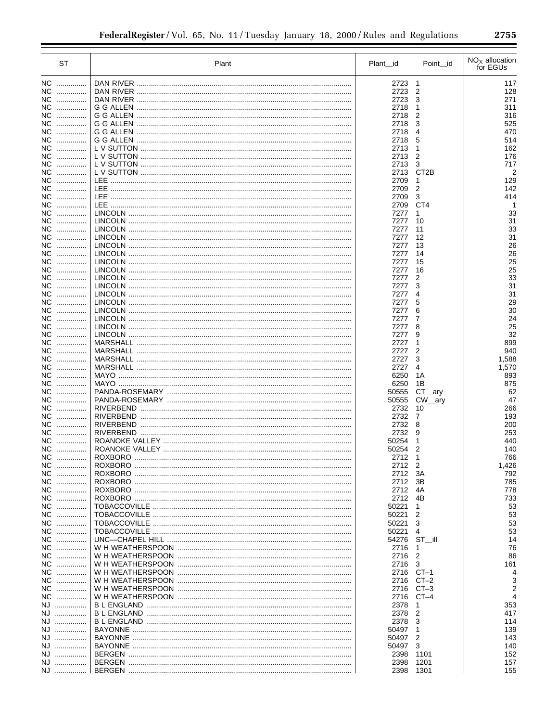| <b>ST</b>            | Plant                                          | Plant_id       | Point_id            | $NOx$ allocation<br>for EGUs |
|----------------------|------------------------------------------------|----------------|---------------------|------------------------------|
| NC                   |                                                | 2723           | 1                   | 117                          |
| NC.<br>.             | DAN RIVER                                      | 2723           | $\overline{2}$      | 128                          |
| NC.<br>.             |                                                | 2723           | 3                   | 271                          |
| NC                   |                                                | 2718           | 1                   | 311                          |
| NC                   |                                                | 2718           | 2                   | 316                          |
| NC                   |                                                | 2718           | 3                   | 525                          |
| NC.                  |                                                | 2718           | 4                   | 470                          |
| NC.<br>.             |                                                | 2718           | 5                   | 514                          |
| NC<br>NC             |                                                | 2713<br>2713   | 1<br>$\overline{c}$ | 162<br>176                   |
| NC                   |                                                | 2713           | 3                   | 717                          |
| NC                   |                                                | 2713           | CT <sub>2</sub> B   | 2                            |
| NC                   |                                                | 2709           | 1                   | 129                          |
| NC                   |                                                | 2709           | 2                   | 142                          |
| NC                   |                                                | 2709           | 3                   | 414                          |
| NC                   |                                                | 2709           | CT4                 |                              |
| NC                   |                                                | 7277           | 1                   | 33                           |
| NC.<br>.             |                                                | 7277           | 10                  | 31                           |
| NC.                  |                                                | 7277           | 11                  | 33<br>31                     |
| NС<br>NC.            |                                                | 7277<br>7277   | 12<br>13            | 26                           |
| NC.                  |                                                | 7277           | 14                  | 26                           |
| NC                   |                                                | 7277           | 15                  | 25                           |
| NC                   |                                                | 7277           | 16                  | 25                           |
| NC                   |                                                | 7277           | 2                   | 33                           |
| NC                   |                                                | 7277           | 3                   | 31                           |
| NC                   |                                                | 7277           | 4                   | 31                           |
| NC                   |                                                | 7277           | 5                   | 29                           |
| NC                   |                                                | 7277           | 6                   | 30                           |
| ΝC<br>.              |                                                | 7277           | 7                   | 24                           |
| ΝC<br>.              |                                                | 7277           | 8                   | 25                           |
| NС<br>.              | MARSHALL …………………………………………………………………………………………    | 7277           | 9                   | 32                           |
| NC.<br>.<br>NC.<br>. |                                                | 2727<br>2727   | 1<br>2              | 899<br>940                   |
| NC.<br>.             |                                                | 2727           | 3                   | 1,588                        |
| NC.<br>.             |                                                | 2727           | 4                   | 1,570                        |
| NC                   |                                                | 6250           | 1 A                 | 893                          |
| NC.<br>.             |                                                | 6250           | 1Β                  | 875                          |
| NC.<br>.             |                                                | 50555          | $CT_{ary}$          | 62                           |
| NC.<br>.             |                                                | 50555          | $CW$ ary            | 47                           |
| NC.<br>.             |                                                | 2732           | 10                  | 266                          |
| NC.<br>.             |                                                | 2732           | 7                   | 193                          |
| NC.<br>.             |                                                | 2732           | 8<br>9              | 200                          |
| NC.<br>.<br>NC.<br>. |                                                | 2732<br>50254  | 1                   | 253<br>440                   |
| NC.<br>.             |                                                | 50254          | 2                   | 140                          |
| NC                   |                                                | 2712           | 1                   | 766                          |
| NC                   |                                                | 2712           | 2                   | 1,426                        |
| NC                   |                                                | 2712           | ЗA                  | 792                          |
| NC                   |                                                | 2712           | 3B                  | 785                          |
| NC                   |                                                | 2712           | 4A                  | 778                          |
| NC                   |                                                | 2712           | 4B                  | 733                          |
| NC                   |                                                | 50221          | 1                   | 53                           |
| NC                   | TOBACCOVILLE ……………………………………………………………………………………… | 50221          | 2                   | 53                           |
| NC                   |                                                | 50221          | 3                   | 53                           |
| NC<br>NC             | TOBACCOVILLE ……………………………………………………………………………………… | 50221<br>54276 | 4<br>$ST$ $  $      | 53<br>14                     |
| NC                   |                                                | 2716           | 1                   | 76                           |
| NC                   |                                                | 2716           | 2                   | 86                           |
| NC                   |                                                | 2716           | 3                   | 161                          |
| NC                   |                                                | 2716           | $CT-1$              | 4                            |
| NC                   |                                                | 2716           | $CT-2$              | 3                            |
| NC                   |                                                | 2716           | $CT-3$              | $\overline{2}$               |
| NC                   |                                                | 2716           | $CT-4$              | $\overline{\mathbf{4}}$      |
| NJ                   |                                                | 2378           | 1                   | 353                          |
| NJ                   |                                                | 2378           | 2                   | 417                          |
| NJ                   |                                                | 2378           | 3                   | 114                          |
| NJ                   |                                                | 50497          | 1                   | 139                          |
| NJ                   |                                                | 50497          | 2                   | 143<br>140                   |
| NJ<br>NJ             |                                                | 50497<br>2398  | 3<br>1101           | 152                          |
| NJ                   |                                                | 2398           | 1201                | 157                          |
| NJ                   |                                                | 2398           | 1301                | 155                          |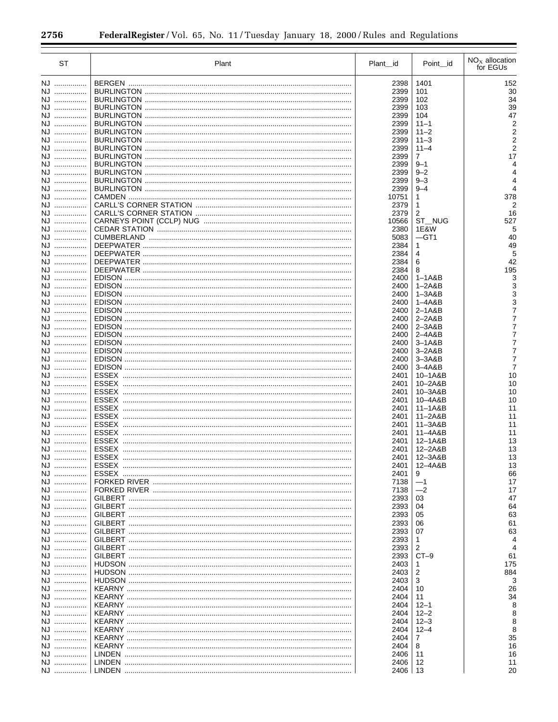| <b>ST</b> | Plant | Plant_id      | Point_id                 | $NOx$ allocation<br>for EGUs |
|-----------|-------|---------------|--------------------------|------------------------------|
| NJ        |       | 2398          | 1401                     | 152                          |
| NJ        |       | 2399          | 101                      | 30                           |
| NJ        |       | 2399          | 102                      | 34                           |
| NJ        |       | 2399          | 103                      | 39                           |
| NJ        |       | 2399          | 104                      | 47                           |
| NJ        |       | 2399          | $11 - 1$                 |                              |
| NJ        |       | 2399          | $11 - 2$                 |                              |
| NJ<br>NJ  |       | 2399<br>2399  | $11 - 3$<br>$11 - 4$     |                              |
| NJ        |       | 2399          | $\overline{7}$           | 17                           |
| NJ        |       | 2399          | $9 - 1$                  |                              |
| NJ        |       | 2399          | $9 - 2$                  |                              |
| NJ        |       | 2399          | $9 - 3$                  | 4                            |
| NJ        |       | 2399          | $9 - 4$                  |                              |
| NJ        |       | 10751         | 1                        | 378                          |
| NJ        |       | 2379          | 1                        | 2                            |
| NJ<br>NJ  |       | 2379<br>10566 | $\overline{2}$<br>ST_NUG | 16<br>527                    |
| NJ        |       | 2380          | 1E&W                     | 5                            |
| NJ        |       | 5083          | $-GT1$                   | 40                           |
| NJ        |       | 2384          | $\mathbf{1}$             | 49                           |
| NJ        |       | 2384          | 4                        | 5                            |
| NJ        |       | 2384          | 6                        | 42                           |
| NJ        |       | 2384          | 8                        | 195                          |
| NJ        |       | 2400          | $1-1A&B$                 |                              |
| NJ        |       | 2400          | $1 - 2A&B$               |                              |
| NJ<br>NJ  |       | 2400<br>2400  | 1–3A&B<br>$1 - 4A&B$     |                              |
| NJ        |       | 2400          | $2 - 1A&B$               |                              |
| NJ        |       | 2400          | $2 - 2A&B$               |                              |
| NJ        |       | 2400          | $2 - 3A&B$               |                              |
| NJ        |       | 2400          | $2 - 4A & B$             |                              |
| NJ        |       | 2400          | $3-1A&B$                 |                              |
| NJ        |       | 2400          | $3 - 2A & B$             |                              |
| NJ        |       | 2400          | $3 - 3A&B$               |                              |
| NJ        |       | 2400          | $3 - 4A & B$             | 7<br>10                      |
| NJ<br>NJ  |       | 2401<br>2401  | 10-1A&B<br>10-2A&B       | 10                           |
| NJ        |       | 2401          | 10-3A&B                  | 10                           |
| NJ        |       | 2401          | 10-4A&B                  | 10                           |
| NJ        |       | 2401          | 11-1A&B                  | 11                           |
| NJ        |       | 2401          | $11 - 2A&B$              | 11                           |
| NJ        |       | 2401          | $11 - 3A&B$              | 11                           |
| NJ        |       | 2401          | 11-4A&B                  | 11                           |
| NJ        |       | 2401          | 12-1A&B                  | 13                           |
| NJ        |       | 2401<br>2401  | 12-2A&B<br>12-3A&B       | 13<br>13                     |
| NJ<br>NJ  |       | 2401          | 12-4A&B                  | 13                           |
| NJ        |       | 2401          | 9                        | 66                           |
| NJ        |       | 7138          | $-1$                     | 17                           |
| NJ        |       | 7138          | $-2$                     | 17                           |
| NJ        |       | 2393          | 03                       | 47                           |
| NJ        |       | 2393          | 04                       | 64                           |
| NJ        |       | 2393          | 05                       | 63                           |
| NJ        |       | 2393          | 06                       | 61                           |
| NJ<br>NJ  |       | 2393          | 07<br>1                  | 63                           |
| NJ        |       | 2393<br>2393  | 2                        | 4                            |
| NJ        |       | 2393          | $CT-9$                   | 61                           |
| NJ        |       | 2403          | 1                        | 175                          |
| NJ        |       | 2403          | 2                        | 884                          |
| NJ        |       | 2403          | 3                        | 3                            |
| NJ        |       | 2404          | 10                       | 26                           |
| NJ        |       | 2404          | 11                       | 34                           |
| NJ        |       | 2404          | $12 - 1$                 |                              |
| NJ<br>NJ  |       | 2404<br>2404  | $12 - 2$<br>$12 - 3$     | 8<br>8                       |
| NJ        |       | 2404          | $12 - 4$                 | 8                            |
| NJ        |       | 2404          | 7                        | 35                           |
| NJ        |       | 2404          | 8                        | 16                           |
| NJ        |       | 2406          | 11                       | 16                           |
| NJ        |       | 2406          | 12                       | 11                           |
| NJ        |       | $2406$   13   |                          | 20                           |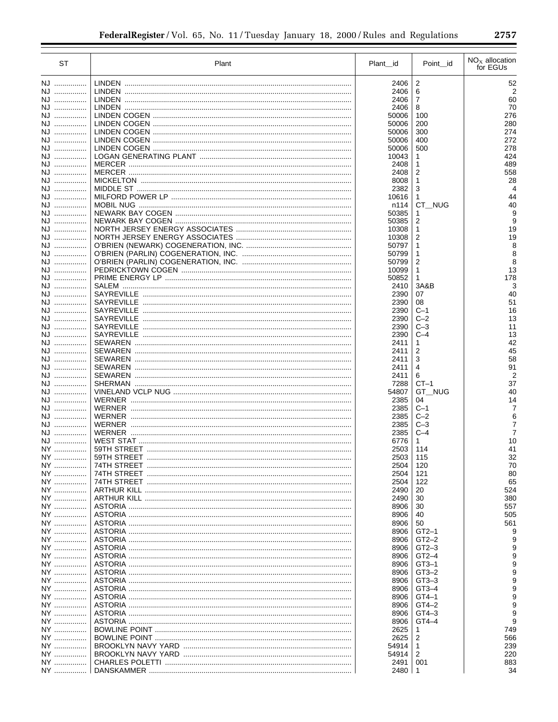| <b>ST</b> | Plant                                         | Plant_id       | Point id            | $NOx$ allocation<br>for EGUs |
|-----------|-----------------------------------------------|----------------|---------------------|------------------------------|
| NJ        |                                               | 2406           | $\boldsymbol{2}$    | 52                           |
| NJ        |                                               | 2406           | 6                   | 2                            |
| NJ        |                                               | 2406           | $\overline{7}$      | 60                           |
| NJ        |                                               | 2406           | 8                   | 70                           |
| NJ        |                                               | 50006          | 100                 | 276                          |
| NJ        |                                               | 50006          | 200                 | 280                          |
| NJ        |                                               | 50006          | 300                 | 274                          |
| NJ        |                                               | 50006          | 400                 | 272<br>278                   |
| NJ<br>NJ  |                                               | 50006<br>10043 | 500<br>1            | 424                          |
| NJ        |                                               | 2408           | 1                   | 489                          |
| NJ        |                                               | 2408           | 2                   | 558                          |
| NJ        |                                               | 8008           | $\mathbf{1}$        | 28                           |
| NJ        |                                               | 2382           | 3                   | $\overline{4}$               |
| NJ        |                                               | 10616          | 1                   | 44                           |
| NJ        |                                               | n114           | CT NUG              | 40                           |
| NJ        |                                               | 50385          | 1                   | 9                            |
| NJ        |                                               | 50385          | 2                   | 9                            |
| NJ        |                                               | 10308          | $\mathbf{1}$        | 19                           |
| NJ<br>NJ  |                                               | 10308<br>50797 | 2<br>$\mathbf{1}$   | 19<br>8                      |
| NJ        |                                               | 50799          | 1                   | 8                            |
| NJ        |                                               | 50799          | $\overline{c}$      | 8                            |
| NJ        |                                               | 10099          | 1                   | 13                           |
| NJ        |                                               | 50852          | $\mathbf{1}$        | 178                          |
| NJ        |                                               | 2410           | 3A&B                | 3                            |
| NJ        | SAYREVILLE                                    | 2390           | 07                  | 40                           |
| NJ        | SAYREVILLE                                    | 2390           | 08                  | 51                           |
| NJ        | <b>SAYREVILLE</b>                             | 2390           | $C-1$               | 16                           |
| NJ        | <b>SAYREVILLE</b>                             | 2390           | $C-2$               | 13                           |
| NJ        |                                               | 2390           | $C-3$               | 11                           |
| NJ        |                                               | 2390           | $C-4$               | 13                           |
| NJ<br>NJ  |                                               | 2411<br>2411   | 1<br>2              | 42<br>45                     |
| NJ        |                                               | 2411           | 3                   | 58                           |
| NJ        |                                               | 2411           | 4                   | 91                           |
| NJ        |                                               | 2411           | 6                   | $\overline{2}$               |
| NJ        |                                               | 7288           | $CT-1$              | 37                           |
| NJ        |                                               | 54807          | GT NUG              | 40                           |
| NJ        | WERNER                                        | 2385           | 04                  | 14                           |
| NJ        |                                               | 2385           | $C-1$               | 7                            |
| NJ        |                                               | 2385           | $C-2$               | 6                            |
| NJ        | WERNER                                        | 2385           | $C-3$               | 7                            |
| NJ        | <b>WERNER</b>                                 | 2385           | $C-4$               | 7                            |
| NJ        | 59TH STREET ……………………………………………………………………………………… | 6776           | $\mathbf{1}$<br>114 | 10<br>41                     |
| NY<br>NY  |                                               | 2503<br>2503   | 115                 | 32                           |
| NY        |                                               | 2504           | 120                 | 70                           |
| NY        |                                               | 2504           | 121                 | 80                           |
| NY        |                                               | 2504           | 122                 | 65                           |
| NY        |                                               | 2490           | 20                  | 524                          |
| NY        |                                               | 2490           | 30                  | 380                          |
| NY        |                                               | 8906           | 30                  | 557                          |
| NY        |                                               | 8906           | 40                  | 505                          |
| NY        |                                               | 8906           | 50                  | 561                          |
| NY        |                                               | 8906           | $GT2-1$             | 9                            |
| NY        |                                               | 8906           | $GT2-2$             | 9                            |
| NY        |                                               | 8906           | $GT2-3$             | 9<br>9                       |
| NY<br>NY  |                                               | 8906<br>8906   | $GT2-4$<br>$GT3-1$  | 9                            |
| NY        |                                               | 8906           | $GT3-2$             | 9                            |
| NY        |                                               | 8906           | $GT3-3$             | 9                            |
| NY        |                                               | 8906           | $GT3-4$             | 9                            |
| NY        |                                               | 8906           | $GT4-1$             | 9                            |
| NY        |                                               | 8906           | $GT4-2$             | 9                            |
| NY        |                                               | 8906           | $GT4-3$             | 9                            |
| NY        |                                               | 8906           | GT4-4               | 9                            |
| NY        |                                               | 2625           | 1                   | 749                          |
| NY        |                                               | 2625           | 2                   | 566                          |
| NY        |                                               | 54914          | $\mathbf{1}$        | 239                          |
| NY        |                                               | 54914          | 2                   | 220                          |
| NY<br>NY  |                                               | 2491<br>2480   | 001<br>$\mathbf{1}$ | 883<br>34                    |
|           |                                               |                |                     |                              |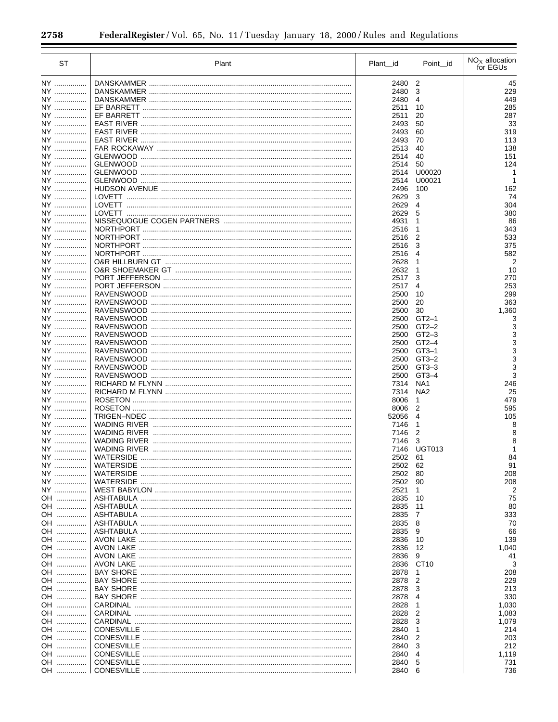÷.

| ST       | Plant | Plant_id      | Point id          | $NOx$ allocation<br>for EGUs |
|----------|-------|---------------|-------------------|------------------------------|
| NY       |       | 2480          | $\overline{c}$    | 45                           |
| NY       |       | 2480          | 3                 | 229                          |
| NY       |       | 2480          | 4                 | 449                          |
| NY       |       | 2511          | 10                | 285                          |
| NY       |       | 2511          | 20                | 287                          |
| NY       |       | 2493          | 50                | 33                           |
| NY       |       | 2493          | 60                | 319                          |
| NY       |       | 2493          | 70                | 113                          |
| NY       |       | 2513          | 40                | 138                          |
| NY       |       | 2514          | 40                | 151                          |
| NY       |       | 2514          | 50                | 124                          |
| NY       |       | 2514          | U00020            |                              |
| NY       |       | 2514          | U00021            |                              |
| NY       |       | 2496          | 100               | 162                          |
| NY       |       | 2629          | 3                 | 74                           |
| NY       |       | 2629          | $\overline{4}$    | 304                          |
| NY       |       | 2629          | 5                 | 380                          |
| NY       |       | 4931          | 1                 | 86                           |
| NY       |       | 2516          | 1                 | 343                          |
| NY       |       | 2516          | $\overline{2}$    | 533                          |
| NY       |       | 2516          | 3                 | 375                          |
| NY       |       | 2516          | $\overline{4}$    | 582                          |
| NY<br>NY |       | 2628<br>2632  | 1<br>$\mathbf{1}$ |                              |
|          |       |               | 3                 | 10                           |
| NY<br>NY |       | 2517<br>2517  | 4                 | 270<br>253                   |
| NY       |       | 2500          | 10                | 299                          |
| NY       |       | 2500          | 20                | 363                          |
| NY       |       | 2500          | 30                | 1,360                        |
| NY       |       | 2500          | $GT2-1$           |                              |
| NY       |       | 2500          | $GT2-2$           |                              |
| NY       |       | 2500          | $GT2-3$           |                              |
| NY       |       | 2500          | $GT2-4$           |                              |
| NY       |       | 2500          | $GT3-1$           |                              |
| NY       |       | 2500          | $GT3-2$           |                              |
| NY       |       | 2500          | $GT3-3$           |                              |
| NY       |       | 2500          | $GT3-4$           |                              |
| NY       |       | 7314          | NA <sub>1</sub>   | 246                          |
| NY       |       | 7314          | NA <sub>2</sub>   | 25                           |
| NY       |       | 8006          | $\mathbf{1}$      | 479                          |
| NY       |       | 8006          | $\overline{2}$    | 595                          |
| NY       |       | 52056         | $\overline{4}$    | 105                          |
| NY       |       | 7146          | 1                 |                              |
| NY       |       | 7146          | $\overline{2}$    |                              |
| NY       |       | 7146          | 3                 |                              |
| NY       |       | 7146          | <b>UGT013</b>     |                              |
| NY       |       | 2502          | 61                | 84                           |
| NY<br>NY |       | 2502          | 62                | 91                           |
| NY       |       | 2502<br>2502  | 80<br>90          | 208<br>208                   |
| NY       |       | 2521          | 1                 |                              |
| OH       |       | 2835          | 10                | 75                           |
| OH       |       | 2835          | 11                | 80                           |
| OH       |       | 2835          | 7                 | 333                          |
| OH       |       | 2835          | 8                 | 70                           |
| OH       |       | 2835          | 9                 | 66                           |
| OH       |       | 2836          | 10                | 139                          |
| OH       |       | 2836          | 12                | 1,040                        |
| OH       |       | 2836          | 9                 | 41                           |
| OH       |       | 2836          | CT <sub>10</sub>  | 3                            |
| OH       |       | 2878          | 1                 | 208                          |
| OH       |       | 2878          | 2                 | 229                          |
| OH       |       | 2878          | 3                 | 213                          |
| OH       |       | 2878          | 4                 | 330                          |
| OH       |       | 2828          | 1                 | 1,030                        |
| OH       |       | 2828          | $\overline{2}$    | 1,083                        |
| OH       |       | 2828          | 3                 | 1,079                        |
| OH       |       | 2840          | 1                 | 214                          |
| OH       |       | 2840          | $\overline{2}$    | 203                          |
| OH       |       | 2840          | 3                 | 212                          |
| OH       |       | 2840          | 4                 | 1,119                        |
| OH       |       | 2840          | 5                 | 731                          |
| OH       |       | $2840 \mid 6$ |                   | 736                          |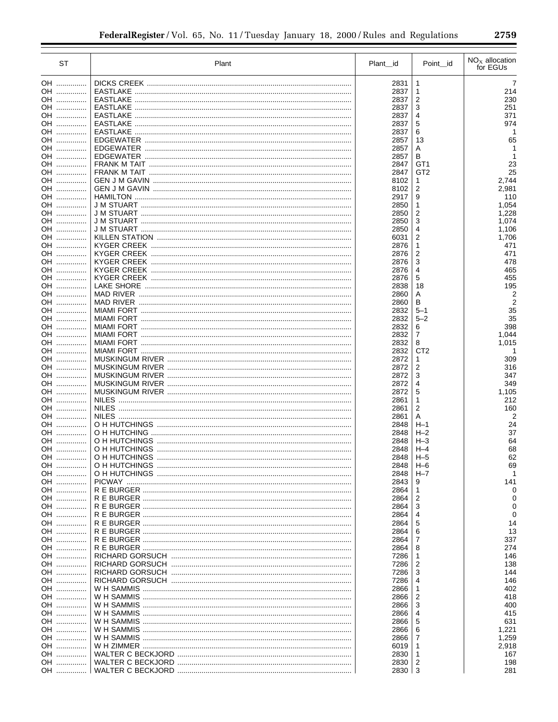| <b>ST</b> | Plant                                          | Plant_id     | Point_id             | $NOx$ allocation<br>for EGUs |
|-----------|------------------------------------------------|--------------|----------------------|------------------------------|
| OH        |                                                | 2831         | 1                    | 7                            |
| OH        | EASTLAKE                                       | 2837         | 1                    | 214                          |
| OH        | EASTLAKE                                       | 2837         | 2                    | 230                          |
| OH        | EASTLAKE                                       | 2837         | 3                    | 251                          |
| OH        | EASTLAKE                                       | 2837         | 4                    | 371                          |
| OH        | EASTLAKE                                       | 2837         | 5                    | 974                          |
| OH        |                                                | 2837         | 6                    |                              |
| OH        |                                                | 2857         | 13                   | 65                           |
| OH<br>OH  |                                                | 2857<br>2857 | Α<br>В               | 1                            |
| OH        | FRANK M TAIT ……………………………………………………………………………………… | 2847         | GT <sub>1</sub>      | 23                           |
| OH        |                                                | 2847         | GT <sub>2</sub>      | 25                           |
| OH        |                                                | 8102         | 1                    | 2,744                        |
| OH        |                                                | 8102         | $\overline{c}$       | 2,981                        |
| OH        |                                                | 2917         | 9                    | 110                          |
| OH        |                                                | 2850         | 1                    | 1,054                        |
| OH        |                                                | 2850         | 2                    | 1,228                        |
| OH        |                                                | 2850         | 3                    | 1,074                        |
| OH<br>OH  |                                                | 2850<br>6031 | 4<br>$\overline{c}$  | 1,106                        |
| OH        |                                                | 2876         | 1                    | 1,706<br>471                 |
| OH        |                                                | 2876         | 2                    | 471                          |
| OH        |                                                | 2876         | 3                    | 478                          |
| OH        |                                                | 2876         | 4                    | 465                          |
| OH        |                                                | 2876         | 5                    | 455                          |
| OH        |                                                | 2838         | 18                   | 195                          |
| OH        |                                                | 2860         | Α                    | 2                            |
| OH        |                                                | 2860         | в                    | 2                            |
| OH        |                                                | 2832         | $5 - 1$              | 35                           |
| OH        |                                                | 2832         | $5 - 2$              | 35                           |
| OH        |                                                | 2832         | 6                    | 398                          |
| OH        |                                                | 2832         | 7                    | 1,044                        |
| OH<br>OH  |                                                | 2832<br>2832 | 8<br>CT <sub>2</sub> | 1,015<br>1                   |
| OH        |                                                | 2872         | 1                    | 309                          |
| OH        |                                                | 2872         | $\overline{2}$       | 316                          |
| OH        |                                                | 2872         | 3                    | 347                          |
| OH        |                                                | 2872         | 4                    | 349                          |
| OH        |                                                | 2872         | 5                    | 1,105                        |
| OH        |                                                | 2861         | 1                    | 212                          |
| OH        |                                                | 2861         | 2                    | 160                          |
| OH        |                                                | 2861         | Α                    | 2                            |
| OH        |                                                | 2848         | $H-1$                | 24                           |
| OH<br>OH  |                                                | 2848<br>2848 | $H - 2$<br>$H-3$     | 37<br>64                     |
| OH        |                                                | 2848         | $H - 4$              | 68                           |
| OH        |                                                | 2848         | $H-5$                | 62                           |
| OH        |                                                | 2848         | $H - 6$              | 69                           |
| OH        |                                                | 2848         | $H - 7$              |                              |
| OH        |                                                | 2843         | 9                    | 141                          |
| OH        |                                                | 2864         | 1                    | 0                            |
| OH        |                                                | 2864         | 2                    |                              |
| OH        |                                                | 2864         | 3                    | 0                            |
| OH        |                                                | 2864         | 4                    | 0                            |
| OH        |                                                | 2864         | 5                    | 14                           |
| OH        |                                                | 2864         | 6                    | 13                           |
| OH<br>OH  |                                                | 2864         | 7<br>8               | 337<br>274                   |
| OH        |                                                | 2864<br>7286 | 1                    | 146                          |
| OH        |                                                | 7286         | 2                    | 138                          |
| OH        |                                                | 7286         | 3                    | 144                          |
| OH        |                                                | 7286         | 4                    | 146                          |
| OH        |                                                | 2866         | 1                    | 402                          |
| OH        |                                                | 2866         | 2                    | 418                          |
| OH        |                                                | 2866         | 3                    | 400                          |
| OH        |                                                | 2866         | 4                    | 415                          |
| OH        |                                                | 2866         | 5                    | 631                          |
| OH        |                                                | 2866         | 6                    | 1,221                        |
| OH        |                                                | 2866         | 7                    | 1,259                        |
| OH        |                                                | 6019         | 1                    | 2,918                        |
| OH        |                                                | 2830         | 1                    | 167                          |
| OH<br>OH  |                                                | 2830<br>2830 | 2<br>l 3             | 198<br>281                   |
|           |                                                |              |                      |                              |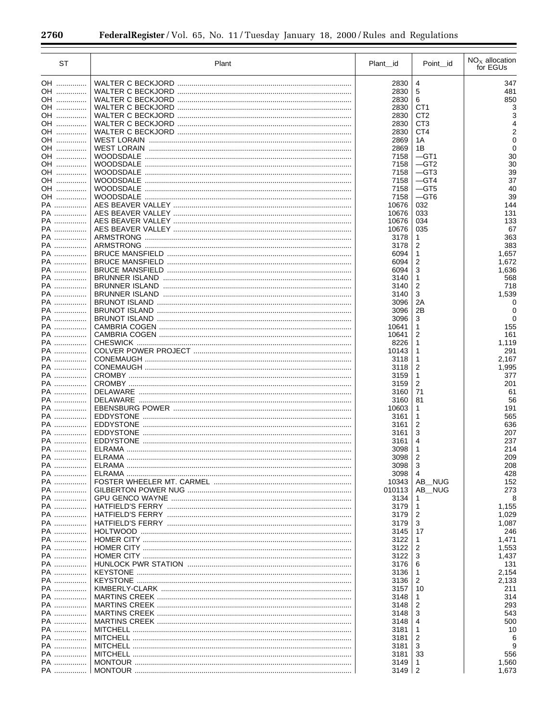$\equiv$ 

÷.

| ST              | Plant | Plant id       | Point_id        | $NOx$ allocation<br>for EGUs |
|-----------------|-------|----------------|-----------------|------------------------------|
| OH              |       | 2830           | 4               | 347                          |
| OH              |       | 2830           | 5               | 481                          |
| OH              |       | 2830           | 6               | 850                          |
| OH              |       | 2830           | CT <sub>1</sub> |                              |
| OH              |       | 2830           | CT <sub>2</sub> |                              |
| OH              |       | 2830           | CT <sub>3</sub> |                              |
| OH              |       | 2830           | CT <sub>4</sub> |                              |
| OH<br>OH        |       | 2869<br>2869   | 1 A<br>1Β       | 0                            |
| OH              |       | 7158           | $-GT1$          | 30                           |
| OH              |       | 7158           | $-$ GT2         | 30                           |
| OH              |       | 7158           | $-GT3$          | 39                           |
| OH              |       | 7158           | $-GT4$          | 37                           |
| OH              |       | 7158           | $-GT5$          | 40                           |
| OH              |       | 7158           | $-$ GT6         | 39                           |
| PA              |       | 10676          | 032             | 144                          |
| PA<br>PA        |       | 10676<br>10676 | 033<br>034      | 131<br>133                   |
| PA              |       | 10676          | 035             | 67                           |
| PA              |       | 3178           | 1               | 363                          |
| PA              |       | 3178           | 2               | 383                          |
| PA              |       | 6094           | $\mathbf{1}$    | 1,657                        |
| PA              |       | 6094           | $\overline{2}$  | 1,672                        |
| PA              |       | 6094           | 3               | 1,636                        |
| PA              |       | 3140           | $\mathbf{1}$    | 568                          |
| PA<br>PA        |       | 3140           | 2<br>3          | 718<br>1,539                 |
| PA              |       | 3140<br>3096   | 2A              | 0                            |
| PA              |       | 3096           | 2B              |                              |
| PA              |       | 3096           | 3               | 0                            |
| PA              |       | 10641          | 1               | 155                          |
| PA              |       | 10641          | 2               | 161                          |
| PA              |       | 8226           | 1               | 1,119                        |
| PA              |       | 10143          | 1               | 291                          |
| PA<br>PA        |       | 3118           | 1               | 2,167                        |
| PA              |       | 3118<br>3159   | 2<br>1          | 1,995<br>377                 |
| PA              |       | 3159           | 2               | 201                          |
| PA              |       | 3160           | 71              | 61                           |
| PA              |       | 3160           | 81              | 56                           |
| PA              |       | 10603          | 1               | 191                          |
| PA              |       | 3161           | 1               | 565                          |
| PA              |       | 3161           | $\overline{2}$  | 636                          |
| PA              |       | 3161           | 3               | 207                          |
| PA<br>PA        |       | 3161<br>3098   | 4<br>1          | 237<br>214                   |
| PA              |       | 3098           | $\overline{2}$  | 209                          |
| PA              |       | 3098           | 3               | 208                          |
| PA              |       | 3098           | 4               | 428                          |
| PA              |       | 10343          | AB_NUG          | 152                          |
| PA              |       | 010113         | AB_NUG          | 273                          |
| PA              |       | 3134           | 1               | 8                            |
| <b>PA</b>       |       | 3179           | 1               | 1,155                        |
| <b>PA</b><br>PA |       | 3179           | 2               | 1,029                        |
| PA              |       | 3179<br>3145   | 3<br>17         | 1,087<br>246                 |
| <b>PA</b>       |       | 3122           | 1               | 1,471                        |
| <b>PA</b>       |       | 3122           | 2               | 1,553                        |
| PA              |       | 3122           | 3               | 1,437                        |
| <b>PA</b>       |       | 3176           | 6               | 131                          |
| PA              |       | 3136           | 1               | 2,154                        |
| <b>PA</b>       |       | 3136           | 2               | 2,133                        |
| PA              |       | 3157           | 10              | 211                          |
| PA<br>PA        |       | 3148<br>3148   | 1<br>2          | 314<br>293                   |
| <b>PA</b>       |       | 3148           | 3               | 543                          |
| PA              |       | 3148           | 4               | 500                          |
| PA              |       | 3181           | 1               | 10                           |
| PA              |       | 3181           | 2               |                              |
| PA              |       | 3181           | 3               |                              |
| PA              |       | 3181           | 33              | 556                          |
| PA              |       | 3149           | 1               | 1,560                        |
| PA              |       | 3149           | $\overline{2}$  | 1,673                        |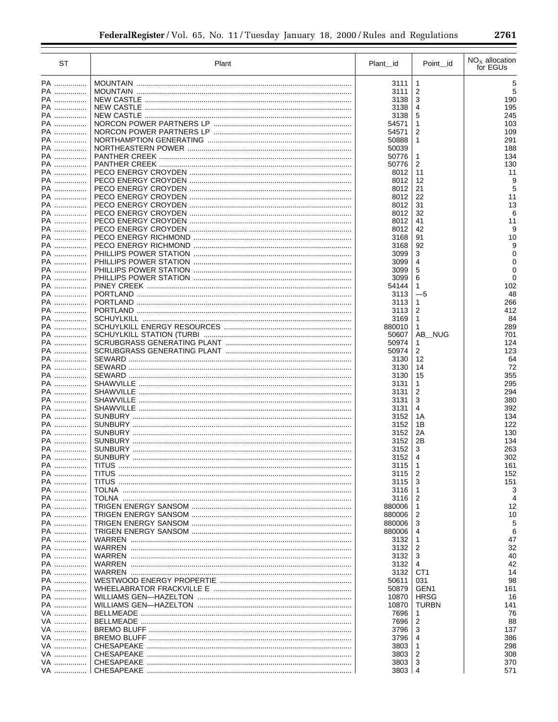| <b>ST</b>      | Plant | Plant_id         | Point id         | $NOx$ allocation<br>for EGUs |
|----------------|-------|------------------|------------------|------------------------------|
| PA             |       | 3111             | 1                | 5                            |
| PA             |       | 3111             | 2                | 5                            |
| PA ……………       |       | 3138             | 3                | 190                          |
| PA             |       | 3138             | 4                | 195                          |
| PA             |       | 3138             | 5                | 245                          |
| PA             |       | 54571            | 1                | 103                          |
| PA<br>PA       |       | 54571            | 2                | 109                          |
| PA             |       | 50888<br>50039   | 1                | 291<br>188                   |
| PA             |       | 50776            | 1                | 134                          |
| PA             |       | 50776            | 2                | 130                          |
| PA             |       | 8012             | 11               | 11                           |
| PA ……………       |       | 8012             | 12               | 9                            |
| PA             |       | 8012             | 21               | 5                            |
| PA ……………       |       | 8012             | 22               | 11                           |
| PA             |       | 8012             | 31               | 13                           |
| PA             |       | 8012             | 32               | 6                            |
| PA<br>PA …………… |       | 8012<br>8012     | 41<br>42         | 11<br>9                      |
| PA             |       | 3168             | 91               | 10                           |
| PA             |       | 3168             | 92               | 9                            |
| PA             |       | 3099             | 3                | 0                            |
| PA             |       | 3099             | 4                |                              |
| PA             |       | 3099             | 5                | ∩                            |
| PA             |       | 3099             | 6                | $\Omega$                     |
| PA             |       | 54144            | 1                | 102                          |
| PA             |       | 3113             | $-5$             | 48                           |
| PA ……………       |       | 3113             | 1                | 266                          |
| <b>PA</b>      |       | 3113             | $\overline{c}$   | 412                          |
| PA ……………<br>PA |       | 3169             | $\mathbf{1}$     | 84                           |
| PA ……………       |       | 880010<br>50607  | 1<br>AB_NUG      | 289<br>701                   |
| PA             |       | 50974            | 1                | 124                          |
| PA             |       | 50974            | 2                | 123                          |
| PA             |       | 3130             | 12               | 64                           |
| PA             |       | 3130             | 14               | 72                           |
| PA             |       | 3130             | 15               | 355                          |
| PA             |       | 3131             | 1                | 295                          |
| PA             |       | 3131             | 2                | 294                          |
| PA             |       | 3131             | 3                | 380                          |
| PA             |       | 3131             | 4                | 392                          |
| PA<br>PA       |       | 3152<br>3152     | 1A<br>1Β         | 134<br>122                   |
| PA             |       | 3152             | 2A               | 130                          |
| PA ……………       |       | 3152             | 2B               | 134                          |
| PA             |       | 3152             | 3                | 263                          |
| PA ……………       |       | 3152             | 4                | 302                          |
| PA             |       | 3115             |                  | 161                          |
| PA             |       | 3115             | 2                | 152                          |
| PA             |       | 3115             | 3                | 151                          |
| PA             |       | 3116             | 1                | 3                            |
| PA ……………       |       | 3116             | 2                | 4                            |
| PA             |       | 880006           | 1                | 12                           |
| PA<br>PA       |       | 880006           | 2                | 10                           |
| PA             |       | 880006<br>880006 | 3<br>4           | 5<br>6                       |
| PA             |       | 3132             | 1                | 47                           |
| PA             |       | 3132             | 2                | 32                           |
| PA             |       | 3132             | 3                | 40                           |
| PA             |       | 3132             | 4                | 42                           |
| PA             |       | 3132             | CT <sub>1</sub>  | 14                           |
| PA             |       | 50611            | 031              | 98                           |
| PA             |       | 50879            | GEN <sub>1</sub> | 161                          |
| PA             |       | 10870            | <b>HRSG</b>      | 16                           |
| PA             |       | 10870            | <b>TURBN</b>     | 141                          |
| VA             |       | 7696             | 1                | 76                           |
| VA             |       | 7696             | 2                | 88                           |
| VA<br>VA       |       | 3796             | 3                | 137                          |
| VA             |       | 3796<br>3803     | 4<br>1           | 386<br>298                   |
| VA             |       | 3803             | 2                | 308                          |
| VA             |       | 3803             | 3                | 370                          |
| VA             |       | 3803             | 4                | 571                          |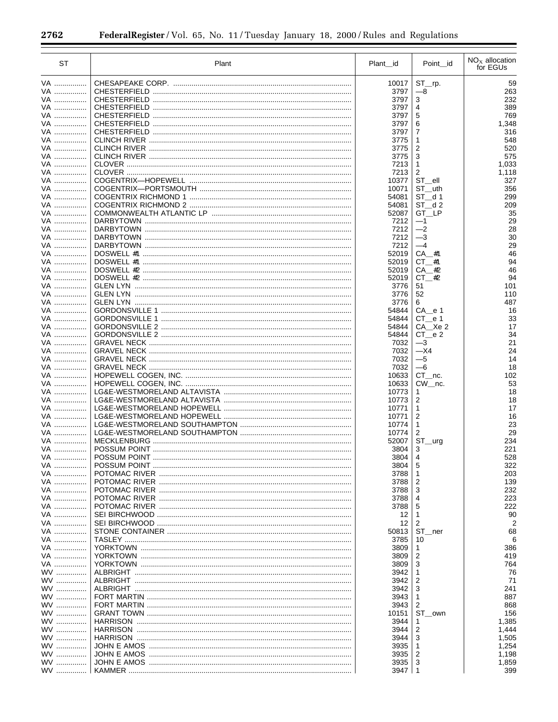| <b>ST</b>              | Plant | Plant_id       | Point id                                        | $NOx$ allocation<br>for EGUs |
|------------------------|-------|----------------|-------------------------------------------------|------------------------------|
| VA                     |       | 10017          | ST rp.                                          | 59                           |
| VA                     |       | 3797           | $-8$                                            | 263                          |
| VA                     |       | 3797           | 3                                               | 232                          |
| VA                     |       | 3797           | 4                                               | 389                          |
| VA                     |       | 3797           | 5                                               | 769                          |
| VA                     |       | 3797           | 6                                               | 1,348                        |
| VA                     |       | 3797           | 7                                               | 316                          |
| VA                     |       | 3775           | 1                                               | 548                          |
| VA                     |       | 3775           | $\overline{2}$                                  | 520                          |
| VA                     |       | 3775           | 3                                               | 575                          |
| VA                     |       | 7213           | 1                                               | 1,033                        |
| VA                     |       | 7213<br>10377  | 2                                               | 1,118                        |
| VA<br>VA               |       | 10071          | ST_ell<br>ST uth                                | 327<br>356                   |
| VA                     |       | 54081          | ST d1                                           | 299                          |
| VA                     |       | 54081          | ST d2                                           | 209                          |
| VA                     |       | 52087          | GT LP                                           | 35                           |
| VA                     |       | 7212           | $-1$                                            | 29                           |
| VA                     |       | 7212           | $-2$                                            | 28                           |
| VA                     |       | 7212           | $-3$                                            | 30                           |
| VA                     |       | 7212           | $-4$                                            | 29                           |
| VA                     |       | 52019          | CA #1                                           | 46                           |
| VA                     |       | 52019          | $CT$ #1                                         | 94                           |
| VA                     |       | 52019          | CA #2                                           | 46                           |
| VA                     |       | 52019          | $CT$ #2                                         | 94                           |
| VA                     |       | 3776           | 51                                              | 101                          |
| VA                     |       | 3776           | 52                                              | 110                          |
| VA                     |       | 3776           | 6                                               | 487                          |
| VA<br>VA               |       | 54844<br>54844 | $CA$ <sub><math>-e</math></sub> $1$<br>$CT$ e 1 | 16<br>33                     |
| VA                     |       | 54844          | CA Xe 2                                         | 17                           |
| VA                     |       | 54844          | CT e 2                                          | 34                           |
| VA                     |       | 7032           | $-3$                                            | 21                           |
| VA                     |       | 7032           | $-X4$                                           | 24                           |
| VA                     |       | 7032           | $-5$                                            | 14                           |
| VA                     |       | 7032           | $-6$                                            | 18                           |
| VA                     |       | 10633          | CT nc.                                          | 102                          |
| VA                     |       | 10633          | CW nc.                                          | 53                           |
| VA                     |       | 10773          | 1                                               | 18                           |
| VA                     |       | 10773          | $\overline{2}$                                  | 18                           |
| VA                     |       | 10771          | 1                                               | 17                           |
| VA                     |       | 10771          | $\overline{2}$                                  | 16                           |
| VA                     |       | 10774          | $\mathbf{1}$                                    | 23                           |
| VA                     |       | 10774          | $\overline{c}$                                  | 29                           |
| VA<br>VA               |       | 52007<br>3804  | ST_urg<br>3                                     | 234<br>221                   |
| VA                     |       | 3804           | $\overline{\mathbf{4}}$                         | 528                          |
| VA                     |       | 3804           | 5                                               | 322                          |
| VA                     |       | 3788           | 1                                               | 203                          |
| VA                     |       | 3788           | 2                                               | 139                          |
| VA                     |       | 3788           | 3                                               | 232                          |
| VA                     |       | 3788           | 4                                               | 223                          |
| VA                     |       | 3788           | 5                                               | 222                          |
| VA                     |       | 12             | 1                                               | 90                           |
| VA                     |       | 12             | 2                                               |                              |
| VA                     |       | 50813          | ST_ner                                          | 68                           |
| VA                     |       | 3785           | 10                                              |                              |
| VA                     |       | 3809           | 1                                               | 386                          |
| VA                     |       | 3809           | $\overline{2}$                                  | 419                          |
| VA                     |       | 3809           | 3                                               | 764                          |
| <b>WV</b>              |       | 3942           | 1                                               | 76                           |
| <b>WV</b><br><b>WV</b> |       | 3942           | 2<br>3                                          | 71<br>241                    |
| <b>WV</b>              |       | 3942<br>3943   | 1                                               | 887                          |
| <b>WV</b>              |       | 3943           | 2                                               | 868                          |
| <b>WV</b>              |       | 10151          | ST_own                                          | 156                          |
| <b>WV</b>              |       | 3944           | 1                                               | 1,385                        |
| <b>WV</b>              |       | 3944           | 2                                               | 1,444                        |
| <b>WV</b>              |       | 3944           | 3                                               | 1,505                        |
| <b>WV</b>              |       | 3935           | 1                                               | 1,254                        |
| <b>WV</b>              |       | 3935           | 2                                               | 1,198                        |
| <b>WV</b>              |       | 3935           | 3                                               | 1,859                        |
| <b>WV</b>              |       | 3947           | $\mathbf{1}$                                    | 399                          |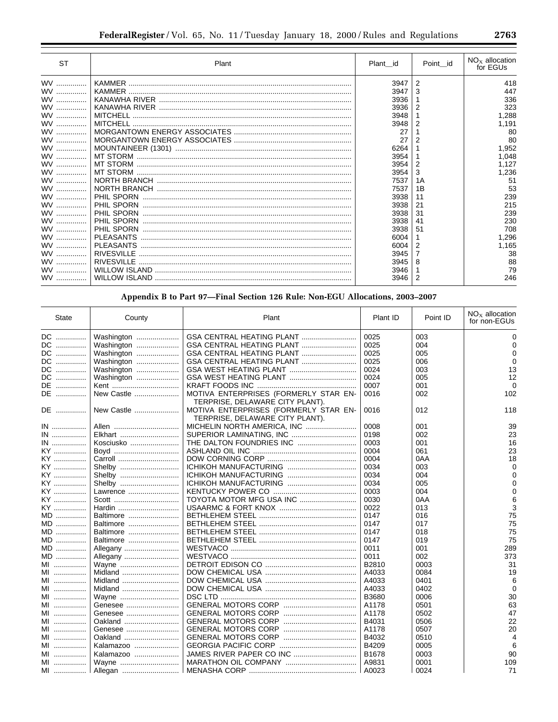| <b>ST</b> | Plant             | Plant id | Point id | $NOx$ allocation<br>for EGUs |
|-----------|-------------------|----------|----------|------------------------------|
| <b>WV</b> |                   | 3947     | 2        | 418                          |
| <b>WV</b> |                   | 3947     | 3        | 447                          |
| <b>WV</b> |                   | 3936     |          | 336                          |
| <b>WV</b> |                   | 3936     |          | 323                          |
| <b>WV</b> | MITCHELL          | 3948     |          | .288                         |
| <b>WV</b> | <b>MITCHELL</b>   | 3948     | 2        | 1,191                        |
| <b>WV</b> |                   | 27       |          | 80                           |
| WV        |                   | 27       | 2        | 80                           |
| <b>WV</b> |                   | 6264     |          | 1,952                        |
| <b>WV</b> |                   | 3954     |          | 1,048                        |
| <b>WV</b> |                   | 3954     | 2        | 1,127                        |
| WV        |                   | 3954     | 3        | 1,236                        |
| <b>WV</b> |                   | 7537     | 1A       | 51                           |
| <b>WV</b> |                   | 7537     | 1B       | 53                           |
| <b>WV</b> | PHIL SPORN        | 3938     | 11       | 239                          |
| <b>WV</b> | PHIL SPORN        | 3938     | 21       | 215                          |
| <b>WV</b> | PHIL SPORN        | 3938     | 31       | 239                          |
| <b>WV</b> | PHIL SPORN        | 3938     | 41       | 230                          |
| <b>WV</b> | PHIL SPORN        | 3938     | 51       | 708                          |
| <b>WV</b> |                   | 6004     |          | 1,296                        |
| WV        | <b>PLEASANTS</b>  | 6004     | 2        | 1,165                        |
| <b>WV</b> | <b>RIVESVILLE</b> | 3945     | 7        | 38                           |
| WV        | <b>RIVESVILLE</b> | 3945     | 8        | 88                           |
| <b>WV</b> |                   | 3946     |          | 79                           |
| <b>WV</b> |                   | 3946     | 2        | 246                          |

Appendix B to Part 97-Final Section 126 Rule: Non-EGU Allocations, 2003-2007

| <b>State</b> | County     | Plant                                                                    | Plant ID | Point ID | $NOx$ allocation<br>for non-EGUs |
|--------------|------------|--------------------------------------------------------------------------|----------|----------|----------------------------------|
| DC           | Washington | GSA CENTRAL HEATING PLANT                                                | 0025     | 003      | 0                                |
| DC           | Washington |                                                                          | 0025     | 004      | O                                |
| DC           | Washington |                                                                          | 0025     | 005      | 0                                |
| DC           | Washington |                                                                          | 0025     | 006      | $\Omega$                         |
| DC           | Washington |                                                                          | 0024     | 003      | 13                               |
| DC           | Washington |                                                                          | 0024     | 005      | 12                               |
| DE           | Kent       |                                                                          | 0007     | 001      | $\Omega$                         |
| DE           | New Castle | MOTIVA ENTERPRISES (FORMERLY STAR EN-<br>TERPRISE, DELAWARE CITY PLANT). | 0016     | 002      | 102                              |
| DE           | New Castle | MOTIVA ENTERPRISES (FORMERLY STAR EN-<br>TERPRISE, DELAWARE CITY PLANT). | 0016     | 012      | 118                              |
| IN           | Allen      |                                                                          | 0008     | 001      | 39                               |
| IN           | Elkhart    |                                                                          | 0198     | 002      | 23                               |
| IN           | Kosciusko  |                                                                          | 0003     | 001      | 16                               |
| KY ……………     | Boyd       |                                                                          | 0004     | 061      | 23                               |
| KY           | Carroll    |                                                                          | 0004     | 0AA      | 18                               |
| KY           | Shelby     |                                                                          | 0034     | 003      | $\Omega$                         |
| KY ……………     | Shelby     |                                                                          | 0034     | 004      |                                  |
| KY ……………     | Shelby     |                                                                          | 0034     | 005      |                                  |
| KY           | Lawrence   |                                                                          | 0003     | 004      | ∩                                |
| KY           |            | TOYOTA MOTOR MFG USA INC                                                 | 0030     | 0AA      |                                  |
| KY           | Hardin     |                                                                          | 0022     | 013      |                                  |
| MD           | Baltimore  |                                                                          | 0147     | 016      | 75                               |
| MD           | Baltimore  |                                                                          | 0147     | 017      | 75                               |
| $MD$         | Baltimore  |                                                                          | 0147     | 018      | 75                               |
| $MD$         | Baltimore  |                                                                          | 0147     | 019      | 75                               |
| MD           | Allegany   |                                                                          | 0011     | 001      | 289                              |
| MD           | Allegany   |                                                                          | 0011     | 002      | 373                              |
| MI           | Wayne      |                                                                          | B2810    | 0003     | 31                               |
| MI           | Midland    |                                                                          | A4033    | 0084     | 19                               |
| MI           | Midland    |                                                                          | A4033    | 0401     | 6                                |
| MI           | Midland    |                                                                          | A4033    | 0402     | $\Omega$                         |
| MI           | Wayne      |                                                                          | B3680    | 0006     | 30                               |
| MI           | Genesee    |                                                                          | A1178    | 0501     | 63                               |
| MI           | Genesee    |                                                                          | A1178    | 0502     | 47                               |
| MI           | Oakland    |                                                                          | B4031    | 0506     | 22                               |
| MI           | Genesee    |                                                                          | A1178    | 0507     | 20                               |
| MI           | Oakland    |                                                                          | B4032    | 0510     | 4                                |
| MI           | Kalamazoo  |                                                                          | B4209    | 0005     | 6                                |
| MI           | Kalamazoo  |                                                                          | B1678    | 0003     | 90                               |
| MI           | Wayne      |                                                                          | A9831    | 0001     | 109                              |
| MI           | Allegan    |                                                                          | A0023    | 0024     | 71                               |

▀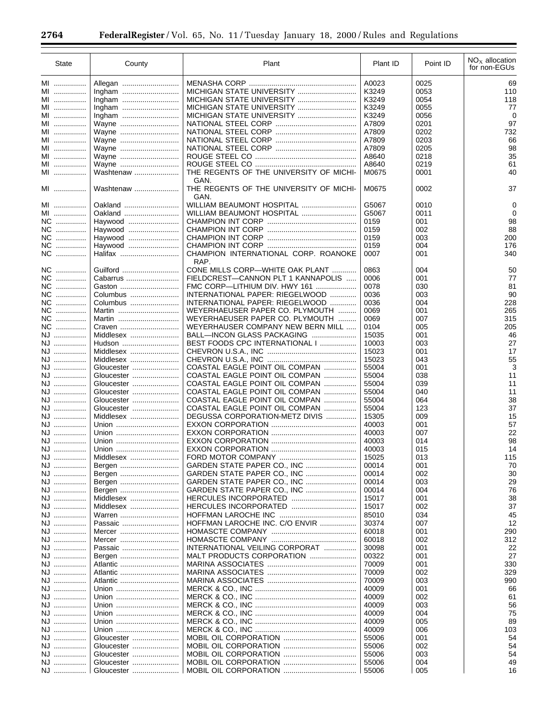| <b>State</b> | County     | Plant                                                                 | Plant ID | Point ID | $NOx$ allocation<br>for non-EGUs |
|--------------|------------|-----------------------------------------------------------------------|----------|----------|----------------------------------|
| MI           |            |                                                                       | A0023    | 0025     | 69                               |
| MI           |            |                                                                       | K3249    | 0053     | 110                              |
| MI           |            |                                                                       | K3249    | 0054     | 118                              |
| MI           |            | MICHIGAN STATE UNIVERSITY                                             | K3249    | 0055     | 77                               |
| MI           |            | MICHIGAN STATE UNIVERSITY                                             | K3249    | 0056     | 0                                |
| MI           | Wayne      |                                                                       | A7809    | 0201     | 97                               |
| MI           | Wayne      | NATIONAL STEEL CORP                                                   | A7809    | 0202     | 732                              |
| MI           | Wayne      |                                                                       | A7809    | 0203     | 66                               |
| MI           | Wayne      |                                                                       | A7809    | 0205     | 98                               |
| MI           |            |                                                                       | A8640    | 0218     | 35                               |
| MI           | Wayne      |                                                                       | A8640    | 0219     | 61                               |
|              | Wayne      | THE REGENTS OF THE UNIVERSITY OF MICHI-                               |          |          |                                  |
| MI           | Washtenaw  |                                                                       | M0675    | 0001     | 40                               |
| MI           | Washtenaw  | GAN.<br>THE REGENTS OF THE UNIVERSITY OF MICHI-<br>GAN.               | M0675    | 0002     | 37                               |
| MI           | Oakland    | WILLIAM BEAUMONT HOSPITAL                                             | G5067    | 0010     | 0                                |
| MI           | Oakland    | WILLIAM BEAUMONT HOSPITAL                                             | G5067    | 0011     | 0                                |
| NC           | Haywood    |                                                                       | 0159     | 001      | 98                               |
| NC           | Haywood    |                                                                       | 0159     | 002      | 88                               |
| NC           | Haywood    |                                                                       | 0159     | 003      | 200                              |
| NC           | Haywood    |                                                                       | 0159     | 004      | 176                              |
| NC           |            | CHAMPION INTERNATIONAL CORP. ROANOKE                                  | 0007     | 001      | 340                              |
|              | Guilford   | RAP.                                                                  |          |          |                                  |
| NC           |            | CONE MILLS CORP-WHITE OAK PLANT<br>FIELDCREST-CANNON PLT 1 KANNAPOLIS | 0863     | 004      | 50                               |
| NC           | Cabarrus   |                                                                       | 0006     | 001      | 77                               |
| NC           | Gaston     | FMC CORP—LITHIUM DIV. HWY 161                                         | 0078     | 030      | 81                               |
| NC           | Columbus   | INTERNATIONAL PAPER: RIEGELWOOD                                       | 0036     | 003      | 90                               |
| NC           | Columbus   | INTERNATIONAL PAPER: RIEGELWOOD                                       | 0036     | 004      | 228                              |
| NC           | Martin     | WEYERHAEUSER PAPER CO. PLYMOUTH                                       | 0069     | 001      | 265                              |
| NC           | Martin     | WEYERHAEUSER PAPER CO. PLYMOUTH                                       | 0069     | 007      | 315                              |
| NC           | Craven     | WEYERHAUSER COMPANY NEW BERN MILL                                     | 0104     | 005      | 205                              |
| NJ           | Middlesex  | BALL—INCON GLASS PACKAGING                                            | 15035    | 001      | 46                               |
| NJ           | Hudson     | BEST FOODS CPC INTERNATIONAL I                                        | 10003    | 003      | 27                               |
| NJ           | Middlesex  |                                                                       | 15023    | 001      | 17                               |
| NJ           | Middlesex  |                                                                       | 15023    | 043      | 55                               |
| NJ           | Gloucester | COASTAL EAGLE POINT OIL COMPAN                                        | 55004    | 001      | 3                                |
| NJ           | Gloucester | COASTAL EAGLE POINT OIL COMPAN                                        | 55004    | 038      | 11                               |
| NJ           | Gloucester | COASTAL EAGLE POINT OIL COMPAN                                        | 55004    | 039      | 11                               |
| NJ           | Gloucester | COASTAL EAGLE POINT OIL COMPAN                                        | 55004    | 040      | 11                               |
| NJ           | Gloucester | COASTAL EAGLE POINT OIL COMPAN                                        | 55004    | 064      | 38                               |
| NJ           | Gloucester | COASTAL EAGLE POINT OIL COMPAN                                        | 55004    | 123      | 37                               |
| NJ           | Middlesex  | DEGUSSA CORPORATION-METZ DIVIS                                        | 15305    | 009      | 15                               |
| NJ           | Union      |                                                                       | 40003    | 001      | 57                               |
|              |            |                                                                       | 40003    | 007      | 22                               |
| NJ           | Union      |                                                                       |          |          |                                  |
| NJ           | Union      |                                                                       | 40003    | 014      | 98                               |
| NJ           | Union      |                                                                       | 40003    | 015      | 14                               |
| NJ           | Middlesex  |                                                                       | 15025    | 013      | 115                              |
| NJ           | Bergen     | GARDEN STATE PAPER CO., INC                                           | 00014    | 001      | 70                               |
| NJ           | Bergen     | GARDEN STATE PAPER CO., INC                                           | 00014    | 002      | 30                               |
| NJ           | Bergen     |                                                                       | 00014    | 003      | 29                               |
| NJ           | Bergen     | GARDEN STATE PAPER CO., INC                                           | 00014    | 004      | 76                               |
| NJ           | Middlesex  |                                                                       | 15017    | 001      | 38                               |
| NJ           | Middlesex  |                                                                       | 15017    | 002      | 37                               |
| NJ           | Warren     |                                                                       | 85010    | 034      | 45                               |
| NJ           | Passaic    | HOFFMAN LAROCHE INC. C/O ENVIR                                        | 30374    | 007      | 12                               |
| NJ           | Mercer     |                                                                       | 60018    | 001      | 290                              |
| NJ           | Mercer     |                                                                       | 60018    | 002      | 312                              |
| NJ           | Passaic    | INTERNATIONAL VEILING CORPORAT                                        | 30098    | 001      | 22                               |
| NJ           |            | MALT PRODUCTS CORPORATION                                             | 00322    | 001      | 27                               |
|              | Bergen     |                                                                       |          |          |                                  |
| NJ           | Atlantic   |                                                                       | 70009    | 001      | 330                              |
| NJ           | Atlantic   |                                                                       | 70009    | 002      | 329                              |
| NJ           | Atlantic   |                                                                       | 70009    | 003      | 990                              |
| NJ           | Union      |                                                                       | 40009    | 001      | 66                               |
| NJ           | Union      |                                                                       | 40009    | 002      | 61                               |
| NJ           | Union      |                                                                       | 40009    | 003      | 56                               |
| NJ           | Union      |                                                                       | 40009    | 004      | 75                               |
| NJ           | Union      |                                                                       | 40009    | 005      | 89                               |
| NJ           | Union      |                                                                       | 40009    | 006      | 103                              |
| NJ           | Gloucester |                                                                       | 55006    | 001      | 54                               |
| NJ           | Gloucester |                                                                       | 55006    | 002      | 54                               |
| NJ           | Gloucester |                                                                       | 55006    | 003      | 54                               |
|              |            |                                                                       |          |          | 49                               |
| NJ           | Gloucester |                                                                       | 55006    | 004      |                                  |
| NJ           | Gloucester |                                                                       | 55006    | 005      | 16                               |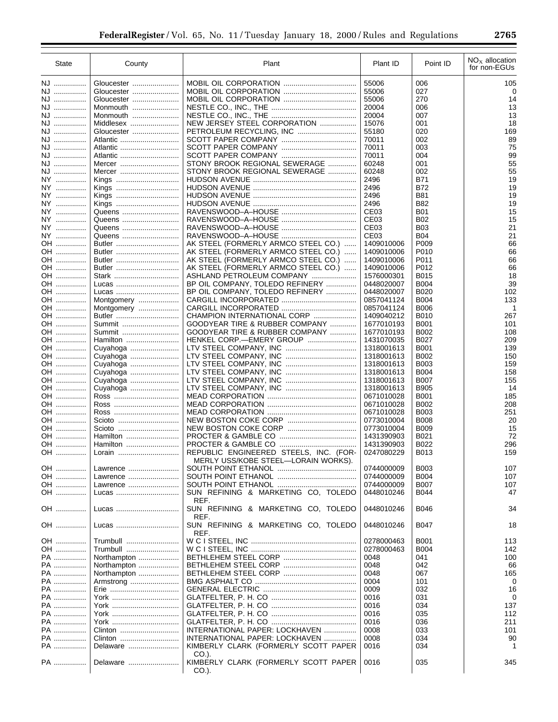| State    | County           | Plant                                                                      | Plant ID                 | Point ID     | $NOx$ allocation<br>for non-EGUs |
|----------|------------------|----------------------------------------------------------------------------|--------------------------|--------------|----------------------------------|
| NJ       | Gloucester       |                                                                            | 55006                    | 006          | 105                              |
| NJ       | Gloucester       |                                                                            | 55006                    | 027          | 0                                |
| NJ       | Gloucester       |                                                                            | 55006                    | 270          | 14                               |
| NJ       | Monmouth         |                                                                            | 20004                    | 006          | 13                               |
| NJ       | Monmouth         |                                                                            | 20004                    | 007          | 13                               |
| NJ       | Middlesex        | NEW JERSEY STEEL CORPORATION                                               | 15076                    | 001          | 18                               |
| NJ       | Gloucester       | PETROLEUM RECYCLING, INC                                                   | 55180                    | 020          | 169                              |
| NJ       | Atlantic         |                                                                            | 70011                    | 002          | 89                               |
| NJ       | Atlantic         |                                                                            | 70011                    | 003          | 75                               |
| NJ       | Atlantic         |                                                                            | 70011                    | 004          | 99                               |
| NJ       | Mercer           | STONY BROOK REGIONAL SEWERAGE                                              | 60248                    | 001          | 55                               |
| NJ       | Mercer           | STONY BROOK REGIONAL SEWERAGE                                              | 60248                    | 002          | 55                               |
| NY       | Kings            |                                                                            | 2496                     | <b>B71</b>   | 19                               |
| NY       | Kings            |                                                                            | 2496                     | <b>B72</b>   | 19                               |
| NY       | Kings            |                                                                            | 2496                     | <b>B81</b>   | 19                               |
| NY       | Kings            |                                                                            | 2496                     | B82          | 19                               |
| NY       | Queens           |                                                                            | CE <sub>03</sub>         | <b>B01</b>   | 15                               |
| NY       | Queens           |                                                                            | CE <sub>03</sub>         | B02          | 15                               |
| NY       | Queens           |                                                                            | CE <sub>03</sub>         | <b>B03</b>   | 21                               |
| NY       | Queens           |                                                                            | CE <sub>03</sub>         | <b>B04</b>   | 21                               |
| OH       | Butler           | AK STEEL (FORMERLY ARMCO STEEL CO.)                                        | 1409010006               | P009         | 66                               |
| OH<br>OH | Butler<br>Butler | AK STEEL (FORMERLY ARMCO STEEL CO.)                                        | 1409010006<br>1409010006 | P010<br>P011 | 66<br>66                         |
| OH       | Butler           | AK STEEL (FORMERLY ARMCO STEEL CO.)<br>AK STEEL (FORMERLY ARMCO STEEL CO.) | 1409010006               | P012         | 66                               |
| OH       | Stark            | ASHLAND PETROLEUM COMPANY                                                  | 1576000301               | B015         | 18                               |
| OH       | Lucas            | BP OIL COMPANY, TOLEDO REFINERY                                            | 0448020007               | <b>B004</b>  | 39                               |
| OH       | Lucas            | BP OIL COMPANY, TOLEDO REFINERY                                            | 0448020007               | B020         | 102                              |
| OH       | Montgomery       |                                                                            | 0857041124               | <b>B004</b>  | 133                              |
| OH       | Montgomery       |                                                                            | 0857041124               | <b>B006</b>  | $\mathbf{1}$                     |
| OH       | Butler           | CHAMPION INTERNATIONAL CORP                                                | 1409040212               | B010         | 267                              |
| OH       | Summit           | GOODYEAR TIRE & RUBBER COMPANY                                             | 1677010193               | B001         | 101                              |
| OH       | Summit           | GOODYEAR TIRE & RUBBER COMPANY                                             | 1677010193               | B002         | 108                              |
| OH       | Hamilton         | HENKEL CORP.-EMERY GROUP                                                   | 1431070035               | B027         | 209                              |
| OH       | Cuyahoga         |                                                                            | 1318001613               | B001         | 139                              |
| OH       | Cuyahoga         |                                                                            | 1318001613               | B002         | 150                              |
| OH       | Cuyahoga         |                                                                            | 1318001613               | B003         | 159                              |
| OH       | Cuyahoga         |                                                                            | 1318001613               | <b>B004</b>  | 158                              |
| OH       | Cuyahoga         |                                                                            | 1318001613               | <b>B007</b>  | 155                              |
| OH       | Cuyahoga         |                                                                            | 1318001613               | <b>B905</b>  | 14                               |
| OH       | Ross             |                                                                            | 0671010028               | B001         | 185                              |
| OH       | Ross             |                                                                            | 0671010028               | B002         | 208                              |
| OH       | Ross             |                                                                            | 0671010028               | <b>B003</b>  | 251                              |
| OH       | Scioto           |                                                                            | 0773010004               | <b>B008</b>  | 20                               |
| OH       | Scioto           |                                                                            | 0773010004               | <b>B009</b>  | 15                               |
| OH       | Hamilton         |                                                                            | 1431390903               | B021         | 72                               |
| OH       | Hamilton         | PROCTER & GAMBLE CO                                                        | 1431390903               | B022         | 296                              |
| OH       | Lorain           | REPUBLIC ENGINEERED STEELS, INC. (FOR-                                     | 0247080229               | B013         | 159                              |
| OH       | Lawrence         | MERLY USS/KOBE STEEL-LORAIN WORKS).                                        | 0744000009               | B003         | 107                              |
| OH       | Lawrence         |                                                                            | 0744000009               | B004         | 107                              |
| OH …………… | Lawrence         |                                                                            | 0744000009               | <b>B007</b>  | 107                              |
| OH       | Lucas            | SUN REFINING & MARKETING CO, TOLEDO                                        | 0448010246               | B044         | 47                               |
|          |                  | REF.                                                                       |                          |              |                                  |
| OH       | Lucas            | SUN REFINING & MARKETING CO, TOLEDO                                        | 0448010246               | B046         | 34                               |
|          |                  | REF.                                                                       |                          |              |                                  |
| OH       | Lucas            | SUN REFINING & MARKETING CO, TOLEDO                                        | 0448010246               | B047         | 18                               |
|          |                  | REF.                                                                       |                          |              |                                  |
| OH       | Trumbull         |                                                                            | 0278000463               | B001         | 113                              |
| OH       | Trumbull         |                                                                            | 0278000463               | <b>B004</b>  | 142                              |
| PA       | Northampton      |                                                                            | 0048                     | 041          | 100                              |
| PA       | Northampton      |                                                                            | 0048                     | 042          | 66                               |
| PA       | Northampton      |                                                                            | 0048                     | 067          | 165                              |
| PA       | Armstrong        |                                                                            | 0004                     | 101          | 0                                |
| PA       |                  |                                                                            | 0009                     | 032          | 16                               |
| PA       | York             |                                                                            | 0016                     | 031          | 0                                |
| PA       | York             |                                                                            | 0016                     | 034          | 137                              |
| PA       | York             |                                                                            | 0016                     | 035          | 112                              |
| PA       | York             |                                                                            | 0016                     | 036          | 211                              |
| PA       | Clinton          | INTERNATIONAL PAPER: LOCKHAVEN                                             | 0008                     | 033          | 101                              |
| PA       | Clinton          | INTERNATIONAL PAPER: LOCKHAVEN                                             | 0008                     | 034          | 90                               |
| PA       | Delaware         | KIMBERLY CLARK (FORMERLY SCOTT PAPER                                       | 0016                     | 034          | 1                                |
| PA       | Delaware         | CO.).<br>KIMBERLY CLARK (FORMERLY SCOTT PAPER<br>CO.).                     | 0016                     | 035          | 345                              |
|          |                  |                                                                            |                          |              |                                  |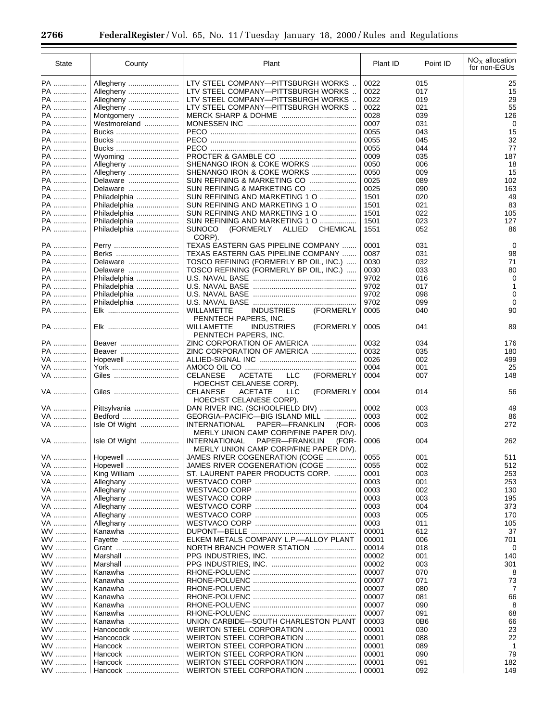÷.

| <b>State</b>    | County        | Plant                                                                                     | Plant ID | Point ID | $NOx$ allocation<br>for non-EGUs |
|-----------------|---------------|-------------------------------------------------------------------------------------------|----------|----------|----------------------------------|
| PA              | Allegheny     | LTV STEEL COMPANY-PITTSBURGH WORKS                                                        | 0022     | 015      | 25                               |
| PA              | Allegheny     | LTV STEEL COMPANY-PITTSBURGH WORKS                                                        | 0022     | 017      | 15                               |
| PA              | Allegheny     | LTV STEEL COMPANY-PITTSBURGH WORKS                                                        | 0022     | 019      | 29                               |
| PA              | Allegheny     | LTV STEEL COMPANY-PITTSBURGH WORKS                                                        | 0022     | 021      | 55                               |
| PA              | Montgomery    |                                                                                           | 0028     | 039      | 126                              |
| PA ……………        | Westmoreland  |                                                                                           | 0007     | 031      | 0                                |
| PA              | Bucks         |                                                                                           | 0055     | 043      | 15                               |
| PA              | Bucks         |                                                                                           | 0055     | 045      | 32                               |
| PA              | Bucks         |                                                                                           | 0055     | 044      | 77                               |
| PA              | Wyoming       |                                                                                           | 0009     | 035      | 187                              |
| PA              | Allegheny     | SHENANGO IRON & COKE WORKS                                                                | 0050     | 006      | 18                               |
| PA ……………        | Allegheny     | SHENANGO IRON & COKE WORKS                                                                | 0050     | 009      | 15                               |
| PA              | Delaware      | SUN REFINING & MARKETING CO                                                               | 0025     | 089      | 102                              |
| PA              | Delaware      | SUN REFINING & MARKETING CO                                                               | 0025     | 090      | 163                              |
| PA              | Philadelphia  | SUN REFINING AND MARKETING 1 O                                                            | 1501     | 020      | 49                               |
| PA              | Philadelphia  | SUN REFINING AND MARKETING 1 O                                                            | 1501     | 021      | 83                               |
| PA ……………        | Philadelphia  | SUN REFINING AND MARKETING 1 O                                                            | 1501     | 022      | 105                              |
| PA              | Philadelphia  | SUN REFINING AND MARKETING 1 O                                                            | 1501     | 023      | 127                              |
| PA              | Philadelphia  | <b>CHEMICAL</b><br><b>SUNOCO</b><br>(FORMERLY<br><b>ALLIED</b>                            | 1551     | 052      | 86                               |
|                 |               | CORP).                                                                                    |          |          |                                  |
| PA              | Perry         | TEXAS EASTERN GAS PIPELINE COMPANY                                                        | 0001     | 031      | $\mathbf 0$                      |
| PA              | Berks         | TEXAS EASTERN GAS PIPELINE COMPANY                                                        | 0087     | 031      | 98                               |
| PA              | Delaware      | TOSCO REFINING (FORMERLY BP OIL, INC.)                                                    | 0030     | 032      | 71                               |
| PA              | Delaware      | TOSCO REFINING (FORMERLY BP OIL, INC.)                                                    | 0030     | 033      | 80                               |
| PA ……………        | Philadelphia  |                                                                                           | 9702     | 016      | 0                                |
| PA              | Philadelphia  |                                                                                           | 9702     | 017      | 1                                |
| PA ……………        | Philadelphia  |                                                                                           | 9702     | 098      | 0                                |
| PA              | Philadelphia  |                                                                                           | 9702     | 099      | 0                                |
| PA ……………        |               | <b>WILLAMETTE</b><br><b>INDUSTRIES</b><br>(FORMERLY<br>PENNTECH PAPERS, INC.              | 0005     | 040      | 90                               |
| PA              |               | (FORMERLY<br><b>WILLAMETTE</b><br><b>INDUSTRIES</b><br>PENNTECH PAPERS, INC.              | 0005     | 041      | 89                               |
| PA              | Beaver        | ZINC CORPORATION OF AMERICA                                                               | 0032     | 034      | 176                              |
| PA              | Beaver        | ZINC CORPORATION OF AMERICA                                                               | 0032     | 035      | 180                              |
| VA              | Hopewell      |                                                                                           | 0026     | 002      | 499                              |
| VA              | York          |                                                                                           | 0004     | 001      | 25                               |
| VA              | Giles         | (FORMERLY<br><b>CELANESE</b><br><b>LLC</b><br>ACETATE<br>HOECHST CELANESE CORP).          | 0004     | 007      | 148                              |
| VA              | Giles         | <b>CELANESE</b><br>(FORMERLY<br><b>ACETATE</b><br><b>LLC</b><br>HOECHST CELANESE CORP).   | 0004     | 014      | 56                               |
| VA              | Pittsylvania  | DAN RIVER INC. (SCHOOLFIELD DIV)                                                          | 0002     | 003      | 49                               |
| VA              | Bedford       | GEORGIA-PACIFIC-BIG ISLAND MILL                                                           | 0003     | 002      | 86                               |
| VA              | Isle Of Wight | PAPER-FRANKLIN<br><b>INTERNATIONAL</b><br>(FOR-<br>MERLY UNION CAMP CORP/FINE PAPER DIV). | 0006     | 003      | 272                              |
| VA              | Isle Of Wight | <b>INTERNATIONAL</b><br>PAPER-FRANKLIN<br>(FOR-<br>MERLY UNION CAMP CORP/FINE PAPER DIV). | 0006     | 004      | 262                              |
| VA              | Hopewell      | JAMES RIVER COGENERATION (COGE                                                            | 0055     | 001      | 511                              |
| VA              | Hopewell      | JAMES RIVER COGENERATION (COGE                                                            | 0055     | 002      | 512                              |
| VA              | King William  | ST. LAURENT PAPER PRODUCTS CORP.                                                          | 0001     | 003      | 253                              |
| VA              | Alleghany     |                                                                                           | 0003     | 001      | 253                              |
| VA              | Alleghany     |                                                                                           | 0003     | 002      | 130                              |
| VA              | Alleghany     |                                                                                           | 0003     | 003      | 195                              |
| VA              | Alleghany     |                                                                                           | 0003     | 004      | 373                              |
| VA              | Alleghany     |                                                                                           | 0003     | 005      | 170                              |
| VA              | Alleghany     |                                                                                           | 0003     | 011      | 105                              |
| WV              | Kanawha       |                                                                                           | 00001    | 612      | 37                               |
| WV              | Fayette       | ELKEM METALS COMPANY L.P.-ALLOY PLANT                                                     | 00001    | 006      | 701                              |
| <b>WV</b>       | Grant         | NORTH BRANCH POWER STATION                                                                | 00014    | 018      | 0                                |
| <b>WV</b>       | Marshall      |                                                                                           | 00002    | 001      | 140                              |
| WV              | Marshall      |                                                                                           | 00002    | 003      | 301                              |
| WV              |               |                                                                                           | 00007    |          | 8                                |
|                 | Kanawha       |                                                                                           | 00007    | 070      |                                  |
| <b>WV</b>       | Kanawha       |                                                                                           |          | 071      | 73                               |
| <b>WV</b><br>WV | Kanawha       |                                                                                           | 00007    | 080      | 7                                |
|                 | Kanawha       |                                                                                           | 00007    | 081      | 66                               |
| <b>WV</b>       | Kanawha       |                                                                                           | 00007    | 090      | 8                                |
| <b>WV</b>       | Kanawha       |                                                                                           | 00007    | 091      | 68                               |
| <b>WV</b>       | Kanawha       | UNION CARBIDE-SOUTH CHARLESTON PLANT                                                      | 00003    | 0B6      | 66                               |
| WV              | Hancocock     | WEIRTON STEEL CORPORATION                                                                 | 00001    | 030      | 23                               |
| WV              | Hancocock     |                                                                                           | 00001    | 088      | 22                               |
| <b>WV</b>       | Hancock       | WEIRTON STEEL CORPORATION                                                                 | 00001    | 089      | 1                                |
| WV              | Hancock       | WEIRTON STEEL CORPORATION                                                                 | 00001    | 090      | 79                               |
| WV              | Hancock       |                                                                                           | 00001    | 091      | 182                              |
| WV              | Hancock       | WEIRTON STEEL CORPORATION                                                                 | 00001    | 092      | 149                              |